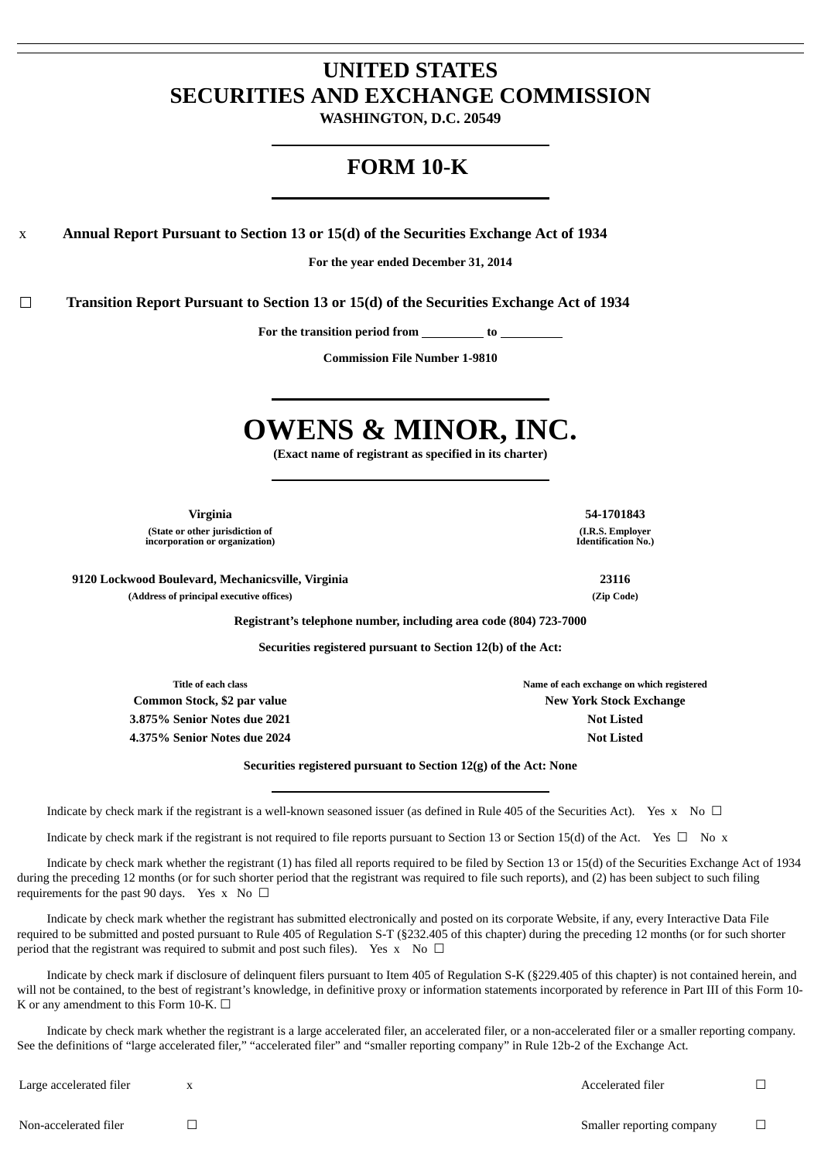# **UNITED STATES SECURITIES AND EXCHANGE COMMISSION**

**WASHINGTON, D.C. 20549**

# **FORM 10-K**

x **Annual Report Pursuant to Section 13 or 15(d) of the Securities Exchange Act of 1934**

**For the year ended December 31, 2014**

☐ **Transition Report Pursuant to Section 13 or 15(d) of the Securities Exchange Act of 1934**

**For the transition period from to**

**Commission File Number 1-9810**

# **OWENS & MINOR, INC.**

**(Exact name of registrant as specified in its charter)**

**(State or other jurisdiction of incorporation or organization)**

**Virginia 54-1701843 (I.R.S. Employer Identification No.)**

**9120 Lockwood Boulevard, Mechanicsville, Virginia 23116 (Address of principal executive offices) (Zip Code)**

**Registrant's telephone number, including area code (804) 723-7000**

**Securities registered pursuant to Section 12(b) of the Act:**

**Common Stock, \$2 par value New York Stock Exchange 3.875% Senior Notes due 2021 Not Listed 4.375% Senior Notes due 2024 Not Listed**

**Title of each class Name of each exchange on which registered**

#### **Securities registered pursuant to Section 12(g) of the Act: None**

Indicate by check mark if the registrant is a well-known seasoned issuer (as defined in Rule 405 of the Securities Act). Yes x No  $\Box$ 

Indicate by check mark if the registrant is not required to file reports pursuant to Section 13 or Section 15(d) of the Act. Yes  $\Box$  No x

Indicate by check mark whether the registrant (1) has filed all reports required to be filed by Section 13 or 15(d) of the Securities Exchange Act of 1934 during the preceding 12 months (or for such shorter period that the registrant was required to file such reports), and (2) has been subject to such filing requirements for the past 90 days. Yes  $x \to 0$ 

Indicate by check mark whether the registrant has submitted electronically and posted on its corporate Website, if any, every Interactive Data File required to be submitted and posted pursuant to Rule 405 of Regulation S-T (§232.405 of this chapter) during the preceding 12 months (or for such shorter period that the registrant was required to submit and post such files). Yes  $x$  No  $\Box$ 

Indicate by check mark if disclosure of delinquent filers pursuant to Item 405 of Regulation S-K (§229.405 of this chapter) is not contained herein, and will not be contained, to the best of registrant's knowledge, in definitive proxy or information statements incorporated by reference in Part III of this Form 10-K or any amendment to this Form 10-K.  $\Box$ 

Indicate by check mark whether the registrant is a large accelerated filer, an accelerated filer, or a non-accelerated filer or a smaller reporting company. See the definitions of "large accelerated filer," "accelerated filer" and "smaller reporting company" in Rule 12b-2 of the Exchange Act.

Large accelerated filer  $\Box$ Non-accelerated filer □ Smaller reporting company □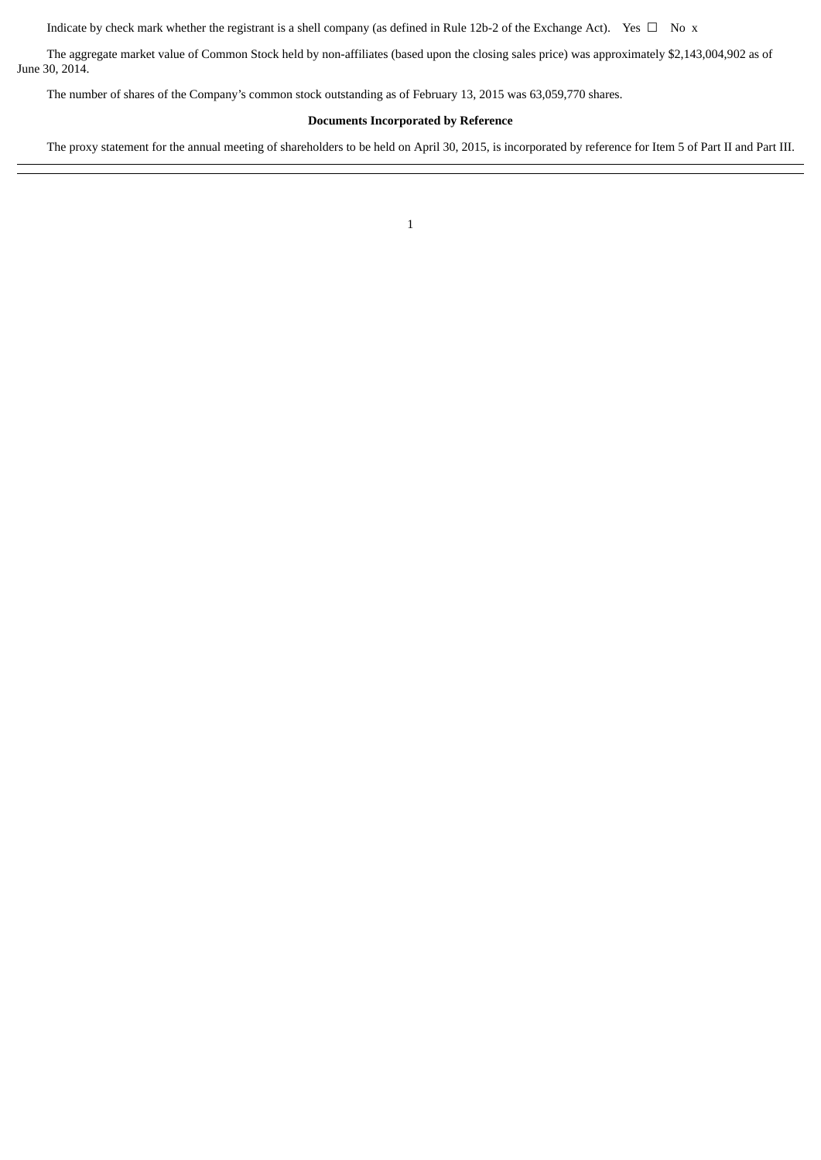Indicate by check mark whether the registrant is a shell company (as defined in Rule 12b-2 of the Exchange Act). Yes  $\Box$  No x

The aggregate market value of Common Stock held by non-affiliates (based upon the closing sales price) was approximately \$2,143,004,902 as of June 30, 2014.

The number of shares of the Company's common stock outstanding as of February 13, 2015 was 63,059,770 shares.

## **Documents Incorporated by Reference**

The proxy statement for the annual meeting of shareholders to be held on April 30, 2015, is incorporated by reference for Item 5 of Part II and Part III.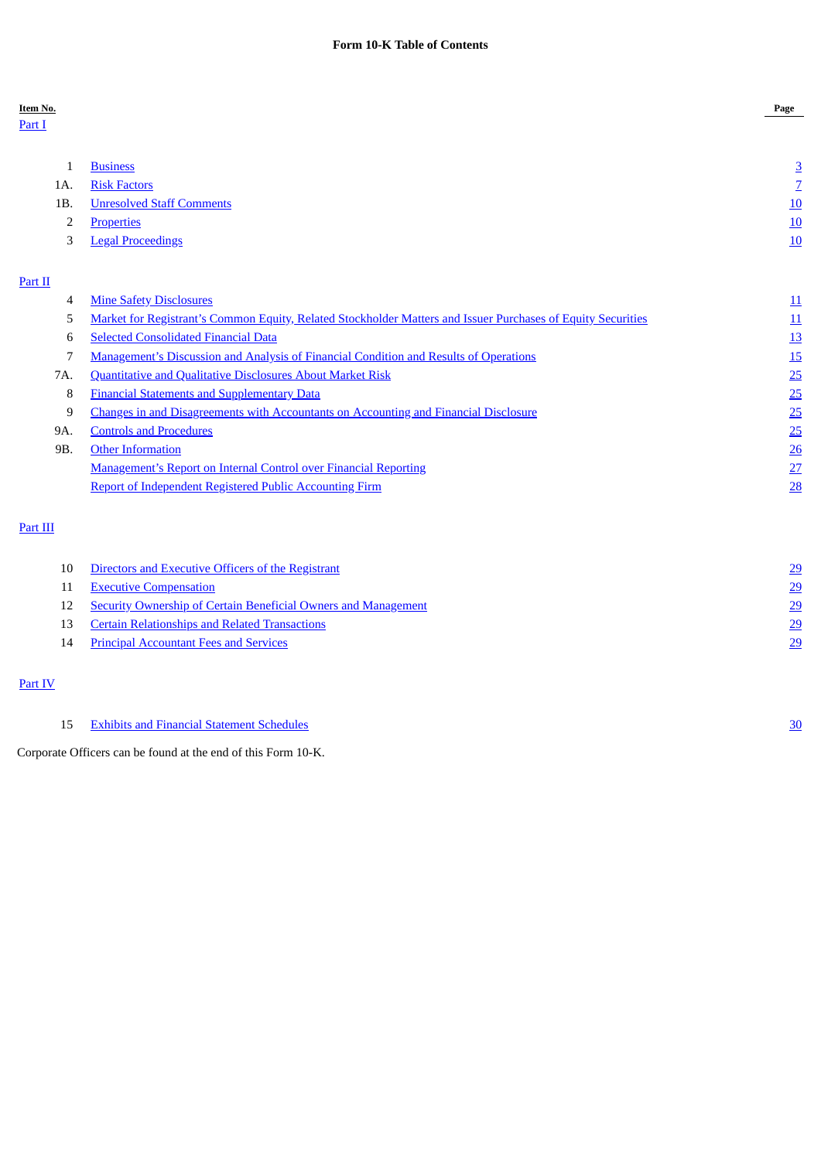| Item No.<br>Part I |                                                                                                              | Page             |
|--------------------|--------------------------------------------------------------------------------------------------------------|------------------|
|                    |                                                                                                              |                  |
| $\mathbf{1}$       | <b>Business</b>                                                                                              | $\overline{3}$   |
| 1A.                | <b>Risk Factors</b>                                                                                          | $\overline{z}$   |
| 1B.                | <b>Unresolved Staff Comments</b>                                                                             | 10               |
| 2                  | <b>Properties</b>                                                                                            | 10               |
| 3                  | <b>Legal Proceedings</b>                                                                                     | 10               |
| Part II            |                                                                                                              |                  |
| 4                  | <b>Mine Safety Disclosures</b>                                                                               | 11               |
| 5                  | Market for Registrant's Common Equity, Related Stockholder Matters and Issuer Purchases of Equity Securities | $\underline{11}$ |
| 6                  | <b>Selected Consolidated Financial Data</b>                                                                  | <u>13</u>        |
| 7                  | Management's Discussion and Analysis of Financial Condition and Results of Operations                        | 15               |
| 7A.                | <b>Quantitative and Qualitative Disclosures About Market Risk</b>                                            | $\overline{25}$  |
| 8                  | <b>Financial Statements and Supplementary Data</b>                                                           | $\overline{25}$  |
| 9                  | <b>Changes in and Disagreements with Accountants on Accounting and Financial Disclosure</b>                  | $\overline{25}$  |
| 9A.                | <b>Controls and Procedures</b>                                                                               | $\overline{25}$  |
| 9B.                | <b>Other Information</b>                                                                                     | $\frac{26}{5}$   |
|                    | <b>Management's Report on Internal Control over Financial Reporting</b>                                      | $\overline{27}$  |
|                    | Report of Independent Registered Public Accounting Firm                                                      | $\overline{28}$  |
| Part III           |                                                                                                              |                  |
| 10                 | Directors and Executive Officers of the Registrant                                                           | 29               |
| 11                 | <b>Executive Compensation</b>                                                                                | 29               |
| 12                 | <b>Security Ownership of Certain Beneficial Owners and Management</b>                                        | $\overline{29}$  |
| 13                 | <b>Certain Relationships and Related Transactions</b>                                                        | 29               |

14 Principal [Accountant](#page-29-6) Fees and Services [29](#page-29-6)

# [Part](#page-29-7) IV

15 Exhibits and Financial Statement [Schedules](#page-30-0) [30](#page-30-0) and 5 and 5 and 5 and 5 and 5 and 5 and 5 and 5 and 5 and 5 and 5 and 5 and 5 and 5 and 5 and 5 and 5 and 5 and 5 and 5 and 5 and 5 and 5 and 5 and 5 and 5 and 5 and 5 and 5

<span id="page-2-0"></span>Corporate Officers can be found at the end of this Form 10-K.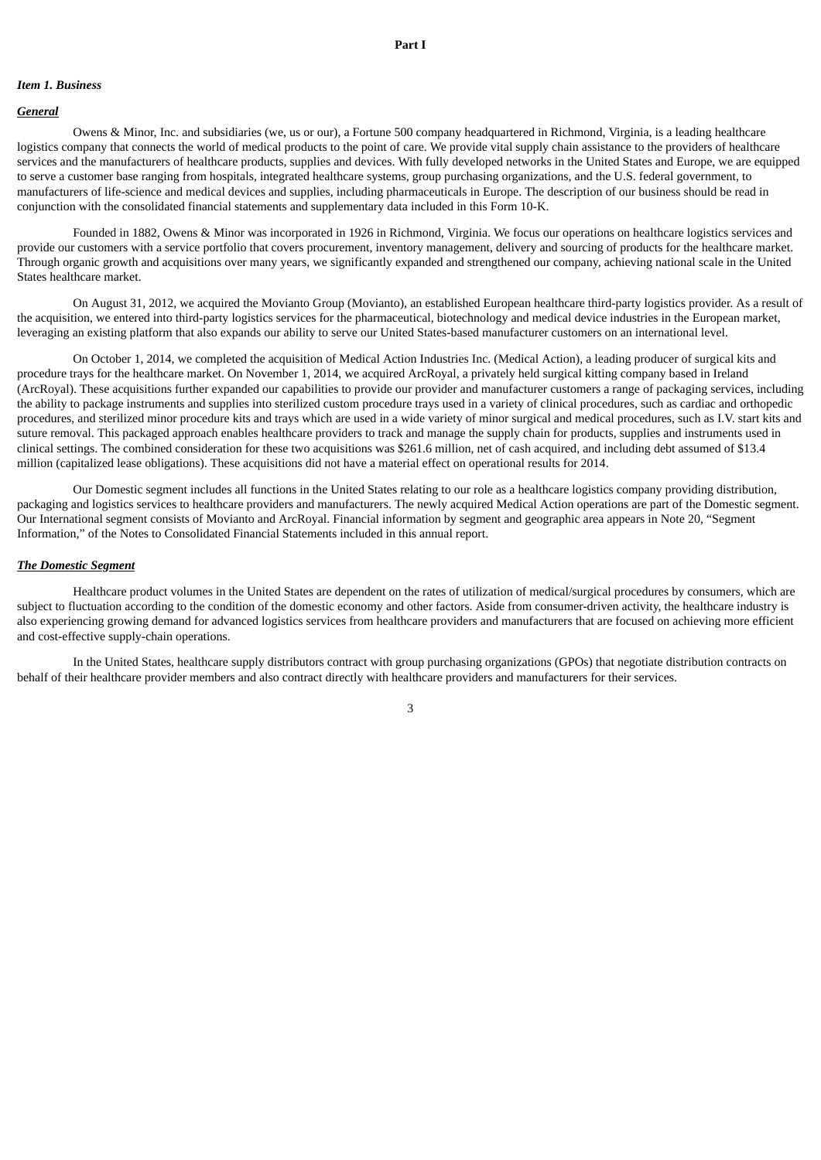#### <span id="page-3-0"></span>*Item 1. Business*

#### *General*

Owens & Minor, Inc. and subsidiaries (we, us or our), a Fortune 500 company headquartered in Richmond, Virginia, is a leading healthcare logistics company that connects the world of medical products to the point of care. We provide vital supply chain assistance to the providers of healthcare services and the manufacturers of healthcare products, supplies and devices. With fully developed networks in the United States and Europe, we are equipped to serve a customer base ranging from hospitals, integrated healthcare systems, group purchasing organizations, and the U.S. federal government, to manufacturers of life-science and medical devices and supplies, including pharmaceuticals in Europe. The description of our business should be read in conjunction with the consolidated financial statements and supplementary data included in this Form 10-K.

Founded in 1882, Owens & Minor was incorporated in 1926 in Richmond, Virginia. We focus our operations on healthcare logistics services and provide our customers with a service portfolio that covers procurement, inventory management, delivery and sourcing of products for the healthcare market. Through organic growth and acquisitions over many years, we significantly expanded and strengthened our company, achieving national scale in the United States healthcare market.

On August 31, 2012, we acquired the Movianto Group (Movianto), an established European healthcare third-party logistics provider. As a result of the acquisition, we entered into third-party logistics services for the pharmaceutical, biotechnology and medical device industries in the European market, leveraging an existing platform that also expands our ability to serve our United States-based manufacturer customers on an international level.

On October 1, 2014, we completed the acquisition of Medical Action Industries Inc. (Medical Action), a leading producer of surgical kits and procedure trays for the healthcare market. On November 1, 2014, we acquired ArcRoyal, a privately held surgical kitting company based in Ireland (ArcRoyal). These acquisitions further expanded our capabilities to provide our provider and manufacturer customers a range of packaging services, including the ability to package instruments and supplies into sterilized custom procedure trays used in a variety of clinical procedures, such as cardiac and orthopedic procedures, and sterilized minor procedure kits and trays which are used in a wide variety of minor surgical and medical procedures, such as I.V. start kits and suture removal. This packaged approach enables healthcare providers to track and manage the supply chain for products, supplies and instruments used in clinical settings. The combined consideration for these two acquisitions was \$261.6 million, net of cash acquired, and including debt assumed of \$13.4 million (capitalized lease obligations). These acquisitions did not have a material effect on operational results for 2014.

Our Domestic segment includes all functions in the United States relating to our role as a healthcare logistics company providing distribution, packaging and logistics services to healthcare providers and manufacturers. The newly acquired Medical Action operations are part of the Domestic segment. Our International segment consists of Movianto and ArcRoyal. Financial information by segment and geographic area appears in Note 20, "Segment Information," of the Notes to Consolidated Financial Statements included in this annual report.

#### *The Domestic Segment*

Healthcare product volumes in the United States are dependent on the rates of utilization of medical/surgical procedures by consumers, which are subject to fluctuation according to the condition of the domestic economy and other factors. Aside from consumer-driven activity, the healthcare industry is also experiencing growing demand for advanced logistics services from healthcare providers and manufacturers that are focused on achieving more efficient and cost-effective supply-chain operations.

In the United States, healthcare supply distributors contract with group purchasing organizations (GPOs) that negotiate distribution contracts on behalf of their healthcare provider members and also contract directly with healthcare providers and manufacturers for their services.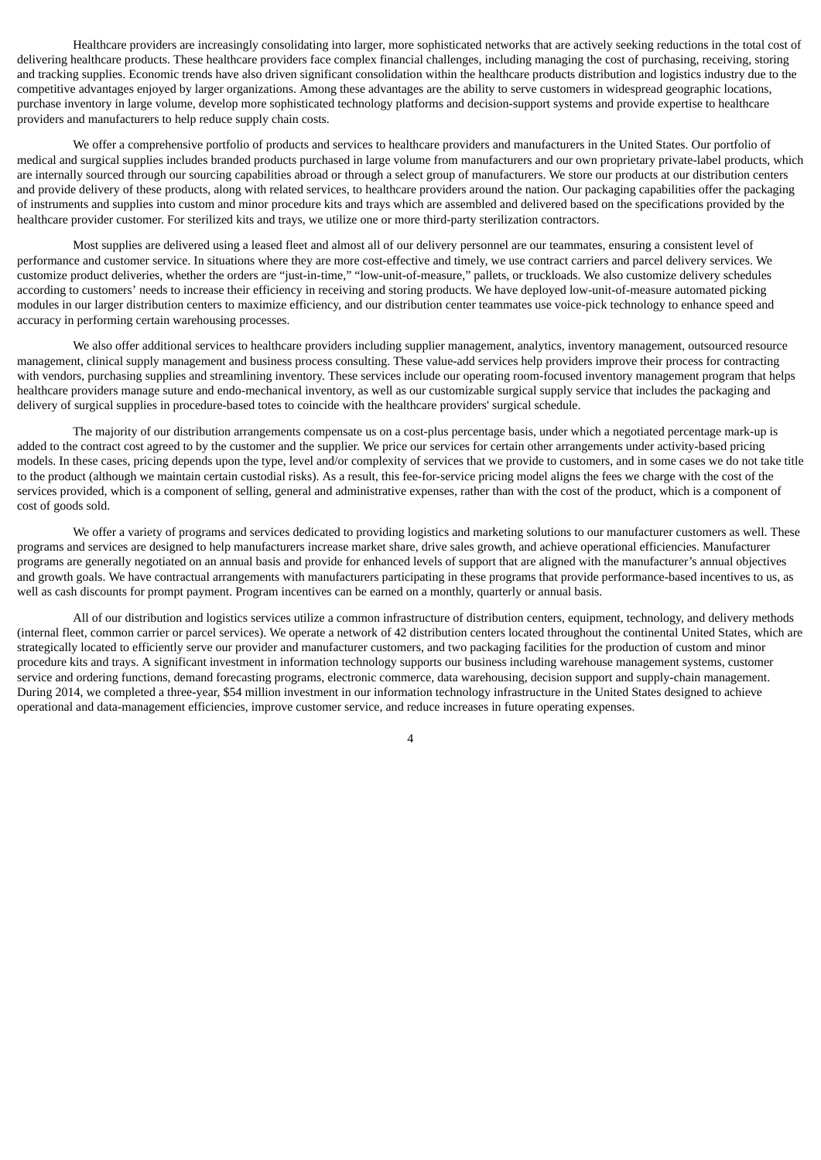Healthcare providers are increasingly consolidating into larger, more sophisticated networks that are actively seeking reductions in the total cost of delivering healthcare products. These healthcare providers face complex financial challenges, including managing the cost of purchasing, receiving, storing and tracking supplies. Economic trends have also driven significant consolidation within the healthcare products distribution and logistics industry due to the competitive advantages enjoyed by larger organizations. Among these advantages are the ability to serve customers in widespread geographic locations, purchase inventory in large volume, develop more sophisticated technology platforms and decision-support systems and provide expertise to healthcare providers and manufacturers to help reduce supply chain costs.

We offer a comprehensive portfolio of products and services to healthcare providers and manufacturers in the United States. Our portfolio of medical and surgical supplies includes branded products purchased in large volume from manufacturers and our own proprietary private-label products, which are internally sourced through our sourcing capabilities abroad or through a select group of manufacturers. We store our products at our distribution centers and provide delivery of these products, along with related services, to healthcare providers around the nation. Our packaging capabilities offer the packaging of instruments and supplies into custom and minor procedure kits and trays which are assembled and delivered based on the specifications provided by the healthcare provider customer. For sterilized kits and trays, we utilize one or more third-party sterilization contractors.

Most supplies are delivered using a leased fleet and almost all of our delivery personnel are our teammates, ensuring a consistent level of performance and customer service. In situations where they are more cost-effective and timely, we use contract carriers and parcel delivery services. We customize product deliveries, whether the orders are "just-in-time," "low-unit-of-measure," pallets, or truckloads. We also customize delivery schedules according to customers' needs to increase their efficiency in receiving and storing products. We have deployed low-unit-of-measure automated picking modules in our larger distribution centers to maximize efficiency, and our distribution center teammates use voice-pick technology to enhance speed and accuracy in performing certain warehousing processes.

We also offer additional services to healthcare providers including supplier management, analytics, inventory management, outsourced resource management, clinical supply management and business process consulting. These value-add services help providers improve their process for contracting with vendors, purchasing supplies and streamlining inventory. These services include our operating room-focused inventory management program that helps healthcare providers manage suture and endo-mechanical inventory, as well as our customizable surgical supply service that includes the packaging and delivery of surgical supplies in procedure-based totes to coincide with the healthcare providers' surgical schedule.

The majority of our distribution arrangements compensate us on a cost-plus percentage basis, under which a negotiated percentage mark-up is added to the contract cost agreed to by the customer and the supplier. We price our services for certain other arrangements under activity-based pricing models. In these cases, pricing depends upon the type, level and/or complexity of services that we provide to customers, and in some cases we do not take title to the product (although we maintain certain custodial risks). As a result, this fee-for-service pricing model aligns the fees we charge with the cost of the services provided, which is a component of selling, general and administrative expenses, rather than with the cost of the product, which is a component of cost of goods sold.

We offer a variety of programs and services dedicated to providing logistics and marketing solutions to our manufacturer customers as well. These programs and services are designed to help manufacturers increase market share, drive sales growth, and achieve operational efficiencies. Manufacturer programs are generally negotiated on an annual basis and provide for enhanced levels of support that are aligned with the manufacturer's annual objectives and growth goals. We have contractual arrangements with manufacturers participating in these programs that provide performance-based incentives to us, as well as cash discounts for prompt payment. Program incentives can be earned on a monthly, quarterly or annual basis.

All of our distribution and logistics services utilize a common infrastructure of distribution centers, equipment, technology, and delivery methods (internal fleet, common carrier or parcel services). We operate a network of 42 distribution centers located throughout the continental United States, which are strategically located to efficiently serve our provider and manufacturer customers, and two packaging facilities for the production of custom and minor procedure kits and trays. A significant investment in information technology supports our business including warehouse management systems, customer service and ordering functions, demand forecasting programs, electronic commerce, data warehousing, decision support and supply-chain management. During 2014, we completed a three-year, \$54 million investment in our information technology infrastructure in the United States designed to achieve operational and data-management efficiencies, improve customer service, and reduce increases in future operating expenses.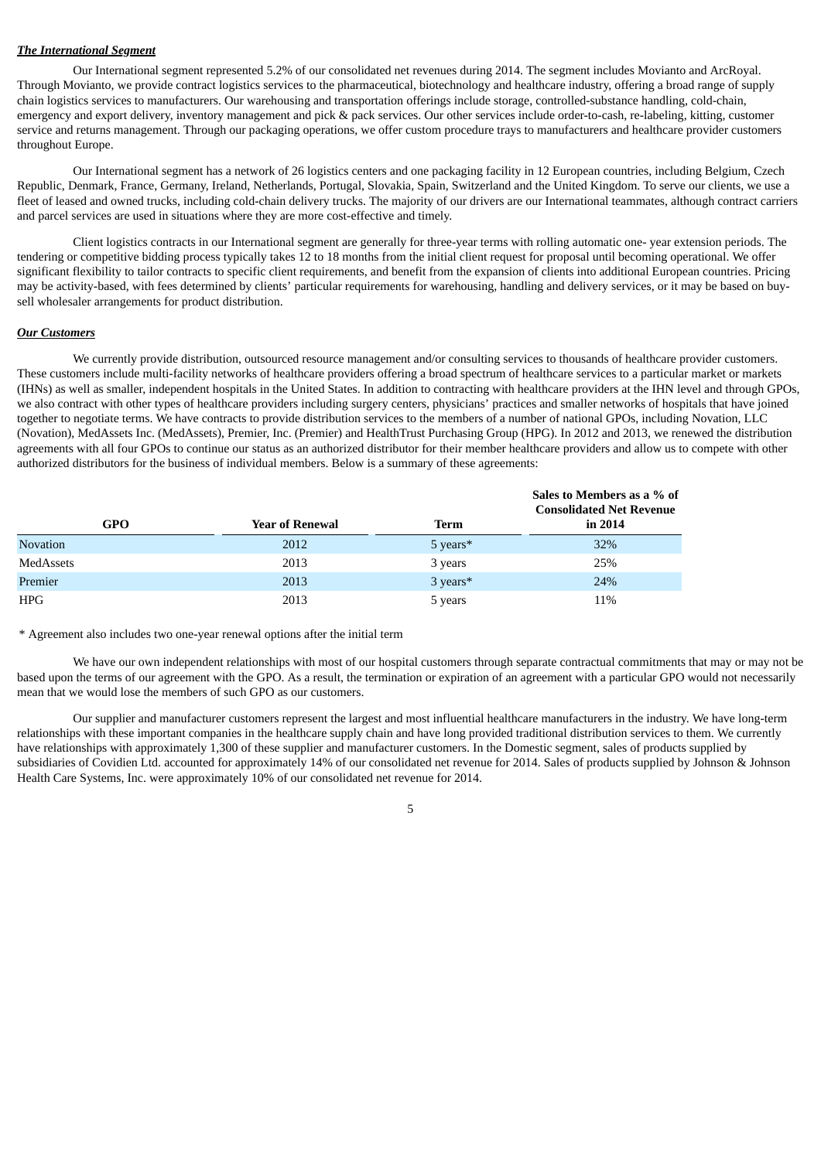#### *The International Segment*

Our International segment represented 5.2% of our consolidated net revenues during 2014. The segment includes Movianto and ArcRoyal. Through Movianto, we provide contract logistics services to the pharmaceutical, biotechnology and healthcare industry, offering a broad range of supply chain logistics services to manufacturers. Our warehousing and transportation offerings include storage, controlled-substance handling, cold-chain, emergency and export delivery, inventory management and pick & pack services. Our other services include order-to-cash, re-labeling, kitting, customer service and returns management. Through our packaging operations, we offer custom procedure trays to manufacturers and healthcare provider customers throughout Europe.

Our International segment has a network of 26 logistics centers and one packaging facility in 12 European countries, including Belgium, Czech Republic, Denmark, France, Germany, Ireland, Netherlands, Portugal, Slovakia, Spain, Switzerland and the United Kingdom. To serve our clients, we use a fleet of leased and owned trucks, including cold-chain delivery trucks. The majority of our drivers are our International teammates, although contract carriers and parcel services are used in situations where they are more cost-effective and timely.

Client logistics contracts in our International segment are generally for three-year terms with rolling automatic one- year extension periods. The tendering or competitive bidding process typically takes 12 to 18 months from the initial client request for proposal until becoming operational. We offer significant flexibility to tailor contracts to specific client requirements, and benefit from the expansion of clients into additional European countries. Pricing may be activity-based, with fees determined by clients' particular requirements for warehousing, handling and delivery services, or it may be based on buysell wholesaler arrangements for product distribution.

#### *Our Customers*

We currently provide distribution, outsourced resource management and/or consulting services to thousands of healthcare provider customers. These customers include multi-facility networks of healthcare providers offering a broad spectrum of healthcare services to a particular market or markets (IHNs) as well as smaller, independent hospitals in the United States. In addition to contracting with healthcare providers at the IHN level and through GPOs, we also contract with other types of healthcare providers including surgery centers, physicians' practices and smaller networks of hospitals that have joined together to negotiate terms. We have contracts to provide distribution services to the members of a number of national GPOs, including Novation, LLC (Novation), MedAssets Inc. (MedAssets), Premier, Inc. (Premier) and HealthTrust Purchasing Group (HPG). In 2012 and 2013, we renewed the distribution agreements with all four GPOs to continue our status as an authorized distributor for their member healthcare providers and allow us to compete with other authorized distributors for the business of individual members. Below is a summary of these agreements:

|                 |                        |          | Sales to Members as a % of<br><b>Consolidated Net Revenue</b> |
|-----------------|------------------------|----------|---------------------------------------------------------------|
| <b>GPO</b>      | <b>Year of Renewal</b> | Term     | in 2014                                                       |
| <b>Novation</b> | 2012                   | 5 years* | 32%                                                           |
| MedAssets       | 2013                   | 3 years  | 25%                                                           |
| Premier         | 2013                   | 3 years* | 24%                                                           |
| <b>HPG</b>      | 2013                   | 5 years  | 11%                                                           |

\* Agreement also includes two one-year renewal options after the initial term

We have our own independent relationships with most of our hospital customers through separate contractual commitments that may or may not be based upon the terms of our agreement with the GPO. As a result, the termination or expiration of an agreement with a particular GPO would not necessarily mean that we would lose the members of such GPO as our customers.

Our supplier and manufacturer customers represent the largest and most influential healthcare manufacturers in the industry. We have long-term relationships with these important companies in the healthcare supply chain and have long provided traditional distribution services to them. We currently have relationships with approximately 1,300 of these supplier and manufacturer customers. In the Domestic segment, sales of products supplied by subsidiaries of Covidien Ltd. accounted for approximately 14% of our consolidated net revenue for 2014. Sales of products supplied by Johnson & Johnson Health Care Systems, Inc. were approximately 10% of our consolidated net revenue for 2014.

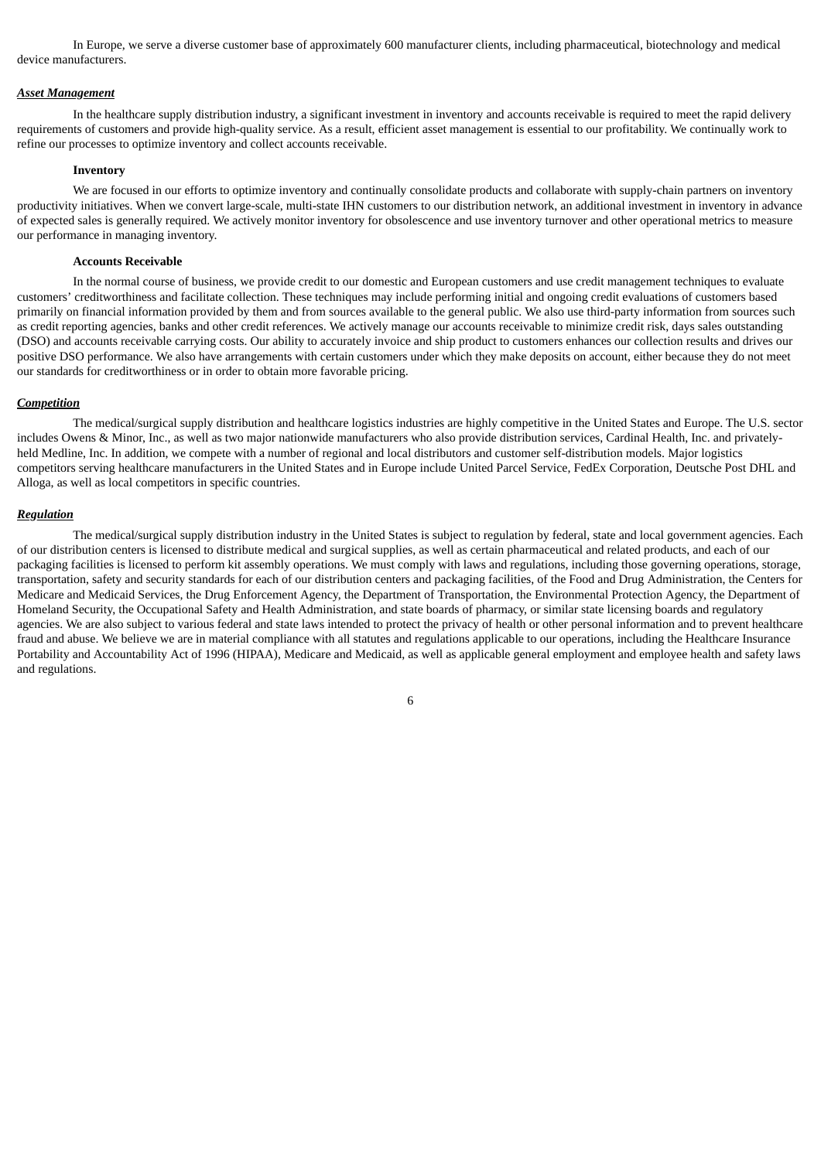In Europe, we serve a diverse customer base of approximately 600 manufacturer clients, including pharmaceutical, biotechnology and medical device manufacturers.

#### *Asset Management*

In the healthcare supply distribution industry, a significant investment in inventory and accounts receivable is required to meet the rapid delivery requirements of customers and provide high-quality service. As a result, efficient asset management is essential to our profitability. We continually work to refine our processes to optimize inventory and collect accounts receivable.

#### **Inventory**

We are focused in our efforts to optimize inventory and continually consolidate products and collaborate with supply-chain partners on inventory productivity initiatives. When we convert large-scale, multi-state IHN customers to our distribution network, an additional investment in inventory in advance of expected sales is generally required. We actively monitor inventory for obsolescence and use inventory turnover and other operational metrics to measure our performance in managing inventory.

#### **Accounts Receivable**

In the normal course of business, we provide credit to our domestic and European customers and use credit management techniques to evaluate customers' creditworthiness and facilitate collection. These techniques may include performing initial and ongoing credit evaluations of customers based primarily on financial information provided by them and from sources available to the general public. We also use third-party information from sources such as credit reporting agencies, banks and other credit references. We actively manage our accounts receivable to minimize credit risk, days sales outstanding (DSO) and accounts receivable carrying costs. Our ability to accurately invoice and ship product to customers enhances our collection results and drives our positive DSO performance. We also have arrangements with certain customers under which they make deposits on account, either because they do not meet our standards for creditworthiness or in order to obtain more favorable pricing.

#### *Competition*

The medical/surgical supply distribution and healthcare logistics industries are highly competitive in the United States and Europe. The U.S. sector includes Owens & Minor, Inc., as well as two major nationwide manufacturers who also provide distribution services, Cardinal Health, Inc. and privatelyheld Medline, Inc. In addition, we compete with a number of regional and local distributors and customer self-distribution models. Major logistics competitors serving healthcare manufacturers in the United States and in Europe include United Parcel Service, FedEx Corporation, Deutsche Post DHL and Alloga, as well as local competitors in specific countries.

#### *Regulation*

The medical/surgical supply distribution industry in the United States is subject to regulation by federal, state and local government agencies. Each of our distribution centers is licensed to distribute medical and surgical supplies, as well as certain pharmaceutical and related products, and each of our packaging facilities is licensed to perform kit assembly operations. We must comply with laws and regulations, including those governing operations, storage, transportation, safety and security standards for each of our distribution centers and packaging facilities, of the Food and Drug Administration, the Centers for Medicare and Medicaid Services, the Drug Enforcement Agency, the Department of Transportation, the Environmental Protection Agency, the Department of Homeland Security, the Occupational Safety and Health Administration, and state boards of pharmacy, or similar state licensing boards and regulatory agencies. We are also subject to various federal and state laws intended to protect the privacy of health or other personal information and to prevent healthcare fraud and abuse. We believe we are in material compliance with all statutes and regulations applicable to our operations, including the Healthcare Insurance Portability and Accountability Act of 1996 (HIPAA), Medicare and Medicaid, as well as applicable general employment and employee health and safety laws and regulations.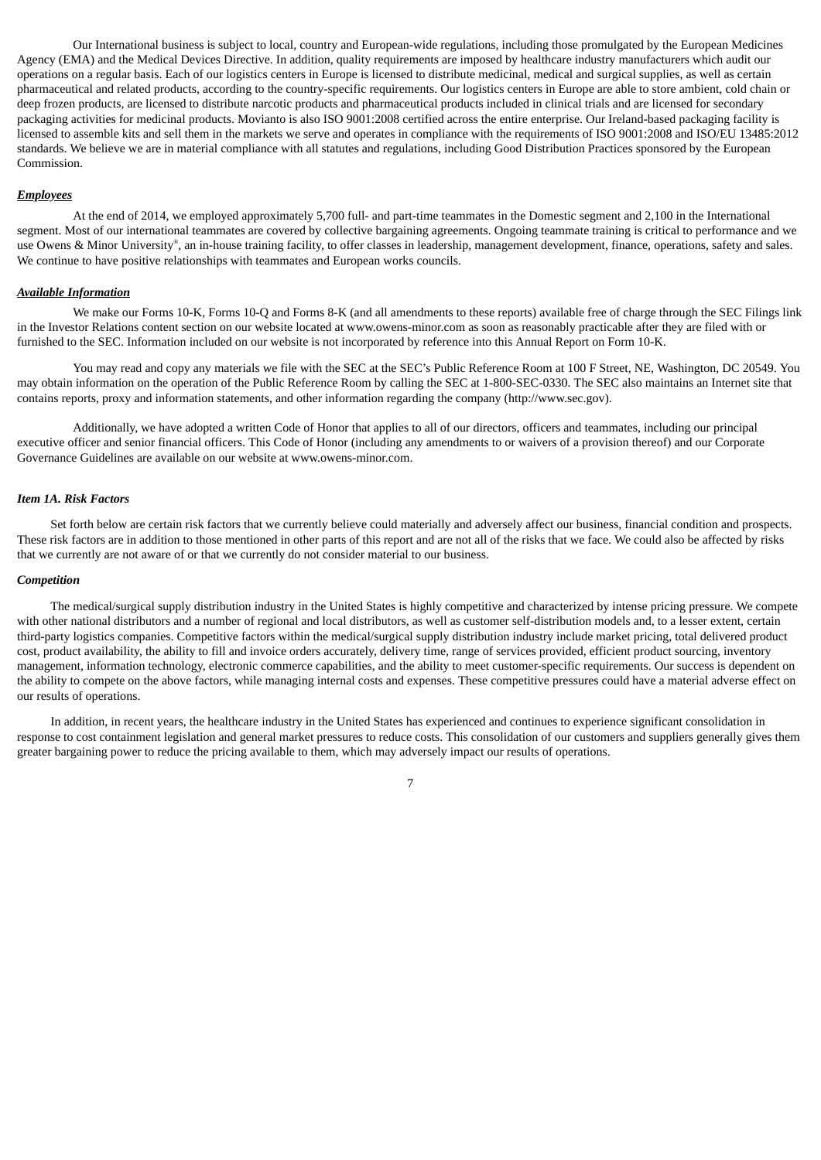Our International business is subject to local, country and European-wide regulations, including those promulgated by the European Medicines Agency (EMA) and the Medical Devices Directive. In addition, quality requirements are imposed by healthcare industry manufacturers which audit our operations on a regular basis. Each of our logistics centers in Europe is licensed to distribute medicinal, medical and surgical supplies, as well as certain pharmaceutical and related products, according to the country-specific requirements. Our logistics centers in Europe are able to store ambient, cold chain or deep frozen products, are licensed to distribute narcotic products and pharmaceutical products included in clinical trials and are licensed for secondary packaging activities for medicinal products. Movianto is also ISO 9001:2008 certified across the entire enterprise. Our Ireland-based packaging facility is licensed to assemble kits and sell them in the markets we serve and operates in compliance with the requirements of ISO 9001:2008 and ISO/EU 13485:2012 standards. We believe we are in material compliance with all statutes and regulations, including Good Distribution Practices sponsored by the European Commission.

#### *Employees*

At the end of 2014, we employed approximately 5,700 full- and part-time teammates in the Domestic segment and 2,100 in the International segment. Most of our international teammates are covered by collective bargaining agreements. Ongoing teammate training is critical to performance and we use Owens & Minor University®, an in-house training facility, to offer classes in leadership, management development, finance, operations, safety and sales. We continue to have positive relationships with teammates and European works councils.

#### *Available Information*

We make our Forms 10-K, Forms 10-Q and Forms 8-K (and all amendments to these reports) available free of charge through the SEC Filings link in the Investor Relations content section on our website located at www.owens-minor.com as soon as reasonably practicable after they are filed with or furnished to the SEC. Information included on our website is not incorporated by reference into this Annual Report on Form 10-K.

You may read and copy any materials we file with the SEC at the SEC's Public Reference Room at 100 F Street, NE, Washington, DC 20549. You may obtain information on the operation of the Public Reference Room by calling the SEC at 1-800-SEC-0330. The SEC also maintains an Internet site that contains reports, proxy and information statements, and other information regarding the company (http://www.sec.gov).

Additionally, we have adopted a written Code of Honor that applies to all of our directors, officers and teammates, including our principal executive officer and senior financial officers. This Code of Honor (including any amendments to or waivers of a provision thereof) and our Corporate Governance Guidelines are available on our website at www.owens-minor.com.

#### <span id="page-7-0"></span>*Item 1A. Risk Factors*

Set forth below are certain risk factors that we currently believe could materially and adversely affect our business, financial condition and prospects. These risk factors are in addition to those mentioned in other parts of this report and are not all of the risks that we face. We could also be affected by risks that we currently are not aware of or that we currently do not consider material to our business.

#### *Competition*

The medical/surgical supply distribution industry in the United States is highly competitive and characterized by intense pricing pressure. We compete with other national distributors and a number of regional and local distributors, as well as customer self-distribution models and, to a lesser extent, certain third-party logistics companies. Competitive factors within the medical/surgical supply distribution industry include market pricing, total delivered product cost, product availability, the ability to fill and invoice orders accurately, delivery time, range of services provided, efficient product sourcing, inventory management, information technology, electronic commerce capabilities, and the ability to meet customer-specific requirements. Our success is dependent on the ability to compete on the above factors, while managing internal costs and expenses. These competitive pressures could have a material adverse effect on our results of operations.

In addition, in recent years, the healthcare industry in the United States has experienced and continues to experience significant consolidation in response to cost containment legislation and general market pressures to reduce costs. This consolidation of our customers and suppliers generally gives them greater bargaining power to reduce the pricing available to them, which may adversely impact our results of operations.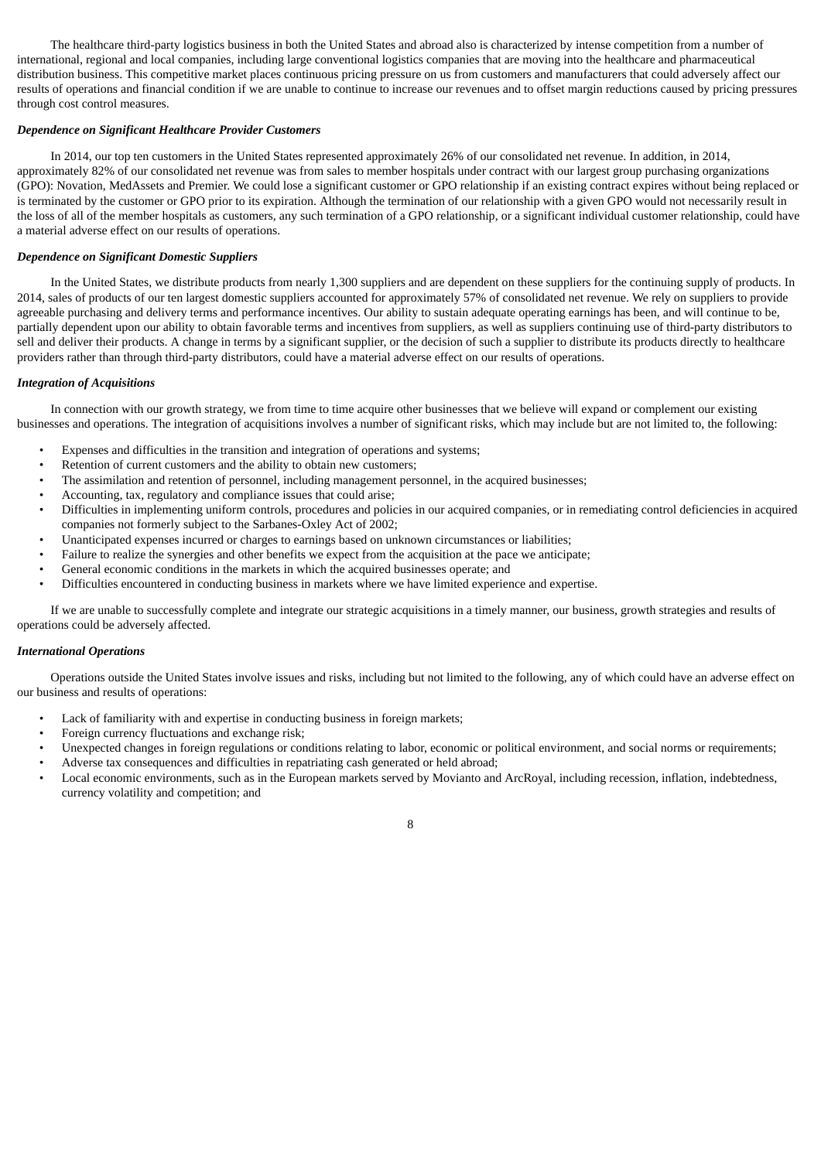The healthcare third-party logistics business in both the United States and abroad also is characterized by intense competition from a number of international, regional and local companies, including large conventional logistics companies that are moving into the healthcare and pharmaceutical distribution business. This competitive market places continuous pricing pressure on us from customers and manufacturers that could adversely affect our results of operations and financial condition if we are unable to continue to increase our revenues and to offset margin reductions caused by pricing pressures through cost control measures.

#### *Dependence on Significant Healthcare Provider Customers*

In 2014, our top ten customers in the United States represented approximately 26% of our consolidated net revenue. In addition, in 2014, approximately 82% of our consolidated net revenue was from sales to member hospitals under contract with our largest group purchasing organizations (GPO): Novation, MedAssets and Premier. We could lose a significant customer or GPO relationship if an existing contract expires without being replaced or is terminated by the customer or GPO prior to its expiration. Although the termination of our relationship with a given GPO would not necessarily result in the loss of all of the member hospitals as customers, any such termination of a GPO relationship, or a significant individual customer relationship, could have a material adverse effect on our results of operations.

#### *Dependence on Significant Domestic Suppliers*

In the United States, we distribute products from nearly 1,300 suppliers and are dependent on these suppliers for the continuing supply of products. In 2014, sales of products of our ten largest domestic suppliers accounted for approximately 57% of consolidated net revenue. We rely on suppliers to provide agreeable purchasing and delivery terms and performance incentives. Our ability to sustain adequate operating earnings has been, and will continue to be, partially dependent upon our ability to obtain favorable terms and incentives from suppliers, as well as suppliers continuing use of third-party distributors to sell and deliver their products. A change in terms by a significant supplier, or the decision of such a supplier to distribute its products directly to healthcare providers rather than through third-party distributors, could have a material adverse effect on our results of operations.

#### *Integration of Acquisitions*

In connection with our growth strategy, we from time to time acquire other businesses that we believe will expand or complement our existing businesses and operations. The integration of acquisitions involves a number of significant risks, which may include but are not limited to, the following:

- Expenses and difficulties in the transition and integration of operations and systems;
- Retention of current customers and the ability to obtain new customers;
- The assimilation and retention of personnel, including management personnel, in the acquired businesses;
- Accounting, tax, regulatory and compliance issues that could arise;
- Difficulties in implementing uniform controls, procedures and policies in our acquired companies, or in remediating control deficiencies in acquired companies not formerly subject to the Sarbanes-Oxley Act of 2002;
- Unanticipated expenses incurred or charges to earnings based on unknown circumstances or liabilities;
- Failure to realize the synergies and other benefits we expect from the acquisition at the pace we anticipate;
- General economic conditions in the markets in which the acquired businesses operate; and
- Difficulties encountered in conducting business in markets where we have limited experience and expertise.

If we are unable to successfully complete and integrate our strategic acquisitions in a timely manner, our business, growth strategies and results of operations could be adversely affected.

#### *International Operations*

Operations outside the United States involve issues and risks, including but not limited to the following, any of which could have an adverse effect on our business and results of operations:

- Lack of familiarity with and expertise in conducting business in foreign markets;
- Foreign currency fluctuations and exchange risk;
- Unexpected changes in foreign regulations or conditions relating to labor, economic or political environment, and social norms or requirements;
- Adverse tax consequences and difficulties in repatriating cash generated or held abroad;
- Local economic environments, such as in the European markets served by Movianto and ArcRoyal, including recession, inflation, indebtedness, currency volatility and competition; and

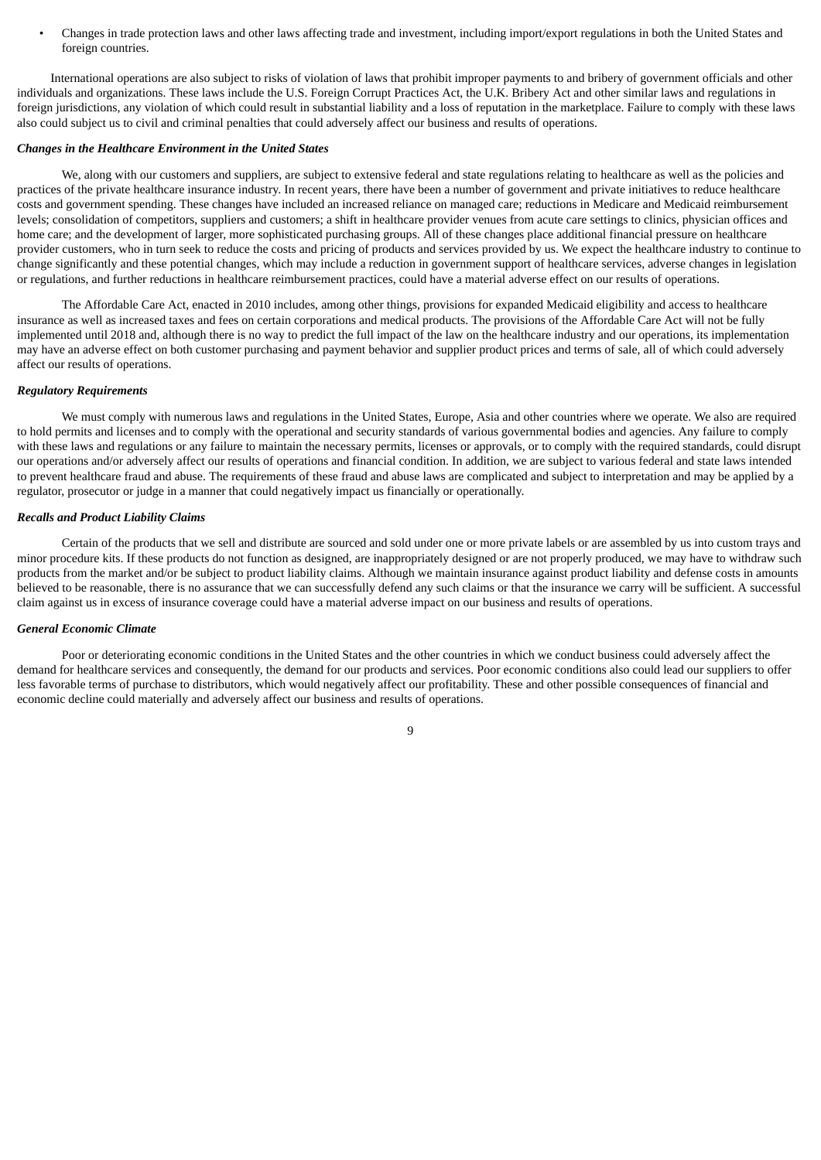• Changes in trade protection laws and other laws affecting trade and investment, including import/export regulations in both the United States and foreign countries.

International operations are also subject to risks of violation of laws that prohibit improper payments to and bribery of government officials and other individuals and organizations. These laws include the U.S. Foreign Corrupt Practices Act, the U.K. Bribery Act and other similar laws and regulations in foreign jurisdictions, any violation of which could result in substantial liability and a loss of reputation in the marketplace. Failure to comply with these laws also could subject us to civil and criminal penalties that could adversely affect our business and results of operations.

#### *Changes in the Healthcare Environment in the United States*

We, along with our customers and suppliers, are subject to extensive federal and state regulations relating to healthcare as well as the policies and practices of the private healthcare insurance industry. In recent years, there have been a number of government and private initiatives to reduce healthcare costs and government spending. These changes have included an increased reliance on managed care; reductions in Medicare and Medicaid reimbursement levels; consolidation of competitors, suppliers and customers; a shift in healthcare provider venues from acute care settings to clinics, physician offices and home care; and the development of larger, more sophisticated purchasing groups. All of these changes place additional financial pressure on healthcare provider customers, who in turn seek to reduce the costs and pricing of products and services provided by us. We expect the healthcare industry to continue to change significantly and these potential changes, which may include a reduction in government support of healthcare services, adverse changes in legislation or regulations, and further reductions in healthcare reimbursement practices, could have a material adverse effect on our results of operations.

The Affordable Care Act, enacted in 2010 includes, among other things, provisions for expanded Medicaid eligibility and access to healthcare insurance as well as increased taxes and fees on certain corporations and medical products. The provisions of the Affordable Care Act will not be fully implemented until 2018 and, although there is no way to predict the full impact of the law on the healthcare industry and our operations, its implementation may have an adverse effect on both customer purchasing and payment behavior and supplier product prices and terms of sale, all of which could adversely affect our results of operations.

#### *Regulatory Requirements*

We must comply with numerous laws and regulations in the United States, Europe, Asia and other countries where we operate. We also are required to hold permits and licenses and to comply with the operational and security standards of various governmental bodies and agencies. Any failure to comply with these laws and regulations or any failure to maintain the necessary permits, licenses or approvals, or to comply with the required standards, could disrupt our operations and/or adversely affect our results of operations and financial condition. In addition, we are subject to various federal and state laws intended to prevent healthcare fraud and abuse. The requirements of these fraud and abuse laws are complicated and subject to interpretation and may be applied by a regulator, prosecutor or judge in a manner that could negatively impact us financially or operationally.

#### *Recalls and Product Liability Claims*

Certain of the products that we sell and distribute are sourced and sold under one or more private labels or are assembled by us into custom trays and minor procedure kits. If these products do not function as designed, are inappropriately designed or are not properly produced, we may have to withdraw such products from the market and/or be subject to product liability claims. Although we maintain insurance against product liability and defense costs in amounts believed to be reasonable, there is no assurance that we can successfully defend any such claims or that the insurance we carry will be sufficient. A successful claim against us in excess of insurance coverage could have a material adverse impact on our business and results of operations.

#### *General Economic Climate*

Poor or deteriorating economic conditions in the United States and the other countries in which we conduct business could adversely affect the demand for healthcare services and consequently, the demand for our products and services. Poor economic conditions also could lead our suppliers to offer less favorable terms of purchase to distributors, which would negatively affect our profitability. These and other possible consequences of financial and economic decline could materially and adversely affect our business and results of operations.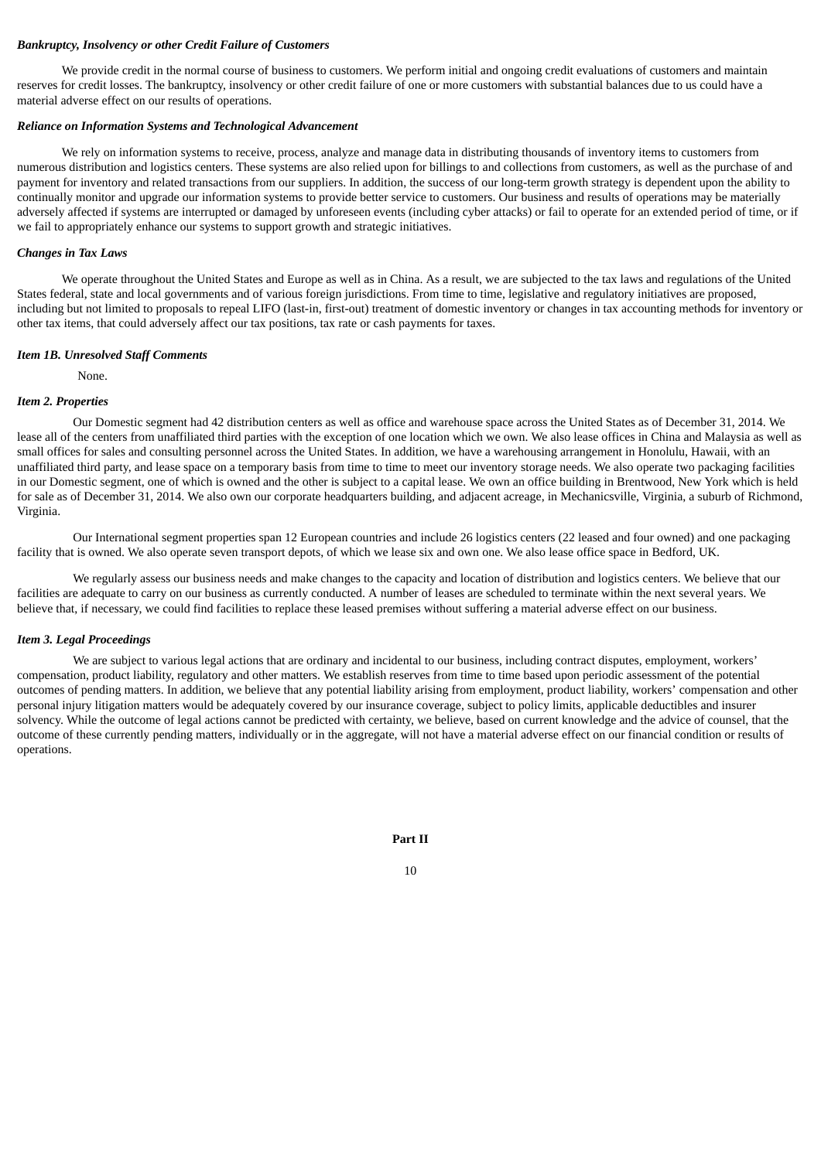#### *Bankruptcy, Insolvency or other Credit Failure of Customers*

We provide credit in the normal course of business to customers. We perform initial and ongoing credit evaluations of customers and maintain reserves for credit losses. The bankruptcy, insolvency or other credit failure of one or more customers with substantial balances due to us could have a material adverse effect on our results of operations.

#### *Reliance on Information Systems and Technological Advancement*

We rely on information systems to receive, process, analyze and manage data in distributing thousands of inventory items to customers from numerous distribution and logistics centers. These systems are also relied upon for billings to and collections from customers, as well as the purchase of and payment for inventory and related transactions from our suppliers. In addition, the success of our long-term growth strategy is dependent upon the ability to continually monitor and upgrade our information systems to provide better service to customers. Our business and results of operations may be materially adversely affected if systems are interrupted or damaged by unforeseen events (including cyber attacks) or fail to operate for an extended period of time, or if we fail to appropriately enhance our systems to support growth and strategic initiatives.

#### *Changes in Tax Laws*

We operate throughout the United States and Europe as well as in China. As a result, we are subjected to the tax laws and regulations of the United States federal, state and local governments and of various foreign jurisdictions. From time to time, legislative and regulatory initiatives are proposed, including but not limited to proposals to repeal LIFO (last-in, first-out) treatment of domestic inventory or changes in tax accounting methods for inventory or other tax items, that could adversely affect our tax positions, tax rate or cash payments for taxes.

#### <span id="page-10-0"></span>*Item 1B. Unresolved Staff Comments*

None.

#### <span id="page-10-1"></span>*Item 2. Properties*

Our Domestic segment had 42 distribution centers as well as office and warehouse space across the United States as of December 31, 2014. We lease all of the centers from unaffiliated third parties with the exception of one location which we own. We also lease offices in China and Malaysia as well as small offices for sales and consulting personnel across the United States. In addition, we have a warehousing arrangement in Honolulu, Hawaii, with an unaffiliated third party, and lease space on a temporary basis from time to time to meet our inventory storage needs. We also operate two packaging facilities in our Domestic segment, one of which is owned and the other is subject to a capital lease. We own an office building in Brentwood, New York which is held for sale as of December 31, 2014. We also own our corporate headquarters building, and adjacent acreage, in Mechanicsville, Virginia, a suburb of Richmond, Virginia.

Our International segment properties span 12 European countries and include 26 logistics centers (22 leased and four owned) and one packaging facility that is owned. We also operate seven transport depots, of which we lease six and own one. We also lease office space in Bedford, UK.

We regularly assess our business needs and make changes to the capacity and location of distribution and logistics centers. We believe that our facilities are adequate to carry on our business as currently conducted. A number of leases are scheduled to terminate within the next several years. We believe that, if necessary, we could find facilities to replace these leased premises without suffering a material adverse effect on our business.

#### <span id="page-10-2"></span>*Item 3. Legal Proceedings*

<span id="page-10-3"></span>We are subject to various legal actions that are ordinary and incidental to our business, including contract disputes, employment, workers' compensation, product liability, regulatory and other matters. We establish reserves from time to time based upon periodic assessment of the potential outcomes of pending matters. In addition, we believe that any potential liability arising from employment, product liability, workers' compensation and other personal injury litigation matters would be adequately covered by our insurance coverage, subject to policy limits, applicable deductibles and insurer solvency. While the outcome of legal actions cannot be predicted with certainty, we believe, based on current knowledge and the advice of counsel, that the outcome of these currently pending matters, individually or in the aggregate, will not have a material adverse effect on our financial condition or results of operations.

**Part II**

<sup>10</sup>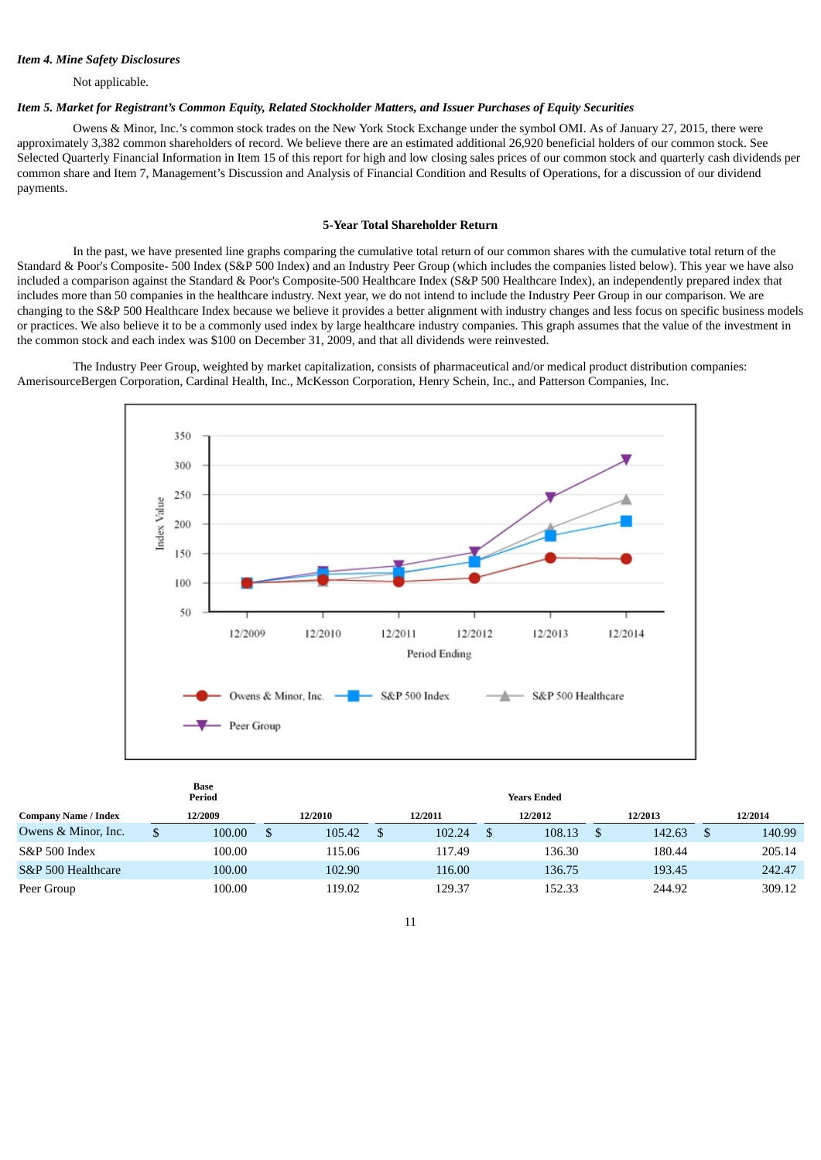#### <span id="page-11-0"></span>*Item 4. Mine Safety Disclosures*

Not applicable.

#### <span id="page-11-1"></span>Item 5. Market for Registrant's Common Equity, Related Stockholder Matters, and Issuer Purchases of Equity Securities

Owens & Minor, Inc.'s common stock trades on the New York Stock Exchange under the symbol OMI. As of January 27, 2015, there were approximately 3,382 common shareholders of record. We believe there are an estimated additional 26,920 beneficial holders of our common stock. See Selected Quarterly Financial Information in Item 15 of this report for high and low closing sales prices of our common stock and quarterly cash dividends per common share and Item 7, Management's Discussion and Analysis of Financial Condition and Results of Operations, for a discussion of our dividend payments.

#### **5-Year Total Shareholder Return**

In the past, we have presented line graphs comparing the cumulative total return of our common shares with the cumulative total return of the Standard & Poor's Composite- 500 Index (S&P 500 Index) and an Industry Peer Group (which includes the companies listed below). This year we have also included a comparison against the Standard & Poor's Composite-500 Healthcare Index (S&P 500 Healthcare Index), an independently prepared index that includes more than 50 companies in the healthcare industry. Next year, we do not intend to include the Industry Peer Group in our comparison. We are changing to the S&P 500 Healthcare Index because we believe it provides a better alignment with industry changes and less focus on specific business models or practices. We also believe it to be a commonly used index by large healthcare industry companies. This graph assumes that the value of the investment in the common stock and each index was \$100 on December 31, 2009, and that all dividends were reinvested.

The Industry Peer Group, weighted by market capitalization, consists of pharmaceutical and/or medical product distribution companies: AmerisourceBergen Corporation, Cardinal Health, Inc., McKesson Corporation, Henry Schein, Inc., and Patterson Companies, Inc.



|                             | <b>Base</b><br>Period |         |         | <b>Years Ended</b> |         |         |
|-----------------------------|-----------------------|---------|---------|--------------------|---------|---------|
| <b>Company Name / Index</b> | 12/2009               | 12/2010 | 12/2011 | 12/2012            | 12/2013 | 12/2014 |
| Owens & Minor, Inc.         | 100.00                | 105.42  | 102.24  | 108.13             | 142.63  | 140.99  |
| S&P 500 Index               | 100.00                | 115.06  | 117.49  | 136.30             | 180.44  | 205.14  |
| S&P 500 Healthcare          | 100.00                | 102.90  | 116.00  | 136.75             | 193.45  | 242.47  |
| Peer Group                  | 100.00                | 119.02  | 129.37  | 152.33             | 244.92  | 309.12  |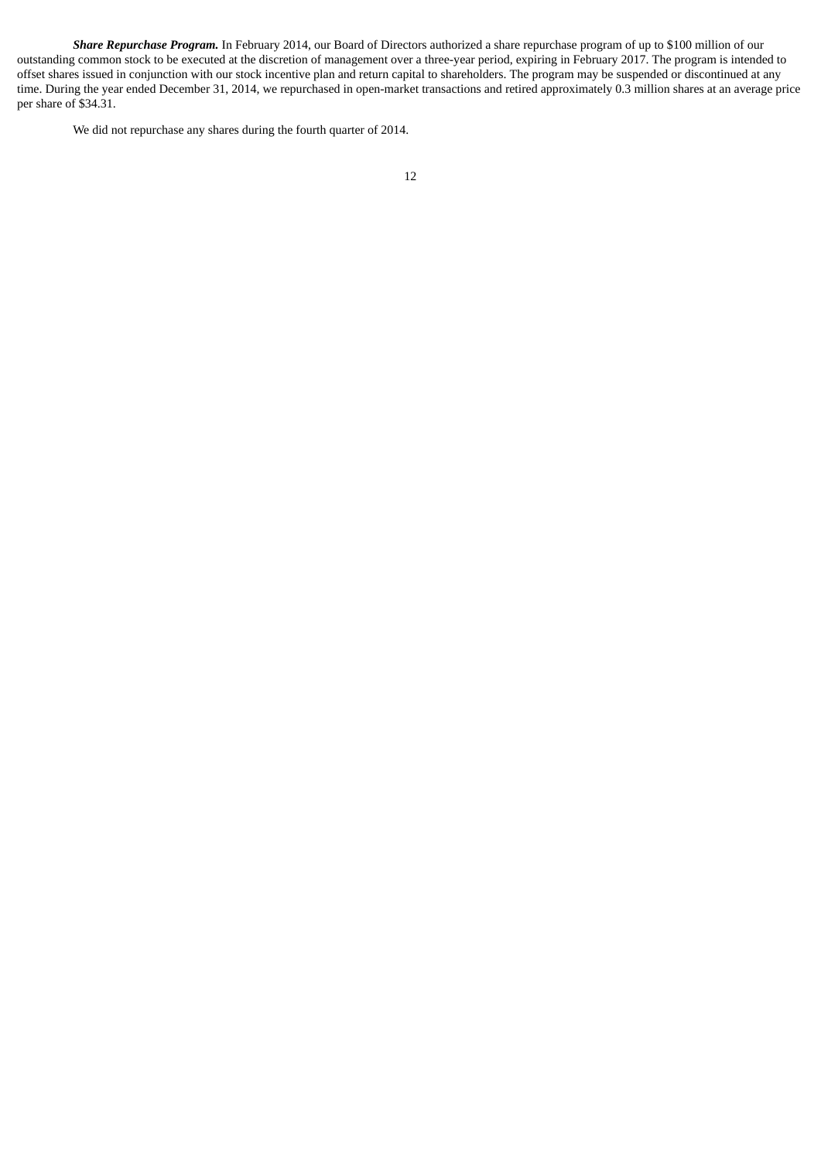*Share Repurchase Program.* In February 2014, our Board of Directors authorized a share repurchase program of up to \$100 million of our outstanding common stock to be executed at the discretion of management over a three-year period, expiring in February 2017. The program is intended to offset shares issued in conjunction with our stock incentive plan and return capital to shareholders. The program may be suspended or discontinued at any time. During the year ended December 31, 2014, we repurchased in open-market transactions and retired approximately 0.3 million shares at an average price per share of \$34.31.

<span id="page-12-0"></span>We did not repurchase any shares during the fourth quarter of 2014.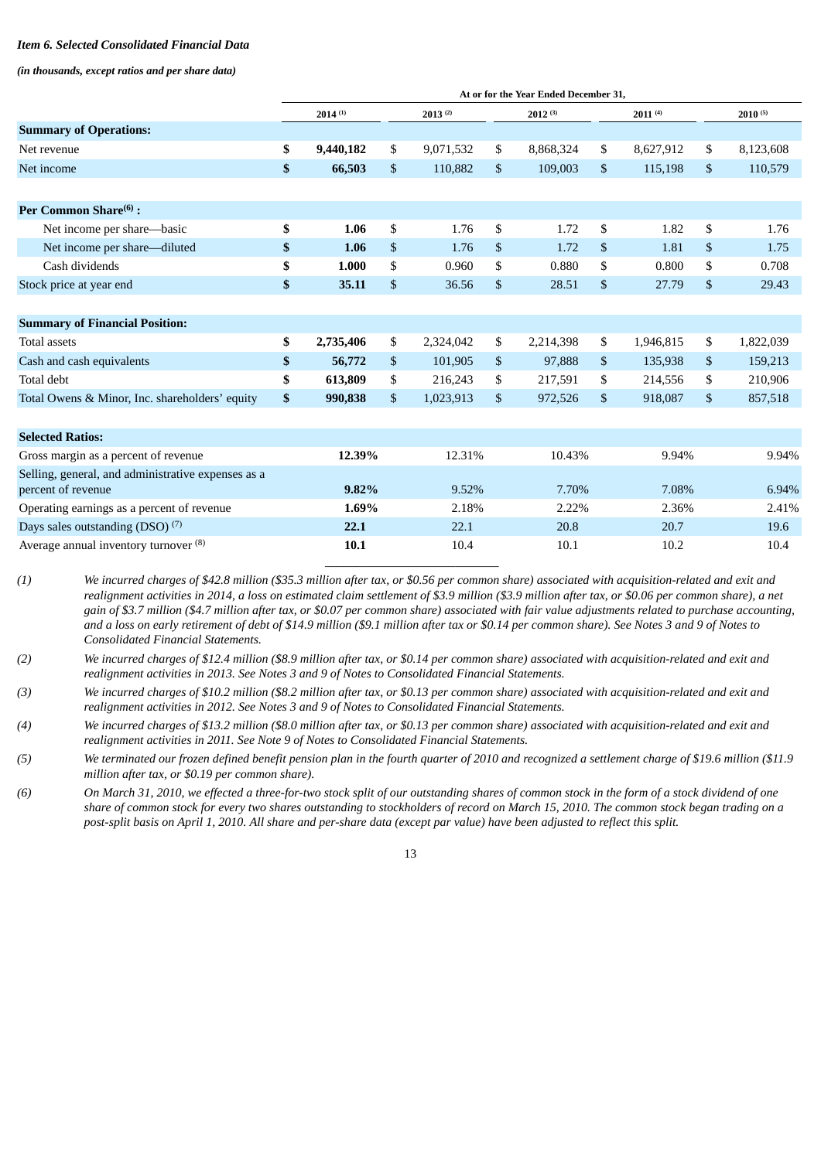#### *Item 6. Selected Consolidated Financial Data*

*(in thousands, except ratios and per share data)*

|                                                                          | At or for the Year Ended December 31. |           |              |              |              |           |                |              |              |              |  |  |
|--------------------------------------------------------------------------|---------------------------------------|-----------|--------------|--------------|--------------|-----------|----------------|--------------|--------------|--------------|--|--|
|                                                                          |                                       | 2014(1)   |              | $2013^{(2)}$ |              | 2012(3)   |                | $2011^{(4)}$ |              | $2010^{(5)}$ |  |  |
| <b>Summary of Operations:</b>                                            |                                       |           |              |              |              |           |                |              |              |              |  |  |
| Net revenue                                                              | \$                                    | 9,440,182 | \$           | 9,071,532    | \$           | 8,868,324 | \$             | 8,627,912    | \$           | 8,123,608    |  |  |
| Net income                                                               | \$                                    | 66,503    | \$           | 110,882      | $\mathbb{S}$ | 109,003   | $\mathfrak{S}$ | 115,198      | $\mathbb{S}$ | 110,579      |  |  |
|                                                                          |                                       |           |              |              |              |           |                |              |              |              |  |  |
| Per Common Share <sup>(6)</sup> :                                        |                                       |           |              |              |              |           |                |              |              |              |  |  |
| Net income per share-basic                                               | \$                                    | 1.06      | \$           | 1.76         | \$           | 1.72      | \$             | 1.82         | \$           | 1.76         |  |  |
| Net income per share-diluted                                             | \$                                    | 1.06      | \$           | 1.76         | \$           | 1.72      | \$             | 1.81         | \$           | 1.75         |  |  |
| Cash dividends                                                           | \$                                    | 1.000     | \$           | 0.960        | \$           | 0.880     | \$             | 0.800        | \$           | 0.708        |  |  |
| Stock price at year end                                                  | \$                                    | 35.11     | \$           | 36.56        | \$           | 28.51     | \$             | 27.79        | \$           | 29.43        |  |  |
|                                                                          |                                       |           |              |              |              |           |                |              |              |              |  |  |
| <b>Summary of Financial Position:</b>                                    |                                       |           |              |              |              |           |                |              |              |              |  |  |
| <b>Total assets</b>                                                      | \$                                    | 2,735,406 | \$           | 2,324,042    | \$           | 2,214,398 | \$             | 1,946,815    | \$           | 1,822,039    |  |  |
| Cash and cash equivalents                                                | \$                                    | 56,772    | \$           | 101,905      | \$           | 97,888    | \$             | 135,938      | $\mathbb{S}$ | 159,213      |  |  |
| Total debt                                                               | \$                                    | 613,809   | \$           | 216,243      | \$           | 217,591   | \$             | 214,556      | \$           | 210,906      |  |  |
| Total Owens & Minor, Inc. shareholders' equity                           | \$                                    | 990,838   | $\mathbb{S}$ | 1,023,913    | \$           | 972,526   | \$             | 918,087      | $\mathbb{S}$ | 857,518      |  |  |
|                                                                          |                                       |           |              |              |              |           |                |              |              |              |  |  |
| <b>Selected Ratios:</b>                                                  |                                       |           |              |              |              |           |                |              |              |              |  |  |
| Gross margin as a percent of revenue                                     |                                       | 12.39%    |              | 12.31%       |              | 10.43%    |                | 9.94%        |              | 9.94%        |  |  |
| Selling, general, and administrative expenses as a<br>percent of revenue |                                       | 9.82%     |              | 9.52%        |              | 7.70%     |                | 7.08%        |              | 6.94%        |  |  |
| Operating earnings as a percent of revenue                               |                                       | 1.69%     |              | 2.18%        |              | 2.22%     |                | 2.36%        |              | 2.41%        |  |  |
| Days sales outstanding (DSO) <sup>(7)</sup>                              |                                       | 22.1      |              | 22.1         |              | 20.8      |                | 20.7         |              | 19.6         |  |  |
| Average annual inventory turnover (8)                                    |                                       | 10.1      |              | 10.4         |              | 10.1      |                | 10.2         |              | 10.4         |  |  |

(1) We incurred charges of \$42.8 million (\$35.3 million after tax, or \$0.56 per common share) associated with acquisition-related and exit and realignment activities in 2014, a loss on estimated claim settlement of \$3.9 million (\$3.9 million after tax, or \$0.06 per common share), a net gain of \$3.7 million (\$4.7 million after tax, or \$0.07 per common share) associated with fair value adjustments related to purchase accounting, and a loss on early retirement of debt of \$14.9 million (\$9.1 million after tax or \$0.14 per common share). See Notes 3 and 9 of Notes to *Consolidated Financial Statements.*

(2) We incurred charges of \$12.4 million (\$8.9 million after tax, or \$0.14 per common share) associated with acquisition-related and exit and *realignment activities in 2013. See Notes 3 and 9 of Notes to Consolidated Financial Statements.*

(3) We incurred charges of \$10.2 million (\$8.2 million after tax, or \$0.13 per common share) associated with acquisition-related and exit and *realignment activities in 2012. See Notes 3 and 9 of Notes to Consolidated Financial Statements.*

(4) We incurred charges of \$13.2 million (\$8.0 million after tax, or \$0.13 per common share) associated with acquisition-related and exit and *realignment activities in 2011. See Note 9 of Notes to Consolidated Financial Statements.*

(5) We terminated our frozen defined benefit pension plan in the fourth quarter of 2010 and recognized a settlement charge of \$19.6 million (\$11.9 *million after tax, or \$0.19 per common share).*

(6) On March 31, 2010, we effected a three-for-two stock split of our outstanding shares of common stock in the form of a stock dividend of one share of common stock for every two shares outstanding to stockholders of record on March 15, 2010. The common stock began trading on a post-split basis on April 1, 2010. All share and per-share data (except par value) have been adjusted to reflect this split.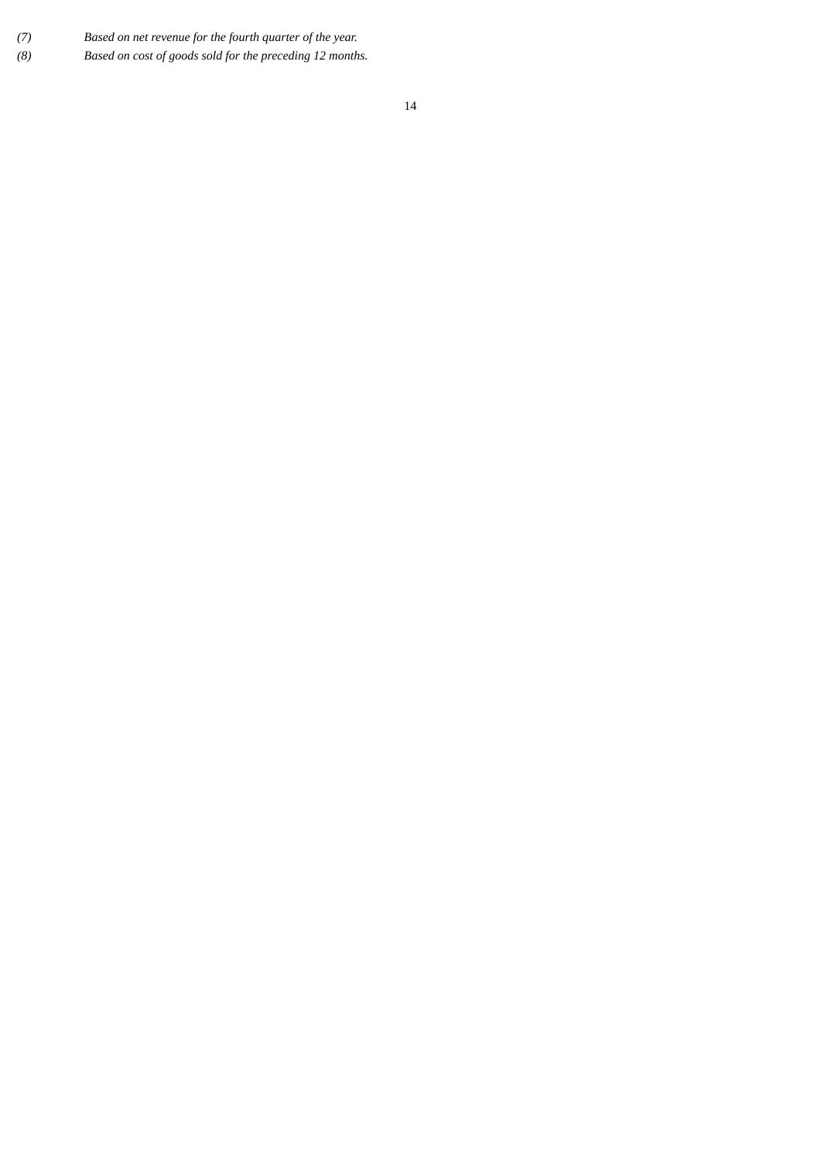- *(7) Based on net revenue for the fourth quarter of the year.*
- <span id="page-14-0"></span>*(8) Based on cost of goods sold for the preceding 12 months.*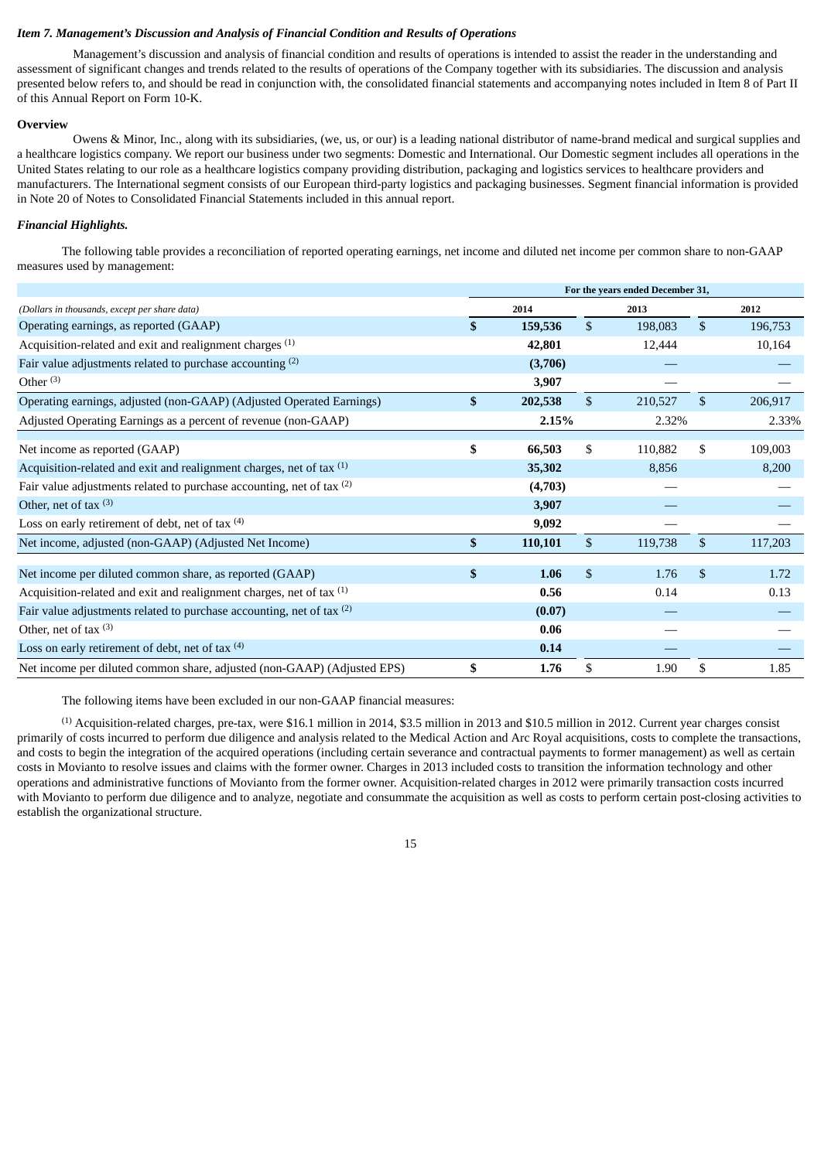#### *Item 7. Management's Discussion and Analysis of Financial Condition and Results of Operations*

Management's discussion and analysis of financial condition and results of operations is intended to assist the reader in the understanding and assessment of significant changes and trends related to the results of operations of the Company together with its subsidiaries. The discussion and analysis presented below refers to, and should be read in conjunction with, the consolidated financial statements and accompanying notes included in Item 8 of Part II of this Annual Report on Form 10-K.

#### **Overview**

Owens & Minor, Inc., along with its subsidiaries, (we, us, or our) is a leading national distributor of name-brand medical and surgical supplies and a healthcare logistics company. We report our business under two segments: Domestic and International. Our Domestic segment includes all operations in the United States relating to our role as a healthcare logistics company providing distribution, packaging and logistics services to healthcare providers and manufacturers. The International segment consists of our European third-party logistics and packaging businesses. Segment financial information is provided in Note 20 of Notes to Consolidated Financial Statements included in this annual report.

#### *Financial Highlights.*

The following table provides a reconciliation of reported operating earnings, net income and diluted net income per common share to non-GAAP measures used by management:

| (Dollars in thousands, except per share data)                           |    | 2014    |                | 2013    |              | 2012    |
|-------------------------------------------------------------------------|----|---------|----------------|---------|--------------|---------|
| Operating earnings, as reported (GAAP)                                  | \$ | 159,536 | $\mathfrak{S}$ | 198,083 | $\mathbb{S}$ | 196,753 |
| Acquisition-related and exit and realignment charges (1)                |    | 42,801  |                | 12,444  |              | 10,164  |
| Fair value adjustments related to purchase accounting (2)               |    | (3,706) |                |         |              |         |
| Other $(3)$                                                             |    | 3,907   |                |         |              |         |
| Operating earnings, adjusted (non-GAAP) (Adjusted Operated Earnings)    | \$ | 202,538 | $\mathfrak{S}$ | 210,527 | $\mathbb{S}$ | 206,917 |
| Adjusted Operating Earnings as a percent of revenue (non-GAAP)          |    | 2.15%   |                | 2.32%   |              | 2.33%   |
| Net income as reported (GAAP)                                           | \$ | 66,503  | \$             | 110,882 | \$           | 109,003 |
| Acquisition-related and exit and realignment charges, net of tax $(1)$  |    | 35,302  |                | 8,856   |              | 8,200   |
| Fair value adjustments related to purchase accounting, net of tax (2)   |    | (4,703) |                |         |              |         |
| Other, net of tax $(3)$                                                 |    | 3,907   |                |         |              |         |
| Loss on early retirement of debt, net of tax $(4)$                      |    | 9,092   |                |         |              |         |
| Net income, adjusted (non-GAAP) (Adjusted Net Income)                   | \$ | 110,101 | \$             | 119,738 | \$           | 117,203 |
| Net income per diluted common share, as reported (GAAP)                 | \$ | 1.06    | \$             | 1.76    | \$           | 1.72    |
| Acquisition-related and exit and realignment charges, net of tax $(1)$  |    | 0.56    |                | 0.14    |              | 0.13    |
| Fair value adjustments related to purchase accounting, net of tax $(2)$ |    | (0.07)  |                |         |              |         |
| Other, net of tax $(3)$                                                 |    | 0.06    |                |         |              |         |
| Loss on early retirement of debt, net of tax (4)                        |    | 0.14    |                |         |              |         |
| Net income per diluted common share, adjusted (non-GAAP) (Adjusted EPS) | \$ | 1.76    | \$             | 1.90    | \$           | 1.85    |

The following items have been excluded in our non-GAAP financial measures:

 $<sup>(1)</sup>$  Acquisition-related charges, pre-tax, were \$16.1 million in 2014, \$3.5 million in 2013 and \$10.5 million in 2012. Current year charges consist</sup> primarily of costs incurred to perform due diligence and analysis related to the Medical Action and Arc Royal acquisitions, costs to complete the transactions, and costs to begin the integration of the acquired operations (including certain severance and contractual payments to former management) as well as certain costs in Movianto to resolve issues and claims with the former owner. Charges in 2013 included costs to transition the information technology and other operations and administrative functions of Movianto from the former owner. Acquisition-related charges in 2012 were primarily transaction costs incurred with Movianto to perform due diligence and to analyze, negotiate and consummate the acquisition as well as costs to perform certain post-closing activities to establish the organizational structure.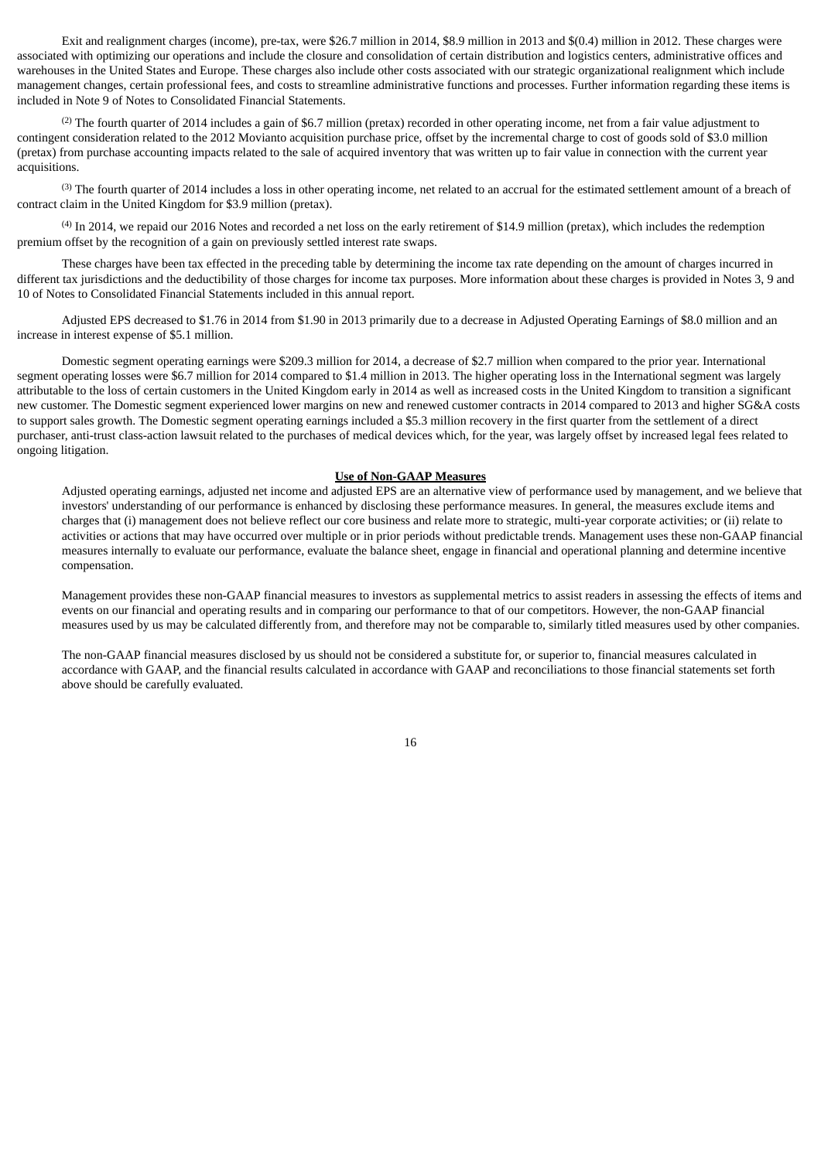Exit and realignment charges (income), pre-tax, were \$26.7 million in 2014, \$8.9 million in 2013 and \$(0.4) million in 2012. These charges were associated with optimizing our operations and include the closure and consolidation of certain distribution and logistics centers, administrative offices and warehouses in the United States and Europe. These charges also include other costs associated with our strategic organizational realignment which include management changes, certain professional fees, and costs to streamline administrative functions and processes. Further information regarding these items is included in Note 9 of Notes to Consolidated Financial Statements.

 $<sup>(2)</sup>$  The fourth quarter of 2014 includes a gain of \$6.7 million (pretax) recorded in other operating income, net from a fair value adjustment to</sup> contingent consideration related to the 2012 Movianto acquisition purchase price, offset by the incremental charge to cost of goods sold of \$3.0 million (pretax) from purchase accounting impacts related to the sale of acquired inventory that was written up to fair value in connection with the current year acquisitions.

(3) The fourth quarter of 2014 includes a loss in other operating income, net related to an accrual for the estimated settlement amount of a breach of contract claim in the United Kingdom for \$3.9 million (pretax).

(4) In 2014, we repaid our 2016 Notes and recorded a net loss on the early retirement of \$14.9 million (pretax), which includes the redemption premium offset by the recognition of a gain on previously settled interest rate swaps.

These charges have been tax effected in the preceding table by determining the income tax rate depending on the amount of charges incurred in different tax jurisdictions and the deductibility of those charges for income tax purposes. More information about these charges is provided in Notes 3, 9 and 10 of Notes to Consolidated Financial Statements included in this annual report.

Adjusted EPS decreased to \$1.76 in 2014 from \$1.90 in 2013 primarily due to a decrease in Adjusted Operating Earnings of \$8.0 million and an increase in interest expense of \$5.1 million.

Domestic segment operating earnings were \$209.3 million for 2014, a decrease of \$2.7 million when compared to the prior year. International segment operating losses were \$6.7 million for 2014 compared to \$1.4 million in 2013. The higher operating loss in the International segment was largely attributable to the loss of certain customers in the United Kingdom early in 2014 as well as increased costs in the United Kingdom to transition a significant new customer. The Domestic segment experienced lower margins on new and renewed customer contracts in 2014 compared to 2013 and higher SG&A costs to support sales growth. The Domestic segment operating earnings included a \$5.3 million recovery in the first quarter from the settlement of a direct purchaser, anti-trust class-action lawsuit related to the purchases of medical devices which, for the year, was largely offset by increased legal fees related to ongoing litigation.

#### **Use of Non-GAAP Measures**

Adjusted operating earnings, adjusted net income and adjusted EPS are an alternative view of performance used by management, and we believe that investors' understanding of our performance is enhanced by disclosing these performance measures. In general, the measures exclude items and charges that (i) management does not believe reflect our core business and relate more to strategic, multi-year corporate activities; or (ii) relate to activities or actions that may have occurred over multiple or in prior periods without predictable trends. Management uses these non-GAAP financial measures internally to evaluate our performance, evaluate the balance sheet, engage in financial and operational planning and determine incentive compensation.

Management provides these non-GAAP financial measures to investors as supplemental metrics to assist readers in assessing the effects of items and events on our financial and operating results and in comparing our performance to that of our competitors. However, the non-GAAP financial measures used by us may be calculated differently from, and therefore may not be comparable to, similarly titled measures used by other companies.

The non-GAAP financial measures disclosed by us should not be considered a substitute for, or superior to, financial measures calculated in accordance with GAAP, and the financial results calculated in accordance with GAAP and reconciliations to those financial statements set forth above should be carefully evaluated.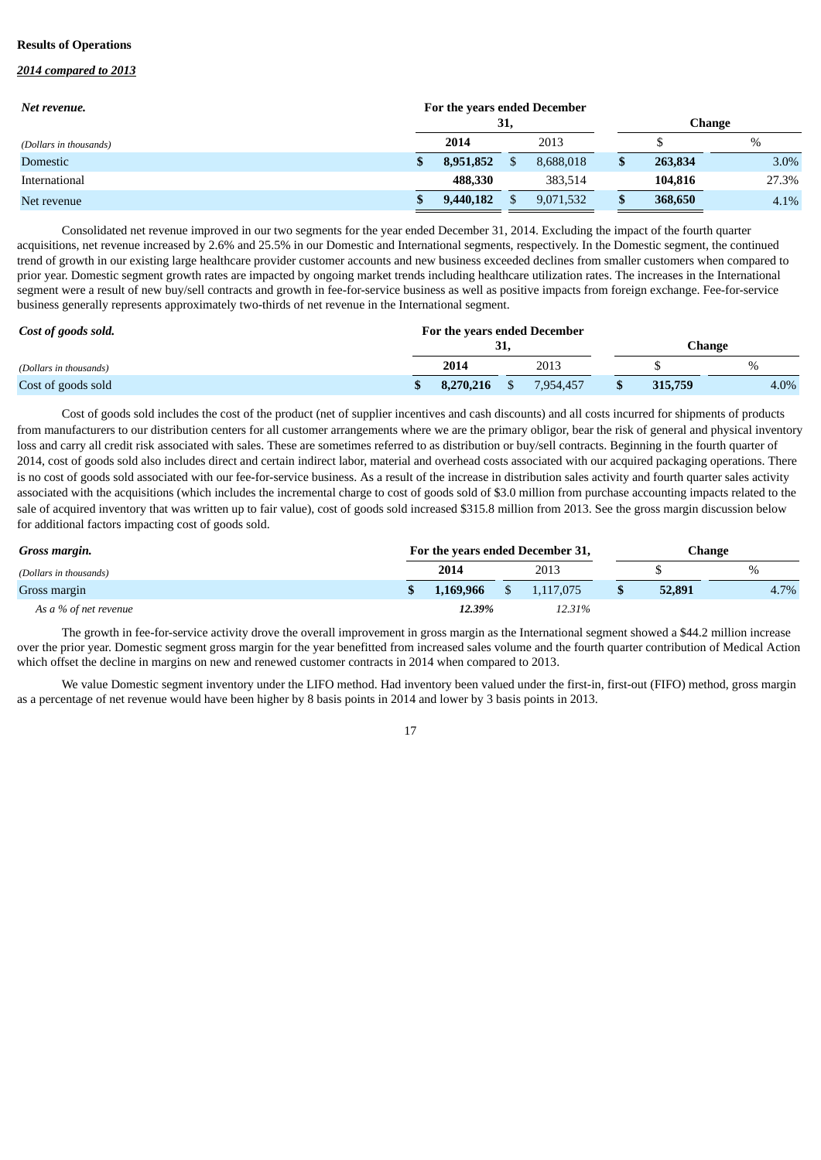#### **Results of Operations**

#### *2014 compared to 2013*

| Net revenue.           | For the years ended December<br>31, |           |  |           |  | Change |         |         |  |  |
|------------------------|-------------------------------------|-----------|--|-----------|--|--------|---------|---------|--|--|
| (Dollars in thousands) |                                     | 2014      |  | 2013      |  |        |         | $\%$    |  |  |
| Domestic               |                                     | 8,951,852 |  | 8,688,018 |  |        | 263,834 | $3.0\%$ |  |  |
| International          |                                     | 488,330   |  | 383,514   |  |        | 104,816 | 27.3%   |  |  |
| Net revenue            |                                     | 9,440,182 |  | 9,071,532 |  |        | 368,650 | $4.1\%$ |  |  |

Consolidated net revenue improved in our two segments for the year ended December 31, 2014. Excluding the impact of the fourth quarter acquisitions, net revenue increased by 2.6% and 25.5% in our Domestic and International segments, respectively. In the Domestic segment, the continued trend of growth in our existing large healthcare provider customer accounts and new business exceeded declines from smaller customers when compared to prior year. Domestic segment growth rates are impacted by ongoing market trends including healthcare utilization rates. The increases in the International segment were a result of new buy/sell contracts and growth in fee-for-service business as well as positive impacts from foreign exchange. Fee-for-service business generally represents approximately two-thirds of net revenue in the International segment.

| Cost of goods sold.    | For the years ended December |           |  |           |  |         |      |  |
|------------------------|------------------------------|-----------|--|-----------|--|---------|------|--|
|                        |                              | 31,       |  |           |  |         |      |  |
| (Dollars in thousands) |                              | 2014      |  | 2013      |  |         | $\%$ |  |
| Cost of goods sold     |                              | 8,270,216 |  | 7,954,457 |  | 315,759 | 4.0% |  |

Cost of goods sold includes the cost of the product (net of supplier incentives and cash discounts) and all costs incurred for shipments of products from manufacturers to our distribution centers for all customer arrangements where we are the primary obligor, bear the risk of general and physical inventory loss and carry all credit risk associated with sales. These are sometimes referred to as distribution or buy/sell contracts. Beginning in the fourth quarter of 2014, cost of goods sold also includes direct and certain indirect labor, material and overhead costs associated with our acquired packaging operations. There is no cost of goods sold associated with our fee-for-service business. As a result of the increase in distribution sales activity and fourth quarter sales activity associated with the acquisitions (which includes the incremental charge to cost of goods sold of \$3.0 million from purchase accounting impacts related to the sale of acquired inventory that was written up to fair value), cost of goods sold increased \$315.8 million from 2013. See the gross margin discussion below for additional factors impacting cost of goods sold.

| Gross margin.          | For the years ended December 31, |           |  |           | Change |      |  |  |
|------------------------|----------------------------------|-----------|--|-----------|--------|------|--|--|
| (Dollars in thousands) |                                  | 2014      |  | 2013      |        | $\%$ |  |  |
| Gross margin           |                                  | 1.169.966 |  | 1,117,075 | 52,891 | 4.7% |  |  |
| As a % of net revenue  |                                  | 12.39%    |  | 12.31%    |        |      |  |  |

The growth in fee-for-service activity drove the overall improvement in gross margin as the International segment showed a \$44.2 million increase over the prior year. Domestic segment gross margin for the year benefitted from increased sales volume and the fourth quarter contribution of Medical Action which offset the decline in margins on new and renewed customer contracts in 2014 when compared to 2013.

We value Domestic segment inventory under the LIFO method. Had inventory been valued under the first-in, first-out (FIFO) method, gross margin as a percentage of net revenue would have been higher by 8 basis points in 2014 and lower by 3 basis points in 2013.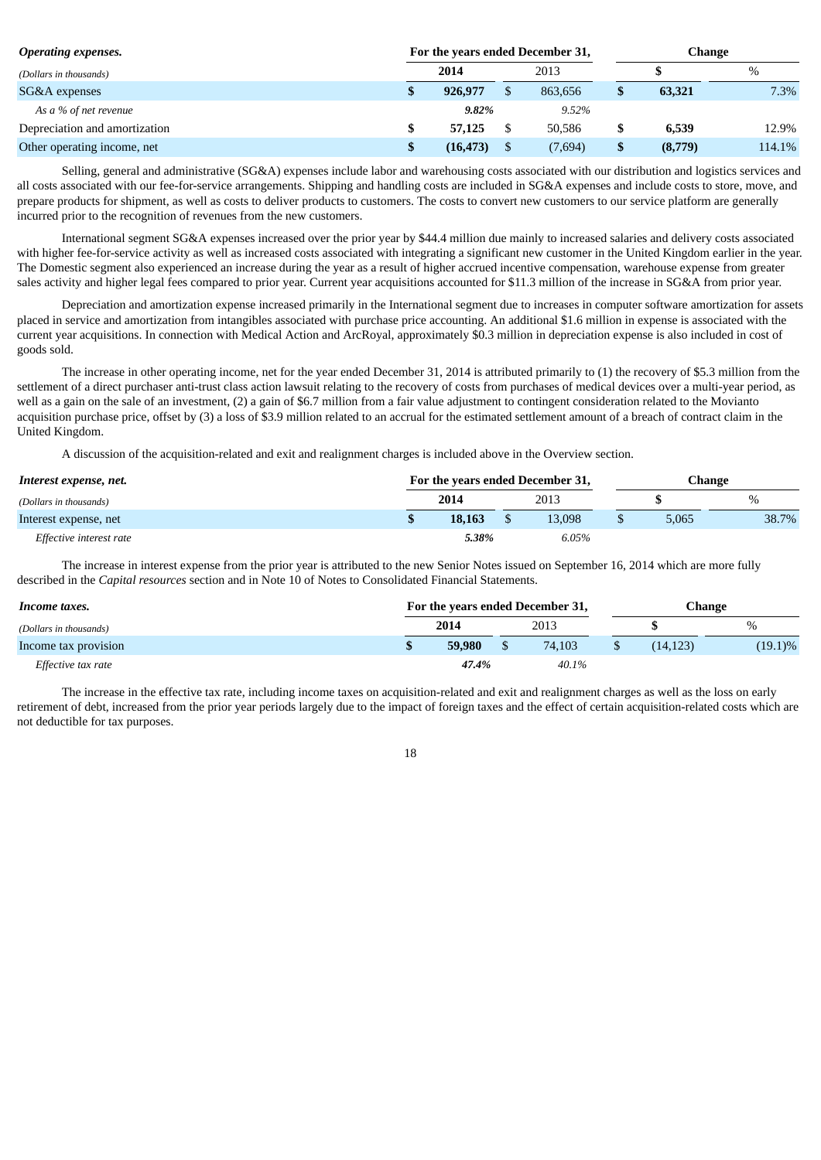| Operating expenses.           | For the years ended December 31, |  |         | Change |         |        |  |
|-------------------------------|----------------------------------|--|---------|--------|---------|--------|--|
| (Dollars in thousands)        | 2014                             |  | 2013    |        |         | $\%$   |  |
| SG&A expenses                 | 926,977                          |  | 863.656 |        | 63,321  | 7.3%   |  |
| As a % of net revenue         | 9.82%                            |  | 9.52%   |        |         |        |  |
| Depreciation and amortization | 57,125                           |  | 50.586  |        | 6,539   | 12.9%  |  |
| Other operating income, net   | (16, 473)                        |  | (7,694) |        | (8,779) | 114.1% |  |

Selling, general and administrative (SG&A) expenses include labor and warehousing costs associated with our distribution and logistics services and all costs associated with our fee-for-service arrangements. Shipping and handling costs are included in SG&A expenses and include costs to store, move, and prepare products for shipment, as well as costs to deliver products to customers. The costs to convert new customers to our service platform are generally incurred prior to the recognition of revenues from the new customers.

International segment SG&A expenses increased over the prior year by \$44.4 million due mainly to increased salaries and delivery costs associated with higher fee-for-service activity as well as increased costs associated with integrating a significant new customer in the United Kingdom earlier in the year. The Domestic segment also experienced an increase during the year as a result of higher accrued incentive compensation, warehouse expense from greater sales activity and higher legal fees compared to prior year. Current year acquisitions accounted for \$11.3 million of the increase in SG&A from prior year.

Depreciation and amortization expense increased primarily in the International segment due to increases in computer software amortization for assets placed in service and amortization from intangibles associated with purchase price accounting. An additional \$1.6 million in expense is associated with the current year acquisitions. In connection with Medical Action and ArcRoyal, approximately \$0.3 million in depreciation expense is also included in cost of goods sold.

The increase in other operating income, net for the year ended December 31, 2014 is attributed primarily to (1) the recovery of \$5.3 million from the settlement of a direct purchaser anti-trust class action lawsuit relating to the recovery of costs from purchases of medical devices over a multi-year period, as well as a gain on the sale of an investment, (2) a gain of \$6.7 million from a fair value adjustment to contingent consideration related to the Movianto acquisition purchase price, offset by (3) a loss of \$3.9 million related to an accrual for the estimated settlement amount of a breach of contract claim in the United Kingdom.

A discussion of the acquisition-related and exit and realignment charges is included above in the Overview section.

| Interest expense, net.  | For the years ended December 31, |  |        |  |       | Change |  |  |
|-------------------------|----------------------------------|--|--------|--|-------|--------|--|--|
| (Dollars in thousands)  | 2014                             |  | 2013   |  |       | $\%$   |  |  |
| Interest expense, net   | 18.163                           |  | 13.098 |  | 5,065 | 38.7%  |  |  |
| Effective interest rate | 5.38%                            |  | 6.05%  |  |       |        |  |  |

The increase in interest expense from the prior year is attributed to the new Senior Notes issued on September 16, 2014 which are more fully described in the *Capital resources* section and in Note 10 of Notes to Consolidated Financial Statements.

| Income taxes.          | For the years ended December 31, |        |  |        | Change |          |            |  |
|------------------------|----------------------------------|--------|--|--------|--------|----------|------------|--|
| (Dollars in thousands) |                                  | 2014   |  | 2013   |        |          | $\%$       |  |
| Income tax provision   |                                  | 59,980 |  | 74.103 |        | (14.123) | $(19.1)\%$ |  |
| Effective tax rate     |                                  | 47.4%  |  | 40.1%  |        |          |            |  |

The increase in the effective tax rate, including income taxes on acquisition-related and exit and realignment charges as well as the loss on early retirement of debt, increased from the prior year periods largely due to the impact of foreign taxes and the effect of certain acquisition-related costs which are not deductible for tax purposes.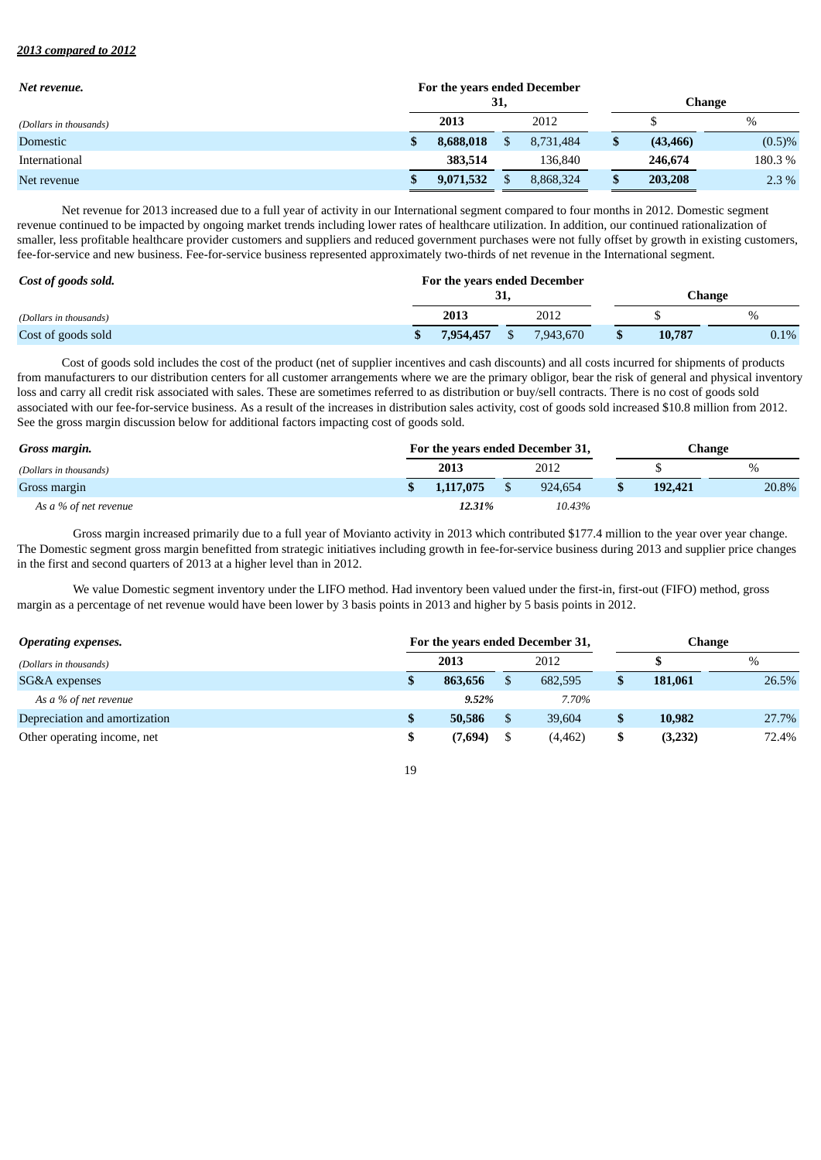# *2013 compared to 2012*

| Net revenue.           | For the years ended December |           |  |           |  |           |           |  |  |  |
|------------------------|------------------------------|-----------|--|-----------|--|-----------|-----------|--|--|--|
|                        | 31,                          |           |  |           |  |           | Change    |  |  |  |
| (Dollars in thousands) |                              | 2013      |  | 2012      |  |           | %         |  |  |  |
| Domestic               |                              | 8,688,018 |  | 8,731,484 |  | (43, 466) | $(0.5)\%$ |  |  |  |
| International          |                              | 383,514   |  | 136.840   |  | 246,674   | 180.3%    |  |  |  |
| Net revenue            |                              | 9,071,532 |  | 8.868.324 |  | 203,208   | $2.3\%$   |  |  |  |

Net revenue for 2013 increased due to a full year of activity in our International segment compared to four months in 2012. Domestic segment revenue continued to be impacted by ongoing market trends including lower rates of healthcare utilization. In addition, our continued rationalization of smaller, less profitable healthcare provider customers and suppliers and reduced government purchases were not fully offset by growth in existing customers, fee-for-service and new business. Fee-for-service business represented approximately two-thirds of net revenue in the International segment.

| Cost of goods sold.    | For the years ended December |           |     |           |  |        |         |  |  |
|------------------------|------------------------------|-----------|-----|-----------|--|--------|---------|--|--|
|                        |                              |           | 31, |           |  | Change |         |  |  |
| (Dollars in thousands) |                              | 2013      |     | 2012      |  |        | $\%$    |  |  |
| Cost of goods sold     |                              | 7,954,457 |     | 7,943,670 |  | 10,787 | $0.1\%$ |  |  |

Cost of goods sold includes the cost of the product (net of supplier incentives and cash discounts) and all costs incurred for shipments of products from manufacturers to our distribution centers for all customer arrangements where we are the primary obligor, bear the risk of general and physical inventory loss and carry all credit risk associated with sales. These are sometimes referred to as distribution or buy/sell contracts. There is no cost of goods sold associated with our fee-for-service business. As a result of the increases in distribution sales activity, cost of goods sold increased \$10.8 million from 2012. See the gross margin discussion below for additional factors impacting cost of goods sold.

| Gross margin.          | For the years ended December 31, |           |  |         | Change  |       |  |  |
|------------------------|----------------------------------|-----------|--|---------|---------|-------|--|--|
| (Dollars in thousands) |                                  | 2013      |  | 2012    |         | %     |  |  |
| Gross margin           |                                  | 1,117,075 |  | 924.654 | 192,421 | 20.8% |  |  |
| As a % of net revenue  |                                  | 12.31%    |  | 10.43%  |         |       |  |  |

Gross margin increased primarily due to a full year of Movianto activity in 2013 which contributed \$177.4 million to the year over year change. The Domestic segment gross margin benefitted from strategic initiatives including growth in fee-for-service business during 2013 and supplier price changes in the first and second quarters of 2013 at a higher level than in 2012.

We value Domestic segment inventory under the LIFO method. Had inventory been valued under the first-in, first-out (FIFO) method, gross margin as a percentage of net revenue would have been lower by 3 basis points in 2013 and higher by 5 basis points in 2012.

| Operating expenses.           | For the years ended December 31, |         |  | Change   |   |         |       |
|-------------------------------|----------------------------------|---------|--|----------|---|---------|-------|
| (Dollars in thousands)        |                                  | 2013    |  | 2012     |   |         | $\%$  |
| SG&A expenses                 |                                  | 863,656 |  | 682,595  |   | 181,061 | 26.5% |
| As a % of net revenue         |                                  | 9.52%   |  | 7.70%    |   |         |       |
| Depreciation and amortization |                                  | 50,586  |  | 39,604   |   | 10,982  | 27.7% |
| Other operating income, net   |                                  | (7,694) |  | (4, 462) | S | (3,232) | 72.4% |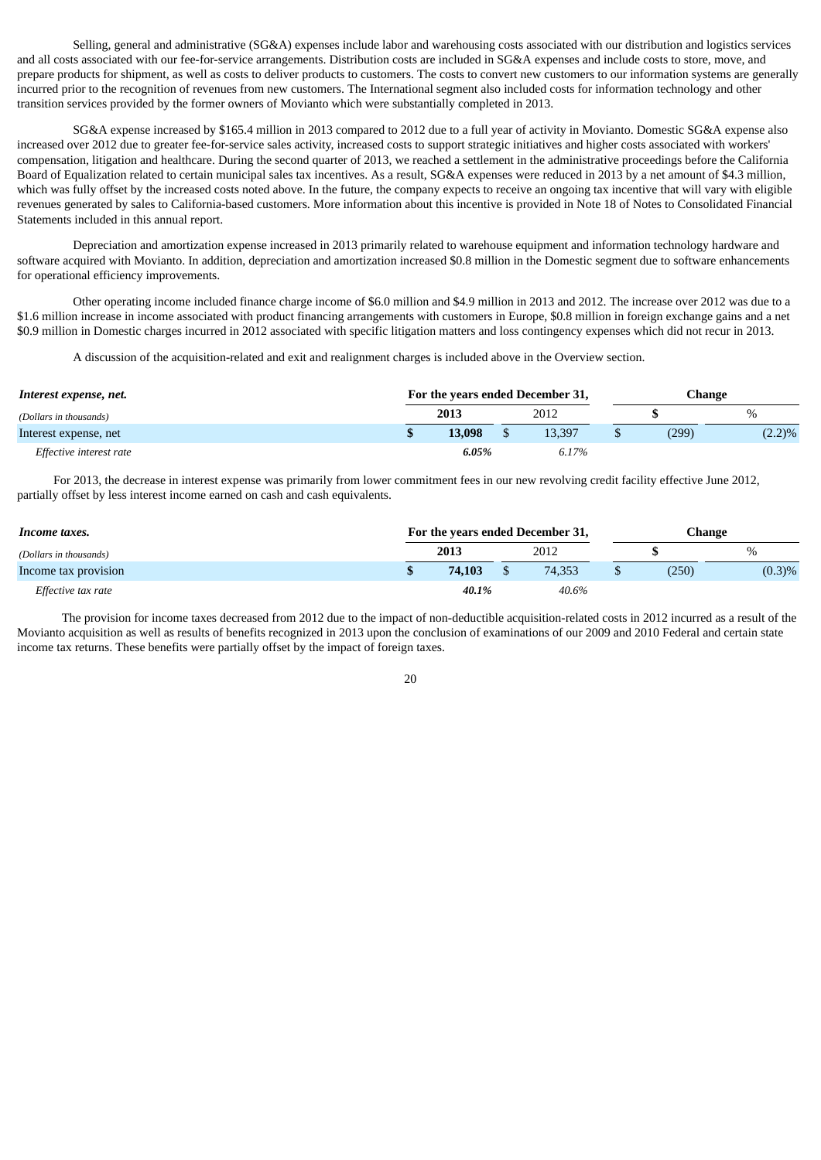Selling, general and administrative (SG&A) expenses include labor and warehousing costs associated with our distribution and logistics services and all costs associated with our fee-for-service arrangements. Distribution costs are included in SG&A expenses and include costs to store, move, and prepare products for shipment, as well as costs to deliver products to customers. The costs to convert new customers to our information systems are generally incurred prior to the recognition of revenues from new customers. The International segment also included costs for information technology and other transition services provided by the former owners of Movianto which were substantially completed in 2013.

SG&A expense increased by \$165.4 million in 2013 compared to 2012 due to a full year of activity in Movianto. Domestic SG&A expense also increased over 2012 due to greater fee-for-service sales activity, increased costs to support strategic initiatives and higher costs associated with workers' compensation, litigation and healthcare. During the second quarter of 2013, we reached a settlement in the administrative proceedings before the California Board of Equalization related to certain municipal sales tax incentives. As a result, SG&A expenses were reduced in 2013 by a net amount of \$4.3 million, which was fully offset by the increased costs noted above. In the future, the company expects to receive an ongoing tax incentive that will vary with eligible revenues generated by sales to California-based customers. More information about this incentive is provided in Note 18 of Notes to Consolidated Financial Statements included in this annual report.

Depreciation and amortization expense increased in 2013 primarily related to warehouse equipment and information technology hardware and software acquired with Movianto. In addition, depreciation and amortization increased \$0.8 million in the Domestic segment due to software enhancements for operational efficiency improvements.

Other operating income included finance charge income of \$6.0 million and \$4.9 million in 2013 and 2012. The increase over 2012 was due to a \$1.6 million increase in income associated with product financing arrangements with customers in Europe, \$0.8 million in foreign exchange gains and a net \$0.9 million in Domestic charges incurred in 2012 associated with specific litigation matters and loss contingency expenses which did not recur in 2013.

A discussion of the acquisition-related and exit and realignment charges is included above in the Overview section.

| Interest expense, net.  |        | For the years ended December 31, |       | Change    |
|-------------------------|--------|----------------------------------|-------|-----------|
| (Dollars in thousands)  | 2013   | 2012                             |       | %         |
| Interest expense, net   | 13,098 | 13.397                           | (299) | $(2.2)\%$ |
| Effective interest rate | 6.05%  | 6.17%                            |       |           |

For 2013, the decrease in interest expense was primarily from lower commitment fees in our new revolving credit facility effective June 2012, partially offset by less interest income earned on cash and cash equivalents.

| Income taxes.          | For the years ended December 31, |        |  |        | Change |       |        |  |
|------------------------|----------------------------------|--------|--|--------|--------|-------|--------|--|
| (Dollars in thousands) |                                  | 2013   |  | 2012   |        |       | $\%$   |  |
| Income tax provision   |                                  | 74,103 |  | 74.353 |        | (250) | (0.3)% |  |
| Effective tax rate     |                                  | 40.1%  |  | 40.6%  |        |       |        |  |

The provision for income taxes decreased from 2012 due to the impact of non-deductible acquisition-related costs in 2012 incurred as a result of the Movianto acquisition as well as results of benefits recognized in 2013 upon the conclusion of examinations of our 2009 and 2010 Federal and certain state income tax returns. These benefits were partially offset by the impact of foreign taxes.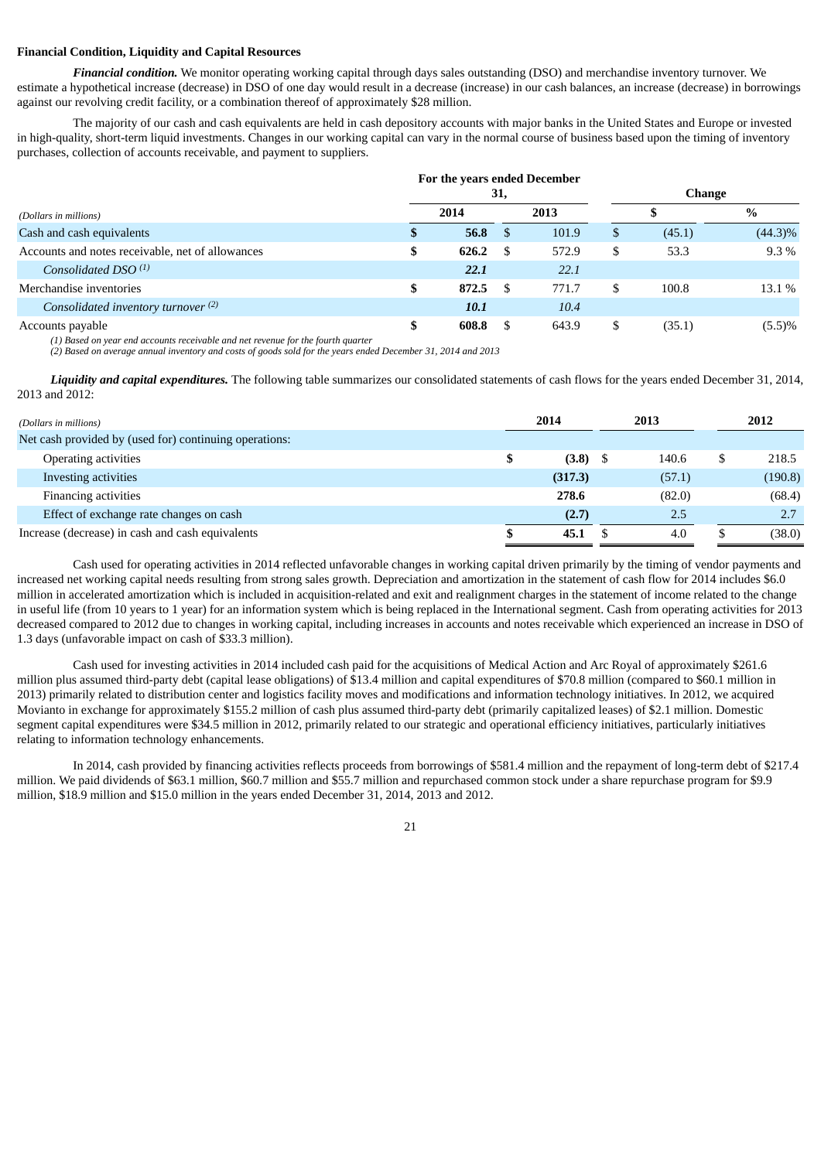## **Financial Condition, Liquidity and Capital Resources**

*Financial condition.* We monitor operating working capital through days sales outstanding (DSO) and merchandise inventory turnover. We estimate a hypothetical increase (decrease) in DSO of one day would result in a decrease (increase) in our cash balances, an increase (decrease) in borrowings against our revolving credit facility, or a combination thereof of approximately \$28 million.

The majority of our cash and cash equivalents are held in cash depository accounts with major banks in the United States and Europe or invested in high-quality, short-term liquid investments. Changes in our working capital can vary in the normal course of business based upon the timing of inventory purchases, collection of accounts receivable, and payment to suppliers.

|                                                  |    | For the years ended December |      |       |        |        |            |  |
|--------------------------------------------------|----|------------------------------|------|-------|--------|--------|------------|--|
|                                                  |    |                              | 31,  |       | Change |        |            |  |
| (Dollars in millions)                            |    | 2014                         | 2013 |       |        |        | $\%$       |  |
| Cash and cash equivalents                        |    | 56.8                         |      | 101.9 | \$     | (45.1) | $(44.3)\%$ |  |
| Accounts and notes receivable, net of allowances |    | 626.2                        |      | 572.9 | \$     | 53.3   | $9.3\%$    |  |
| Consolidated DSO <sup>(1)</sup>                  |    | 22.1                         |      | 22.1  |        |        |            |  |
| Merchandise inventories                          | \$ | 872.5                        |      | 771.7 |        | 100.8  | 13.1 %     |  |
| Consolidated inventory turnover (2)              |    | 10.1                         |      | 10.4  |        |        |            |  |
| Accounts payable                                 |    | 608.8                        |      | 643.9 |        | (35.1) | (5.5)%     |  |

*(1) Based on year end accounts receivable and net revenue for the fourth quarter*

(2) Based on average annual inventory and costs of goods sold for the years ended December 31, 2014 and 2013

*Liquidity and capital expenditures.* The following table summarizes our consolidated statements of cash flows for the years ended December 31, 2014, 2013 and 2012:

| (Dollars in millions)                                  | 2014<br>2013 |  |        | 2012 |         |
|--------------------------------------------------------|--------------|--|--------|------|---------|
| Net cash provided by (used for) continuing operations: |              |  |        |      |         |
| <b>Operating activities</b>                            | $(3.8)$ \$   |  | 140.6  |      | 218.5   |
| Investing activities                                   | (317.3)      |  | (57.1) |      | (190.8) |
| Financing activities                                   | 278.6        |  | (82.0) |      | (68.4)  |
| Effect of exchange rate changes on cash                | (2.7)        |  | 2.5    |      | 2.7     |
| Increase (decrease) in cash and cash equivalents       | 45.1         |  | 4.0    |      | (38.0)  |

Cash used for operating activities in 2014 reflected unfavorable changes in working capital driven primarily by the timing of vendor payments and increased net working capital needs resulting from strong sales growth. Depreciation and amortization in the statement of cash flow for 2014 includes \$6.0 million in accelerated amortization which is included in acquisition-related and exit and realignment charges in the statement of income related to the change in useful life (from 10 years to 1 year) for an information system which is being replaced in the International segment. Cash from operating activities for 2013 decreased compared to 2012 due to changes in working capital, including increases in accounts and notes receivable which experienced an increase in DSO of 1.3 days (unfavorable impact on cash of \$33.3 million).

Cash used for investing activities in 2014 included cash paid for the acquisitions of Medical Action and Arc Royal of approximately \$261.6 million plus assumed third-party debt (capital lease obligations) of \$13.4 million and capital expenditures of \$70.8 million (compared to \$60.1 million in 2013) primarily related to distribution center and logistics facility moves and modifications and information technology initiatives. In 2012, we acquired Movianto in exchange for approximately \$155.2 million of cash plus assumed third-party debt (primarily capitalized leases) of \$2.1 million. Domestic segment capital expenditures were \$34.5 million in 2012, primarily related to our strategic and operational efficiency initiatives, particularly initiatives relating to information technology enhancements.

In 2014, cash provided by financing activities reflects proceeds from borrowings of \$581.4 million and the repayment of long-term debt of \$217.4 million. We paid dividends of \$63.1 million, \$60.7 million and \$55.7 million and repurchased common stock under a share repurchase program for \$9.9 million, \$18.9 million and \$15.0 million in the years ended December 31, 2014, 2013 and 2012.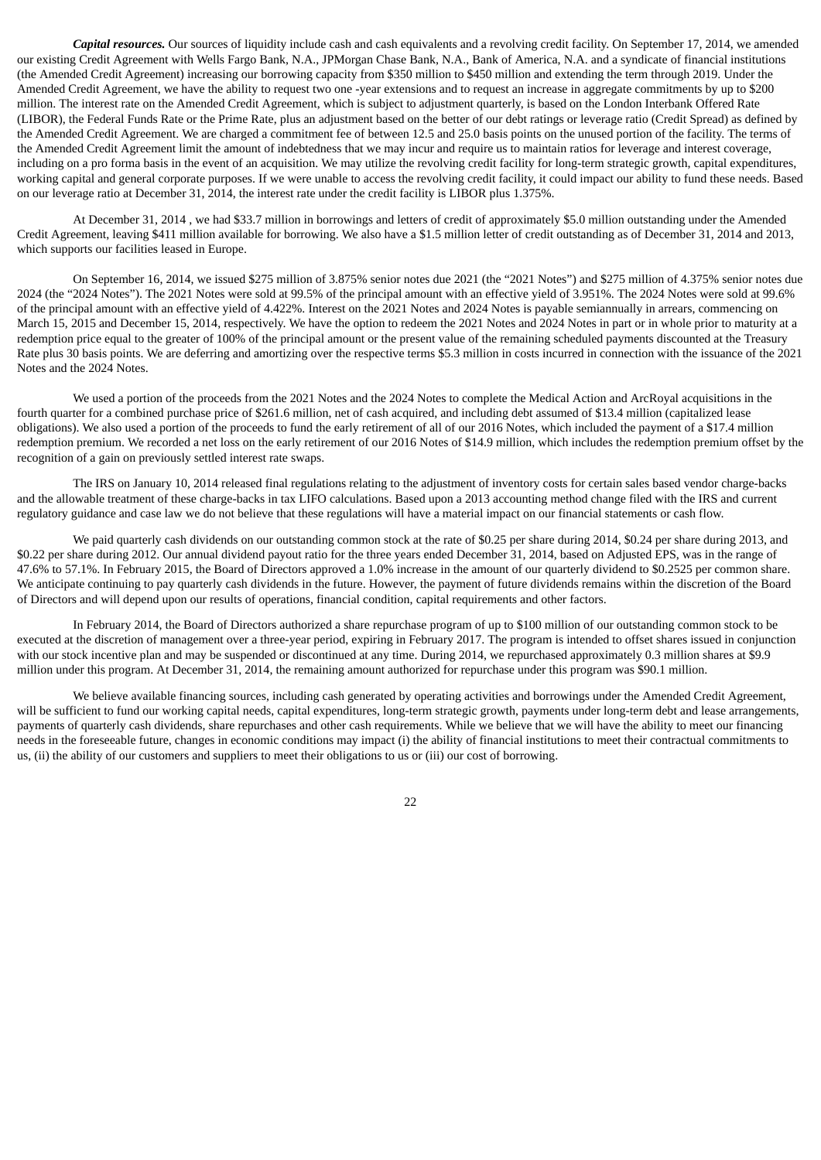*Capital resources.* Our sources of liquidity include cash and cash equivalents and a revolving credit facility. On September 17, 2014, we amended our existing Credit Agreement with Wells Fargo Bank, N.A., JPMorgan Chase Bank, N.A., Bank of America, N.A. and a syndicate of financial institutions (the Amended Credit Agreement) increasing our borrowing capacity from \$350 million to \$450 million and extending the term through 2019. Under the Amended Credit Agreement, we have the ability to request two one -year extensions and to request an increase in aggregate commitments by up to \$200 million. The interest rate on the Amended Credit Agreement, which is subject to adjustment quarterly, is based on the London Interbank Offered Rate (LIBOR), the Federal Funds Rate or the Prime Rate, plus an adjustment based on the better of our debt ratings or leverage ratio (Credit Spread) as defined by the Amended Credit Agreement. We are charged a commitment fee of between 12.5 and 25.0 basis points on the unused portion of the facility. The terms of the Amended Credit Agreement limit the amount of indebtedness that we may incur and require us to maintain ratios for leverage and interest coverage, including on a pro forma basis in the event of an acquisition. We may utilize the revolving credit facility for long-term strategic growth, capital expenditures, working capital and general corporate purposes. If we were unable to access the revolving credit facility, it could impact our ability to fund these needs. Based on our leverage ratio at December 31, 2014, the interest rate under the credit facility is LIBOR plus 1.375%.

At December 31, 2014 , we had \$33.7 million in borrowings and letters of credit of approximately \$5.0 million outstanding under the Amended Credit Agreement, leaving \$411 million available for borrowing. We also have a \$1.5 million letter of credit outstanding as of December 31, 2014 and 2013, which supports our facilities leased in Europe.

On September 16, 2014, we issued \$275 million of 3.875% senior notes due 2021 (the "2021 Notes") and \$275 million of 4.375% senior notes due 2024 (the "2024 Notes"). The 2021 Notes were sold at 99.5% of the principal amount with an effective yield of 3.951%. The 2024 Notes were sold at 99.6% of the principal amount with an effective yield of 4.422%. Interest on the 2021 Notes and 2024 Notes is payable semiannually in arrears, commencing on March 15, 2015 and December 15, 2014, respectively. We have the option to redeem the 2021 Notes and 2024 Notes in part or in whole prior to maturity at a redemption price equal to the greater of 100% of the principal amount or the present value of the remaining scheduled payments discounted at the Treasury Rate plus 30 basis points. We are deferring and amortizing over the respective terms \$5.3 million in costs incurred in connection with the issuance of the 2021 Notes and the 2024 Notes.

We used a portion of the proceeds from the 2021 Notes and the 2024 Notes to complete the Medical Action and ArcRoyal acquisitions in the fourth quarter for a combined purchase price of \$261.6 million, net of cash acquired, and including debt assumed of \$13.4 million (capitalized lease obligations). We also used a portion of the proceeds to fund the early retirement of all of our 2016 Notes, which included the payment of a \$17.4 million redemption premium. We recorded a net loss on the early retirement of our 2016 Notes of \$14.9 million, which includes the redemption premium offset by the recognition of a gain on previously settled interest rate swaps.

The IRS on January 10, 2014 released final regulations relating to the adjustment of inventory costs for certain sales based vendor charge-backs and the allowable treatment of these charge-backs in tax LIFO calculations. Based upon a 2013 accounting method change filed with the IRS and current regulatory guidance and case law we do not believe that these regulations will have a material impact on our financial statements or cash flow.

We paid quarterly cash dividends on our outstanding common stock at the rate of \$0.25 per share during 2014, \$0.24 per share during 2013, and \$0.22 per share during 2012. Our annual dividend payout ratio for the three years ended December 31, 2014, based on Adjusted EPS, was in the range of 47.6% to 57.1%. In February 2015, the Board of Directors approved a 1.0% increase in the amount of our quarterly dividend to \$0.2525 per common share. We anticipate continuing to pay quarterly cash dividends in the future. However, the payment of future dividends remains within the discretion of the Board of Directors and will depend upon our results of operations, financial condition, capital requirements and other factors.

In February 2014, the Board of Directors authorized a share repurchase program of up to \$100 million of our outstanding common stock to be executed at the discretion of management over a three-year period, expiring in February 2017. The program is intended to offset shares issued in conjunction with our stock incentive plan and may be suspended or discontinued at any time. During 2014, we repurchased approximately 0.3 million shares at \$9.9 million under this program. At December 31, 2014, the remaining amount authorized for repurchase under this program was \$90.1 million.

We believe available financing sources, including cash generated by operating activities and borrowings under the Amended Credit Agreement, will be sufficient to fund our working capital needs, capital expenditures, long-term strategic growth, payments under long-term debt and lease arrangements, payments of quarterly cash dividends, share repurchases and other cash requirements. While we believe that we will have the ability to meet our financing needs in the foreseeable future, changes in economic conditions may impact (i) the ability of financial institutions to meet their contractual commitments to us, (ii) the ability of our customers and suppliers to meet their obligations to us or (iii) our cost of borrowing.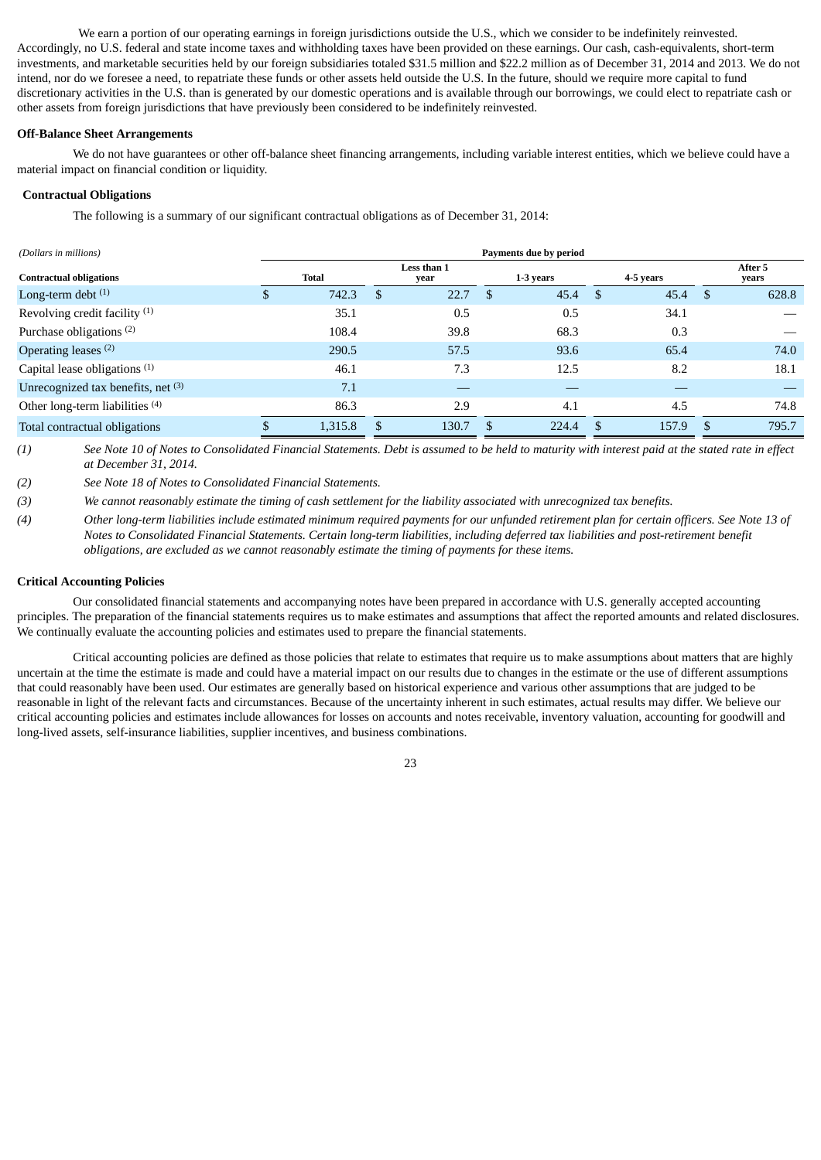We earn a portion of our operating earnings in foreign jurisdictions outside the U.S., which we consider to be indefinitely reinvested. Accordingly, no U.S. federal and state income taxes and withholding taxes have been provided on these earnings. Our cash, cash-equivalents, short-term investments, and marketable securities held by our foreign subsidiaries totaled \$31.5 million and \$22.2 million as of December 31, 2014 and 2013. We do not intend, nor do we foresee a need, to repatriate these funds or other assets held outside the U.S. In the future, should we require more capital to fund discretionary activities in the U.S. than is generated by our domestic operations and is available through our borrowings, we could elect to repatriate cash or other assets from foreign jurisdictions that have previously been considered to be indefinitely reinvested.

#### **Off-Balance Sheet Arrangements**

We do not have guarantees or other off-balance sheet financing arrangements, including variable interest entities, which we believe could have a material impact on financial condition or liquidity.

#### **Contractual Obligations**

The following is a summary of our significant contractual obligations as of December 31, 2014:

| (Dollars in millions)                    | Payments due by period |         |               |                     |   |           |   |           |      |                  |
|------------------------------------------|------------------------|---------|---------------|---------------------|---|-----------|---|-----------|------|------------------|
| <b>Contractual obligations</b>           |                        | Total   |               | Less than 1<br>year |   | 1-3 years |   | 4-5 years |      | After 5<br>years |
| Long-term debt $(1)$                     | Эħ.                    | 742.3   | <sup>\$</sup> | 22.7                | S | 45.4      | S | 45.4      | - \$ | 628.8            |
| Revolving credit facility <sup>(1)</sup> |                        | 35.1    |               | 0.5                 |   | 0.5       |   | 34.1      |      |                  |
| Purchase obligations <sup>(2)</sup>      |                        | 108.4   |               | 39.8                |   | 68.3      |   | 0.3       |      |                  |
| Operating leases <sup>(2)</sup>          |                        | 290.5   |               | 57.5                |   | 93.6      |   | 65.4      |      | 74.0             |
| Capital lease obligations (1)            |                        | 46.1    |               | 7.3                 |   | 12.5      |   | 8.2       |      | 18.1             |
| Unrecognized tax benefits, net (3)       |                        | 7.1     |               | __                  |   |           |   |           |      |                  |
| Other long-term liabilities (4)          |                        | 86.3    |               | 2.9                 |   | 4.1       |   | 4.5       |      | 74.8             |
| Total contractual obligations            |                        | 1,315.8 | \$.           | 130.7               |   | 224.4     | ፍ | 157.9     |      | 795.7            |

(1) See Note 10 of Notes to Consolidated Financial Statements. Debt is assumed to be held to maturity with interest paid at the stated rate in effect *at December 31, 2014.*

*(2) See Note 18 of Notes to Consolidated Financial Statements.*

(3) We cannot reasonably estimate the timing of cash settlement for the liability associated with unrecognized tax benefits.

(4) Other long-term liabilities include estimated minimum required payments for our unfunded retirement plan for certain officers. See Note 13 of Notes to Consolidated Financial Statements. Certain long-term liabilities, including deferred tax liabilities and post-retirement benefit *obligations, are excluded as we cannot reasonably estimate the timing of payments for these items.*

#### **Critical Accounting Policies**

Our consolidated financial statements and accompanying notes have been prepared in accordance with U.S. generally accepted accounting principles. The preparation of the financial statements requires us to make estimates and assumptions that affect the reported amounts and related disclosures. We continually evaluate the accounting policies and estimates used to prepare the financial statements.

Critical accounting policies are defined as those policies that relate to estimates that require us to make assumptions about matters that are highly uncertain at the time the estimate is made and could have a material impact on our results due to changes in the estimate or the use of different assumptions that could reasonably have been used. Our estimates are generally based on historical experience and various other assumptions that are judged to be reasonable in light of the relevant facts and circumstances. Because of the uncertainty inherent in such estimates, actual results may differ. We believe our critical accounting policies and estimates include allowances for losses on accounts and notes receivable, inventory valuation, accounting for goodwill and long-lived assets, self-insurance liabilities, supplier incentives, and business combinations.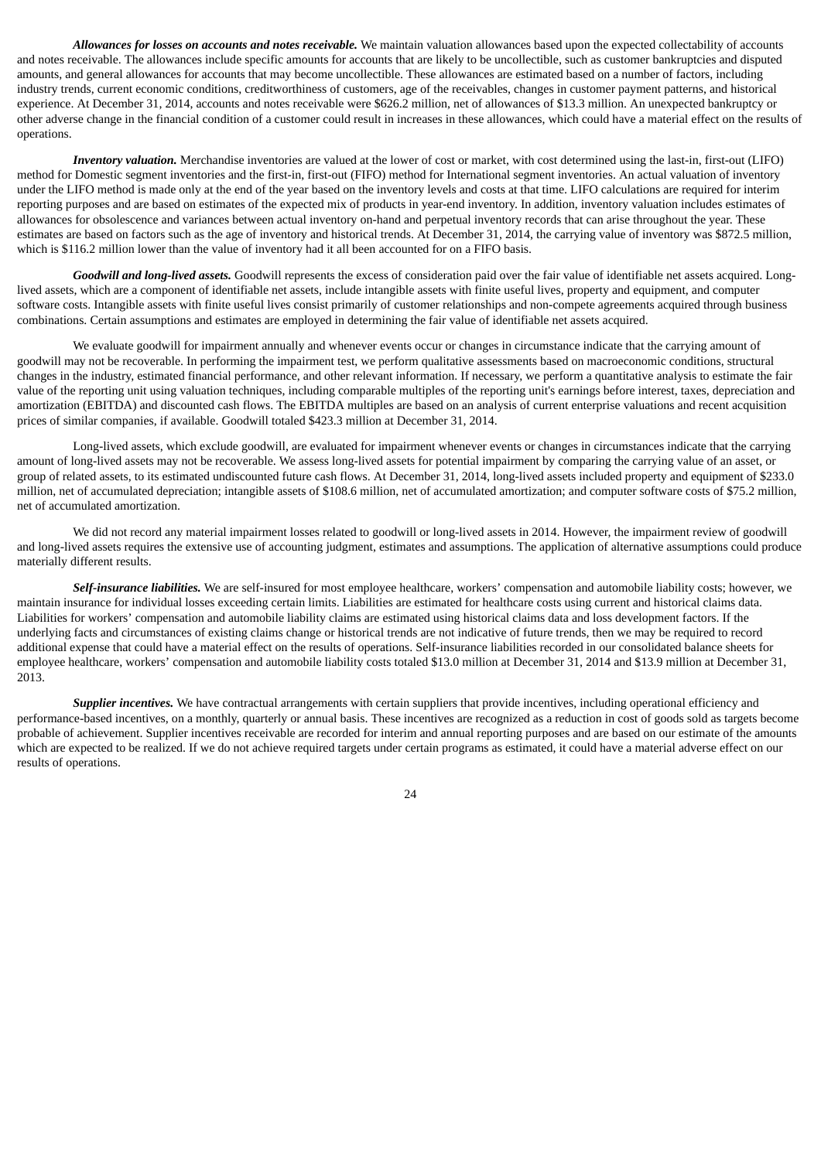*Allowances for losses on accounts and notes receivable.* We maintain valuation allowances based upon the expected collectability of accounts and notes receivable. The allowances include specific amounts for accounts that are likely to be uncollectible, such as customer bankruptcies and disputed amounts, and general allowances for accounts that may become uncollectible. These allowances are estimated based on a number of factors, including industry trends, current economic conditions, creditworthiness of customers, age of the receivables, changes in customer payment patterns, and historical experience. At December 31, 2014, accounts and notes receivable were \$626.2 million, net of allowances of \$13.3 million. An unexpected bankruptcy or other adverse change in the financial condition of a customer could result in increases in these allowances, which could have a material effect on the results of operations.

*Inventory valuation.* Merchandise inventories are valued at the lower of cost or market, with cost determined using the last-in, first-out (LIFO) method for Domestic segment inventories and the first-in, first-out (FIFO) method for International segment inventories. An actual valuation of inventory under the LIFO method is made only at the end of the year based on the inventory levels and costs at that time. LIFO calculations are required for interim reporting purposes and are based on estimates of the expected mix of products in year-end inventory. In addition, inventory valuation includes estimates of allowances for obsolescence and variances between actual inventory on-hand and perpetual inventory records that can arise throughout the year. These estimates are based on factors such as the age of inventory and historical trends. At December 31, 2014, the carrying value of inventory was \$872.5 million, which is \$116.2 million lower than the value of inventory had it all been accounted for on a FIFO basis.

*Goodwill and long-lived assets.* Goodwill represents the excess of consideration paid over the fair value of identifiable net assets acquired. Longlived assets, which are a component of identifiable net assets, include intangible assets with finite useful lives, property and equipment, and computer software costs. Intangible assets with finite useful lives consist primarily of customer relationships and non-compete agreements acquired through business combinations. Certain assumptions and estimates are employed in determining the fair value of identifiable net assets acquired.

We evaluate goodwill for impairment annually and whenever events occur or changes in circumstance indicate that the carrying amount of goodwill may not be recoverable. In performing the impairment test, we perform qualitative assessments based on macroeconomic conditions, structural changes in the industry, estimated financial performance, and other relevant information. If necessary, we perform a quantitative analysis to estimate the fair value of the reporting unit using valuation techniques, including comparable multiples of the reporting unit's earnings before interest, taxes, depreciation and amortization (EBITDA) and discounted cash flows. The EBITDA multiples are based on an analysis of current enterprise valuations and recent acquisition prices of similar companies, if available. Goodwill totaled \$423.3 million at December 31, 2014.

Long-lived assets, which exclude goodwill, are evaluated for impairment whenever events or changes in circumstances indicate that the carrying amount of long-lived assets may not be recoverable. We assess long-lived assets for potential impairment by comparing the carrying value of an asset, or group of related assets, to its estimated undiscounted future cash flows. At December 31, 2014, long-lived assets included property and equipment of \$233.0 million, net of accumulated depreciation; intangible assets of \$108.6 million, net of accumulated amortization; and computer software costs of \$75.2 million, net of accumulated amortization.

We did not record any material impairment losses related to goodwill or long-lived assets in 2014. However, the impairment review of goodwill and long-lived assets requires the extensive use of accounting judgment, estimates and assumptions. The application of alternative assumptions could produce materially different results.

*Self-insurance liabilities.* We are self-insured for most employee healthcare, workers' compensation and automobile liability costs; however, we maintain insurance for individual losses exceeding certain limits. Liabilities are estimated for healthcare costs using current and historical claims data. Liabilities for workers' compensation and automobile liability claims are estimated using historical claims data and loss development factors. If the underlying facts and circumstances of existing claims change or historical trends are not indicative of future trends, then we may be required to record additional expense that could have a material effect on the results of operations. Self-insurance liabilities recorded in our consolidated balance sheets for employee healthcare, workers' compensation and automobile liability costs totaled \$13.0 million at December 31, 2014 and \$13.9 million at December 31, 2013.

*Supplier incentives.* We have contractual arrangements with certain suppliers that provide incentives, including operational efficiency and performance-based incentives, on a monthly, quarterly or annual basis. These incentives are recognized as a reduction in cost of goods sold as targets become probable of achievement. Supplier incentives receivable are recorded for interim and annual reporting purposes and are based on our estimate of the amounts which are expected to be realized. If we do not achieve required targets under certain programs as estimated, it could have a material adverse effect on our results of operations.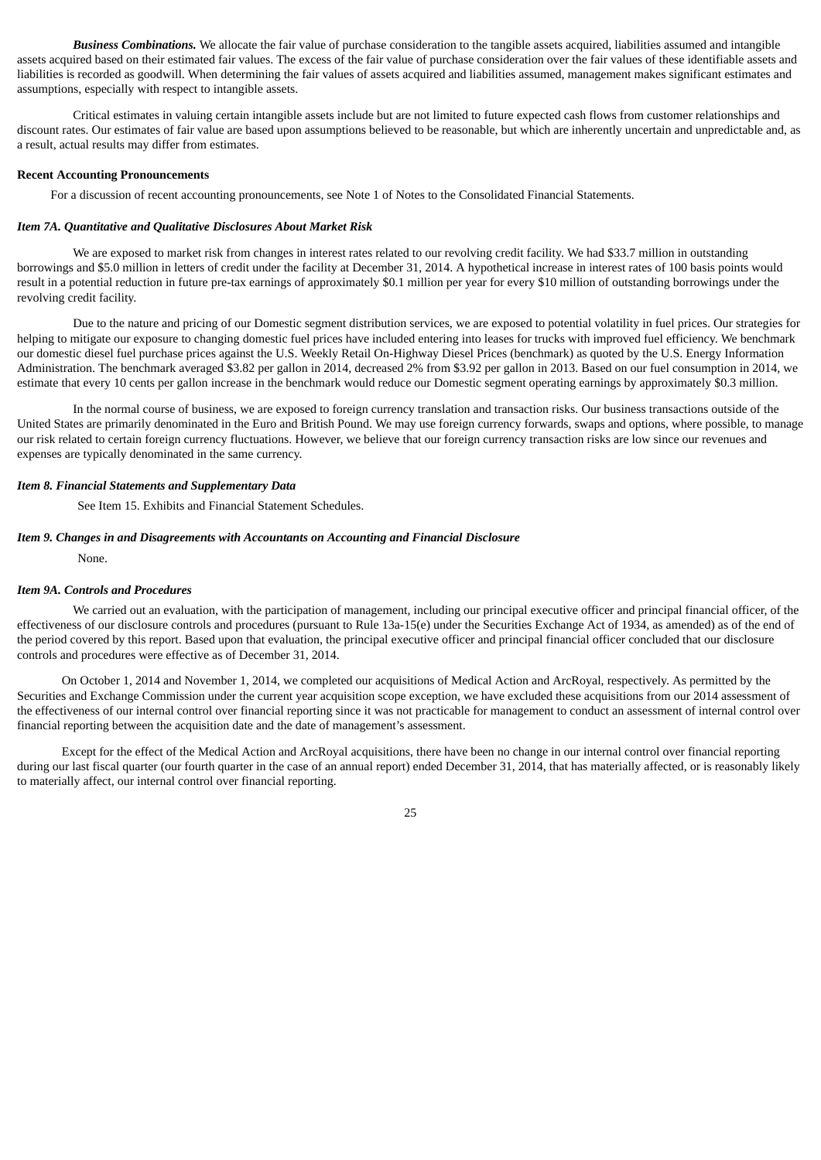*Business Combinations.* We allocate the fair value of purchase consideration to the tangible assets acquired, liabilities assumed and intangible assets acquired based on their estimated fair values. The excess of the fair value of purchase consideration over the fair values of these identifiable assets and liabilities is recorded as goodwill. When determining the fair values of assets acquired and liabilities assumed, management makes significant estimates and assumptions, especially with respect to intangible assets.

Critical estimates in valuing certain intangible assets include but are not limited to future expected cash flows from customer relationships and discount rates. Our estimates of fair value are based upon assumptions believed to be reasonable, but which are inherently uncertain and unpredictable and, as a result, actual results may differ from estimates.

#### **Recent Accounting Pronouncements**

For a discussion of recent accounting pronouncements, see Note 1 of Notes to the Consolidated Financial Statements.

#### <span id="page-25-0"></span>*Item 7A. Quantitative and Qualitative Disclosures About Market Risk*

We are exposed to market risk from changes in interest rates related to our revolving credit facility. We had \$33.7 million in outstanding borrowings and \$5.0 million in letters of credit under the facility at December 31, 2014. A hypothetical increase in interest rates of 100 basis points would result in a potential reduction in future pre-tax earnings of approximately \$0.1 million per year for every \$10 million of outstanding borrowings under the revolving credit facility.

Due to the nature and pricing of our Domestic segment distribution services, we are exposed to potential volatility in fuel prices. Our strategies for helping to mitigate our exposure to changing domestic fuel prices have included entering into leases for trucks with improved fuel efficiency. We benchmark our domestic diesel fuel purchase prices against the U.S. Weekly Retail On-Highway Diesel Prices (benchmark) as quoted by the U.S. Energy Information Administration. The benchmark averaged \$3.82 per gallon in 2014, decreased 2% from \$3.92 per gallon in 2013. Based on our fuel consumption in 2014, we estimate that every 10 cents per gallon increase in the benchmark would reduce our Domestic segment operating earnings by approximately \$0.3 million.

In the normal course of business, we are exposed to foreign currency translation and transaction risks. Our business transactions outside of the United States are primarily denominated in the Euro and British Pound. We may use foreign currency forwards, swaps and options, where possible, to manage our risk related to certain foreign currency fluctuations. However, we believe that our foreign currency transaction risks are low since our revenues and expenses are typically denominated in the same currency.

#### <span id="page-25-1"></span>*Item 8. Financial Statements and Supplementary Data*

See Item 15. Exhibits and Financial Statement Schedules.

#### <span id="page-25-2"></span>*Item 9. Changes in and Disagreements with Accountants on Accounting and Financial Disclosure*

None.

#### <span id="page-25-3"></span>*Item 9A. Controls and Procedures*

We carried out an evaluation, with the participation of management, including our principal executive officer and principal financial officer, of the effectiveness of our disclosure controls and procedures (pursuant to Rule 13a-15(e) under the Securities Exchange Act of 1934, as amended) as of the end of the period covered by this report. Based upon that evaluation, the principal executive officer and principal financial officer concluded that our disclosure controls and procedures were effective as of December 31, 2014.

On October 1, 2014 and November 1, 2014, we completed our acquisitions of Medical Action and ArcRoyal, respectively. As permitted by the Securities and Exchange Commission under the current year acquisition scope exception, we have excluded these acquisitions from our 2014 assessment of the effectiveness of our internal control over financial reporting since it was not practicable for management to conduct an assessment of internal control over financial reporting between the acquisition date and the date of management's assessment.

<span id="page-25-4"></span>Except for the effect of the Medical Action and ArcRoyal acquisitions, there have been no change in our internal control over financial reporting during our last fiscal quarter (our fourth quarter in the case of an annual report) ended December 31, 2014, that has materially affected, or is reasonably likely to materially affect, our internal control over financial reporting.

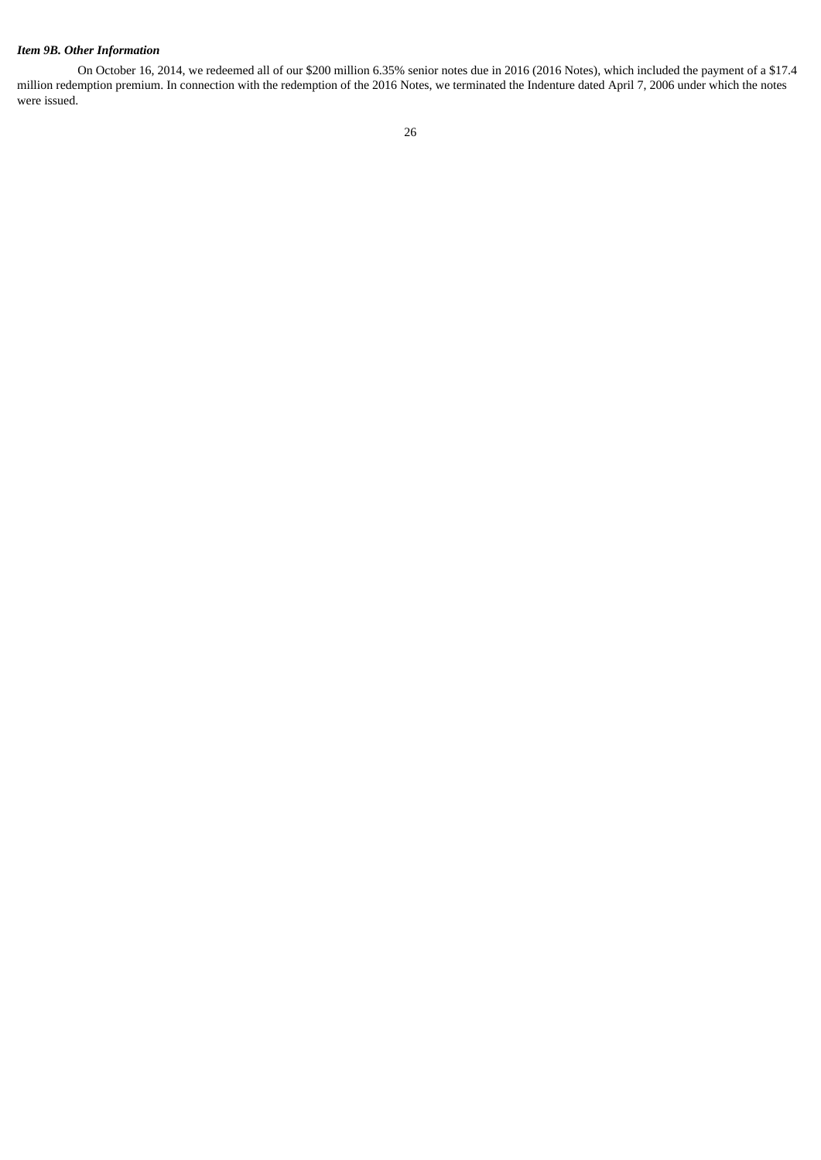# *Item 9B. Other Information*

<span id="page-26-0"></span>On October 16, 2014, we redeemed all of our \$200 million 6.35% senior notes due in 2016 (2016 Notes), which included the payment of a \$17.4 million redemption premium. In connection with the redemption of the 2016 Notes, we terminated the Indenture dated April 7, 2006 under which the notes were issued.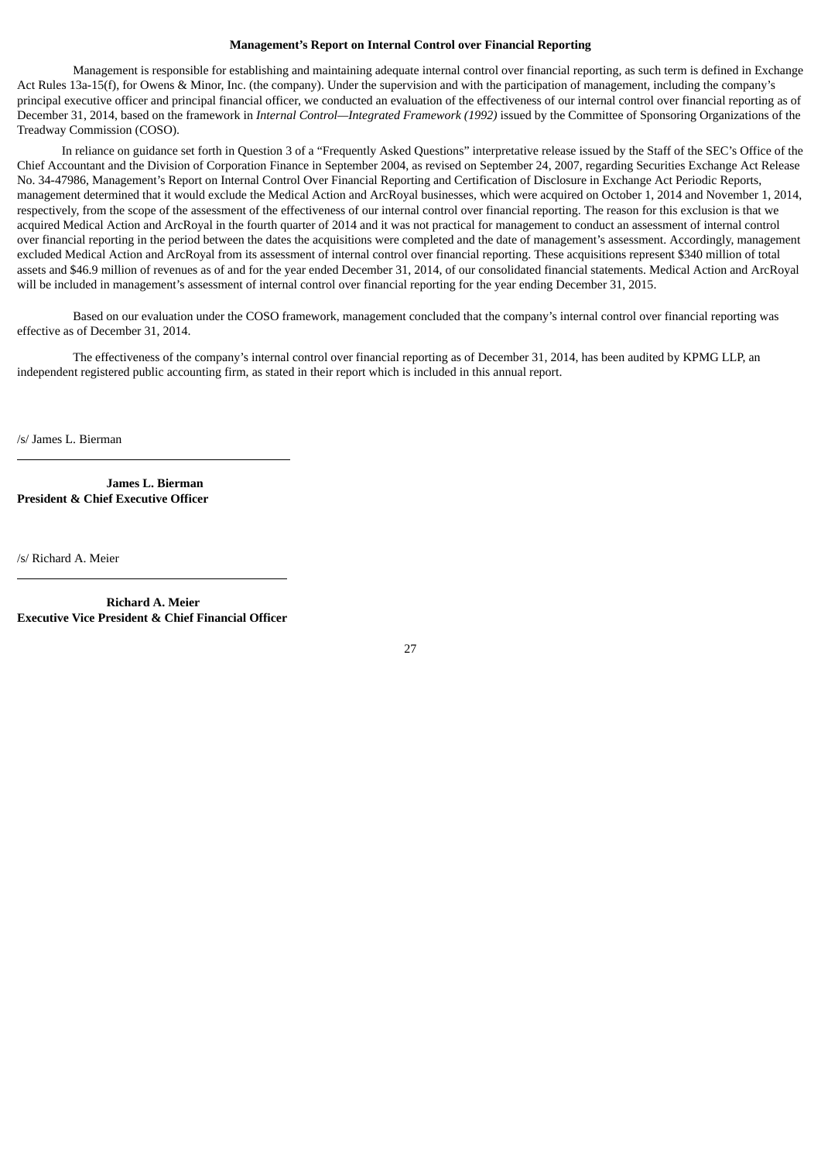#### **Management's Report on Internal Control over Financial Reporting**

Management is responsible for establishing and maintaining adequate internal control over financial reporting, as such term is defined in Exchange Act Rules 13a-15(f), for Owens & Minor, Inc. (the company). Under the supervision and with the participation of management, including the company's principal executive officer and principal financial officer, we conducted an evaluation of the effectiveness of our internal control over financial reporting as of December 31, 2014, based on the framework in *Internal Control—Integrated Framework (1992)* issued by the Committee of Sponsoring Organizations of the Treadway Commission (COSO).

In reliance on guidance set forth in Question 3 of a "Frequently Asked Questions" interpretative release issued by the Staff of the SEC's Office of the Chief Accountant and the Division of Corporation Finance in September 2004, as revised on September 24, 2007, regarding Securities Exchange Act Release No. 34-47986, Management's Report on Internal Control Over Financial Reporting and Certification of Disclosure in Exchange Act Periodic Reports, management determined that it would exclude the Medical Action and ArcRoyal businesses, which were acquired on October 1, 2014 and November 1, 2014, respectively, from the scope of the assessment of the effectiveness of our internal control over financial reporting. The reason for this exclusion is that we acquired Medical Action and ArcRoyal in the fourth quarter of 2014 and it was not practical for management to conduct an assessment of internal control over financial reporting in the period between the dates the acquisitions were completed and the date of management's assessment. Accordingly, management excluded Medical Action and ArcRoyal from its assessment of internal control over financial reporting. These acquisitions represent \$340 million of total assets and \$46.9 million of revenues as of and for the year ended December 31, 2014, of our consolidated financial statements. Medical Action and ArcRoyal will be included in management's assessment of internal control over financial reporting for the year ending December 31, 2015.

Based on our evaluation under the COSO framework, management concluded that the company's internal control over financial reporting was effective as of December 31, 2014.

The effectiveness of the company's internal control over financial reporting as of December 31, 2014, has been audited by KPMG LLP, an independent registered public accounting firm, as stated in their report which is included in this annual report.

/s/ James L. Bierman

**James L. Bierman President & Chief Executive Officer**

/s/ Richard A. Meier

<span id="page-27-0"></span>**Richard A. Meier Executive Vice President & Chief Financial Officer**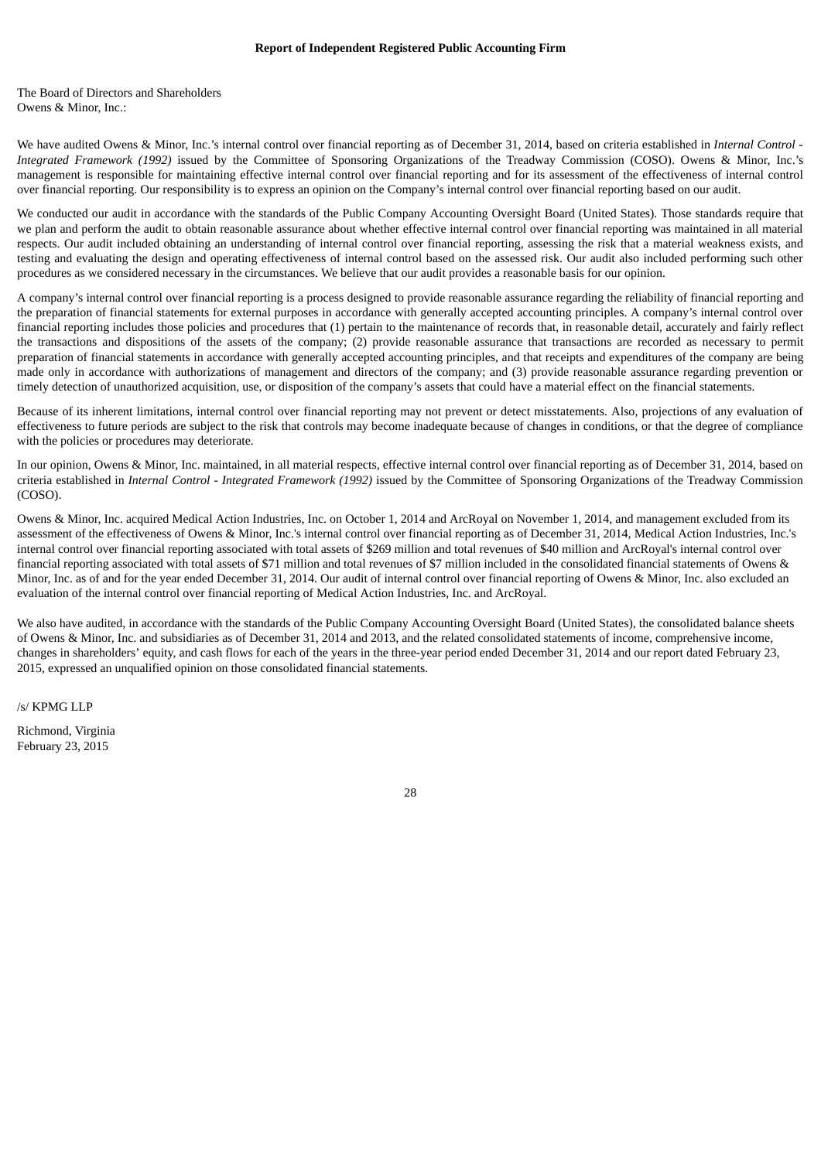The Board of Directors and Shareholders Owens & Minor, Inc.:

We have audited Owens & Minor, Inc.'s internal control over financial reporting as of December 31, 2014, based on criteria established in *Internal Control - Integrated Framework (1992)* issued by the Committee of Sponsoring Organizations of the Treadway Commission (COSO). Owens & Minor, Inc.'s management is responsible for maintaining effective internal control over financial reporting and for its assessment of the effectiveness of internal control over financial reporting. Our responsibility is to express an opinion on the Company's internal control over financial reporting based on our audit.

We conducted our audit in accordance with the standards of the Public Company Accounting Oversight Board (United States). Those standards require that we plan and perform the audit to obtain reasonable assurance about whether effective internal control over financial reporting was maintained in all material respects. Our audit included obtaining an understanding of internal control over financial reporting, assessing the risk that a material weakness exists, and testing and evaluating the design and operating effectiveness of internal control based on the assessed risk. Our audit also included performing such other procedures as we considered necessary in the circumstances. We believe that our audit provides a reasonable basis for our opinion.

A company's internal control over financial reporting is a process designed to provide reasonable assurance regarding the reliability of financial reporting and the preparation of financial statements for external purposes in accordance with generally accepted accounting principles. A company's internal control over financial reporting includes those policies and procedures that (1) pertain to the maintenance of records that, in reasonable detail, accurately and fairly reflect the transactions and dispositions of the assets of the company; (2) provide reasonable assurance that transactions are recorded as necessary to permit preparation of financial statements in accordance with generally accepted accounting principles, and that receipts and expenditures of the company are being made only in accordance with authorizations of management and directors of the company; and (3) provide reasonable assurance regarding prevention or timely detection of unauthorized acquisition, use, or disposition of the company's assets that could have a material effect on the financial statements.

Because of its inherent limitations, internal control over financial reporting may not prevent or detect misstatements. Also, projections of any evaluation of effectiveness to future periods are subject to the risk that controls may become inadequate because of changes in conditions, or that the degree of compliance with the policies or procedures may deteriorate.

In our opinion, Owens & Minor, Inc. maintained, in all material respects, effective internal control over financial reporting as of December 31, 2014, based on criteria established in *Internal Control - Integrated Framework (1992)* issued by the Committee of Sponsoring Organizations of the Treadway Commission (COSO).

Owens & Minor, Inc. acquired Medical Action Industries, Inc. on October 1, 2014 and ArcRoyal on November 1, 2014, and management excluded from its assessment of the effectiveness of Owens & Minor, Inc.'s internal control over financial reporting as of December 31, 2014, Medical Action Industries, Inc.'s internal control over financial reporting associated with total assets of \$269 million and total revenues of \$40 million and ArcRoyal's internal control over financial reporting associated with total assets of \$71 million and total revenues of \$7 million included in the consolidated financial statements of Owens & Minor, Inc. as of and for the year ended December 31, 2014. Our audit of internal control over financial reporting of Owens & Minor, Inc. also excluded an evaluation of the internal control over financial reporting of Medical Action Industries, Inc. and ArcRoyal.

We also have audited, in accordance with the standards of the Public Company Accounting Oversight Board (United States), the consolidated balance sheets of Owens & Minor, Inc. and subsidiaries as of December 31, 2014 and 2013, and the related consolidated statements of income, comprehensive income, changes in shareholders' equity, and cash flows for each of the years in the three-year period ended December 31, 2014 and our report dated February 23, 2015, expressed an unqualified opinion on those consolidated financial statements.

/s/ KPMG LLP

Richmond, Virginia February 23, 2015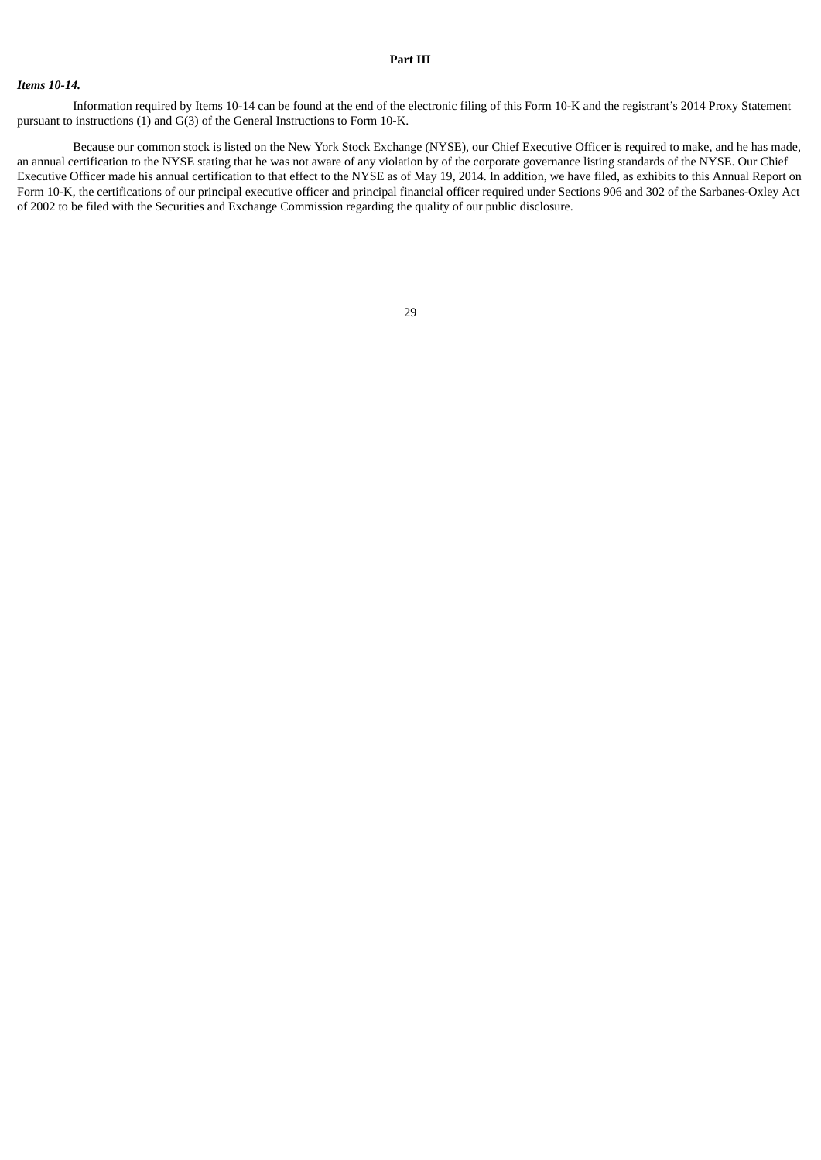#### <span id="page-29-1"></span><span id="page-29-0"></span>*Items 10-14.*

Information required by Items 10-14 can be found at the end of the electronic filing of this Form 10-K and the registrant's 2014 Proxy Statement pursuant to instructions (1) and G(3) of the General Instructions to Form 10-K.

<span id="page-29-7"></span><span id="page-29-6"></span><span id="page-29-5"></span><span id="page-29-4"></span><span id="page-29-3"></span><span id="page-29-2"></span>Because our common stock is listed on the New York Stock Exchange (NYSE), our Chief Executive Officer is required to make, and he has made, an annual certification to the NYSE stating that he was not aware of any violation by of the corporate governance listing standards of the NYSE. Our Chief Executive Officer made his annual certification to that effect to the NYSE as of May 19, 2014. In addition, we have filed, as exhibits to this Annual Report on Form 10-K, the certifications of our principal executive officer and principal financial officer required under Sections 906 and 302 of the Sarbanes-Oxley Act of 2002 to be filed with the Securities and Exchange Commission regarding the quality of our public disclosure.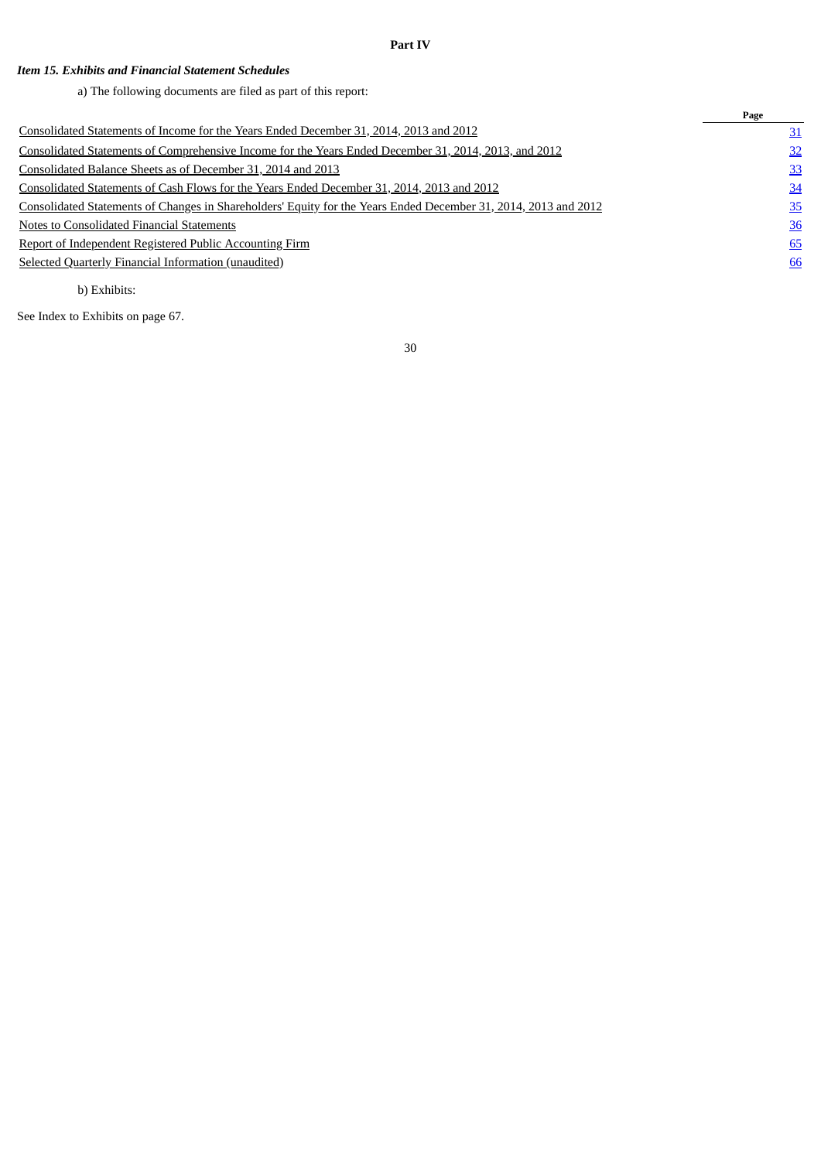# **Part IV**

# <span id="page-30-0"></span>*Item 15. Exhibits and Financial Statement Schedules*

a) The following documents are filed as part of this report:

|                                                                                                                 | Page      |
|-----------------------------------------------------------------------------------------------------------------|-----------|
| Consolidated Statements of Income for the Years Ended December 31, 2014, 2013 and 2012                          | 31        |
| Consolidated Statements of Comprehensive Income for the Years Ended December 31, 2014, 2013, and 2012           | <u>32</u> |
| Consolidated Balance Sheets as of December 31, 2014 and 2013                                                    | 33        |
| Consolidated Statements of Cash Flows for the Years Ended December 31, 2014, 2013 and 2012                      | 34        |
| Consolidated Statements of Changes in Shareholders' Equity for the Years Ended December 31, 2014, 2013 and 2012 | 35        |
| Notes to Consolidated Financial Statements                                                                      | 36        |
| Report of Independent Registered Public Accounting Firm                                                         | 65        |
| Selected Quarterly Financial Information (unaudited)                                                            | 66        |
| b) Exhibits:                                                                                                    |           |

<span id="page-30-1"></span>See Index to Exhibits on page 67.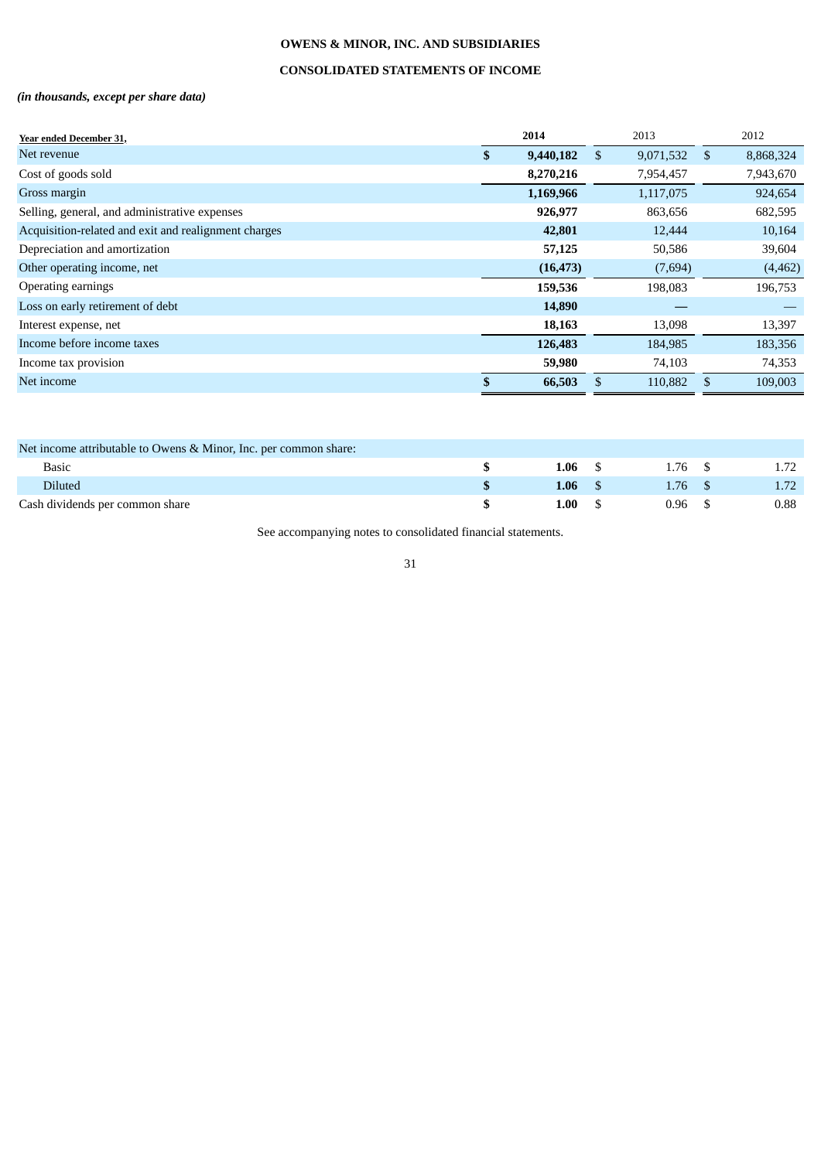# **CONSOLIDATED STATEMENTS OF INCOME**

# *(in thousands, except per share data)*

| Year ended December 31,                              | 2014          |           | 2013 |           | 2012          |           |
|------------------------------------------------------|---------------|-----------|------|-----------|---------------|-----------|
| Net revenue                                          | <sup>\$</sup> | 9,440,182 | \$.  | 9,071,532 | <sup>\$</sup> | 8,868,324 |
| Cost of goods sold                                   |               | 8,270,216 |      | 7,954,457 |               | 7,943,670 |
| Gross margin                                         |               | 1,169,966 |      | 1,117,075 |               | 924,654   |
| Selling, general, and administrative expenses        |               | 926,977   |      | 863,656   |               | 682,595   |
| Acquisition-related and exit and realignment charges |               | 42,801    |      | 12,444    |               | 10,164    |
| Depreciation and amortization                        |               | 57,125    |      | 50,586    |               | 39,604    |
| Other operating income, net                          |               | (16, 473) |      | (7,694)   |               | (4, 462)  |
| <b>Operating earnings</b>                            |               | 159,536   |      | 198,083   |               | 196,753   |
| Loss on early retirement of debt                     |               | 14,890    |      |           |               |           |
| Interest expense, net                                |               | 18,163    |      | 13,098    |               | 13,397    |
| Income before income taxes                           |               | 126,483   |      | 184,985   |               | 183,356   |
| Income tax provision                                 |               | 59,980    |      | 74,103    |               | 74,353    |
| Net income                                           |               | 66,503    |      | 110,882   |               | 109,003   |

<span id="page-31-0"></span>

| Net income attributable to Owens & Minor, Inc. per common share: |      |            |                |
|------------------------------------------------------------------|------|------------|----------------|
| Basic                                                            | 1.06 | 1.76 \$    |                |
| Diluted                                                          | 1.06 | $1.76 - S$ | $1.72^{\circ}$ |
| Cash dividends per common share                                  | 1.00 | $0.96-5$   | $0.88\,$       |

See accompanying notes to consolidated financial statements.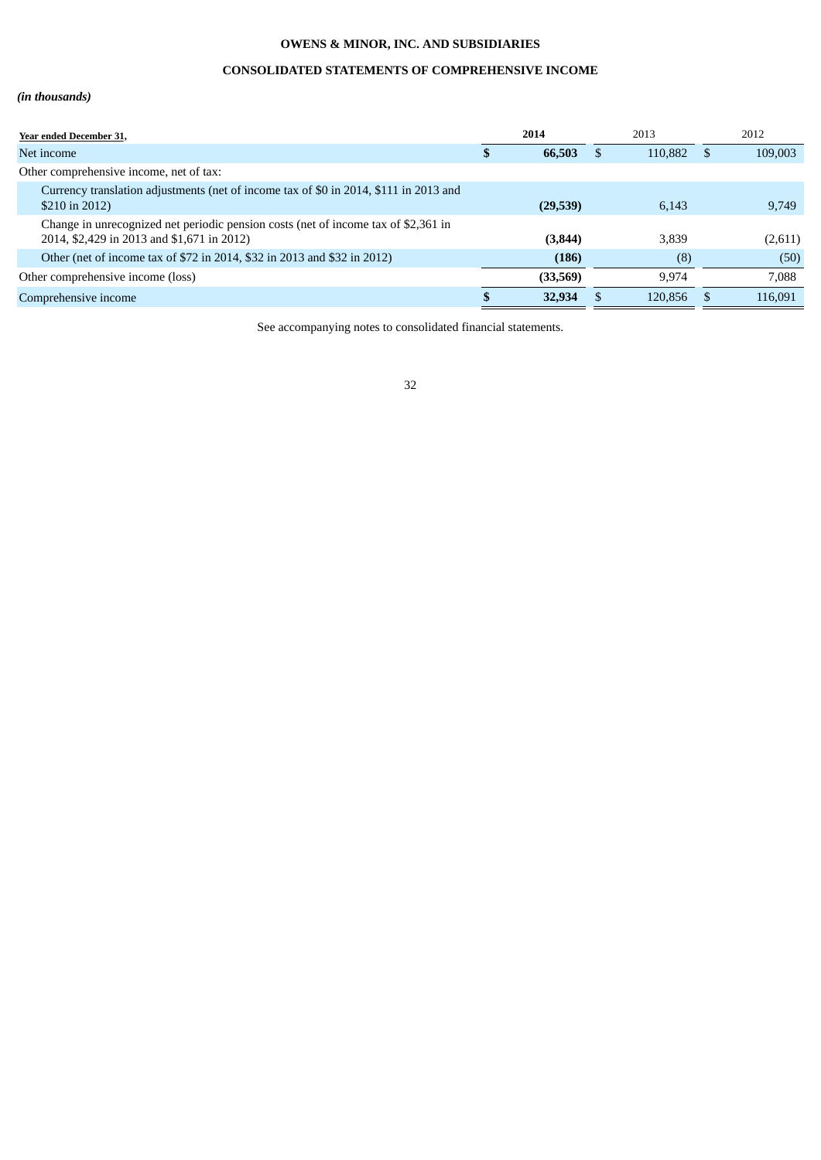# **CONSOLIDATED STATEMENTS OF COMPREHENSIVE INCOME**

# *(in thousands)*

| <b>Year ended December 31.</b>                                                                                                   |   | 2014      | 2013    |    | 2012    |
|----------------------------------------------------------------------------------------------------------------------------------|---|-----------|---------|----|---------|
| Net income                                                                                                                       | ä | 66,503    | 110,882 | £. | 109,003 |
| Other comprehensive income, net of tax:                                                                                          |   |           |         |    |         |
| Currency translation adjustments (net of income tax of \$0 in 2014, \$111 in 2013 and<br>$$210$ in $2012$ )                      |   | (29, 539) | 6.143   |    | 9,749   |
| Change in unrecognized net periodic pension costs (net of income tax of \$2,361 in<br>2014, \$2,429 in 2013 and \$1,671 in 2012) |   | (3, 844)  | 3,839   |    | (2,611) |
| Other (net of income tax of \$72 in 2014, \$32 in 2013 and \$32 in 2012)                                                         |   | (186)     | (8)     |    | (50)    |
| Other comprehensive income (loss)                                                                                                |   | (33, 569) | 9,974   |    | 7,088   |
| Comprehensive income                                                                                                             |   | 32,934    | 120,856 |    | 116,091 |

<span id="page-32-0"></span>See accompanying notes to consolidated financial statements.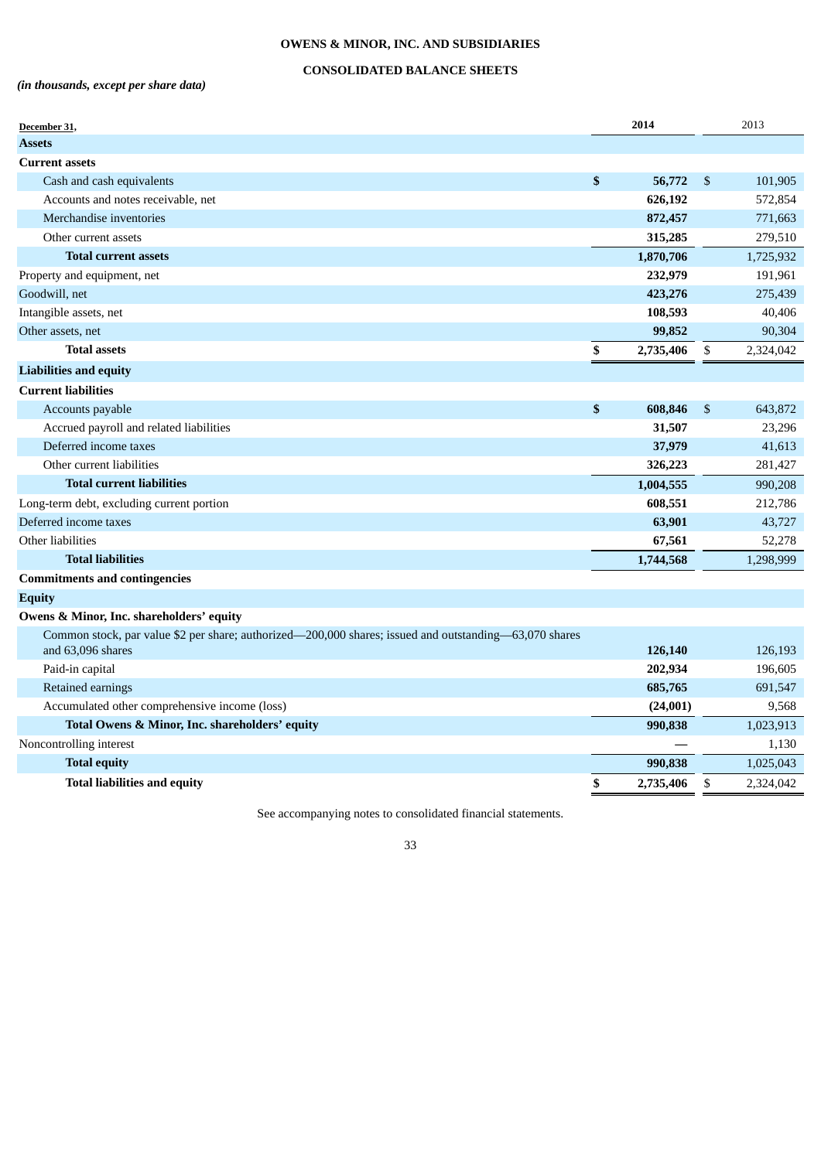# **CONSOLIDATED BALANCE SHEETS**

# *(in thousands, except per share data)*

| December 31,                                                                                                                |            | 2014      |                | 2013      |
|-----------------------------------------------------------------------------------------------------------------------------|------------|-----------|----------------|-----------|
| <b>Assets</b>                                                                                                               |            |           |                |           |
| <b>Current assets</b>                                                                                                       |            |           |                |           |
| Cash and cash equivalents                                                                                                   | $\pmb{\$}$ | 56,772    | $\mathfrak{S}$ | 101,905   |
| Accounts and notes receivable, net                                                                                          |            | 626,192   |                | 572,854   |
| Merchandise inventories                                                                                                     |            | 872,457   |                | 771,663   |
| Other current assets                                                                                                        |            | 315,285   |                | 279,510   |
| <b>Total current assets</b>                                                                                                 |            | 1,870,706 |                | 1,725,932 |
| Property and equipment, net                                                                                                 |            | 232,979   |                | 191,961   |
| Goodwill, net                                                                                                               |            | 423,276   |                | 275,439   |
| Intangible assets, net                                                                                                      |            | 108,593   |                | 40,406    |
| Other assets, net                                                                                                           |            | 99,852    |                | 90,304    |
| <b>Total assets</b>                                                                                                         | \$         | 2,735,406 | \$             | 2,324,042 |
| <b>Liabilities and equity</b>                                                                                               |            |           |                |           |
| <b>Current liabilities</b>                                                                                                  |            |           |                |           |
| Accounts payable                                                                                                            | \$         | 608,846   | $\mathfrak{S}$ | 643,872   |
| Accrued payroll and related liabilities                                                                                     |            | 31,507    |                | 23,296    |
| Deferred income taxes                                                                                                       |            | 37,979    |                | 41,613    |
| Other current liabilities                                                                                                   |            | 326,223   |                | 281,427   |
| <b>Total current liabilities</b>                                                                                            |            | 1,004,555 |                | 990,208   |
| Long-term debt, excluding current portion                                                                                   |            | 608,551   |                | 212,786   |
| Deferred income taxes                                                                                                       |            | 63,901    |                | 43,727    |
| Other liabilities                                                                                                           |            | 67,561    |                | 52,278    |
| <b>Total liabilities</b>                                                                                                    |            | 1,744,568 |                | 1,298,999 |
| <b>Commitments and contingencies</b>                                                                                        |            |           |                |           |
| <b>Equity</b>                                                                                                               |            |           |                |           |
| Owens & Minor, Inc. shareholders' equity                                                                                    |            |           |                |           |
| Common stock, par value \$2 per share; authorized—200,000 shares; issued and outstanding—63,070 shares<br>and 63,096 shares |            | 126,140   |                | 126,193   |
| Paid-in capital                                                                                                             |            | 202,934   |                | 196,605   |
| Retained earnings                                                                                                           |            | 685,765   |                | 691,547   |
| Accumulated other comprehensive income (loss)                                                                               |            | (24,001)  |                | 9,568     |
| Total Owens & Minor, Inc. shareholders' equity                                                                              |            | 990,838   |                | 1,023,913 |
| Noncontrolling interest                                                                                                     |            |           |                | 1,130     |
| <b>Total equity</b>                                                                                                         |            | 990,838   |                | 1,025,043 |
| <b>Total liabilities and equity</b>                                                                                         | \$         | 2,735,406 | \$             | 2,324,042 |
|                                                                                                                             |            |           |                |           |

<span id="page-33-0"></span>See accompanying notes to consolidated financial statements.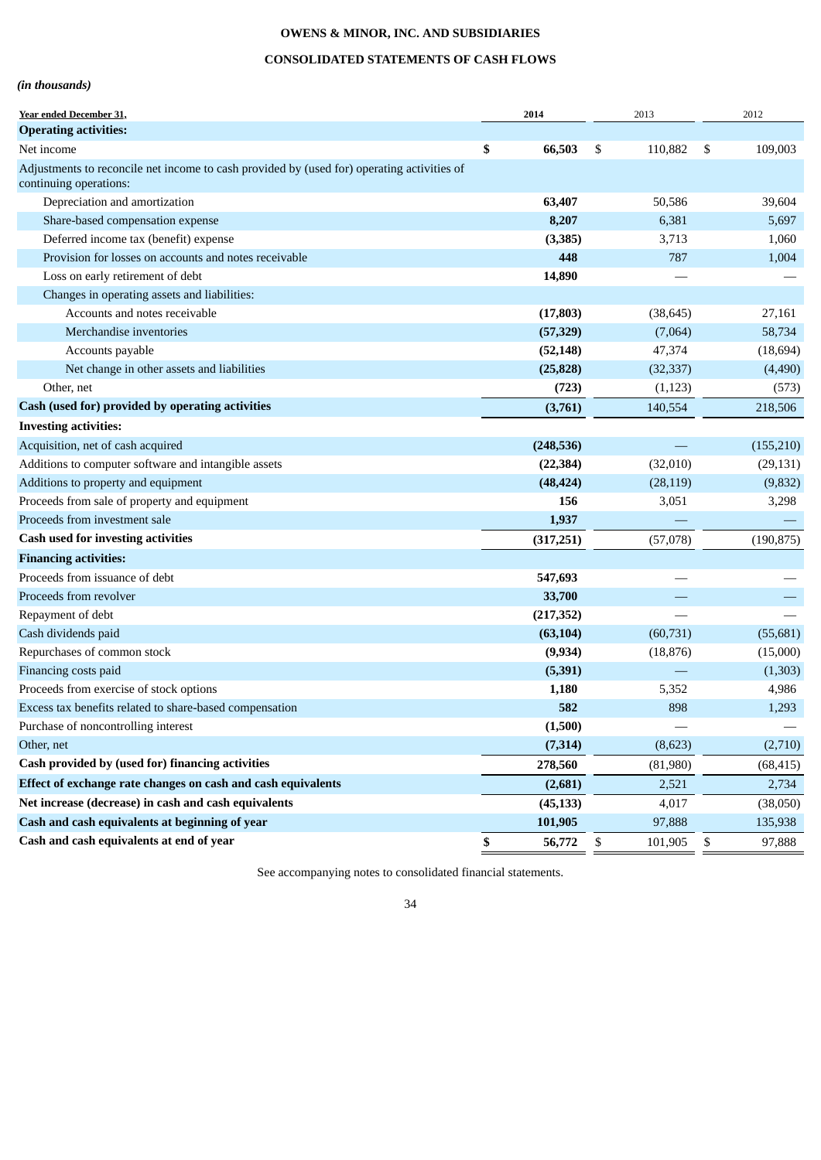# **CONSOLIDATED STATEMENTS OF CASH FLOWS**

# *(in thousands)*

| <b>Year ended December 31,</b>                                                                                       | 2014         | 2013          | 2012          |
|----------------------------------------------------------------------------------------------------------------------|--------------|---------------|---------------|
| <b>Operating activities:</b>                                                                                         |              |               |               |
| Net income                                                                                                           | \$<br>66,503 | \$<br>110,882 | \$<br>109,003 |
| Adjustments to reconcile net income to cash provided by (used for) operating activities of<br>continuing operations: |              |               |               |
| Depreciation and amortization                                                                                        | 63,407       | 50,586        | 39,604        |
| Share-based compensation expense                                                                                     | 8,207        | 6,381         | 5,697         |
| Deferred income tax (benefit) expense                                                                                | (3, 385)     | 3,713         | 1,060         |
| Provision for losses on accounts and notes receivable                                                                | 448          | 787           | 1,004         |
| Loss on early retirement of debt                                                                                     | 14,890       |               |               |
| Changes in operating assets and liabilities:                                                                         |              |               |               |
| Accounts and notes receivable                                                                                        | (17, 803)    | (38, 645)     | 27,161        |
| Merchandise inventories                                                                                              | (57, 329)    | (7,064)       | 58,734        |
| Accounts payable                                                                                                     | (52, 148)    | 47,374        | (18, 694)     |
| Net change in other assets and liabilities                                                                           | (25, 828)    | (32, 337)     | (4, 490)      |
| Other, net                                                                                                           | (723)        | (1, 123)      | (573)         |
| Cash (used for) provided by operating activities                                                                     | (3,761)      | 140,554       | 218,506       |
| <b>Investing activities:</b>                                                                                         |              |               |               |
| Acquisition, net of cash acquired                                                                                    | (248, 536)   |               | (155, 210)    |
| Additions to computer software and intangible assets                                                                 | (22, 384)    | (32,010)      | (29, 131)     |
| Additions to property and equipment                                                                                  | (48, 424)    | (28, 119)     | (9, 832)      |
| Proceeds from sale of property and equipment                                                                         | 156          | 3,051         | 3,298         |
| Proceeds from investment sale                                                                                        | 1,937        |               |               |
| <b>Cash used for investing activities</b>                                                                            | (317, 251)   | (57,078)      | (190, 875)    |
| <b>Financing activities:</b>                                                                                         |              |               |               |
| Proceeds from issuance of debt                                                                                       | 547,693      |               |               |
| Proceeds from revolver                                                                                               | 33,700       |               |               |
| Repayment of debt                                                                                                    | (217, 352)   |               |               |
| Cash dividends paid                                                                                                  | (63, 104)    | (60, 731)     | (55,681)      |
| Repurchases of common stock                                                                                          | (9, 934)     | (18, 876)     | (15,000)      |
| Financing costs paid                                                                                                 | (5, 391)     |               | (1, 303)      |
| Proceeds from exercise of stock options                                                                              | 1,180        | 5,352         | 4,986         |
| Excess tax benefits related to share-based compensation                                                              | 582          | 898           | 1,293         |
| Purchase of noncontrolling interest                                                                                  | (1,500)      |               |               |
| Other, net                                                                                                           | (7, 314)     | (8,623)       | (2,710)       |
| Cash provided by (used for) financing activities                                                                     | 278,560      | (81,980)      | (68, 415)     |
| Effect of exchange rate changes on cash and cash equivalents                                                         | (2,681)      | 2,521         | 2,734         |
| Net increase (decrease) in cash and cash equivalents                                                                 | (45, 133)    | 4,017         | (38,050)      |
| Cash and cash equivalents at beginning of year                                                                       | 101,905      | 97,888        | 135,938       |
| Cash and cash equivalents at end of year                                                                             | \$<br>56,772 | \$<br>101,905 | \$<br>97,888  |

<span id="page-34-0"></span>See accompanying notes to consolidated financial statements.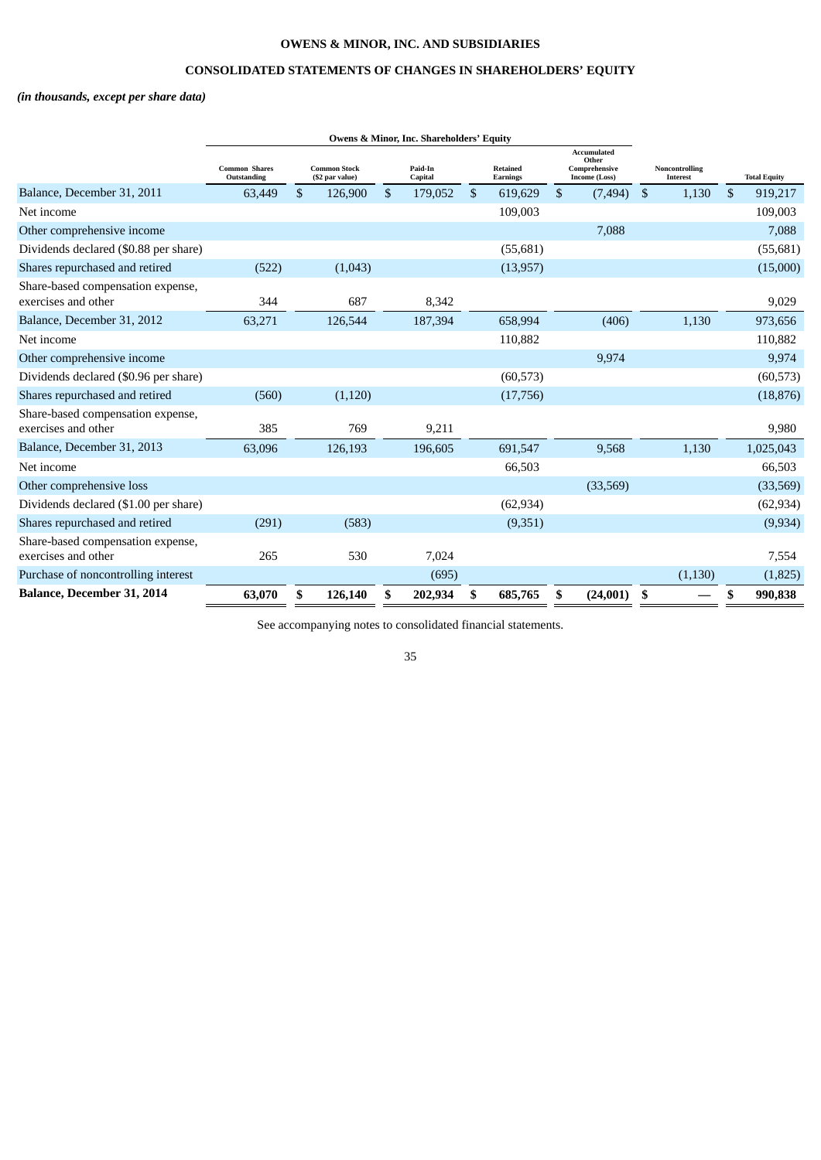# **CONSOLIDATED STATEMENTS OF CHANGES IN SHAREHOLDERS' EQUITY**

*(in thousands, except per share data)*

|                                                          | Owens & Minor, Inc. Shareholders' Equity |    |                                        |    |                    |              |                                    |    |                                                               |                                   |                     |
|----------------------------------------------------------|------------------------------------------|----|----------------------------------------|----|--------------------|--------------|------------------------------------|----|---------------------------------------------------------------|-----------------------------------|---------------------|
|                                                          | <b>Common Shares</b><br>Outstanding      |    | <b>Common Stock</b><br>(\$2 par value) |    | Paid-In<br>Capital |              | <b>Retained</b><br><b>Earnings</b> |    | Accumulated<br>Other<br>Comprehensive<br><b>Income (Loss)</b> | Noncontrolling<br><b>Interest</b> | <b>Total Equity</b> |
| Balance, December 31, 2011                               | 63,449                                   | \$ | 126,900                                | \$ | 179,052            | $\mathbb{S}$ | 619,629                            | \$ | (7, 494)                                                      | \$<br>1,130                       | \$<br>919,217       |
| Net income                                               |                                          |    |                                        |    |                    |              | 109,003                            |    |                                                               |                                   | 109,003             |
| Other comprehensive income                               |                                          |    |                                        |    |                    |              |                                    |    | 7,088                                                         |                                   | 7,088               |
| Dividends declared (\$0.88 per share)                    |                                          |    |                                        |    |                    |              | (55, 681)                          |    |                                                               |                                   | (55, 681)           |
| Shares repurchased and retired                           | (522)                                    |    | (1,043)                                |    |                    |              | (13,957)                           |    |                                                               |                                   | (15,000)            |
| Share-based compensation expense,<br>exercises and other | 344                                      |    | 687                                    |    | 8,342              |              |                                    |    |                                                               |                                   | 9,029               |
| Balance, December 31, 2012                               | 63,271                                   |    | 126,544                                |    | 187,394            |              | 658,994                            |    | (406)                                                         | 1,130                             | 973,656             |
| Net income                                               |                                          |    |                                        |    |                    |              | 110,882                            |    |                                                               |                                   | 110,882             |
| Other comprehensive income                               |                                          |    |                                        |    |                    |              |                                    |    | 9,974                                                         |                                   | 9,974               |
| Dividends declared (\$0.96 per share)                    |                                          |    |                                        |    |                    |              | (60, 573)                          |    |                                                               |                                   | (60, 573)           |
| Shares repurchased and retired                           | (560)                                    |    | (1,120)                                |    |                    |              | (17,756)                           |    |                                                               |                                   | (18, 876)           |
| Share-based compensation expense,<br>exercises and other | 385                                      |    | 769                                    |    | 9,211              |              |                                    |    |                                                               |                                   | 9,980               |
| Balance, December 31, 2013                               | 63,096                                   |    | 126,193                                |    | 196,605            |              | 691,547                            |    | 9,568                                                         | 1,130                             | 1,025,043           |
| Net income                                               |                                          |    |                                        |    |                    |              | 66,503                             |    |                                                               |                                   | 66,503              |
| Other comprehensive loss                                 |                                          |    |                                        |    |                    |              |                                    |    | (33,569)                                                      |                                   | (33, 569)           |
| Dividends declared (\$1.00 per share)                    |                                          |    |                                        |    |                    |              | (62, 934)                          |    |                                                               |                                   | (62, 934)           |
| Shares repurchased and retired                           | (291)                                    |    | (583)                                  |    |                    |              | (9,351)                            |    |                                                               |                                   | (9, 934)            |
| Share-based compensation expense,<br>exercises and other | 265                                      |    | 530                                    |    | 7,024              |              |                                    |    |                                                               |                                   | 7,554               |
| Purchase of noncontrolling interest                      |                                          |    |                                        |    | (695)              |              |                                    |    |                                                               | (1, 130)                          | (1,825)             |
| Balance, December 31, 2014                               | 63,070                                   | \$ | 126,140                                | \$ | 202,934            | \$           | 685,765                            | \$ | (24,001)                                                      | \$                                | \$<br>990,838       |

<span id="page-35-0"></span>See accompanying notes to consolidated financial statements.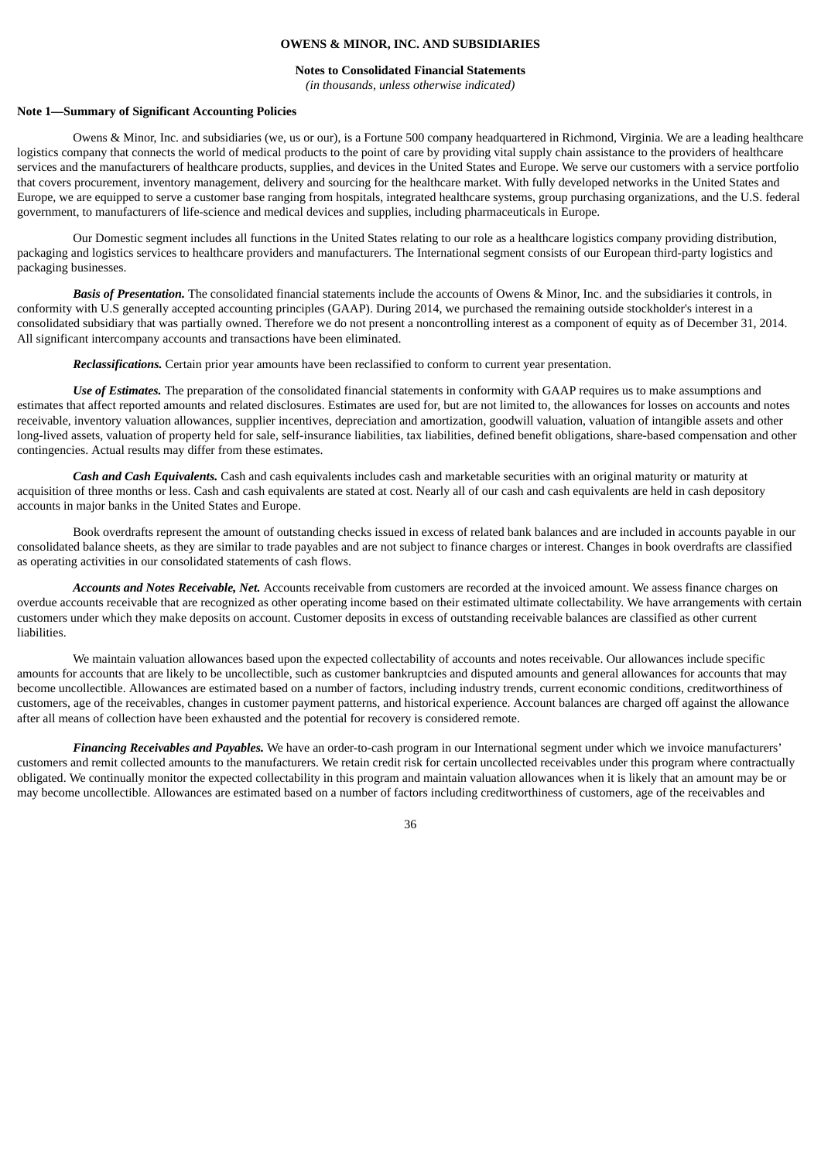## **OWENS & MINOR, INC. AND SUBSIDIARIES**

## **Notes to Consolidated Financial Statements**

*(in thousands, unless otherwise indicated)*

### **Note 1—Summary of Significant Accounting Policies**

Owens & Minor, Inc. and subsidiaries (we, us or our), is a Fortune 500 company headquartered in Richmond, Virginia. We are a leading healthcare logistics company that connects the world of medical products to the point of care by providing vital supply chain assistance to the providers of healthcare services and the manufacturers of healthcare products, supplies, and devices in the United States and Europe. We serve our customers with a service portfolio that covers procurement, inventory management, delivery and sourcing for the healthcare market. With fully developed networks in the United States and Europe, we are equipped to serve a customer base ranging from hospitals, integrated healthcare systems, group purchasing organizations, and the U.S. federal government, to manufacturers of life-science and medical devices and supplies, including pharmaceuticals in Europe.

Our Domestic segment includes all functions in the United States relating to our role as a healthcare logistics company providing distribution, packaging and logistics services to healthcare providers and manufacturers. The International segment consists of our European third-party logistics and packaging businesses.

*Basis of Presentation.* The consolidated financial statements include the accounts of Owens & Minor, Inc. and the subsidiaries it controls, in conformity with U.S generally accepted accounting principles (GAAP). During 2014, we purchased the remaining outside stockholder's interest in a consolidated subsidiary that was partially owned. Therefore we do not present a noncontrolling interest as a component of equity as of December 31, 2014. All significant intercompany accounts and transactions have been eliminated.

*Reclassifications.* Certain prior year amounts have been reclassified to conform to current year presentation.

*Use of Estimates.* The preparation of the consolidated financial statements in conformity with GAAP requires us to make assumptions and estimates that affect reported amounts and related disclosures. Estimates are used for, but are not limited to, the allowances for losses on accounts and notes receivable, inventory valuation allowances, supplier incentives, depreciation and amortization, goodwill valuation, valuation of intangible assets and other long-lived assets, valuation of property held for sale, self-insurance liabilities, tax liabilities, defined benefit obligations, share-based compensation and other contingencies. Actual results may differ from these estimates.

*Cash and Cash Equivalents.* Cash and cash equivalents includes cash and marketable securities with an original maturity or maturity at acquisition of three months or less. Cash and cash equivalents are stated at cost. Nearly all of our cash and cash equivalents are held in cash depository accounts in major banks in the United States and Europe.

Book overdrafts represent the amount of outstanding checks issued in excess of related bank balances and are included in accounts payable in our consolidated balance sheets, as they are similar to trade payables and are not subject to finance charges or interest. Changes in book overdrafts are classified as operating activities in our consolidated statements of cash flows.

*Accounts and Notes Receivable, Net.* Accounts receivable from customers are recorded at the invoiced amount. We assess finance charges on overdue accounts receivable that are recognized as other operating income based on their estimated ultimate collectability. We have arrangements with certain customers under which they make deposits on account. Customer deposits in excess of outstanding receivable balances are classified as other current liabilities.

We maintain valuation allowances based upon the expected collectability of accounts and notes receivable. Our allowances include specific amounts for accounts that are likely to be uncollectible, such as customer bankruptcies and disputed amounts and general allowances for accounts that may become uncollectible. Allowances are estimated based on a number of factors, including industry trends, current economic conditions, creditworthiness of customers, age of the receivables, changes in customer payment patterns, and historical experience. Account balances are charged off against the allowance after all means of collection have been exhausted and the potential for recovery is considered remote.

*Financing Receivables and Payables.* We have an order-to-cash program in our International segment under which we invoice manufacturers' customers and remit collected amounts to the manufacturers. We retain credit risk for certain uncollected receivables under this program where contractually obligated. We continually monitor the expected collectability in this program and maintain valuation allowances when it is likely that an amount may be or may become uncollectible. Allowances are estimated based on a number of factors including creditworthiness of customers, age of the receivables and

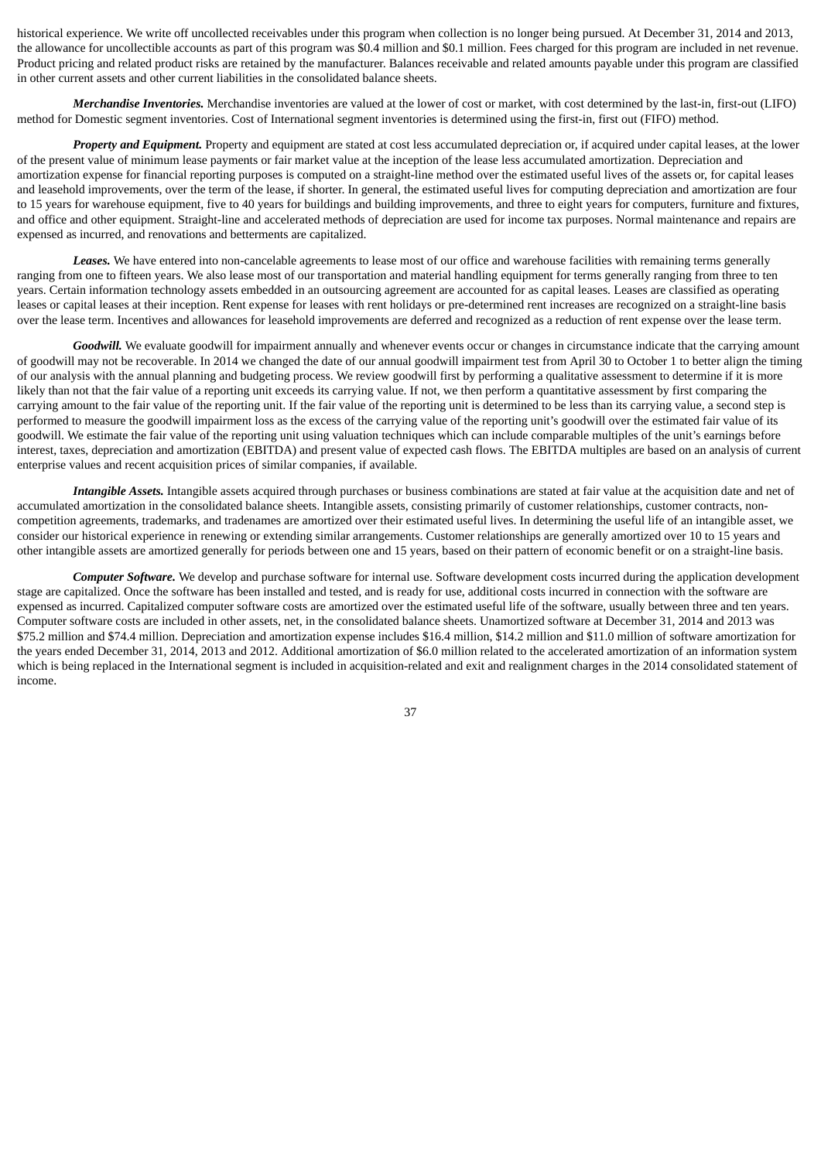historical experience. We write off uncollected receivables under this program when collection is no longer being pursued. At December 31, 2014 and 2013, the allowance for uncollectible accounts as part of this program was \$0.4 million and \$0.1 million. Fees charged for this program are included in net revenue. Product pricing and related product risks are retained by the manufacturer. Balances receivable and related amounts payable under this program are classified in other current assets and other current liabilities in the consolidated balance sheets.

*Merchandise Inventories.* Merchandise inventories are valued at the lower of cost or market, with cost determined by the last-in, first-out (LIFO) method for Domestic segment inventories. Cost of International segment inventories is determined using the first-in, first out (FIFO) method.

*Property and Equipment.* Property and equipment are stated at cost less accumulated depreciation or, if acquired under capital leases, at the lower of the present value of minimum lease payments or fair market value at the inception of the lease less accumulated amortization. Depreciation and amortization expense for financial reporting purposes is computed on a straight-line method over the estimated useful lives of the assets or, for capital leases and leasehold improvements, over the term of the lease, if shorter. In general, the estimated useful lives for computing depreciation and amortization are four to 15 years for warehouse equipment, five to 40 years for buildings and building improvements, and three to eight years for computers, furniture and fixtures, and office and other equipment. Straight-line and accelerated methods of depreciation are used for income tax purposes. Normal maintenance and repairs are expensed as incurred, and renovations and betterments are capitalized.

*Leases.* We have entered into non-cancelable agreements to lease most of our office and warehouse facilities with remaining terms generally ranging from one to fifteen years. We also lease most of our transportation and material handling equipment for terms generally ranging from three to ten years. Certain information technology assets embedded in an outsourcing agreement are accounted for as capital leases. Leases are classified as operating leases or capital leases at their inception. Rent expense for leases with rent holidays or pre-determined rent increases are recognized on a straight-line basis over the lease term. Incentives and allowances for leasehold improvements are deferred and recognized as a reduction of rent expense over the lease term.

Goodwill. We evaluate goodwill for impairment annually and whenever events occur or changes in circumstance indicate that the carrying amount of goodwill may not be recoverable. In 2014 we changed the date of our annual goodwill impairment test from April 30 to October 1 to better align the timing of our analysis with the annual planning and budgeting process. We review goodwill first by performing a qualitative assessment to determine if it is more likely than not that the fair value of a reporting unit exceeds its carrying value. If not, we then perform a quantitative assessment by first comparing the carrying amount to the fair value of the reporting unit. If the fair value of the reporting unit is determined to be less than its carrying value, a second step is performed to measure the goodwill impairment loss as the excess of the carrying value of the reporting unit's goodwill over the estimated fair value of its goodwill. We estimate the fair value of the reporting unit using valuation techniques which can include comparable multiples of the unit's earnings before interest, taxes, depreciation and amortization (EBITDA) and present value of expected cash flows. The EBITDA multiples are based on an analysis of current enterprise values and recent acquisition prices of similar companies, if available.

*Intangible Assets.* Intangible assets acquired through purchases or business combinations are stated at fair value at the acquisition date and net of accumulated amortization in the consolidated balance sheets. Intangible assets, consisting primarily of customer relationships, customer contracts, noncompetition agreements, trademarks, and tradenames are amortized over their estimated useful lives. In determining the useful life of an intangible asset, we consider our historical experience in renewing or extending similar arrangements. Customer relationships are generally amortized over 10 to 15 years and other intangible assets are amortized generally for periods between one and 15 years, based on their pattern of economic benefit or on a straight-line basis.

*Computer Software.* We develop and purchase software for internal use. Software development costs incurred during the application development stage are capitalized. Once the software has been installed and tested, and is ready for use, additional costs incurred in connection with the software are expensed as incurred. Capitalized computer software costs are amortized over the estimated useful life of the software, usually between three and ten years. Computer software costs are included in other assets, net, in the consolidated balance sheets. Unamortized software at December 31, 2014 and 2013 was \$75.2 million and \$74.4 million. Depreciation and amortization expense includes \$16.4 million, \$14.2 million and \$11.0 million of software amortization for the years ended December 31, 2014, 2013 and 2012. Additional amortization of \$6.0 million related to the accelerated amortization of an information system which is being replaced in the International segment is included in acquisition-related and exit and realignment charges in the 2014 consolidated statement of income.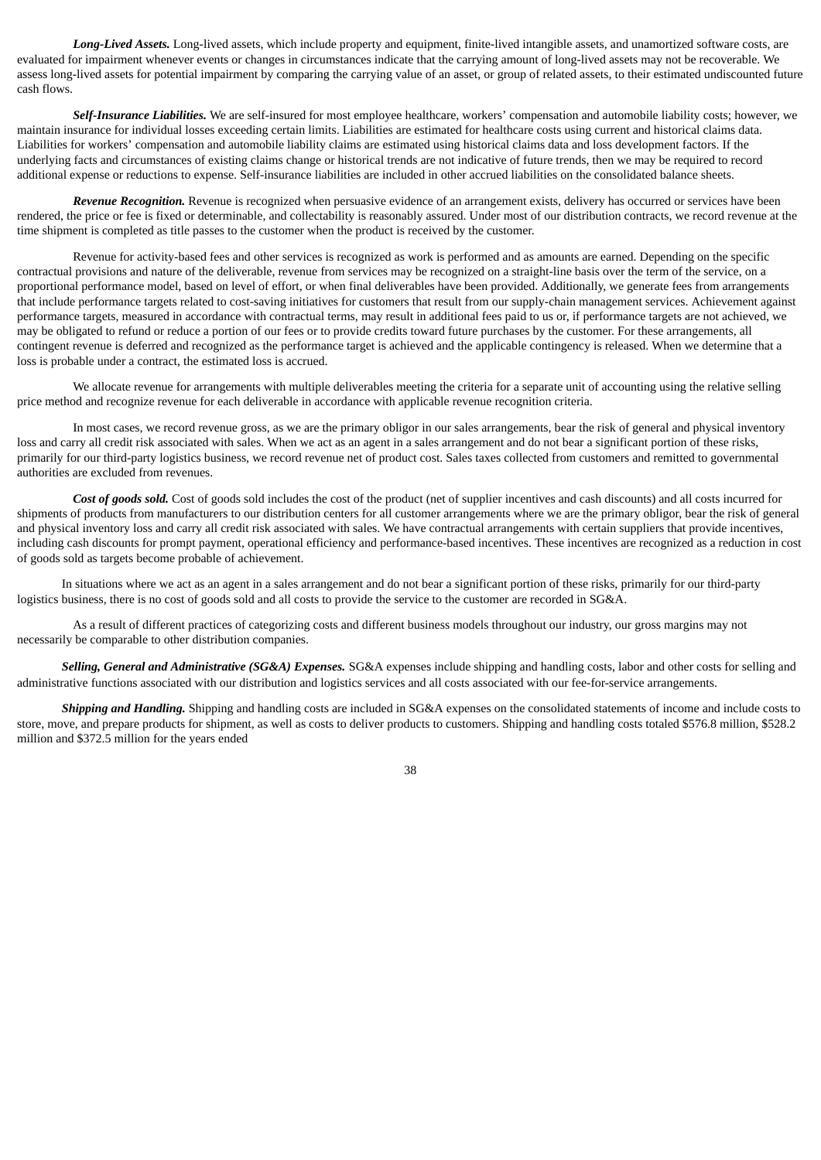*Long-Lived Assets.* Long-lived assets, which include property and equipment, finite-lived intangible assets, and unamortized software costs, are evaluated for impairment whenever events or changes in circumstances indicate that the carrying amount of long-lived assets may not be recoverable. We assess long-lived assets for potential impairment by comparing the carrying value of an asset, or group of related assets, to their estimated undiscounted future cash flows.

*Self-Insurance Liabilities.* We are self-insured for most employee healthcare, workers' compensation and automobile liability costs; however, we maintain insurance for individual losses exceeding certain limits. Liabilities are estimated for healthcare costs using current and historical claims data. Liabilities for workers' compensation and automobile liability claims are estimated using historical claims data and loss development factors. If the underlying facts and circumstances of existing claims change or historical trends are not indicative of future trends, then we may be required to record additional expense or reductions to expense. Self-insurance liabilities are included in other accrued liabilities on the consolidated balance sheets.

*Revenue Recognition.* Revenue is recognized when persuasive evidence of an arrangement exists, delivery has occurred or services have been rendered, the price or fee is fixed or determinable, and collectability is reasonably assured. Under most of our distribution contracts, we record revenue at the time shipment is completed as title passes to the customer when the product is received by the customer.

Revenue for activity-based fees and other services is recognized as work is performed and as amounts are earned. Depending on the specific contractual provisions and nature of the deliverable, revenue from services may be recognized on a straight-line basis over the term of the service, on a proportional performance model, based on level of effort, or when final deliverables have been provided. Additionally, we generate fees from arrangements that include performance targets related to cost-saving initiatives for customers that result from our supply-chain management services. Achievement against performance targets, measured in accordance with contractual terms, may result in additional fees paid to us or, if performance targets are not achieved, we may be obligated to refund or reduce a portion of our fees or to provide credits toward future purchases by the customer. For these arrangements, all contingent revenue is deferred and recognized as the performance target is achieved and the applicable contingency is released. When we determine that a loss is probable under a contract, the estimated loss is accrued.

We allocate revenue for arrangements with multiple deliverables meeting the criteria for a separate unit of accounting using the relative selling price method and recognize revenue for each deliverable in accordance with applicable revenue recognition criteria.

In most cases, we record revenue gross, as we are the primary obligor in our sales arrangements, bear the risk of general and physical inventory loss and carry all credit risk associated with sales. When we act as an agent in a sales arrangement and do not bear a significant portion of these risks, primarily for our third-party logistics business, we record revenue net of product cost. Sales taxes collected from customers and remitted to governmental authorities are excluded from revenues.

*Cost of goods sold.* Cost of goods sold includes the cost of the product (net of supplier incentives and cash discounts) and all costs incurred for shipments of products from manufacturers to our distribution centers for all customer arrangements where we are the primary obligor, bear the risk of general and physical inventory loss and carry all credit risk associated with sales. We have contractual arrangements with certain suppliers that provide incentives, including cash discounts for prompt payment, operational efficiency and performance-based incentives. These incentives are recognized as a reduction in cost of goods sold as targets become probable of achievement.

In situations where we act as an agent in a sales arrangement and do not bear a significant portion of these risks, primarily for our third-party logistics business, there is no cost of goods sold and all costs to provide the service to the customer are recorded in SG&A.

As a result of different practices of categorizing costs and different business models throughout our industry, our gross margins may not necessarily be comparable to other distribution companies.

*Selling, General and Administrative (SG&A) Expenses.* SG&A expenses include shipping and handling costs, labor and other costs for selling and administrative functions associated with our distribution and logistics services and all costs associated with our fee-for-service arrangements.

*Shipping and Handling.* Shipping and handling costs are included in SG&A expenses on the consolidated statements of income and include costs to store, move, and prepare products for shipment, as well as costs to deliver products to customers. Shipping and handling costs totaled \$576.8 million, \$528.2 million and \$372.5 million for the years ended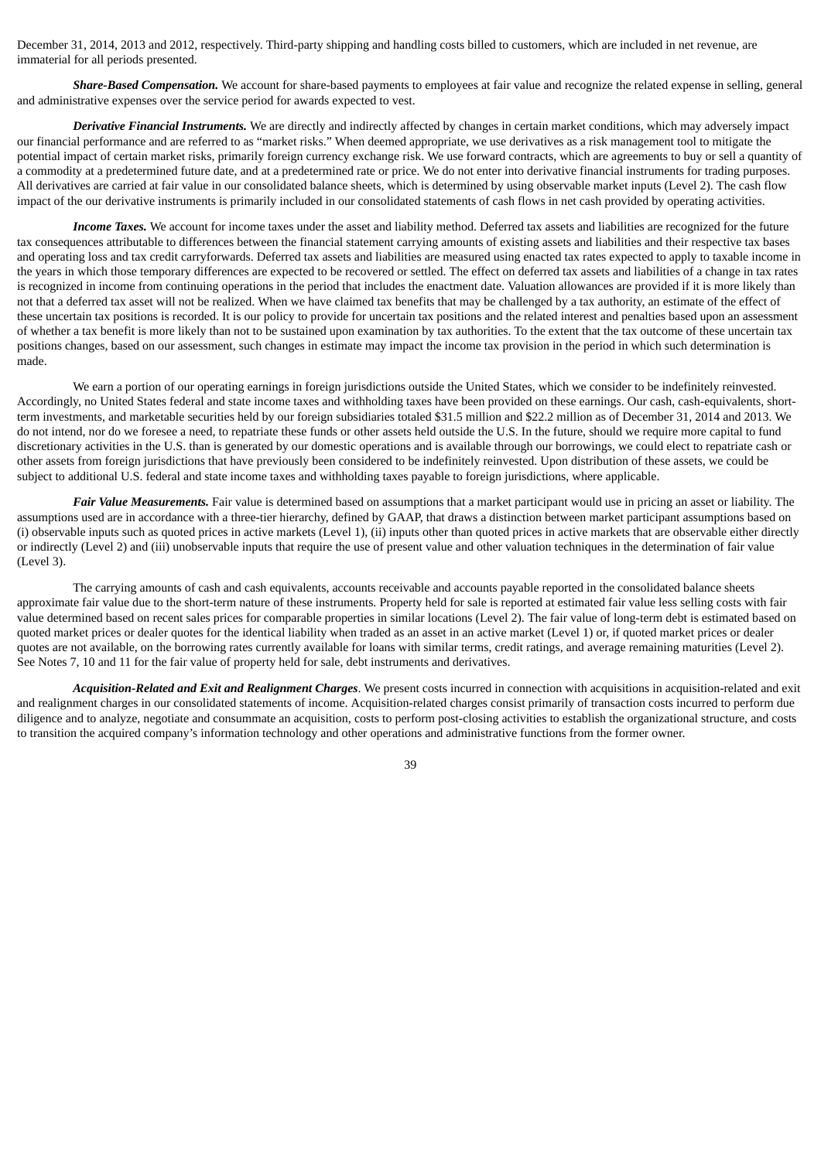December 31, 2014, 2013 and 2012, respectively. Third-party shipping and handling costs billed to customers, which are included in net revenue, are immaterial for all periods presented.

*Share-Based Compensation.* We account for share-based payments to employees at fair value and recognize the related expense in selling, general and administrative expenses over the service period for awards expected to vest.

*Derivative Financial Instruments.* We are directly and indirectly affected by changes in certain market conditions, which may adversely impact our financial performance and are referred to as "market risks." When deemed appropriate, we use derivatives as a risk management tool to mitigate the potential impact of certain market risks, primarily foreign currency exchange risk. We use forward contracts, which are agreements to buy or sell a quantity of a commodity at a predetermined future date, and at a predetermined rate or price. We do not enter into derivative financial instruments for trading purposes. All derivatives are carried at fair value in our consolidated balance sheets, which is determined by using observable market inputs (Level 2). The cash flow impact of the our derivative instruments is primarily included in our consolidated statements of cash flows in net cash provided by operating activities.

*Income Taxes.* We account for income taxes under the asset and liability method. Deferred tax assets and liabilities are recognized for the future tax consequences attributable to differences between the financial statement carrying amounts of existing assets and liabilities and their respective tax bases and operating loss and tax credit carryforwards. Deferred tax assets and liabilities are measured using enacted tax rates expected to apply to taxable income in the years in which those temporary differences are expected to be recovered or settled. The effect on deferred tax assets and liabilities of a change in tax rates is recognized in income from continuing operations in the period that includes the enactment date. Valuation allowances are provided if it is more likely than not that a deferred tax asset will not be realized. When we have claimed tax benefits that may be challenged by a tax authority, an estimate of the effect of these uncertain tax positions is recorded. It is our policy to provide for uncertain tax positions and the related interest and penalties based upon an assessment of whether a tax benefit is more likely than not to be sustained upon examination by tax authorities. To the extent that the tax outcome of these uncertain tax positions changes, based on our assessment, such changes in estimate may impact the income tax provision in the period in which such determination is made.

We earn a portion of our operating earnings in foreign jurisdictions outside the United States, which we consider to be indefinitely reinvested. Accordingly, no United States federal and state income taxes and withholding taxes have been provided on these earnings. Our cash, cash-equivalents, shortterm investments, and marketable securities held by our foreign subsidiaries totaled \$31.5 million and \$22.2 million as of December 31, 2014 and 2013. We do not intend, nor do we foresee a need, to repatriate these funds or other assets held outside the U.S. In the future, should we require more capital to fund discretionary activities in the U.S. than is generated by our domestic operations and is available through our borrowings, we could elect to repatriate cash or other assets from foreign jurisdictions that have previously been considered to be indefinitely reinvested. Upon distribution of these assets, we could be subject to additional U.S. federal and state income taxes and withholding taxes payable to foreign jurisdictions, where applicable.

*Fair Value Measurements.* Fair value is determined based on assumptions that a market participant would use in pricing an asset or liability. The assumptions used are in accordance with a three-tier hierarchy, defined by GAAP, that draws a distinction between market participant assumptions based on (i) observable inputs such as quoted prices in active markets (Level 1), (ii) inputs other than quoted prices in active markets that are observable either directly or indirectly (Level 2) and (iii) unobservable inputs that require the use of present value and other valuation techniques in the determination of fair value (Level 3).

The carrying amounts of cash and cash equivalents, accounts receivable and accounts payable reported in the consolidated balance sheets approximate fair value due to the short-term nature of these instruments. Property held for sale is reported at estimated fair value less selling costs with fair value determined based on recent sales prices for comparable properties in similar locations (Level 2). The fair value of long-term debt is estimated based on quoted market prices or dealer quotes for the identical liability when traded as an asset in an active market (Level 1) or, if quoted market prices or dealer quotes are not available, on the borrowing rates currently available for loans with similar terms, credit ratings, and average remaining maturities (Level 2). See Notes 7, 10 and 11 for the fair value of property held for sale, debt instruments and derivatives.

*Acquisition-Related and Exit and Realignment Charges*. We present costs incurred in connection with acquisitions in acquisition-related and exit and realignment charges in our consolidated statements of income. Acquisition-related charges consist primarily of transaction costs incurred to perform due diligence and to analyze, negotiate and consummate an acquisition, costs to perform post-closing activities to establish the organizational structure, and costs to transition the acquired company's information technology and other operations and administrative functions from the former owner.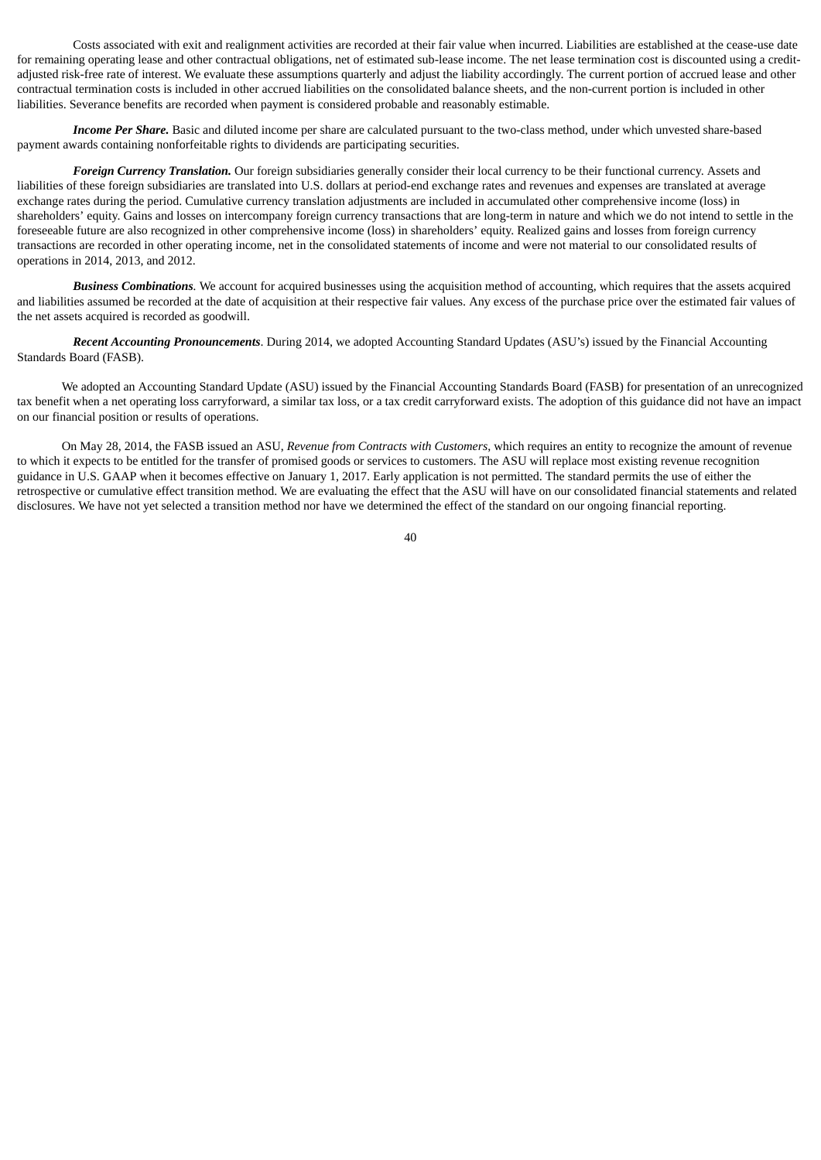Costs associated with exit and realignment activities are recorded at their fair value when incurred. Liabilities are established at the cease-use date for remaining operating lease and other contractual obligations, net of estimated sub-lease income. The net lease termination cost is discounted using a creditadjusted risk-free rate of interest. We evaluate these assumptions quarterly and adjust the liability accordingly. The current portion of accrued lease and other contractual termination costs is included in other accrued liabilities on the consolidated balance sheets, and the non-current portion is included in other liabilities. Severance benefits are recorded when payment is considered probable and reasonably estimable.

*Income Per Share.* Basic and diluted income per share are calculated pursuant to the two-class method, under which unvested share-based payment awards containing nonforfeitable rights to dividends are participating securities.

*Foreign Currency Translation.* Our foreign subsidiaries generally consider their local currency to be their functional currency. Assets and liabilities of these foreign subsidiaries are translated into U.S. dollars at period-end exchange rates and revenues and expenses are translated at average exchange rates during the period. Cumulative currency translation adjustments are included in accumulated other comprehensive income (loss) in shareholders' equity. Gains and losses on intercompany foreign currency transactions that are long-term in nature and which we do not intend to settle in the foreseeable future are also recognized in other comprehensive income (loss) in shareholders' equity. Realized gains and losses from foreign currency transactions are recorded in other operating income, net in the consolidated statements of income and were not material to our consolidated results of operations in 2014, 2013, and 2012.

*Business Combinations.* We account for acquired businesses using the acquisition method of accounting, which requires that the assets acquired and liabilities assumed be recorded at the date of acquisition at their respective fair values. Any excess of the purchase price over the estimated fair values of the net assets acquired is recorded as goodwill.

*Recent Accounting Pronouncements*. During 2014, we adopted Accounting Standard Updates (ASU's) issued by the Financial Accounting Standards Board (FASB).

We adopted an Accounting Standard Update (ASU) issued by the Financial Accounting Standards Board (FASB) for presentation of an unrecognized tax benefit when a net operating loss carryforward, a similar tax loss, or a tax credit carryforward exists. The adoption of this guidance did not have an impact on our financial position or results of operations.

On May 28, 2014, the FASB issued an ASU, *Revenue from Contracts with Customers*, which requires an entity to recognize the amount of revenue to which it expects to be entitled for the transfer of promised goods or services to customers. The ASU will replace most existing revenue recognition guidance in U.S. GAAP when it becomes effective on January 1, 2017. Early application is not permitted. The standard permits the use of either the retrospective or cumulative effect transition method. We are evaluating the effect that the ASU will have on our consolidated financial statements and related disclosures. We have not yet selected a transition method nor have we determined the effect of the standard on our ongoing financial reporting.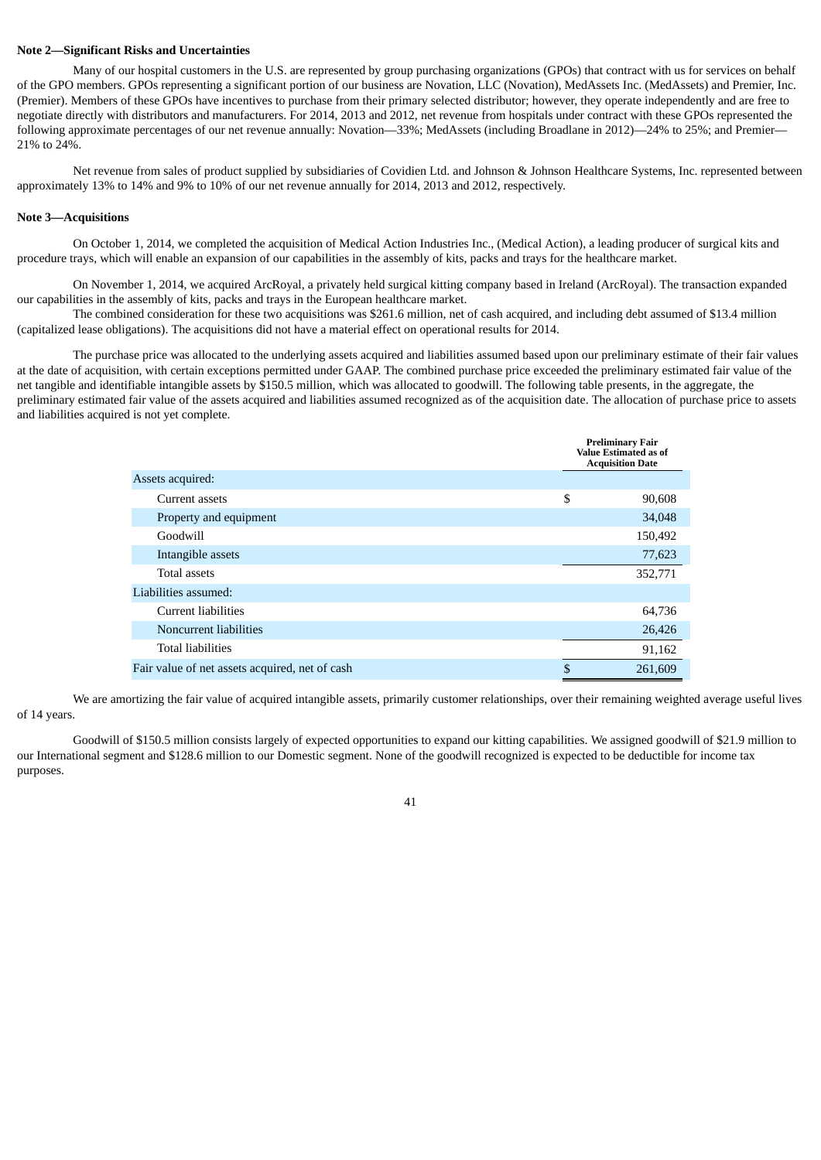## **Note 2—Significant Risks and Uncertainties**

Many of our hospital customers in the U.S. are represented by group purchasing organizations (GPOs) that contract with us for services on behalf of the GPO members. GPOs representing a significant portion of our business are Novation, LLC (Novation), MedAssets Inc. (MedAssets) and Premier, Inc. (Premier). Members of these GPOs have incentives to purchase from their primary selected distributor; however, they operate independently and are free to negotiate directly with distributors and manufacturers. For 2014, 2013 and 2012, net revenue from hospitals under contract with these GPOs represented the following approximate percentages of our net revenue annually: Novation—33%; MedAssets (including Broadlane in 2012)—24% to 25%; and Premier— 21% to 24%.

Net revenue from sales of product supplied by subsidiaries of Covidien Ltd. and Johnson & Johnson Healthcare Systems, Inc. represented between approximately 13% to 14% and 9% to 10% of our net revenue annually for 2014, 2013 and 2012, respectively.

### **Note 3—Acquisitions**

On October 1, 2014, we completed the acquisition of Medical Action Industries Inc., (Medical Action), a leading producer of surgical kits and procedure trays, which will enable an expansion of our capabilities in the assembly of kits, packs and trays for the healthcare market.

On November 1, 2014, we acquired ArcRoyal, a privately held surgical kitting company based in Ireland (ArcRoyal). The transaction expanded our capabilities in the assembly of kits, packs and trays in the European healthcare market.

The combined consideration for these two acquisitions was \$261.6 million, net of cash acquired, and including debt assumed of \$13.4 million (capitalized lease obligations). The acquisitions did not have a material effect on operational results for 2014.

The purchase price was allocated to the underlying assets acquired and liabilities assumed based upon our preliminary estimate of their fair values at the date of acquisition, with certain exceptions permitted under GAAP. The combined purchase price exceeded the preliminary estimated fair value of the net tangible and identifiable intangible assets by \$150.5 million, which was allocated to goodwill. The following table presents, in the aggregate, the preliminary estimated fair value of the assets acquired and liabilities assumed recognized as of the acquisition date. The allocation of purchase price to assets and liabilities acquired is not yet complete.

|                                                | <b>Preliminary Fair</b><br>Value Estimated as of<br><b>Acquisition Date</b> |
|------------------------------------------------|-----------------------------------------------------------------------------|
| Assets acquired:                               |                                                                             |
| Current assets                                 | \$<br>90,608                                                                |
| Property and equipment                         | 34,048                                                                      |
| Goodwill                                       | 150,492                                                                     |
| Intangible assets                              | 77,623                                                                      |
| <b>Total assets</b>                            | 352,771                                                                     |
| Liabilities assumed:                           |                                                                             |
| Current liabilities                            | 64,736                                                                      |
| Noncurrent liabilities                         | 26,426                                                                      |
| <b>Total liabilities</b>                       | 91,162                                                                      |
| Fair value of net assets acquired, net of cash | \$<br>261,609                                                               |

We are amortizing the fair value of acquired intangible assets, primarily customer relationships, over their remaining weighted average useful lives of 14 years.

Goodwill of \$150.5 million consists largely of expected opportunities to expand our kitting capabilities. We assigned goodwill of \$21.9 million to our International segment and \$128.6 million to our Domestic segment. None of the goodwill recognized is expected to be deductible for income tax purposes.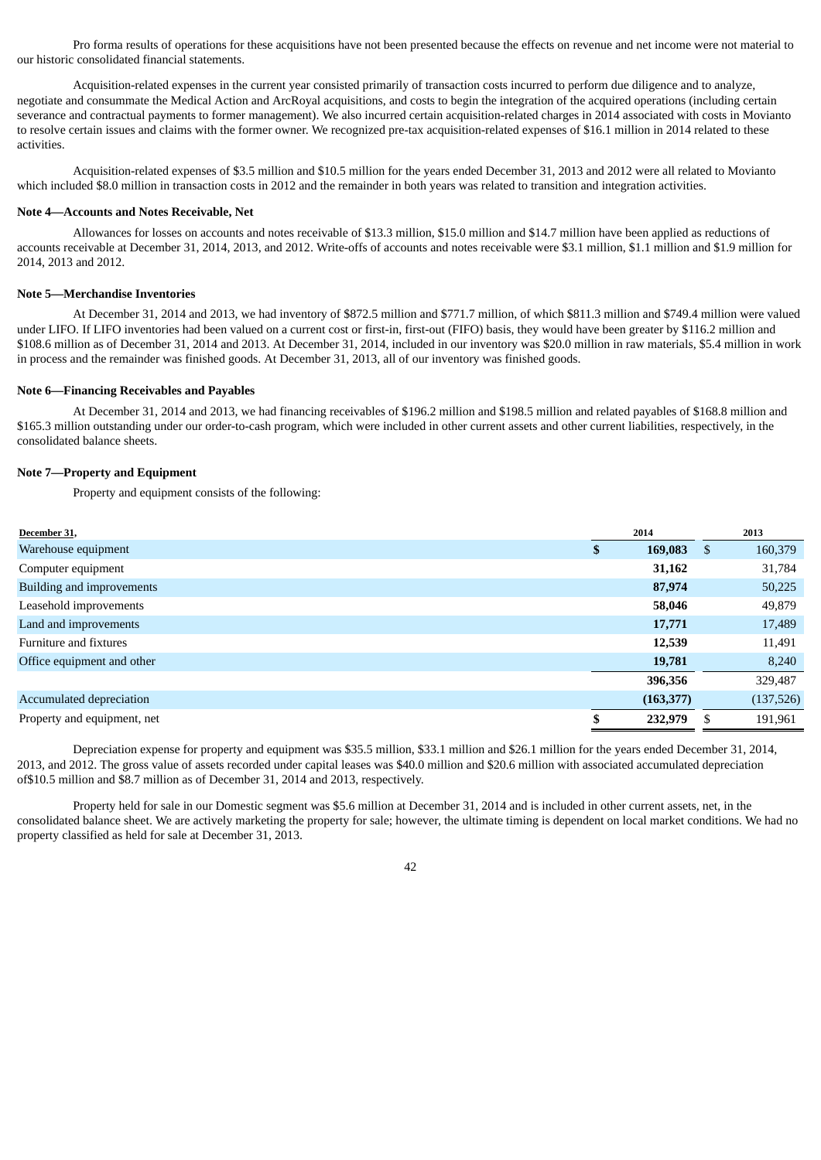Pro forma results of operations for these acquisitions have not been presented because the effects on revenue and net income were not material to our historic consolidated financial statements.

Acquisition-related expenses in the current year consisted primarily of transaction costs incurred to perform due diligence and to analyze, negotiate and consummate the Medical Action and ArcRoyal acquisitions, and costs to begin the integration of the acquired operations (including certain severance and contractual payments to former management). We also incurred certain acquisition-related charges in 2014 associated with costs in Movianto to resolve certain issues and claims with the former owner. We recognized pre-tax acquisition-related expenses of \$16.1 million in 2014 related to these activities.

Acquisition-related expenses of \$3.5 million and \$10.5 million for the years ended December 31, 2013 and 2012 were all related to Movianto which included \$8.0 million in transaction costs in 2012 and the remainder in both years was related to transition and integration activities.

#### **Note 4—Accounts and Notes Receivable, Net**

Allowances for losses on accounts and notes receivable of \$13.3 million, \$15.0 million and \$14.7 million have been applied as reductions of accounts receivable at December 31, 2014, 2013, and 2012. Write-offs of accounts and notes receivable were \$3.1 million, \$1.1 million and \$1.9 million for 2014, 2013 and 2012.

### **Note 5—Merchandise Inventories**

At December 31, 2014 and 2013, we had inventory of \$872.5 million and \$771.7 million, of which \$811.3 million and \$749.4 million were valued under LIFO. If LIFO inventories had been valued on a current cost or first-in, first-out (FIFO) basis, they would have been greater by \$116.2 million and \$108.6 million as of December 31, 2014 and 2013. At December 31, 2014, included in our inventory was \$20.0 million in raw materials, \$5.4 million in work in process and the remainder was finished goods. At December 31, 2013, all of our inventory was finished goods.

### **Note 6—Financing Receivables and Payables**

At December 31, 2014 and 2013, we had financing receivables of \$196.2 million and \$198.5 million and related payables of \$168.8 million and \$165.3 million outstanding under our order-to-cash program, which were included in other current assets and other current liabilities, respectively, in the consolidated balance sheets.

### **Note 7—Property and Equipment**

Property and equipment consists of the following:

| December 31,                |   | 2014       |      | 2013       |
|-----------------------------|---|------------|------|------------|
| Warehouse equipment         | Ф | 169,083    | - \$ | 160,379    |
| Computer equipment          |   | 31,162     |      | 31,784     |
| Building and improvements   |   | 87,974     |      | 50,225     |
| Leasehold improvements      |   | 58,046     |      | 49,879     |
| Land and improvements       |   | 17,771     |      | 17,489     |
| Furniture and fixtures      |   | 12,539     |      | 11,491     |
| Office equipment and other  |   | 19,781     |      | 8,240      |
|                             |   | 396,356    |      | 329,487    |
| Accumulated depreciation    |   | (163, 377) |      | (137, 526) |
| Property and equipment, net |   | 232,979    | S    | 191,961    |

Depreciation expense for property and equipment was \$35.5 million, \$33.1 million and \$26.1 million for the years ended December 31, 2014, 2013, and 2012. The gross value of assets recorded under capital leases was \$40.0 million and \$20.6 million with associated accumulated depreciation of\$10.5 million and \$8.7 million as of December 31, 2014 and 2013, respectively.

Property held for sale in our Domestic segment was \$5.6 million at December 31, 2014 and is included in other current assets, net, in the consolidated balance sheet. We are actively marketing the property for sale; however, the ultimate timing is dependent on local market conditions. We had no property classified as held for sale at December 31, 2013.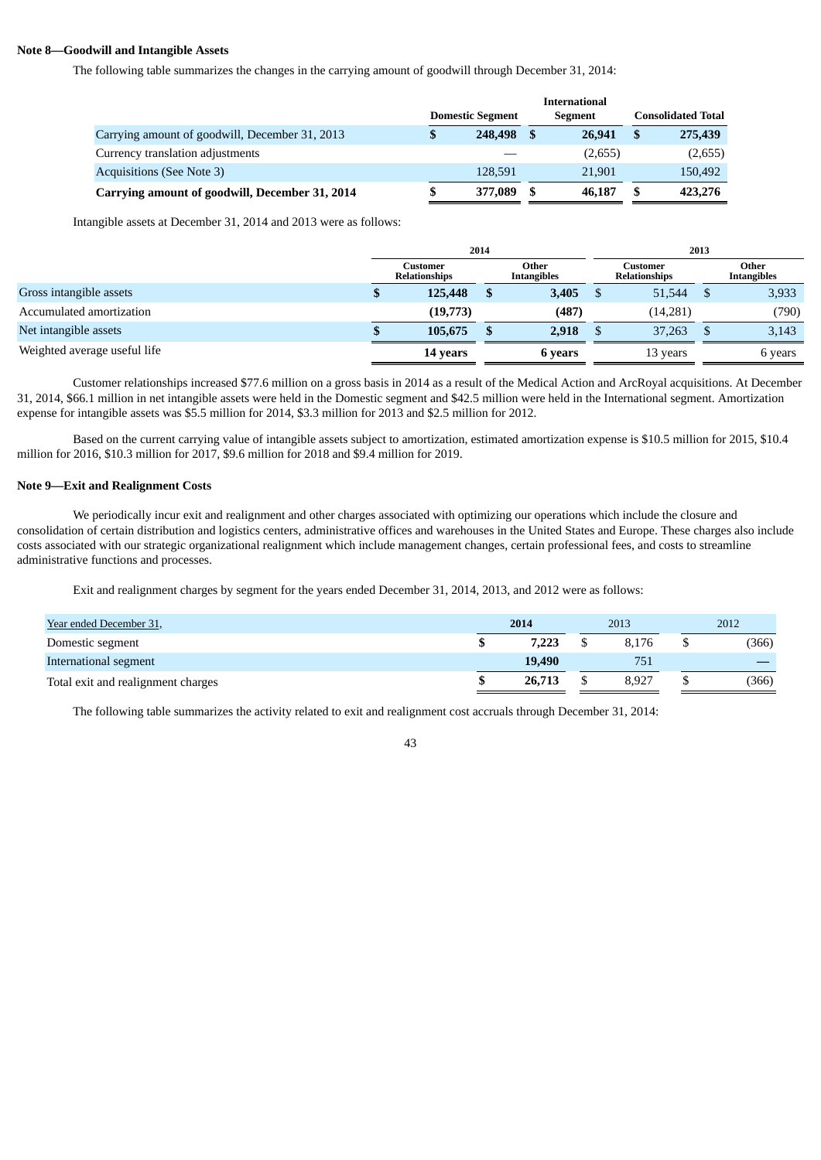## **Note 8—Goodwill and Intangible Assets**

The following table summarizes the changes in the carrying amount of goodwill through December 31, 2014:

|                                                | <b>Domestic Segment</b> | <b>International</b><br><b>Segment</b> | <b>Consolidated Total</b> |         |  |  |
|------------------------------------------------|-------------------------|----------------------------------------|---------------------------|---------|--|--|
| Carrying amount of goodwill, December 31, 2013 | \$<br>248,498           | 26,941                                 | \$                        | 275,439 |  |  |
| Currency translation adjustments               |                         | (2,655)                                |                           | (2,655) |  |  |
| Acquisitions (See Note 3)                      | 128.591                 | 21.901                                 |                           | 150,492 |  |  |
| Carrying amount of goodwill, December 31, 2014 | \$<br>377,089           | 46,187                                 | \$                        | 423,276 |  |  |

Intangible assets at December 31, 2014 and 2013 were as follows:

|                              | 2014 |                                  |  |                             |  |                                  |  |                             |
|------------------------------|------|----------------------------------|--|-----------------------------|--|----------------------------------|--|-----------------------------|
|                              |      | Customer<br><b>Relationships</b> |  | Other<br><b>Intangibles</b> |  | Customer<br><b>Relationships</b> |  | Other<br><b>Intangibles</b> |
| Gross intangible assets      |      | 125,448                          |  | 3,405                       |  | 51,544                           |  | 3,933                       |
| Accumulated amortization     |      | (19,773)                         |  | (487)                       |  | (14, 281)                        |  | (790)                       |
| Net intangible assets        |      | 105.675                          |  | 2,918                       |  | 37,263                           |  | 3,143                       |
| Weighted average useful life |      | 14 years                         |  | 6 years                     |  | 13 years                         |  | 6 years                     |

Customer relationships increased \$77.6 million on a gross basis in 2014 as a result of the Medical Action and ArcRoyal acquisitions. At December 31, 2014, \$66.1 million in net intangible assets were held in the Domestic segment and \$42.5 million were held in the International segment. Amortization expense for intangible assets was \$5.5 million for 2014, \$3.3 million for 2013 and \$2.5 million for 2012.

Based on the current carrying value of intangible assets subject to amortization, estimated amortization expense is \$10.5 million for 2015, \$10.4 million for 2016, \$10.3 million for 2017, \$9.6 million for 2018 and \$9.4 million for 2019.

#### **Note 9—Exit and Realignment Costs**

We periodically incur exit and realignment and other charges associated with optimizing our operations which include the closure and consolidation of certain distribution and logistics centers, administrative offices and warehouses in the United States and Europe. These charges also include costs associated with our strategic organizational realignment which include management changes, certain professional fees, and costs to streamline administrative functions and processes.

Exit and realignment charges by segment for the years ended December 31, 2014, 2013, and 2012 were as follows:

| Year ended December 31,            | 2014   |  | 2013  |  | 2012  |
|------------------------------------|--------|--|-------|--|-------|
| Domestic segment                   | 7,223  |  | 8.176 |  | (366) |
| International segment              | 19,490 |  | 751   |  |       |
| Total exit and realignment charges | 26,713 |  | 8.927 |  | (366) |

The following table summarizes the activity related to exit and realignment cost accruals through December 31, 2014: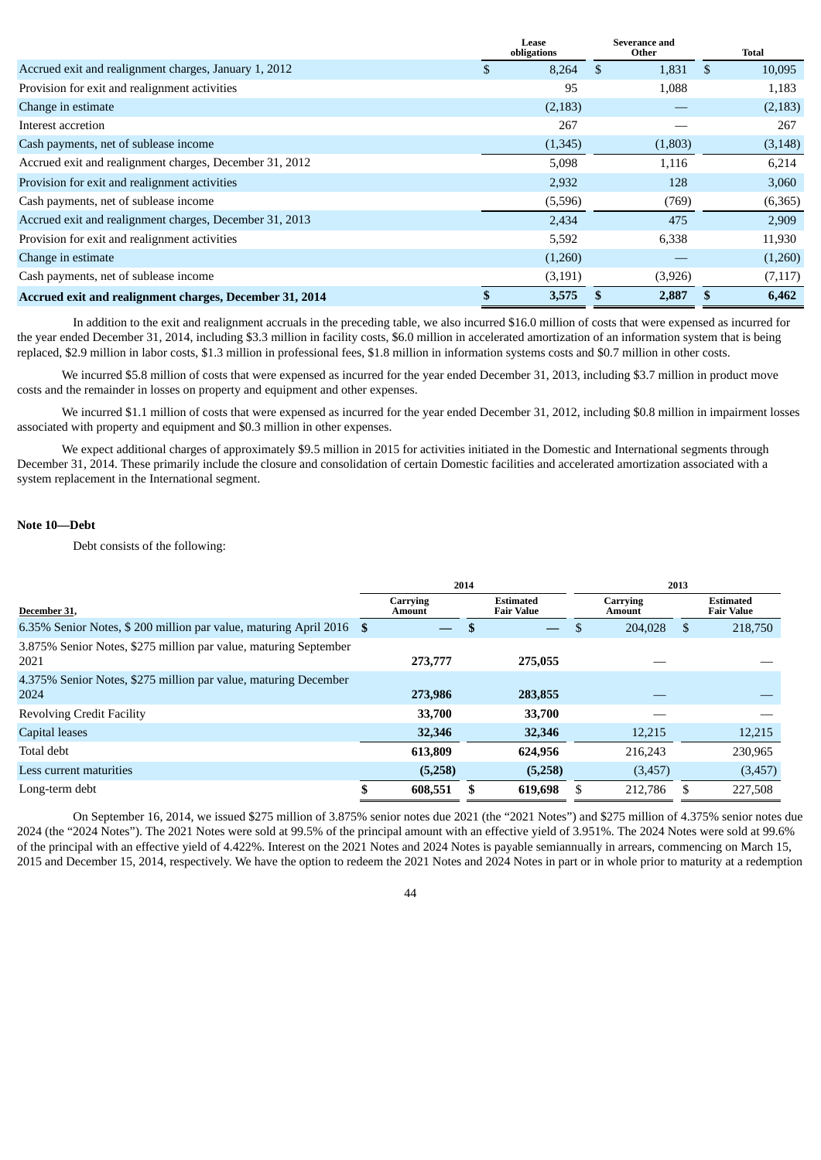|                                                         | Lease<br>obligations | <b>Severance and</b><br>Other | <b>Total</b>   |
|---------------------------------------------------------|----------------------|-------------------------------|----------------|
| Accrued exit and realignment charges, January 1, 2012   | 8,264                | -\$<br>1,831                  | 10,095<br>- \$ |
| Provision for exit and realignment activities           | 95                   | 1,088                         | 1,183          |
| Change in estimate                                      | (2, 183)             |                               | (2, 183)       |
| Interest accretion                                      | 267                  |                               | 267            |
| Cash payments, net of sublease income                   | (1,345)              | (1,803)                       | (3, 148)       |
| Accrued exit and realignment charges, December 31, 2012 | 5,098                | 1,116                         | 6,214          |
| Provision for exit and realignment activities           | 2,932                | 128                           | 3,060          |
| Cash payments, net of sublease income                   | (5,596)              | (769)                         | (6,365)        |
| Accrued exit and realignment charges, December 31, 2013 | 2,434                | 475                           | 2,909          |
| Provision for exit and realignment activities           | 5,592                | 6,338                         | 11,930         |
| Change in estimate                                      | (1,260)              |                               | (1,260)        |
| Cash payments, net of sublease income                   | (3, 191)             | (3,926)                       | (7, 117)       |
| Accrued exit and realignment charges, December 31, 2014 | 3,575                | 2,887                         | 6,462          |

In addition to the exit and realignment accruals in the preceding table, we also incurred \$16.0 million of costs that were expensed as incurred for the year ended December 31, 2014, including \$3.3 million in facility costs, \$6.0 million in accelerated amortization of an information system that is being replaced, \$2.9 million in labor costs, \$1.3 million in professional fees, \$1.8 million in information systems costs and \$0.7 million in other costs.

We incurred \$5.8 million of costs that were expensed as incurred for the year ended December 31, 2013, including \$3.7 million in product move costs and the remainder in losses on property and equipment and other expenses.

We incurred \$1.1 million of costs that were expensed as incurred for the year ended December 31, 2012, including \$0.8 million in impairment losses associated with property and equipment and \$0.3 million in other expenses.

We expect additional charges of approximately \$9.5 million in 2015 for activities initiated in the Domestic and International segments through December 31, 2014. These primarily include the closure and consolidation of certain Domestic facilities and accelerated amortization associated with a system replacement in the International segment.

## **Note 10—Debt**

Debt consists of the following:

|                                                                          | 2014 |                                                                                   |  |         |  | 2013    |                                       |          |
|--------------------------------------------------------------------------|------|-----------------------------------------------------------------------------------|--|---------|--|---------|---------------------------------------|----------|
| December 31,                                                             |      | <b>Estimated</b><br>Carrying<br>Carrying<br><b>Fair Value</b><br>Amount<br>Amount |  |         |  |         | <b>Estimated</b><br><b>Fair Value</b> |          |
| 6.35% Senior Notes, \$200 million par value, maturing April 2016 \$      |      |                                                                                   |  |         |  | 204,028 | \$                                    | 218,750  |
| 3.875% Senior Notes, \$275 million par value, maturing September<br>2021 |      | 273,777                                                                           |  | 275,055 |  |         |                                       |          |
| 4.375% Senior Notes, \$275 million par value, maturing December<br>2024  |      | 273,986                                                                           |  | 283,855 |  |         |                                       |          |
| <b>Revolving Credit Facility</b>                                         |      | 33,700                                                                            |  | 33,700  |  |         |                                       |          |
| Capital leases                                                           |      | 32,346                                                                            |  | 32,346  |  | 12,215  |                                       | 12,215   |
| Total debt                                                               |      | 613,809                                                                           |  | 624,956 |  | 216.243 |                                       | 230,965  |
| Less current maturities                                                  |      | (5,258)                                                                           |  | (5,258) |  | (3,457) |                                       | (3, 457) |
| Long-term debt                                                           |      | 608,551                                                                           |  | 619,698 |  | 212,786 |                                       | 227,508  |

On September 16, 2014, we issued \$275 million of 3.875% senior notes due 2021 (the "2021 Notes") and \$275 million of 4.375% senior notes due 2024 (the "2024 Notes"). The 2021 Notes were sold at 99.5% of the principal amount with an effective yield of 3.951%. The 2024 Notes were sold at 99.6% of the principal with an effective yield of 4.422%. Interest on the 2021 Notes and 2024 Notes is payable semiannually in arrears, commencing on March 15, 2015 and December 15, 2014, respectively. We have the option to redeem the 2021 Notes and 2024 Notes in part or in whole prior to maturity at a redemption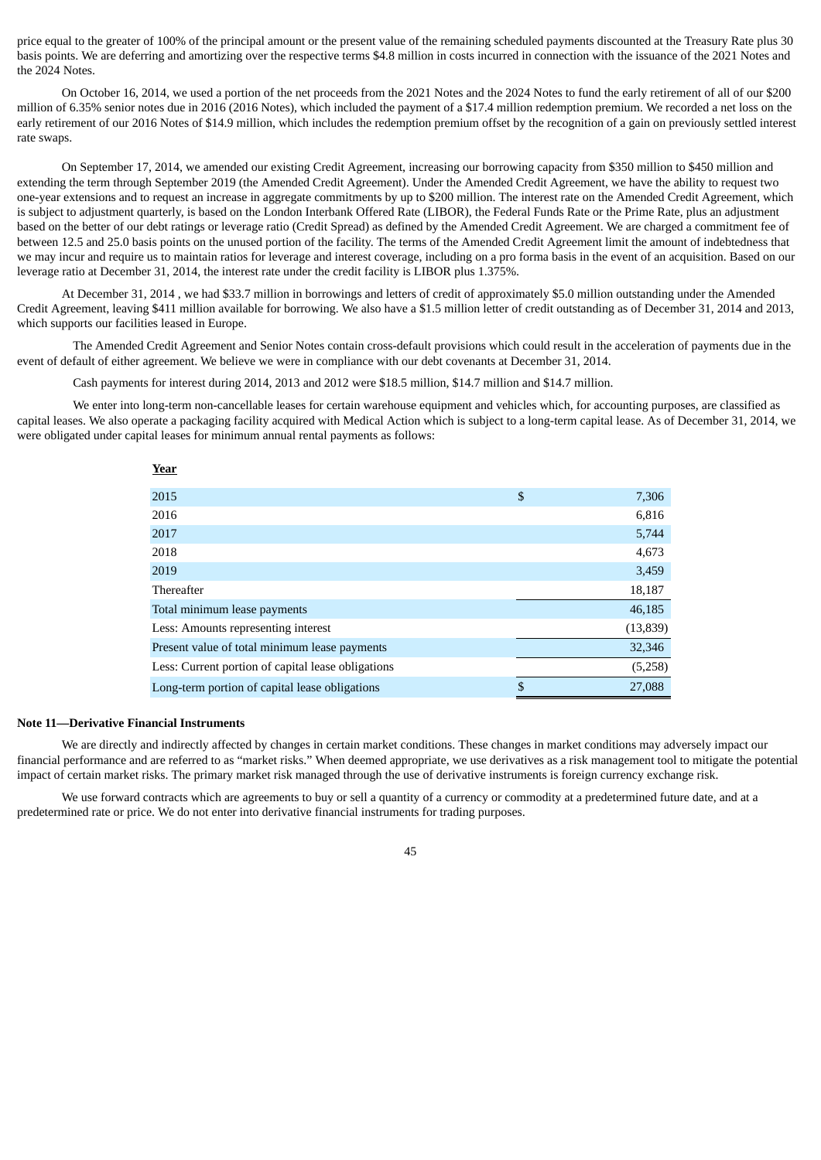price equal to the greater of 100% of the principal amount or the present value of the remaining scheduled payments discounted at the Treasury Rate plus 30 basis points. We are deferring and amortizing over the respective terms \$4.8 million in costs incurred in connection with the issuance of the 2021 Notes and the 2024 Notes.

On October 16, 2014, we used a portion of the net proceeds from the 2021 Notes and the 2024 Notes to fund the early retirement of all of our \$200 million of 6.35% senior notes due in 2016 (2016 Notes), which included the payment of a \$17.4 million redemption premium. We recorded a net loss on the early retirement of our 2016 Notes of \$14.9 million, which includes the redemption premium offset by the recognition of a gain on previously settled interest rate swaps.

On September 17, 2014, we amended our existing Credit Agreement, increasing our borrowing capacity from \$350 million to \$450 million and extending the term through September 2019 (the Amended Credit Agreement). Under the Amended Credit Agreement, we have the ability to request two one-year extensions and to request an increase in aggregate commitments by up to \$200 million. The interest rate on the Amended Credit Agreement, which is subject to adjustment quarterly, is based on the London Interbank Offered Rate (LIBOR), the Federal Funds Rate or the Prime Rate, plus an adjustment based on the better of our debt ratings or leverage ratio (Credit Spread) as defined by the Amended Credit Agreement. We are charged a commitment fee of between 12.5 and 25.0 basis points on the unused portion of the facility. The terms of the Amended Credit Agreement limit the amount of indebtedness that we may incur and require us to maintain ratios for leverage and interest coverage, including on a pro forma basis in the event of an acquisition. Based on our leverage ratio at December 31, 2014, the interest rate under the credit facility is LIBOR plus 1.375%.

At December 31, 2014 , we had \$33.7 million in borrowings and letters of credit of approximately \$5.0 million outstanding under the Amended Credit Agreement, leaving \$411 million available for borrowing. We also have a \$1.5 million letter of credit outstanding as of December 31, 2014 and 2013, which supports our facilities leased in Europe.

The Amended Credit Agreement and Senior Notes contain cross-default provisions which could result in the acceleration of payments due in the event of default of either agreement. We believe we were in compliance with our debt covenants at December 31, 2014.

Cash payments for interest during 2014, 2013 and 2012 were \$18.5 million, \$14.7 million and \$14.7 million.

We enter into long-term non-cancellable leases for certain warehouse equipment and vehicles which, for accounting purposes, are classified as capital leases. We also operate a packaging facility acquired with Medical Action which is subject to a long-term capital lease. As of December 31, 2014, we were obligated under capital leases for minimum annual rental payments as follows:

| \$<br>7,306  |
|--------------|
| 6,816        |
| 5,744        |
| 4,673        |
| 3,459        |
| 18,187       |
| 46,185       |
| (13, 839)    |
| 32,346       |
| (5,258)      |
| \$<br>27,088 |
|              |

### **Note 11—Derivative Financial Instruments**

 $Y_{\ell}$ 

We are directly and indirectly affected by changes in certain market conditions. These changes in market conditions may adversely impact our financial performance and are referred to as "market risks." When deemed appropriate, we use derivatives as a risk management tool to mitigate the potential impact of certain market risks. The primary market risk managed through the use of derivative instruments is foreign currency exchange risk.

We use forward contracts which are agreements to buy or sell a quantity of a currency or commodity at a predetermined future date, and at a predetermined rate or price. We do not enter into derivative financial instruments for trading purposes.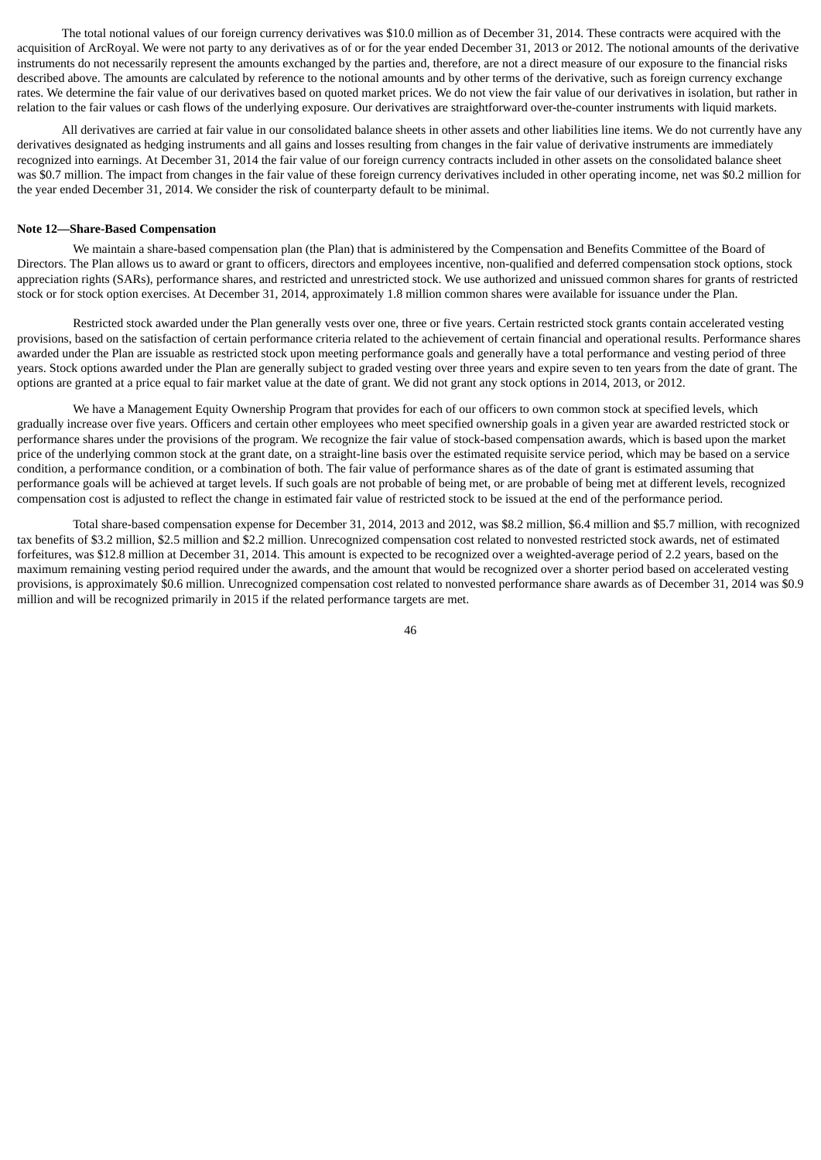The total notional values of our foreign currency derivatives was \$10.0 million as of December 31, 2014. These contracts were acquired with the acquisition of ArcRoyal. We were not party to any derivatives as of or for the year ended December 31, 2013 or 2012. The notional amounts of the derivative instruments do not necessarily represent the amounts exchanged by the parties and, therefore, are not a direct measure of our exposure to the financial risks described above. The amounts are calculated by reference to the notional amounts and by other terms of the derivative, such as foreign currency exchange rates. We determine the fair value of our derivatives based on quoted market prices. We do not view the fair value of our derivatives in isolation, but rather in relation to the fair values or cash flows of the underlying exposure. Our derivatives are straightforward over-the-counter instruments with liquid markets.

All derivatives are carried at fair value in our consolidated balance sheets in other assets and other liabilities line items. We do not currently have any derivatives designated as hedging instruments and all gains and losses resulting from changes in the fair value of derivative instruments are immediately recognized into earnings. At December 31, 2014 the fair value of our foreign currency contracts included in other assets on the consolidated balance sheet was \$0.7 million. The impact from changes in the fair value of these foreign currency derivatives included in other operating income, net was \$0.2 million for the year ended December 31, 2014. We consider the risk of counterparty default to be minimal.

#### **Note 12—Share-Based Compensation**

We maintain a share-based compensation plan (the Plan) that is administered by the Compensation and Benefits Committee of the Board of Directors. The Plan allows us to award or grant to officers, directors and employees incentive, non-qualified and deferred compensation stock options, stock appreciation rights (SARs), performance shares, and restricted and unrestricted stock. We use authorized and unissued common shares for grants of restricted stock or for stock option exercises. At December 31, 2014, approximately 1.8 million common shares were available for issuance under the Plan.

Restricted stock awarded under the Plan generally vests over one, three or five years. Certain restricted stock grants contain accelerated vesting provisions, based on the satisfaction of certain performance criteria related to the achievement of certain financial and operational results. Performance shares awarded under the Plan are issuable as restricted stock upon meeting performance goals and generally have a total performance and vesting period of three years. Stock options awarded under the Plan are generally subject to graded vesting over three years and expire seven to ten years from the date of grant. The options are granted at a price equal to fair market value at the date of grant. We did not grant any stock options in 2014, 2013, or 2012.

We have a Management Equity Ownership Program that provides for each of our officers to own common stock at specified levels, which gradually increase over five years. Officers and certain other employees who meet specified ownership goals in a given year are awarded restricted stock or performance shares under the provisions of the program. We recognize the fair value of stock-based compensation awards, which is based upon the market price of the underlying common stock at the grant date, on a straight-line basis over the estimated requisite service period, which may be based on a service condition, a performance condition, or a combination of both. The fair value of performance shares as of the date of grant is estimated assuming that performance goals will be achieved at target levels. If such goals are not probable of being met, or are probable of being met at different levels, recognized compensation cost is adjusted to reflect the change in estimated fair value of restricted stock to be issued at the end of the performance period.

Total share-based compensation expense for December 31, 2014, 2013 and 2012, was \$8.2 million, \$6.4 million and \$5.7 million, with recognized tax benefits of \$3.2 million, \$2.5 million and \$2.2 million. Unrecognized compensation cost related to nonvested restricted stock awards, net of estimated forfeitures, was \$12.8 million at December 31, 2014. This amount is expected to be recognized over a weighted-average period of 2.2 years, based on the maximum remaining vesting period required under the awards, and the amount that would be recognized over a shorter period based on accelerated vesting provisions, is approximately \$0.6 million. Unrecognized compensation cost related to nonvested performance share awards as of December 31, 2014 was \$0.9 million and will be recognized primarily in 2015 if the related performance targets are met.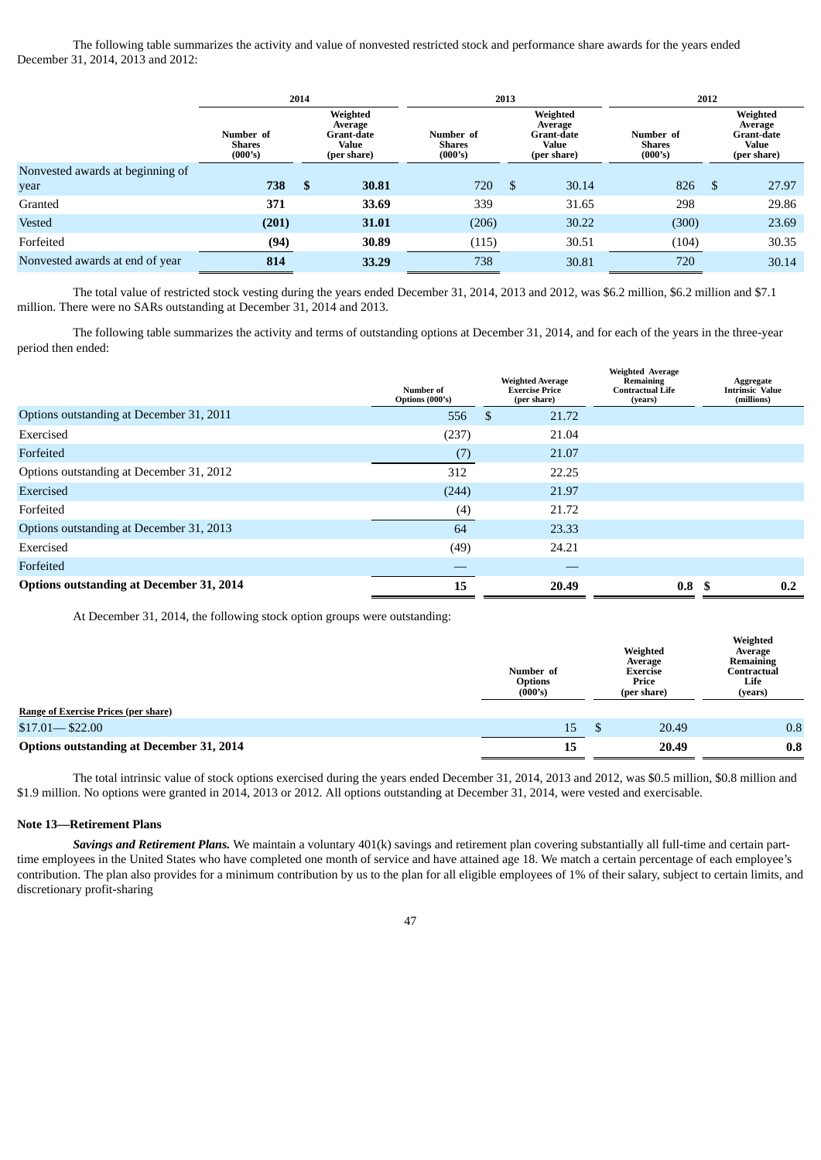The following table summarizes the activity and value of nonvested restricted stock and performance share awards for the years ended December 31, 2014, 2013 and 2012:

|                                  | 2014                                  |    | 2013                                                      |                                       | 2012 |                                                                  |                                |    |                                                           |
|----------------------------------|---------------------------------------|----|-----------------------------------------------------------|---------------------------------------|------|------------------------------------------------------------------|--------------------------------|----|-----------------------------------------------------------|
|                                  | Number of<br><b>Shares</b><br>(000's) |    | Weighted<br>Average<br>Grant-date<br>Value<br>(per share) | Number of<br><b>Shares</b><br>(000's) |      | Weighted<br>Average<br><b>Grant-date</b><br>Value<br>(per share) | Number of<br>Shares<br>(000's) |    | Weighted<br>Average<br>Grant-date<br>Value<br>(per share) |
| Nonvested awards at beginning of |                                       |    |                                                           |                                       |      |                                                                  |                                |    |                                                           |
| year                             | 738                                   | S. | 30.81                                                     | 720                                   | \$   | 30.14                                                            | 826                            | \$ | 27.97                                                     |
| Granted                          | 371                                   |    | 33.69                                                     | 339                                   |      | 31.65                                                            | 298                            |    | 29.86                                                     |
| <b>Vested</b>                    | (201)                                 |    | 31.01                                                     | (206)                                 |      | 30.22                                                            | (300)                          |    | 23.69                                                     |
| Forfeited                        | (94)                                  |    | 30.89                                                     | (115)                                 |      | 30.51                                                            | (104)                          |    | 30.35                                                     |
| Nonvested awards at end of year  | 814                                   |    | 33.29                                                     | 738                                   |      | 30.81                                                            | 720                            |    | 30.14                                                     |

The total value of restricted stock vesting during the years ended December 31, 2014, 2013 and 2012, was \$6.2 million, \$6.2 million and \$7.1 million. There were no SARs outstanding at December 31, 2014 and 2013.

The following table summarizes the activity and terms of outstanding options at December 31, 2014, and for each of the years in the three-year period then ended:

|                                                 | Number of<br>Options (000's) | <b>Weighted Average</b><br><b>Exercise Price</b><br>(per share) | <b>Weighted Average</b><br>Remaining<br><b>Contractual Life</b><br>(years) | Aggregate<br><b>Intrinsic Value</b><br>(millions) |
|-------------------------------------------------|------------------------------|-----------------------------------------------------------------|----------------------------------------------------------------------------|---------------------------------------------------|
| Options outstanding at December 31, 2011        | 556                          | 21.72<br>S                                                      |                                                                            |                                                   |
| Exercised                                       | (237)                        | 21.04                                                           |                                                                            |                                                   |
| Forfeited                                       | (7)                          | 21.07                                                           |                                                                            |                                                   |
| Options outstanding at December 31, 2012        | 312                          | 22.25                                                           |                                                                            |                                                   |
| Exercised                                       | (244)                        | 21.97                                                           |                                                                            |                                                   |
| Forfeited                                       | (4)                          | 21.72                                                           |                                                                            |                                                   |
| Options outstanding at December 31, 2013        | 64                           | 23.33                                                           |                                                                            |                                                   |
| Exercised                                       | (49)                         | 24.21                                                           |                                                                            |                                                   |
| Forfeited                                       | __                           |                                                                 |                                                                            |                                                   |
| <b>Options outstanding at December 31, 2014</b> | 15                           | 20.49                                                           | 0.8 <sup>5</sup>                                                           | 0.2                                               |

At December 31, 2014, the following stock option groups were outstanding:

|                                                 | Number of<br><b>Options</b><br>(000's) | Weighted<br>Average<br>Exercise<br>Price<br>(per share) | Weighted<br>Average<br>Remaining<br>Contractual<br>Life<br>(years) |
|-------------------------------------------------|----------------------------------------|---------------------------------------------------------|--------------------------------------------------------------------|
| Range of Exercise Prices (per share)            |                                        |                                                         |                                                                    |
| $$17.01 - $22.00$                               | 15                                     | 20.49                                                   | 0.8                                                                |
| <b>Options outstanding at December 31, 2014</b> | 15                                     | 20.49                                                   | 0.8                                                                |

The total intrinsic value of stock options exercised during the years ended December 31, 2014, 2013 and 2012, was \$0.5 million, \$0.8 million and \$1.9 million. No options were granted in 2014, 2013 or 2012. All options outstanding at December 31, 2014, were vested and exercisable.

## **Note 13—Retirement Plans**

*Savings and Retirement Plans.* We maintain a voluntary 401(k) savings and retirement plan covering substantially all full-time and certain parttime employees in the United States who have completed one month of service and have attained age 18. We match a certain percentage of each employee's contribution. The plan also provides for a minimum contribution by us to the plan for all eligible employees of 1% of their salary, subject to certain limits, and discretionary profit-sharing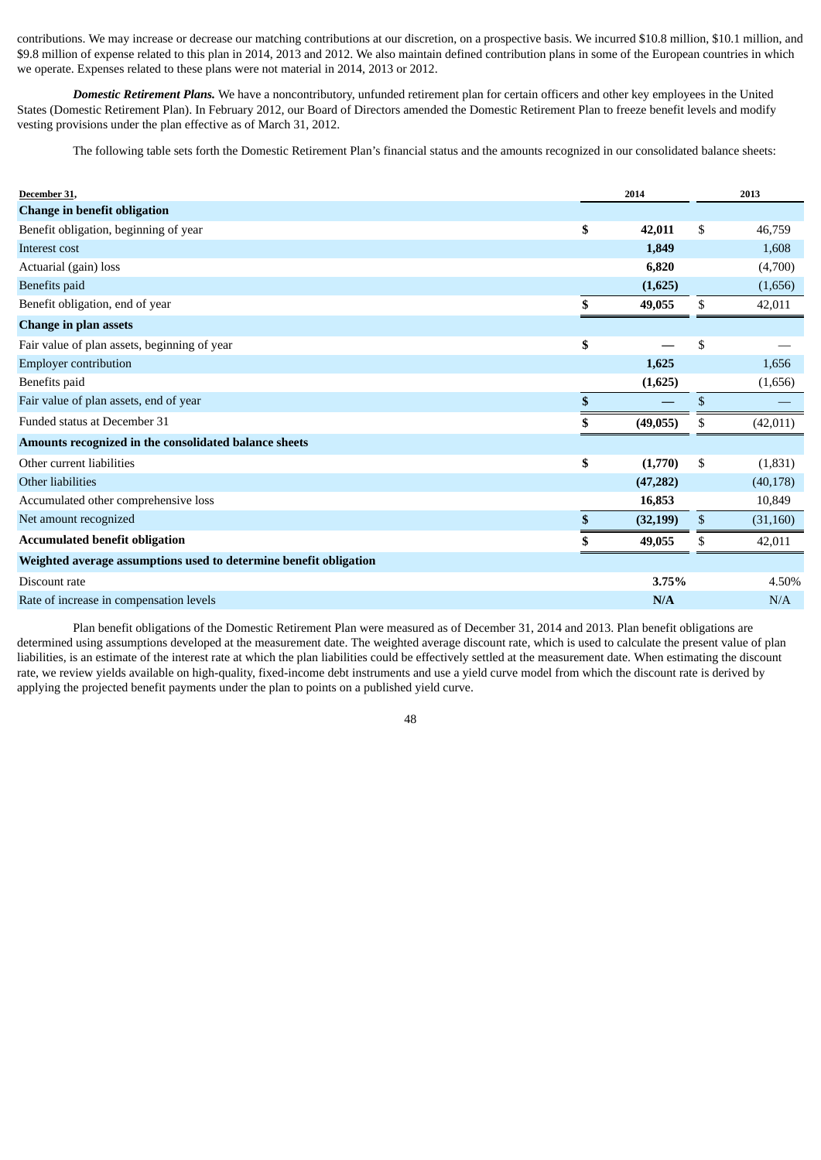contributions. We may increase or decrease our matching contributions at our discretion, on a prospective basis. We incurred \$10.8 million, \$10.1 million, and \$9.8 million of expense related to this plan in 2014, 2013 and 2012. We also maintain defined contribution plans in some of the European countries in which we operate. Expenses related to these plans were not material in 2014, 2013 or 2012.

*Domestic Retirement Plans.* We have a noncontributory, unfunded retirement plan for certain officers and other key employees in the United States (Domestic Retirement Plan). In February 2012, our Board of Directors amended the Domestic Retirement Plan to freeze benefit levels and modify vesting provisions under the plan effective as of March 31, 2012.

The following table sets forth the Domestic Retirement Plan's financial status and the amounts recognized in our consolidated balance sheets:

| December 31,                                                      | 2014            |    | 2013      |
|-------------------------------------------------------------------|-----------------|----|-----------|
| <b>Change in benefit obligation</b>                               |                 |    |           |
| Benefit obligation, beginning of year                             | \$<br>42,011    | \$ | 46,759    |
| Interest cost                                                     | 1,849           |    | 1,608     |
| Actuarial (gain) loss                                             | 6,820           |    | (4,700)   |
| <b>Benefits</b> paid                                              | (1,625)         |    | (1,656)   |
| Benefit obligation, end of year                                   | \$<br>49,055    | \$ | 42,011    |
| <b>Change in plan assets</b>                                      |                 |    |           |
| Fair value of plan assets, beginning of year                      | \$              | \$ |           |
| <b>Employer contribution</b>                                      | 1,625           |    | 1,656     |
| Benefits paid                                                     | (1,625)         |    | (1,656)   |
| Fair value of plan assets, end of year                            | \$              | \$ |           |
| Funded status at December 31                                      | \$<br>(49, 055) | \$ | (42, 011) |
| Amounts recognized in the consolidated balance sheets             |                 |    |           |
| Other current liabilities                                         | \$<br>(1,770)   | \$ | (1,831)   |
| Other liabilities                                                 | (47, 282)       |    | (40, 178) |
| Accumulated other comprehensive loss                              | 16,853          |    | 10,849    |
| Net amount recognized                                             | \$<br>(32, 199) | \$ | (31, 160) |
| <b>Accumulated benefit obligation</b>                             | 49,055          | \$ | 42,011    |
| Weighted average assumptions used to determine benefit obligation |                 |    |           |
| Discount rate                                                     | 3.75%           |    | 4.50%     |
| Rate of increase in compensation levels                           | N/A             |    | N/A       |

Plan benefit obligations of the Domestic Retirement Plan were measured as of December 31, 2014 and 2013. Plan benefit obligations are determined using assumptions developed at the measurement date. The weighted average discount rate, which is used to calculate the present value of plan liabilities, is an estimate of the interest rate at which the plan liabilities could be effectively settled at the measurement date. When estimating the discount rate, we review yields available on high-quality, fixed-income debt instruments and use a yield curve model from which the discount rate is derived by applying the projected benefit payments under the plan to points on a published yield curve.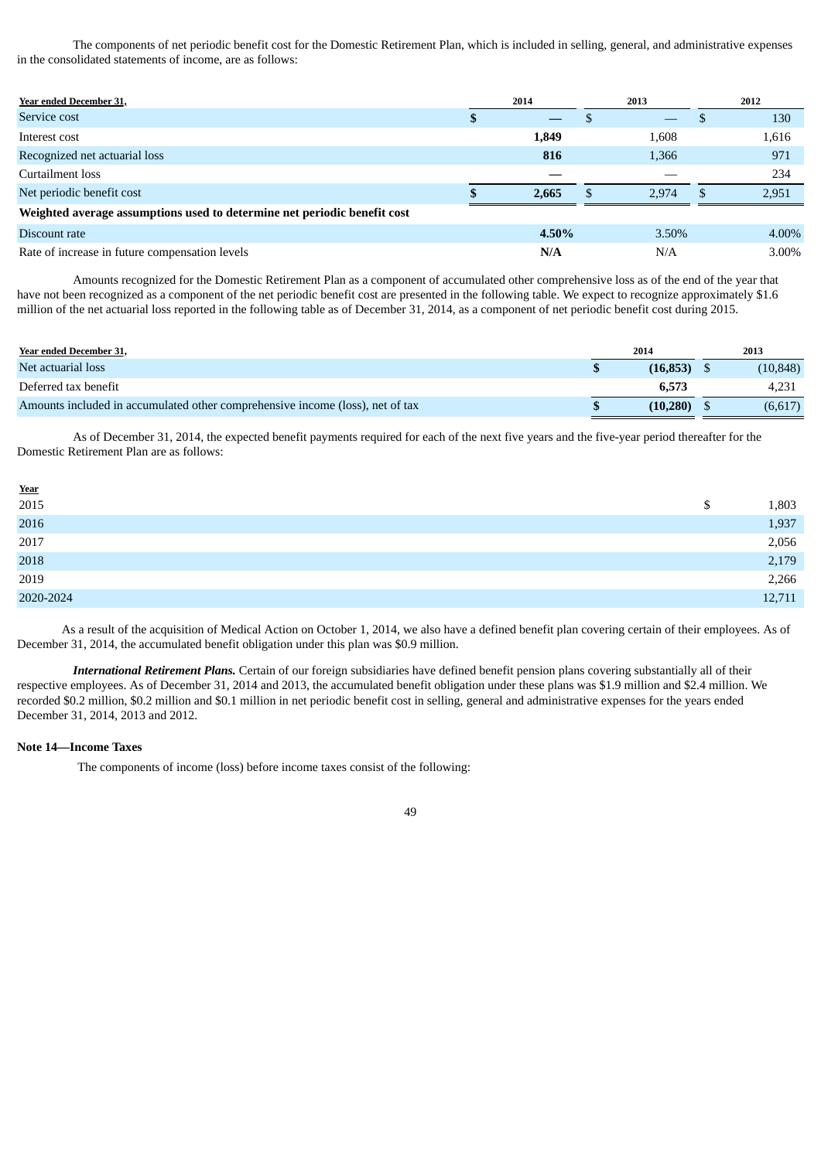The components of net periodic benefit cost for the Domestic Retirement Plan, which is included in selling, general, and administrative expenses in the consolidated statements of income, are as follows:

| Year ended December 31,                                                  |  | 2014  |               |       |   | 2013  |  |  |  | 2012 |
|--------------------------------------------------------------------------|--|-------|---------------|-------|---|-------|--|--|--|------|
| Service cost                                                             |  |       |               |       |   | 130   |  |  |  |      |
| Interest cost                                                            |  | 1,849 |               | 1,608 |   | 1,616 |  |  |  |      |
| Recognized net actuarial loss                                            |  | 816   |               | 1,366 |   | 971   |  |  |  |      |
| Curtailment loss                                                         |  |       |               |       |   | 234   |  |  |  |      |
| Net periodic benefit cost                                                |  | 2.665 | <sup>\$</sup> | 2.974 | Ъ | 2,951 |  |  |  |      |
| Weighted average assumptions used to determine net periodic benefit cost |  |       |               |       |   |       |  |  |  |      |
| Discount rate                                                            |  | 4.50% |               | 3.50% |   | 4.00% |  |  |  |      |
| Rate of increase in future compensation levels                           |  | N/A   |               | N/A   |   | 3.00% |  |  |  |      |

Amounts recognized for the Domestic Retirement Plan as a component of accumulated other comprehensive loss as of the end of the year that have not been recognized as a component of the net periodic benefit cost are presented in the following table. We expect to recognize approximately \$1.6 million of the net actuarial loss reported in the following table as of December 31, 2014, as a component of net periodic benefit cost during 2015.

| Year ended December 31,                                                       | 2014 |               | 2013      |  |
|-------------------------------------------------------------------------------|------|---------------|-----------|--|
| Net actuarial loss                                                            |      | $(16,853)$ \$ | (10, 848) |  |
| Deferred tax benefit                                                          |      | 6,573         | 4.231     |  |
| Amounts included in accumulated other comprehensive income (loss), net of tax |      | (10.280)      | (6,617)   |  |

As of December 31, 2014, the expected benefit payments required for each of the next five years and the five-year period thereafter for the Domestic Retirement Plan are as follows:

| <b>Year</b> |             |
|-------------|-------------|
| 2015        | \$<br>1,803 |
| 2016        | 1,937       |
| 2017        | 2,056       |
| 2018        | 2,179       |
| 2019        | 2,266       |
| 2020-2024   | 12,711      |
|             |             |

As a result of the acquisition of Medical Action on October 1, 2014, we also have a defined benefit plan covering certain of their employees. As of December 31, 2014, the accumulated benefit obligation under this plan was \$0.9 million.

*International Retirement Plans.* Certain of our foreign subsidiaries have defined benefit pension plans covering substantially all of their respective employees. As of December 31, 2014 and 2013, the accumulated benefit obligation under these plans was \$1.9 million and \$2.4 million. We recorded \$0.2 million, \$0.2 million and \$0.1 million in net periodic benefit cost in selling, general and administrative expenses for the years ended December 31, 2014, 2013 and 2012.

## **Note 14—Income Taxes**

The components of income (loss) before income taxes consist of the following: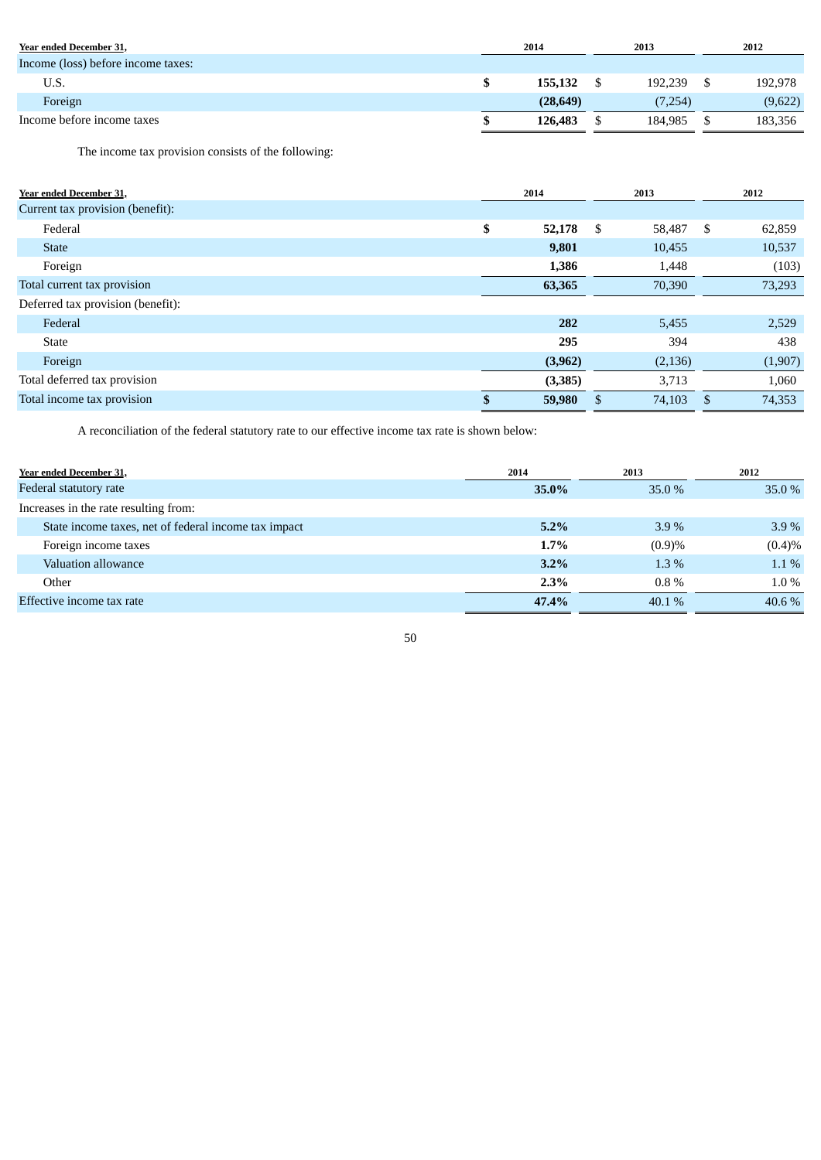| Year ended December 31,            | 2014      | 2013    | 2012    |
|------------------------------------|-----------|---------|---------|
| Income (loss) before income taxes: |           |         |         |
| U.S.                               | 155,132   | 192.239 | 192,978 |
| Foreign                            | (28, 649) | (7,254) | (9,622) |
| Income before income taxes         | 126,483   | 184,985 | 183,356 |

The income tax provision consists of the following:

| Year ended December 31,           | 2014         | 2013 |          |     | 2012    |
|-----------------------------------|--------------|------|----------|-----|---------|
| Current tax provision (benefit):  |              |      |          |     |         |
| Federal                           | \$<br>52,178 | \$   | 58,487   | -\$ | 62,859  |
| <b>State</b>                      | 9,801        |      | 10,455   |     | 10,537  |
| Foreign                           | 1,386        |      | 1,448    |     | (103)   |
| Total current tax provision       | 63,365       |      | 70,390   |     | 73,293  |
| Deferred tax provision (benefit): |              |      |          |     |         |
| Federal                           | 282          |      | 5,455    |     | 2,529   |
| <b>State</b>                      | 295          |      | 394      |     | 438     |
| Foreign                           | (3,962)      |      | (2, 136) |     | (1,907) |
| Total deferred tax provision      | (3,385)      |      | 3,713    |     | 1,060   |
| Total income tax provision        | 59,980       |      | 74,103   |     | 74,353  |

A reconciliation of the federal statutory rate to our effective income tax rate is shown below:

| Year ended December 31,                              | 2014  | 2013    |           |  |
|------------------------------------------------------|-------|---------|-----------|--|
| Federal statutory rate                               | 35.0% | 35.0%   | 35.0 %    |  |
| Increases in the rate resulting from:                |       |         |           |  |
| State income taxes, net of federal income tax impact | 5.2%  | 3.9%    | $3.9\%$   |  |
| Foreign income taxes                                 | 1.7%  | (0.9)%  | $(0.4)\%$ |  |
| Valuation allowance                                  | 3.2%  | $1.3\%$ | $1.1\%$   |  |
| Other                                                | 2.3%  | $0.8\%$ | $1.0\%$   |  |
| Effective income tax rate                            | 47.4% | 40.1 %  | 40.6 %    |  |
|                                                      |       |         |           |  |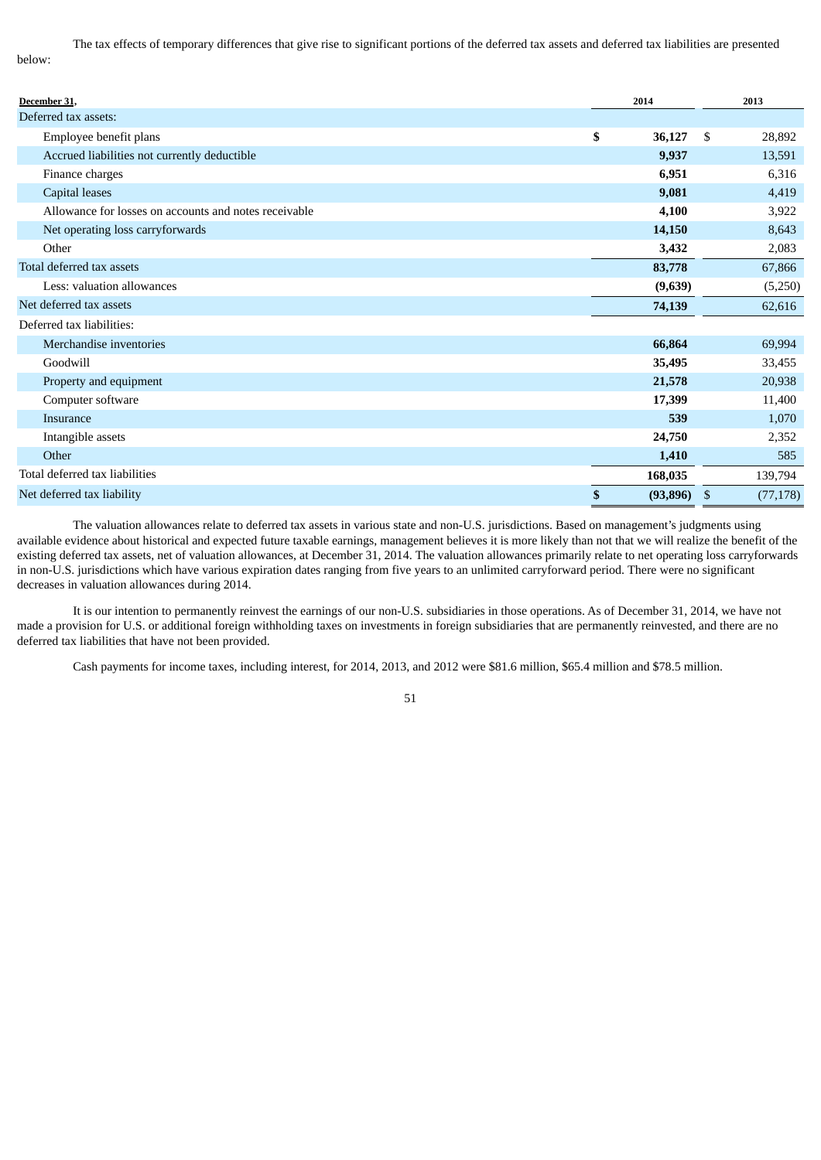The tax effects of temporary differences that give rise to significant portions of the deferred tax assets and deferred tax liabilities are presented below:

| December 31,                                          | 2014 |           |      | 2013      |
|-------------------------------------------------------|------|-----------|------|-----------|
| Deferred tax assets:                                  |      |           |      |           |
| Employee benefit plans                                | \$   | 36,127    | -S   | 28,892    |
| Accrued liabilities not currently deductible          |      | 9,937     |      | 13,591    |
| Finance charges                                       |      | 6,951     |      | 6,316     |
| Capital leases                                        |      | 9,081     |      | 4,419     |
| Allowance for losses on accounts and notes receivable |      | 4,100     |      | 3,922     |
| Net operating loss carryforwards                      |      | 14,150    |      | 8,643     |
| Other                                                 |      | 3,432     |      | 2,083     |
| Total deferred tax assets                             |      | 83,778    |      | 67,866    |
| Less: valuation allowances                            |      | (9,639)   |      | (5,250)   |
| Net deferred tax assets                               |      | 74,139    |      | 62,616    |
| Deferred tax liabilities:                             |      |           |      |           |
| Merchandise inventories                               |      | 66,864    |      | 69,994    |
| Goodwill                                              |      | 35,495    |      | 33,455    |
| Property and equipment                                |      | 21,578    |      | 20,938    |
| Computer software                                     |      | 17,399    |      | 11,400    |
| Insurance                                             |      | 539       |      | 1,070     |
| Intangible assets                                     |      | 24,750    |      | 2,352     |
| Other                                                 |      | 1,410     |      | 585       |
| Total deferred tax liabilities                        |      | 168,035   |      | 139,794   |
| Net deferred tax liability                            | \$   | (93, 896) | - \$ | (77, 178) |

The valuation allowances relate to deferred tax assets in various state and non-U.S. jurisdictions. Based on management's judgments using available evidence about historical and expected future taxable earnings, management believes it is more likely than not that we will realize the benefit of the existing deferred tax assets, net of valuation allowances, at December 31, 2014. The valuation allowances primarily relate to net operating loss carryforwards in non-U.S. jurisdictions which have various expiration dates ranging from five years to an unlimited carryforward period. There were no significant decreases in valuation allowances during 2014.

It is our intention to permanently reinvest the earnings of our non-U.S. subsidiaries in those operations. As of December 31, 2014, we have not made a provision for U.S. or additional foreign withholding taxes on investments in foreign subsidiaries that are permanently reinvested, and there are no deferred tax liabilities that have not been provided.

Cash payments for income taxes, including interest, for 2014, 2013, and 2012 were \$81.6 million, \$65.4 million and \$78.5 million.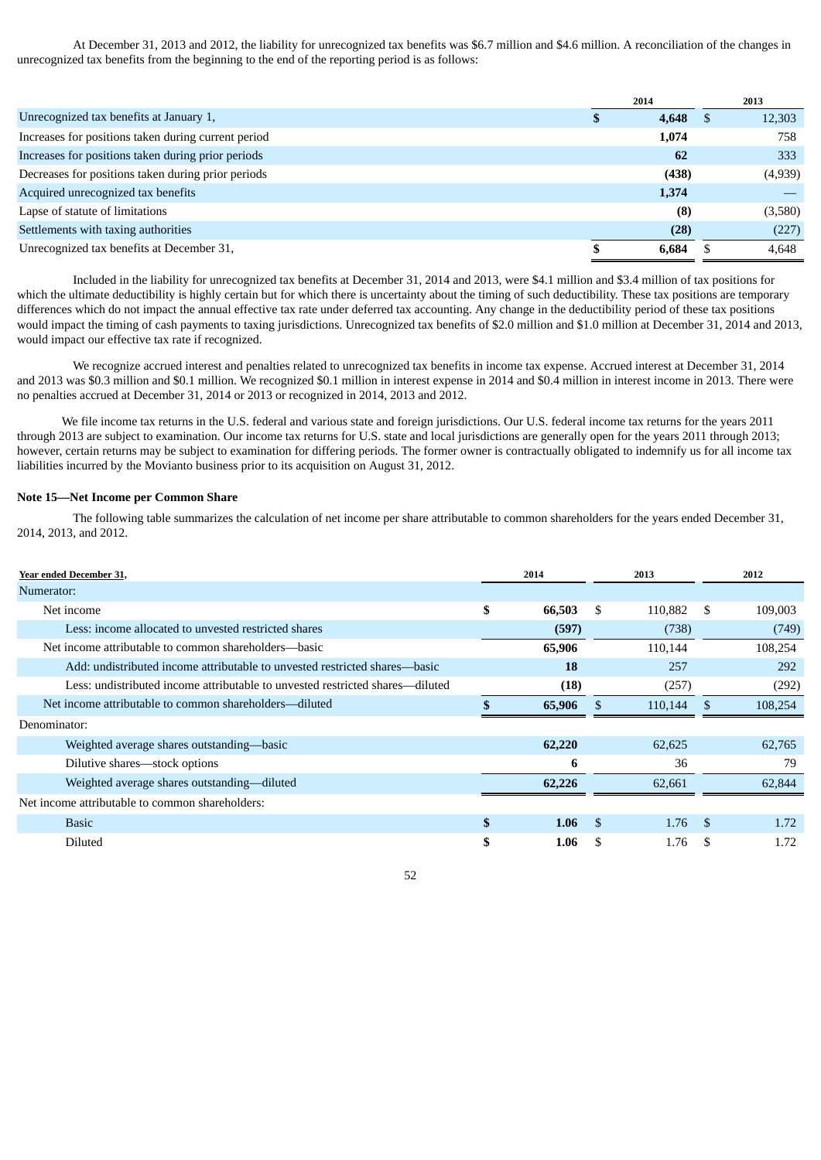At December 31, 2013 and 2012, the liability for unrecognized tax benefits was \$6.7 million and \$4.6 million. A reconciliation of the changes in unrecognized tax benefits from the beginning to the end of the reporting period is as follows:

|                                                     | 2014  | 2013    |
|-----------------------------------------------------|-------|---------|
| Unrecognized tax benefits at January 1,             | 4.648 | 12,303  |
| Increases for positions taken during current period | 1,074 | 758     |
| Increases for positions taken during prior periods  | 62    | 333     |
| Decreases for positions taken during prior periods  | (438) | (4,939) |
| Acquired unrecognized tax benefits                  | 1,374 |         |
| Lapse of statute of limitations                     | (8)   | (3,580) |
| Settlements with taxing authorities                 | (28)  | (227)   |
| Unrecognized tax benefits at December 31,           | 6.684 | 4,648   |

Included in the liability for unrecognized tax benefits at December 31, 2014 and 2013, were \$4.1 million and \$3.4 million of tax positions for which the ultimate deductibility is highly certain but for which there is uncertainty about the timing of such deductibility. These tax positions are temporary differences which do not impact the annual effective tax rate under deferred tax accounting. Any change in the deductibility period of these tax positions would impact the timing of cash payments to taxing jurisdictions. Unrecognized tax benefits of \$2.0 million and \$1.0 million at December 31, 2014 and 2013, would impact our effective tax rate if recognized.

We recognize accrued interest and penalties related to unrecognized tax benefits in income tax expense. Accrued interest at December 31, 2014 and 2013 was \$0.3 million and \$0.1 million. We recognized \$0.1 million in interest expense in 2014 and \$0.4 million in interest income in 2013. There were no penalties accrued at December 31, 2014 or 2013 or recognized in 2014, 2013 and 2012.

We file income tax returns in the U.S. federal and various state and foreign jurisdictions. Our U.S. federal income tax returns for the years 2011 through 2013 are subject to examination. Our income tax returns for U.S. state and local jurisdictions are generally open for the years 2011 through 2013; however, certain returns may be subject to examination for differing periods. The former owner is contractually obligated to indemnify us for all income tax liabilities incurred by the Movianto business prior to its acquisition on August 31, 2012.

## **Note 15—Net Income per Common Share**

The following table summarizes the calculation of net income per share attributable to common shareholders for the years ended December 31, 2014, 2013, and 2012.

| Year ended December 31,                                                       | 2014<br>2013         |               |                       |  |  |  |  |  | 2012 |
|-------------------------------------------------------------------------------|----------------------|---------------|-----------------------|--|--|--|--|--|------|
| Numerator:                                                                    |                      |               |                       |  |  |  |  |  |      |
| Net income                                                                    | \$<br>66,503         | \$<br>110,882 | 109,003<br>-S         |  |  |  |  |  |      |
| Less: income allocated to unvested restricted shares                          | (597)                | (738)         | (749)                 |  |  |  |  |  |      |
| Net income attributable to common shareholders—basic                          | 65,906               | 110,144       | 108,254               |  |  |  |  |  |      |
| Add: undistributed income attributable to unvested restricted shares—basic    | <b>18</b>            | 257           | 292                   |  |  |  |  |  |      |
| Less: undistributed income attributable to unvested restricted shares—diluted | (18)                 | (257)         | (292)                 |  |  |  |  |  |      |
| Net income attributable to common shareholders—diluted                        | 65,906               | 110,144       | £.<br>108,254         |  |  |  |  |  |      |
| Denominator:                                                                  |                      |               |                       |  |  |  |  |  |      |
| Weighted average shares outstanding—basic                                     | 62,220               | 62,625        | 62,765                |  |  |  |  |  |      |
| Dilutive shares—stock options                                                 | 6                    | 36            | 79                    |  |  |  |  |  |      |
| Weighted average shares outstanding-diluted                                   | 62,226               | 62,661        | 62,844                |  |  |  |  |  |      |
| Net income attributable to common shareholders:                               |                      |               |                       |  |  |  |  |  |      |
| <b>Basic</b>                                                                  | $\mathbf{s}$<br>1.06 | \$<br>1.76    | $\mathcal{S}$<br>1.72 |  |  |  |  |  |      |
| Diluted                                                                       | \$<br>1.06           | \$.<br>1.76   | \$.<br>1.72           |  |  |  |  |  |      |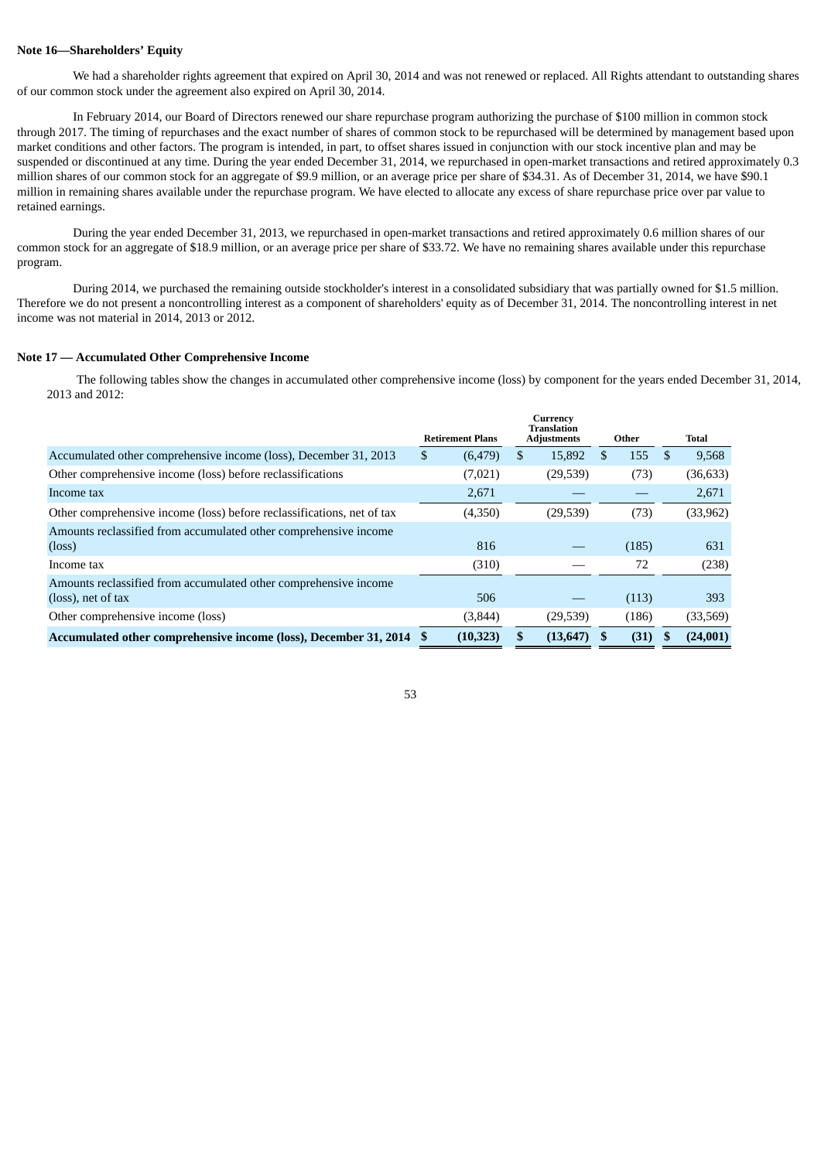## **Note 16—Shareholders' Equity**

We had a shareholder rights agreement that expired on April 30, 2014 and was not renewed or replaced. All Rights attendant to outstanding shares of our common stock under the agreement also expired on April 30, 2014.

In February 2014, our Board of Directors renewed our share repurchase program authorizing the purchase of \$100 million in common stock through 2017. The timing of repurchases and the exact number of shares of common stock to be repurchased will be determined by management based upon market conditions and other factors. The program is intended, in part, to offset shares issued in conjunction with our stock incentive plan and may be suspended or discontinued at any time. During the year ended December 31, 2014, we repurchased in open-market transactions and retired approximately 0.3 million shares of our common stock for an aggregate of \$9.9 million, or an average price per share of \$34.31. As of December 31, 2014, we have \$90.1 million in remaining shares available under the repurchase program. We have elected to allocate any excess of share repurchase price over par value to retained earnings.

During the year ended December 31, 2013, we repurchased in open-market transactions and retired approximately 0.6 million shares of our common stock for an aggregate of \$18.9 million, or an average price per share of \$33.72. We have no remaining shares available under this repurchase program.

During 2014, we purchased the remaining outside stockholder's interest in a consolidated subsidiary that was partially owned for \$1.5 million. Therefore we do not present a noncontrolling interest as a component of shareholders' equity as of December 31, 2014. The noncontrolling interest in net income was not material in 2014, 2013 or 2012.

## **Note 17 — Accumulated Other Comprehensive Income**

The following tables show the changes in accumulated other comprehensive income (loss) by component for the years ended December 31, 2014, 2013 and 2012:

|                                                                                        | Currency<br>Translation<br><b>Retirement Plans</b><br><b>Adjustments</b> |    |           | Other |               | <b>Total</b> |
|----------------------------------------------------------------------------------------|--------------------------------------------------------------------------|----|-----------|-------|---------------|--------------|
| Accumulated other comprehensive income (loss), December 31, 2013                       | \$<br>(6, 479)                                                           | \$ | 15,892    | 155   | <sup>\$</sup> | 9,568        |
| Other comprehensive income (loss) before reclassifications                             | (7,021)                                                                  |    | (29, 539) | (73)  |               | (36, 633)    |
| Income tax                                                                             | 2,671                                                                    |    |           |       |               | 2,671        |
| Other comprehensive income (loss) before reclassifications, net of tax                 | (4,350)                                                                  |    | (29, 539) | (73)  |               | (33,962)     |
| Amounts reclassified from accumulated other comprehensive income<br>$(\text{loss})$    | 816                                                                      |    |           | (185) |               | 631          |
| Income tax                                                                             | (310)                                                                    |    |           | 72    |               | (238)        |
| Amounts reclassified from accumulated other comprehensive income<br>(loss), net of tax | 506                                                                      |    |           | (113) |               | 393          |
| Other comprehensive income (loss)                                                      | (3, 844)                                                                 |    | (29,539)  | (186) |               | (33, 569)    |
| Accumulated other comprehensive income (loss), December 31, 2014                       | (10, 323)                                                                |    | (13, 647) | (31)  |               | (24,001)     |

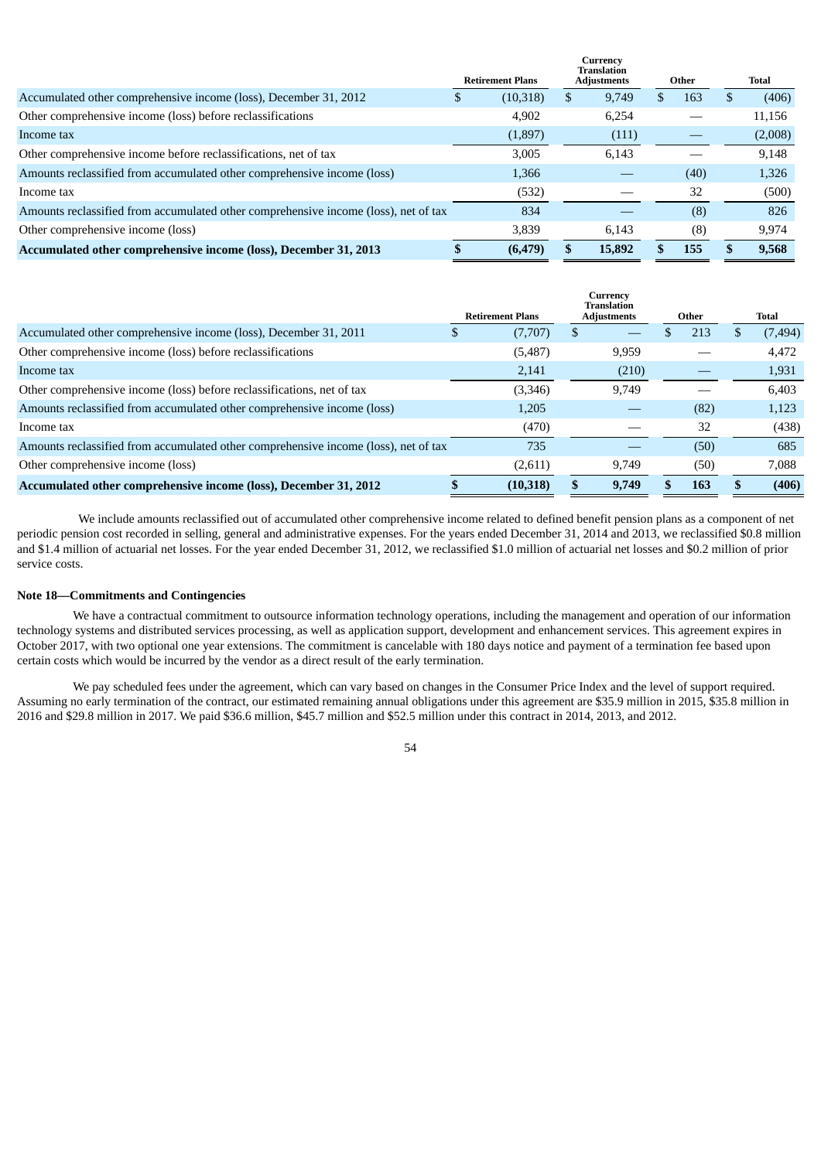|                                                                                     | Currency<br>Translation |                         |     |                    |  |       |    |         |
|-------------------------------------------------------------------------------------|-------------------------|-------------------------|-----|--------------------|--|-------|----|---------|
|                                                                                     |                         | <b>Retirement Plans</b> |     | <b>Adjustments</b> |  | Other |    | Total   |
| Accumulated other comprehensive income (loss), December 31, 2012                    |                         | (10,318)                | SS. | 9,749              |  | 163   | S  | (406)   |
| Other comprehensive income (loss) before reclassifications                          |                         | 4,902                   |     | 6,254              |  |       |    | 11,156  |
| Income tax                                                                          |                         | (1,897)                 |     | (111)              |  |       |    | (2,008) |
| Other comprehensive income before reclassifications, net of tax                     |                         | 3,005                   |     | 6,143              |  |       |    | 9,148   |
| Amounts reclassified from accumulated other comprehensive income (loss)             |                         | 1,366                   |     |                    |  | (40)  |    | 1,326   |
| Income tax                                                                          |                         | (532)                   |     |                    |  | 32    |    | (500)   |
| Amounts reclassified from accumulated other comprehensive income (loss), net of tax |                         | 834                     |     |                    |  | (8)   |    | 826     |
| Other comprehensive income (loss)                                                   |                         | 3,839                   |     | 6,143              |  | (8)   |    | 9,974   |
| Accumulated other comprehensive income (loss), December 31, 2013                    |                         | (6, 479)                |     | 15,892             |  | 155   | -5 | 9,568   |

|                                                                                     | Currency<br>Translation<br><b>Adjustments</b><br><b>Retirement Plans</b> |  |       |              | Other |    | Total    |
|-------------------------------------------------------------------------------------|--------------------------------------------------------------------------|--|-------|--------------|-------|----|----------|
| Accumulated other comprehensive income (loss), December 31, 2011                    | (7,707)                                                                  |  |       | $\mathbf{s}$ | 213   | .D | (7, 494) |
| Other comprehensive income (loss) before reclassifications                          | (5,487)                                                                  |  | 9,959 |              |       |    | 4.472    |
| Income tax                                                                          | 2,141                                                                    |  | (210) |              |       |    | 1,931    |
| Other comprehensive income (loss) before reclassifications, net of tax              | (3,346)                                                                  |  | 9.749 |              |       |    | 6,403    |
| Amounts reclassified from accumulated other comprehensive income (loss)             | 1,205                                                                    |  |       |              | (82)  |    | 1,123    |
| Income tax                                                                          | (470)                                                                    |  |       |              | 32    |    | (438)    |
| Amounts reclassified from accumulated other comprehensive income (loss), net of tax | 735                                                                      |  |       |              | (50)  |    | 685      |
| Other comprehensive income (loss)                                                   | (2,611)                                                                  |  | 9,749 |              | (50)  |    | 7,088    |
| Accumulated other comprehensive income (loss), December 31, 2012                    | (10, 318)                                                                |  | 9,749 |              | 163   |    | (406)    |

We include amounts reclassified out of accumulated other comprehensive income related to defined benefit pension plans as a component of net periodic pension cost recorded in selling, general and administrative expenses. For the years ended December 31, 2014 and 2013, we reclassified \$0.8 million and \$1.4 million of actuarial net losses. For the year ended December 31, 2012, we reclassified \$1.0 million of actuarial net losses and \$0.2 million of prior service costs.

### **Note 18—Commitments and Contingencies**

We have a contractual commitment to outsource information technology operations, including the management and operation of our information technology systems and distributed services processing, as well as application support, development and enhancement services. This agreement expires in October 2017, with two optional one year extensions. The commitment is cancelable with 180 days notice and payment of a termination fee based upon certain costs which would be incurred by the vendor as a direct result of the early termination.

We pay scheduled fees under the agreement, which can vary based on changes in the Consumer Price Index and the level of support required. Assuming no early termination of the contract, our estimated remaining annual obligations under this agreement are \$35.9 million in 2015, \$35.8 million in 2016 and \$29.8 million in 2017. We paid \$36.6 million, \$45.7 million and \$52.5 million under this contract in 2014, 2013, and 2012.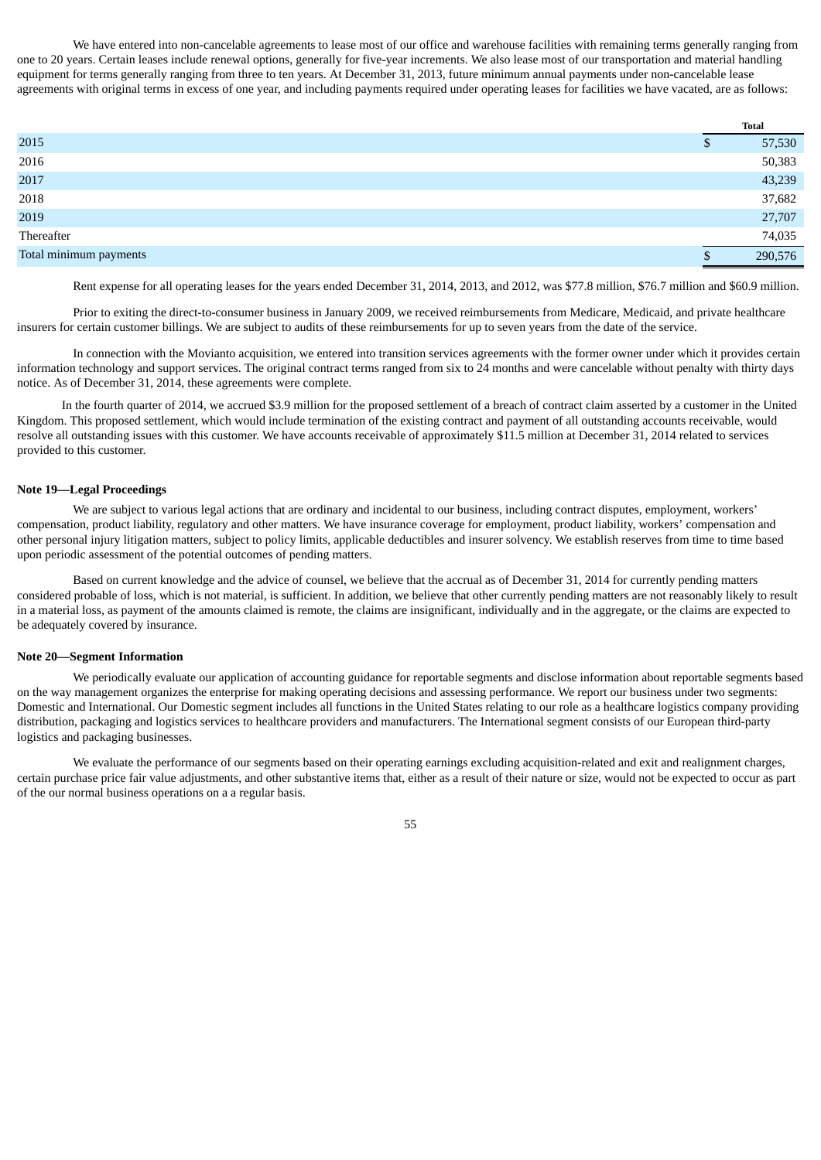We have entered into non-cancelable agreements to lease most of our office and warehouse facilities with remaining terms generally ranging from one to 20 years. Certain leases include renewal options, generally for five-year increments. We also lease most of our transportation and material handling equipment for terms generally ranging from three to ten years. At December 31, 2013, future minimum annual payments under non-cancelable lease agreements with original terms in excess of one year, and including payments required under operating leases for facilities we have vacated, are as follows:

|                        |   | <b>Total</b> |
|------------------------|---|--------------|
| 2015                   | Φ | 57,530       |
| 2016                   |   | 50,383       |
| 2017                   |   | 43,239       |
| 2018                   |   | 37,682       |
| 2019                   |   | 27,707       |
| Thereafter             |   | 74,035       |
| Total minimum payments |   | 290,576      |

Rent expense for all operating leases for the years ended December 31, 2014, 2013, and 2012, was \$77.8 million, \$76.7 million and \$60.9 million.

Prior to exiting the direct-to-consumer business in January 2009, we received reimbursements from Medicare, Medicaid, and private healthcare insurers for certain customer billings. We are subject to audits of these reimbursements for up to seven years from the date of the service.

In connection with the Movianto acquisition, we entered into transition services agreements with the former owner under which it provides certain information technology and support services. The original contract terms ranged from six to 24 months and were cancelable without penalty with thirty days notice. As of December 31, 2014, these agreements were complete.

In the fourth quarter of 2014, we accrued \$3.9 million for the proposed settlement of a breach of contract claim asserted by a customer in the United Kingdom. This proposed settlement, which would include termination of the existing contract and payment of all outstanding accounts receivable, would resolve all outstanding issues with this customer. We have accounts receivable of approximately \$11.5 million at December 31, 2014 related to services provided to this customer.

## **Note 19—Legal Proceedings**

We are subject to various legal actions that are ordinary and incidental to our business, including contract disputes, employment, workers' compensation, product liability, regulatory and other matters. We have insurance coverage for employment, product liability, workers' compensation and other personal injury litigation matters, subject to policy limits, applicable deductibles and insurer solvency. We establish reserves from time to time based upon periodic assessment of the potential outcomes of pending matters.

Based on current knowledge and the advice of counsel, we believe that the accrual as of December 31, 2014 for currently pending matters considered probable of loss, which is not material, is sufficient. In addition, we believe that other currently pending matters are not reasonably likely to result in a material loss, as payment of the amounts claimed is remote, the claims are insignificant, individually and in the aggregate, or the claims are expected to be adequately covered by insurance.

## **Note 20—Segment Information**

We periodically evaluate our application of accounting guidance for reportable segments and disclose information about reportable segments based on the way management organizes the enterprise for making operating decisions and assessing performance. We report our business under two segments: Domestic and International. Our Domestic segment includes all functions in the United States relating to our role as a healthcare logistics company providing distribution, packaging and logistics services to healthcare providers and manufacturers. The International segment consists of our European third-party logistics and packaging businesses.

We evaluate the performance of our segments based on their operating earnings excluding acquisition-related and exit and realignment charges, certain purchase price fair value adjustments, and other substantive items that, either as a result of their nature or size, would not be expected to occur as part of the our normal business operations on a a regular basis.

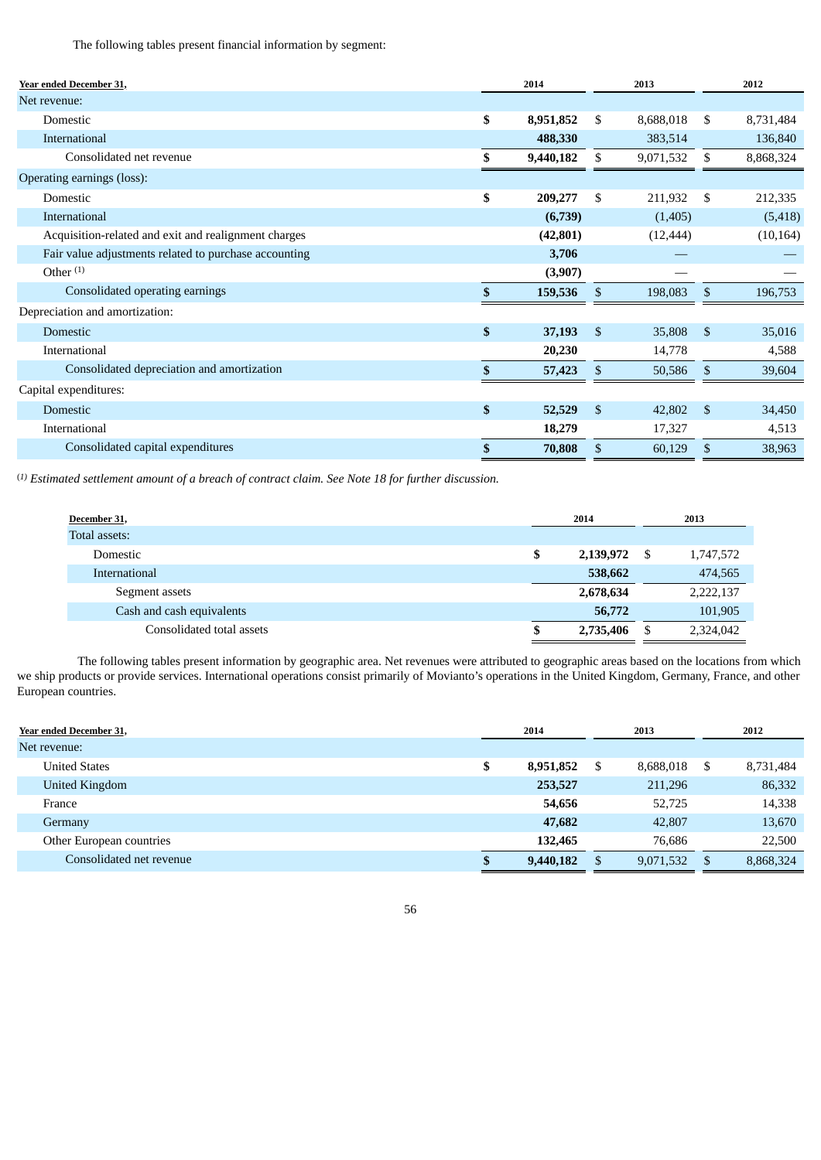The following tables present financial information by segment:

| Year ended December 31,                               |                           | 2014      |               | 2013      |                    | 2012      |
|-------------------------------------------------------|---------------------------|-----------|---------------|-----------|--------------------|-----------|
| Net revenue:                                          |                           |           |               |           |                    |           |
| Domestic                                              | \$                        | 8,951,852 | \$            | 8,688,018 | \$                 | 8,731,484 |
| International                                         |                           | 488,330   |               | 383,514   |                    | 136,840   |
| Consolidated net revenue                              | \$                        | 9,440,182 | \$            | 9,071,532 | \$                 | 8,868,324 |
| Operating earnings (loss):                            |                           |           |               |           |                    |           |
| Domestic                                              | \$                        | 209,277   | \$            | 211,932   | \$                 | 212,335   |
| International                                         |                           | (6,739)   |               | (1,405)   |                    | (5, 418)  |
| Acquisition-related and exit and realignment charges  |                           | (42, 801) |               | (12, 444) |                    | (10, 164) |
| Fair value adjustments related to purchase accounting |                           | 3,706     |               |           |                    |           |
| Other $(1)$                                           |                           | (3,907)   |               |           |                    |           |
| Consolidated operating earnings                       | $\mathbf{s}$              | 159,536   | \$            | 198,083   | \$                 | 196,753   |
| Depreciation and amortization:                        |                           |           |               |           |                    |           |
| Domestic                                              | $\mathbf{s}$              | 37,193    | $\mathcal{S}$ | 35,808    | -\$                | 35,016    |
| International                                         |                           | 20,230    |               | 14,778    |                    | 4,588     |
| Consolidated depreciation and amortization            | $\mathbf{s}$              | 57,423    | \$            | 50,586    | <sup>\$</sup>      | 39,604    |
| Capital expenditures:                                 |                           |           |               |           |                    |           |
| Domestic                                              | $\boldsymbol{\mathsf{s}}$ | 52,529    | \$            | 42,802    | $\mathbf{\hat{S}}$ | 34,450    |
| International                                         |                           | 18,279    |               | 17,327    |                    | 4,513     |
| Consolidated capital expenditures                     | \$                        | 70,808    | \$            | 60,129    | \$                 | 38,963    |

(*1) Estimated settlement amount of a breach of contract claim. See Note 18 for further discussion.*

| December 31,              |   | 2014      | 2013      |
|---------------------------|---|-----------|-----------|
| Total assets:             |   |           |           |
| Domestic                  | S | 2,139,972 | 1,747,572 |
| International             |   | 538,662   | 474,565   |
| Segment assets            |   | 2,678,634 | 2,222,137 |
| Cash and cash equivalents |   | 56,772    | 101,905   |
| Consolidated total assets | Œ | 2,735,406 | 2,324,042 |

The following tables present information by geographic area. Net revenues were attributed to geographic areas based on the locations from which we ship products or provide services. International operations consist primarily of Movianto's operations in the United Kingdom, Germany, France, and other European countries.

| Year ended December 31,  | 2014            | 2013 |           | 2012 |           |  |
|--------------------------|-----------------|------|-----------|------|-----------|--|
| Net revenue:             |                 |      |           |      |           |  |
| <b>United States</b>     | \$<br>8,951,852 | S    | 8,688,018 | S.   | 8,731,484 |  |
| <b>United Kingdom</b>    | 253,527         |      | 211,296   |      | 86,332    |  |
| France                   | 54,656          |      | 52,725    |      | 14,338    |  |
| Germany                  | 47,682          |      | 42,807    |      | 13,670    |  |
| Other European countries | 132,465         |      | 76,686    |      | 22,500    |  |
| Consolidated net revenue | 9,440,182       | S    | 9,071,532 | S    | 8,868,324 |  |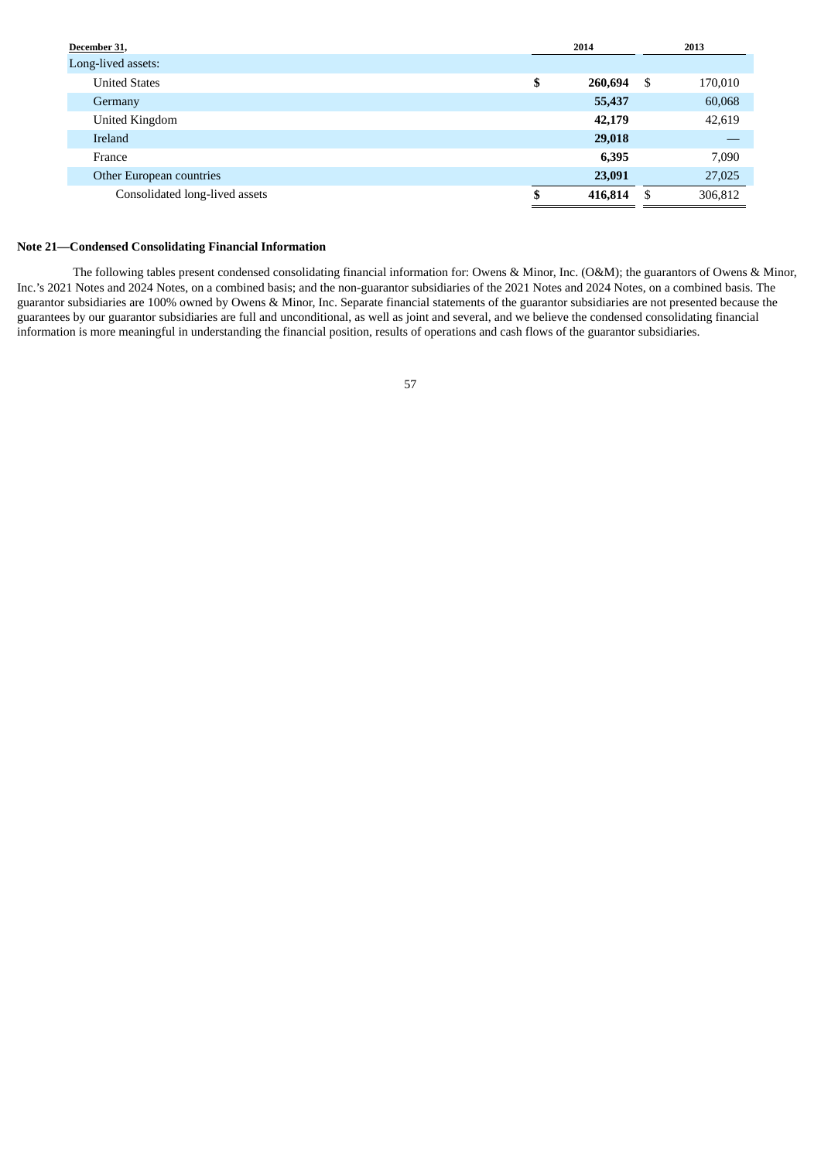| 2014          |    | 2013    |
|---------------|----|---------|
|               |    |         |
| \$<br>260,694 | \$ | 170,010 |
| 55,437        |    | 60,068  |
| 42,179        |    | 42,619  |
| 29,018        |    |         |
| 6,395         |    | 7,090   |
| 23,091        |    | 27,025  |
| 416,814       | S  | 306,812 |
|               |    |         |

The following tables present condensed consolidating financial information for: Owens & Minor, Inc. (O&M); the guarantors of Owens & Minor, Inc.'s 2021 Notes and 2024 Notes, on a combined basis; and the non-guarantor subsidiaries of the 2021 Notes and 2024 Notes, on a combined basis. The guarantor subsidiaries are 100% owned by Owens & Minor, Inc. Separate financial statements of the guarantor subsidiaries are not presented because the guarantees by our guarantor subsidiaries are full and unconditional, as well as joint and several, and we believe the condensed consolidating financial information is more meaningful in understanding the financial position, results of operations and cash flows of the guarantor subsidiaries.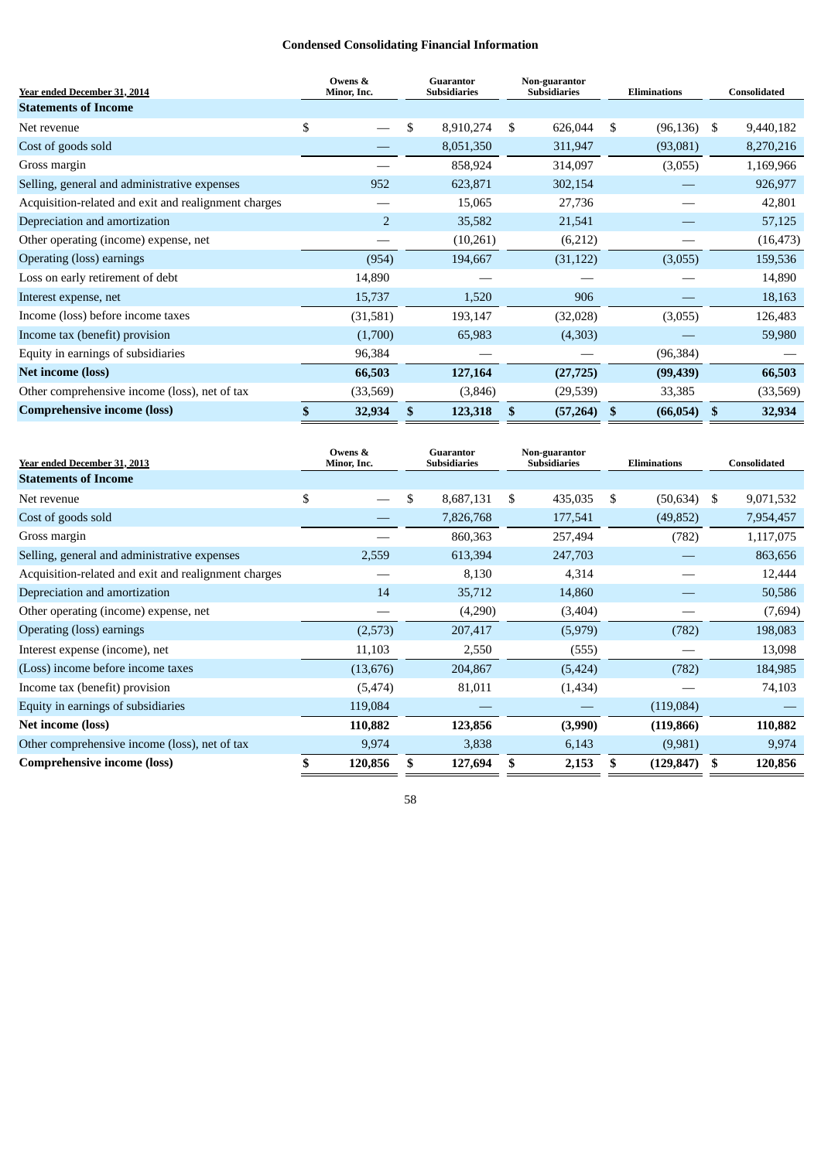| Year ended December 31, 2014                         | Owens &<br>Minor, Inc. |                | <b>Guarantor</b><br><b>Subsidiaries</b> |    | Non-guarantor<br><b>Subsidiaries</b> | <b>Eliminations</b> |           |    | <b>Consolidated</b> |
|------------------------------------------------------|------------------------|----------------|-----------------------------------------|----|--------------------------------------|---------------------|-----------|----|---------------------|
| <b>Statements of Income</b>                          |                        |                |                                         |    |                                      |                     |           |    |                     |
| Net revenue                                          | \$                     |                | \$<br>8,910,274                         | \$ | 626,044                              | \$                  | (96, 136) | \$ | 9,440,182           |
| Cost of goods sold                                   |                        |                | 8,051,350                               |    | 311,947                              |                     | (93,081)  |    | 8,270,216           |
| Gross margin                                         |                        |                | 858,924                                 |    | 314,097                              |                     | (3,055)   |    | 1,169,966           |
| Selling, general and administrative expenses         |                        | 952            | 623,871                                 |    | 302,154                              |                     |           |    | 926,977             |
| Acquisition-related and exit and realignment charges |                        |                | 15,065                                  |    | 27,736                               |                     |           |    | 42,801              |
| Depreciation and amortization                        |                        | $\overline{2}$ | 35,582                                  |    | 21,541                               |                     |           |    | 57,125              |
| Other operating (income) expense, net                |                        |                | (10,261)                                |    | (6,212)                              |                     |           |    | (16, 473)           |
| Operating (loss) earnings                            |                        | (954)          | 194,667                                 |    | (31, 122)                            |                     | (3,055)   |    | 159,536             |
| Loss on early retirement of debt                     |                        | 14,890         |                                         |    |                                      |                     |           |    | 14,890              |
| Interest expense, net                                |                        | 15,737         | 1,520                                   |    | 906                                  |                     |           |    | 18,163              |
| Income (loss) before income taxes                    |                        | (31,581)       | 193,147                                 |    | (32,028)                             |                     | (3,055)   |    | 126,483             |
| Income tax (benefit) provision                       |                        | (1,700)        | 65,983                                  |    | (4,303)                              |                     |           |    | 59,980              |
| Equity in earnings of subsidiaries                   |                        | 96,384         |                                         |    |                                      |                     | (96, 384) |    |                     |
| <b>Net income (loss)</b>                             |                        | 66,503         | 127,164                                 |    | (27, 725)                            |                     | (99, 439) |    | 66,503              |
| Other comprehensive income (loss), net of tax        |                        | (33, 569)      | (3, 846)                                |    | (29, 539)                            |                     | 33,385    |    | (33, 569)           |
| <b>Comprehensive income (loss)</b>                   | S                      | 32,934         | \$<br>123,318                           | S  | (57, 264)                            |                     | (66, 054) | -S | 32,934              |

| Year ended December 31, 2013                         | Owens &<br>Minor, Inc. | Guarantor<br><b>Subsidiaries</b> |    | Non-guarantor<br><b>Subsidiaries</b> |    | <b>Eliminations</b> |    | <b>Consolidated</b> |
|------------------------------------------------------|------------------------|----------------------------------|----|--------------------------------------|----|---------------------|----|---------------------|
| <b>Statements of Income</b>                          |                        |                                  |    |                                      |    |                     |    |                     |
| Net revenue                                          | \$                     | \$<br>8,687,131                  | \$ | 435,035                              | S. | (50, 634)           | \$ | 9,071,532           |
| Cost of goods sold                                   |                        | 7,826,768                        |    | 177,541                              |    | (49, 852)           |    | 7,954,457           |
| Gross margin                                         |                        | 860,363                          |    | 257,494                              |    | (782)               |    | 1,117,075           |
| Selling, general and administrative expenses         | 2,559                  | 613,394                          |    | 247,703                              |    |                     |    | 863,656             |
| Acquisition-related and exit and realignment charges |                        | 8,130                            |    | 4,314                                |    |                     |    | 12,444              |
| Depreciation and amortization                        | 14                     | 35,712                           |    | 14,860                               |    |                     |    | 50,586              |
| Other operating (income) expense, net                |                        | (4,290)                          |    | (3,404)                              |    |                     |    | (7,694)             |
| Operating (loss) earnings                            | (2,573)                | 207,417                          |    | (5,979)                              |    | (782)               |    | 198,083             |
| Interest expense (income), net                       | 11,103                 | 2,550                            |    | (555)                                |    |                     |    | 13,098              |
| (Loss) income before income taxes                    | (13, 676)              | 204,867                          |    | (5, 424)                             |    | (782)               |    | 184,985             |
| Income tax (benefit) provision                       | (5, 474)               | 81,011                           |    | (1, 434)                             |    |                     |    | 74,103              |
| Equity in earnings of subsidiaries                   | 119,084                |                                  |    |                                      |    | (119,084)           |    |                     |
| <b>Net income (loss)</b>                             | 110,882                | 123,856                          |    | (3,990)                              |    | (119, 866)          |    | 110,882             |
| Other comprehensive income (loss), net of tax        | 9,974                  | 3,838                            |    | 6,143                                |    | (9,981)             |    | 9,974               |
| <b>Comprehensive income (loss)</b>                   | \$<br>120,856          | \$<br>127,694                    | S  | 2,153                                |    | (129, 847)          | S  | 120,856             |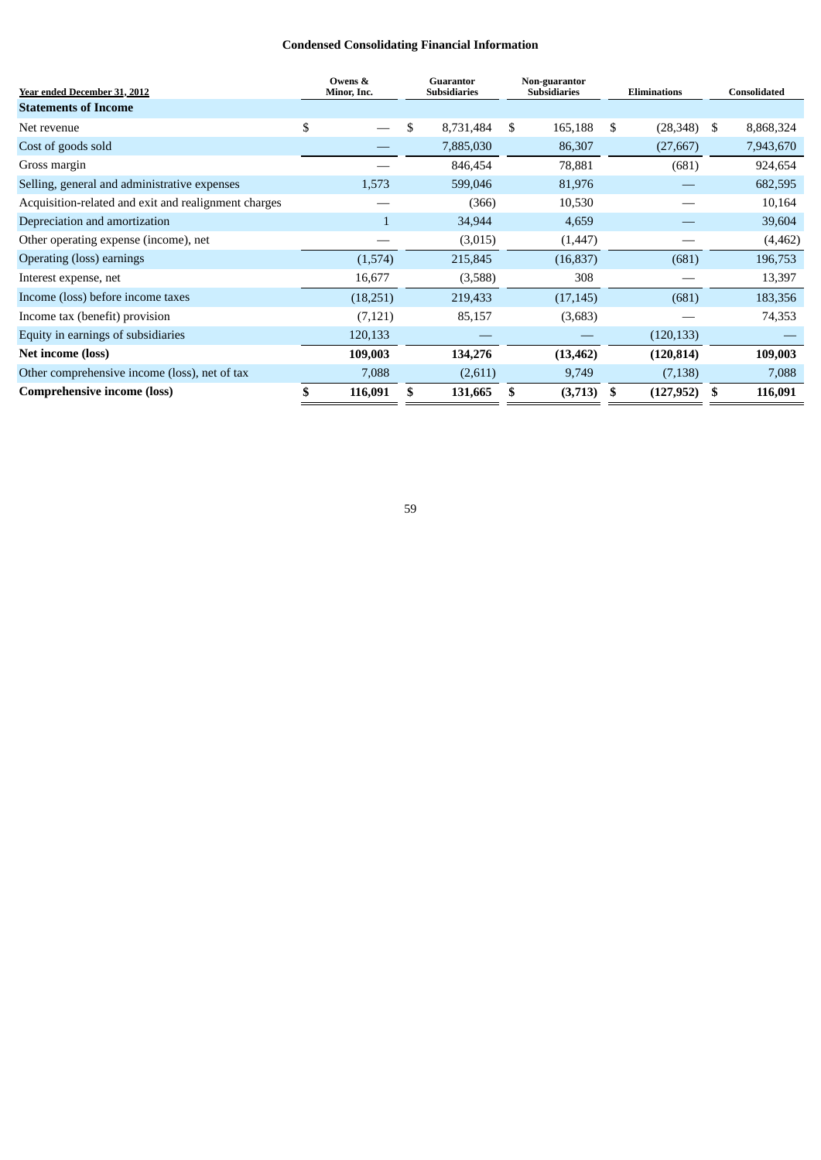| Year ended December 31, 2012                         | Owens &<br>Minor, Inc. | Guarantor<br><b>Subsidiaries</b> |    | Non-guarantor<br><b>Subsidiaries</b> |    | <b>Eliminations</b> |    | Consolidated |
|------------------------------------------------------|------------------------|----------------------------------|----|--------------------------------------|----|---------------------|----|--------------|
| <b>Statements of Income</b>                          |                        |                                  |    |                                      |    |                     |    |              |
| Net revenue                                          | \$                     | \$<br>8,731,484                  | \$ | 165,188                              | S. | (28, 348)           | \$ | 8,868,324    |
| Cost of goods sold                                   |                        | 7,885,030                        |    | 86,307                               |    | (27,667)            |    | 7,943,670    |
| Gross margin                                         |                        | 846,454                          |    | 78,881                               |    | (681)               |    | 924,654      |
| Selling, general and administrative expenses         | 1,573                  | 599,046                          |    | 81,976                               |    |                     |    | 682,595      |
| Acquisition-related and exit and realignment charges |                        | (366)                            |    | 10,530                               |    |                     |    | 10,164       |
| Depreciation and amortization                        | 1                      | 34,944                           |    | 4,659                                |    |                     |    | 39,604       |
| Other operating expense (income), net                |                        | (3,015)                          |    | (1, 447)                             |    |                     |    | (4, 462)     |
| Operating (loss) earnings                            | (1,574)                | 215,845                          |    | (16, 837)                            |    | (681)               |    | 196,753      |
| Interest expense, net                                | 16,677                 | (3,588)                          |    | 308                                  |    |                     |    | 13,397       |
| Income (loss) before income taxes                    | (18,251)               | 219,433                          |    | (17, 145)                            |    | (681)               |    | 183,356      |
| Income tax (benefit) provision                       | (7, 121)               | 85,157                           |    | (3,683)                              |    |                     |    | 74,353       |
| Equity in earnings of subsidiaries                   | 120,133                |                                  |    |                                      |    | (120, 133)          |    |              |
| <b>Net income (loss)</b>                             | 109,003                | 134,276                          |    | (13, 462)                            |    | (120, 814)          |    | 109,003      |
| Other comprehensive income (loss), net of tax        | 7,088                  | (2,611)                          |    | 9,749                                |    | (7, 138)            |    | 7,088        |
| Comprehensive income (loss)                          | \$<br>116,091          | \$<br>131,665                    | S  | (3,713)                              | -S | (127, 952)          | S. | 116,091      |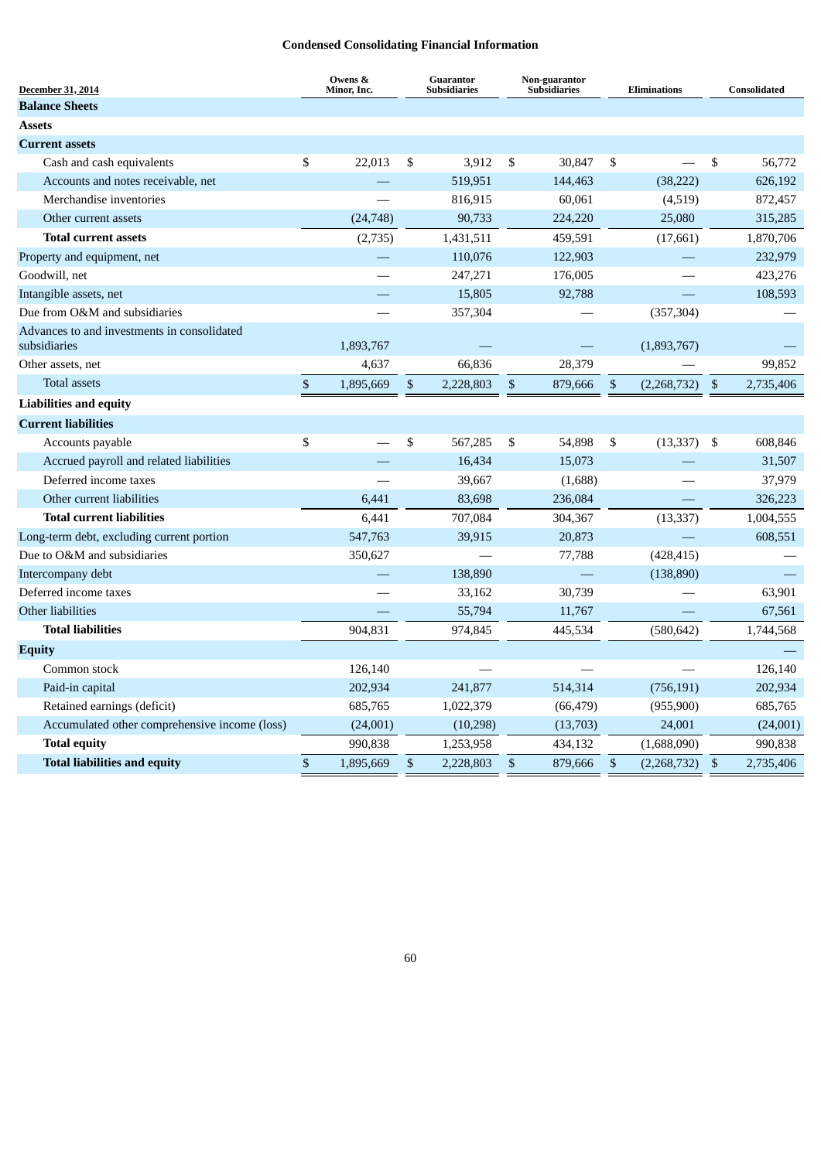| December 31, 2014                                           |              | Owens &<br>Minor, Inc. |                           | Guarantor<br>Subsidiaries |                           | Non-guarantor<br><b>Subsidiaries</b> |              | <b>Eliminations</b> | Consolidated    |
|-------------------------------------------------------------|--------------|------------------------|---------------------------|---------------------------|---------------------------|--------------------------------------|--------------|---------------------|-----------------|
| <b>Balance Sheets</b>                                       |              |                        |                           |                           |                           |                                      |              |                     |                 |
| <b>Assets</b>                                               |              |                        |                           |                           |                           |                                      |              |                     |                 |
| <b>Current assets</b>                                       |              |                        |                           |                           |                           |                                      |              |                     |                 |
| Cash and cash equivalents                                   | \$           | 22,013                 | \$                        | 3,912                     | \$                        | 30,847                               | \$           |                     | \$<br>56,772    |
| Accounts and notes receivable, net                          |              |                        |                           | 519,951                   |                           | 144,463                              |              | (38, 222)           | 626,192         |
| Merchandise inventories                                     |              |                        |                           | 816,915                   |                           | 60,061                               |              | (4,519)             | 872,457         |
| Other current assets                                        |              | (24, 748)              |                           | 90,733                    |                           | 224,220                              |              | 25,080              | 315,285         |
| <b>Total current assets</b>                                 |              | (2,735)                |                           | 1,431,511                 |                           | 459,591                              |              | (17,661)            | 1,870,706       |
| Property and equipment, net                                 |              |                        |                           | 110,076                   |                           | 122,903                              |              |                     | 232,979         |
| Goodwill, net                                               |              |                        |                           | 247,271                   |                           | 176,005                              |              |                     | 423,276         |
| Intangible assets, net                                      |              |                        |                           | 15,805                    |                           | 92,788                               |              |                     | 108,593         |
| Due from O&M and subsidiaries                               |              |                        |                           | 357,304                   |                           |                                      |              | (357, 304)          |                 |
| Advances to and investments in consolidated<br>subsidiaries |              | 1,893,767              |                           |                           |                           |                                      |              | (1,893,767)         |                 |
| Other assets, net                                           |              | 4,637                  |                           | 66,836                    |                           | 28,379                               |              |                     | 99,852          |
| <b>Total assets</b>                                         | $\mathbb{S}$ | 1.895.669              | $\boldsymbol{\mathsf{S}}$ | 2,228,803                 | $\boldsymbol{\mathsf{S}}$ | 879,666                              | $\mathbb{S}$ | (2,268,732)         | \$<br>2,735,406 |
| <b>Liabilities and equity</b>                               |              |                        |                           |                           |                           |                                      |              |                     |                 |
| <b>Current liabilities</b>                                  |              |                        |                           |                           |                           |                                      |              |                     |                 |
| Accounts payable                                            | \$           |                        | \$                        | 567,285                   | \$                        | 54,898                               | \$           | (13, 337)           | \$<br>608,846   |
| Accrued payroll and related liabilities                     |              |                        |                           | 16,434                    |                           | 15,073                               |              |                     | 31,507          |
| Deferred income taxes                                       |              |                        |                           | 39,667                    |                           | (1,688)                              |              |                     | 37,979          |
| Other current liabilities                                   |              | 6,441                  |                           | 83,698                    |                           | 236,084                              |              |                     | 326,223         |
| <b>Total current liabilities</b>                            |              | 6,441                  |                           | 707,084                   |                           | 304,367                              |              | (13, 337)           | 1,004,555       |
| Long-term debt, excluding current portion                   |              | 547,763                |                           | 39,915                    |                           | 20,873                               |              |                     | 608,551         |
| Due to O&M and subsidiaries                                 |              | 350,627                |                           |                           |                           | 77,788                               |              | (428, 415)          |                 |
| Intercompany debt                                           |              |                        |                           | 138,890                   |                           |                                      |              | (138, 890)          |                 |
| Deferred income taxes                                       |              |                        |                           | 33,162                    |                           | 30,739                               |              |                     | 63,901          |
| Other liabilities                                           |              |                        |                           | 55,794                    |                           | 11,767                               |              |                     | 67,561          |
| <b>Total liabilities</b>                                    |              | 904,831                |                           | 974.845                   |                           | 445,534                              |              | (580, 642)          | 1,744,568       |
| <b>Equity</b>                                               |              |                        |                           |                           |                           |                                      |              |                     |                 |
| Common stock                                                |              | 126,140                |                           |                           |                           |                                      |              |                     | 126,140         |
| Paid-in capital                                             |              | 202,934                |                           | 241,877                   |                           | 514,314                              |              | (756, 191)          | 202,934         |
| Retained earnings (deficit)                                 |              | 685,765                |                           | 1,022,379                 |                           | (66, 479)                            |              | (955, 900)          | 685,765         |
| Accumulated other comprehensive income (loss)               |              | (24,001)               |                           | (10, 298)                 |                           | (13,703)                             |              | 24,001              | (24,001)        |
| <b>Total equity</b>                                         |              | 990,838                |                           | 1,253,958                 |                           | 434,132                              |              | (1,688,090)         | 990,838         |
| <b>Total liabilities and equity</b>                         | \$           | 1,895,669              | \$                        | 2,228,803                 | $\boldsymbol{\mathsf{S}}$ | 879,666                              | \$           | (2, 268, 732)       | \$<br>2,735,406 |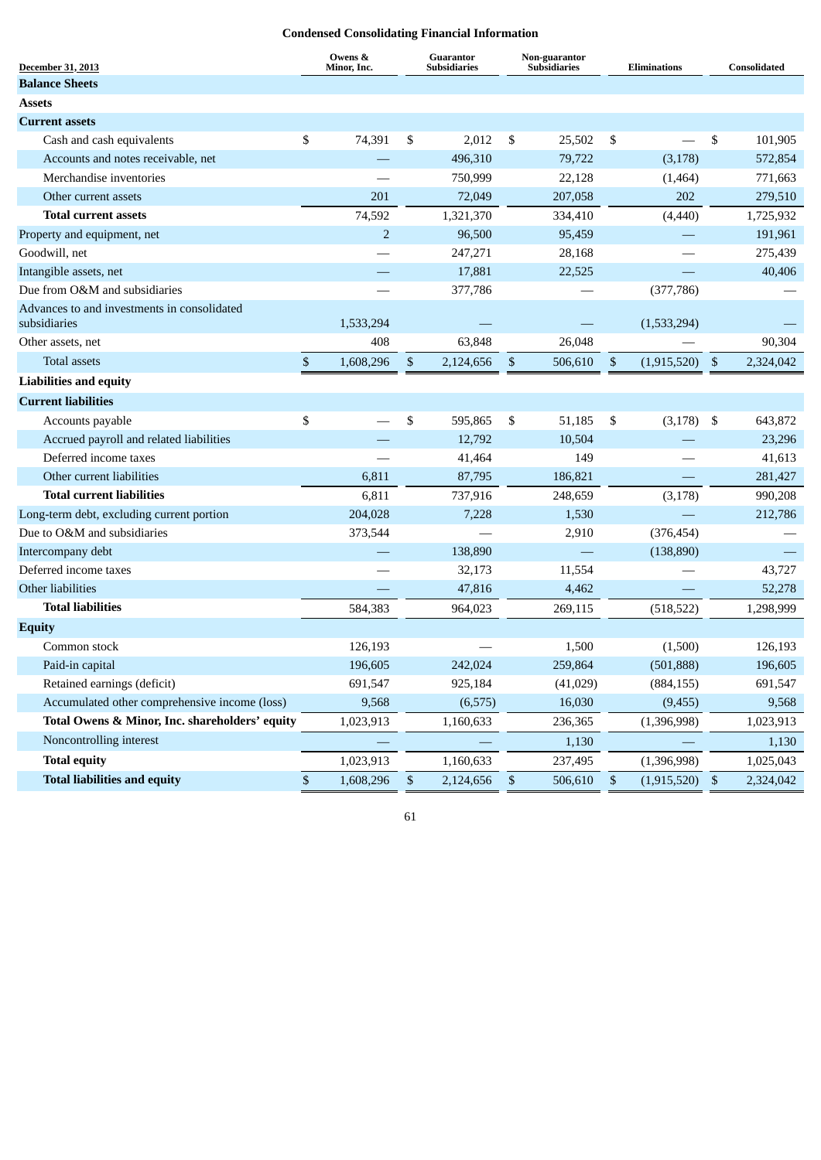| December 31, 2013                                           | Owens &<br>Minor, Inc. |             | <b>Guarantor</b><br><b>Subsidiaries</b> |                           | Non-guarantor<br><b>Subsidiaries</b> | <b>Eliminations</b> |             |                   | Consolidated       |
|-------------------------------------------------------------|------------------------|-------------|-----------------------------------------|---------------------------|--------------------------------------|---------------------|-------------|-------------------|--------------------|
| <b>Balance Sheets</b>                                       |                        |             |                                         |                           |                                      |                     |             |                   |                    |
| Assets                                                      |                        |             |                                         |                           |                                      |                     |             |                   |                    |
| <b>Current assets</b>                                       |                        |             |                                         |                           |                                      |                     |             |                   |                    |
| Cash and cash equivalents                                   | \$<br>74,391           | \$          | 2,012                                   | \$                        | 25,502                               | \$                  |             | \$                | 101,905            |
| Accounts and notes receivable, net                          |                        |             | 496,310                                 |                           | 79,722                               |                     | (3,178)     |                   | 572,854            |
| Merchandise inventories                                     |                        |             | 750,999                                 |                           | 22,128                               |                     | (1,464)     |                   | 771,663            |
| Other current assets                                        | 201                    |             | 72,049                                  |                           | 207,058                              |                     | 202         |                   | 279,510            |
| <b>Total current assets</b>                                 | 74,592                 |             | 1,321,370                               |                           | 334,410                              |                     | (4, 440)    |                   | 1,725,932          |
| Property and equipment, net                                 | $\overline{2}$         |             | 96,500                                  |                           | 95,459                               |                     |             |                   | 191,961            |
| Goodwill, net                                               |                        |             | 247,271                                 |                           | 28,168                               |                     |             |                   | 275,439            |
| Intangible assets, net                                      |                        |             | 17,881                                  |                           | 22,525                               |                     |             |                   | 40,406             |
| Due from O&M and subsidiaries                               |                        |             | 377,786                                 |                           |                                      |                     | (377, 786)  |                   |                    |
| Advances to and investments in consolidated<br>subsidiaries | 1,533,294              |             |                                         |                           |                                      |                     | (1,533,294) |                   |                    |
| Other assets, net                                           | 408                    |             | 63,848                                  |                           | 26,048                               |                     |             |                   | 90,304             |
| <b>Total assets</b>                                         | \$<br>1,608,296        | \$          | 2,124,656                               | $\boldsymbol{\mathsf{S}}$ | 506,610                              | $\mathbb{S}$        | (1,915,520) | $\boldsymbol{\$}$ | 2,324,042          |
| <b>Liabilities and equity</b>                               |                        |             |                                         |                           |                                      |                     |             |                   |                    |
|                                                             |                        |             |                                         |                           |                                      |                     |             |                   |                    |
| <b>Current liabilities</b>                                  |                        |             |                                         |                           |                                      |                     |             |                   |                    |
| Accounts payable<br>Accrued payroll and related liabilities | \$                     | \$          | 595,865                                 | \$                        | 51,185                               | \$                  | (3,178)     | \$                | 643,872            |
| Deferred income taxes                                       |                        |             | 12,792                                  |                           | 10,504<br>149                        |                     |             |                   | 23,296             |
| Other current liabilities                                   | 6,811                  |             | 41,464<br>87,795                        |                           | 186,821                              |                     |             |                   | 41,613<br>281,427  |
| <b>Total current liabilities</b>                            |                        |             |                                         |                           |                                      |                     |             |                   |                    |
| Long-term debt, excluding current portion                   | 6,811<br>204,028       |             | 737,916<br>7,228                        |                           | 248,659<br>1,530                     |                     | (3,178)     |                   | 990,208<br>212,786 |
| Due to O&M and subsidiaries                                 | 373,544                |             |                                         |                           | 2,910                                |                     | (376, 454)  |                   |                    |
|                                                             |                        |             | 138,890                                 |                           |                                      |                     | (138, 890)  |                   |                    |
| Intercompany debt<br>Deferred income taxes                  |                        |             | 32,173                                  |                           | 11,554                               |                     |             |                   | 43,727             |
| Other liabilities                                           |                        |             | 47,816                                  |                           | 4,462                                |                     |             |                   | 52,278             |
| <b>Total liabilities</b>                                    | 584,383                |             | 964,023                                 |                           | 269,115                              |                     | (518, 522)  |                   | 1,298,999          |
| <b>Equity</b>                                               |                        |             |                                         |                           |                                      |                     |             |                   |                    |
| Common stock                                                | 126,193                |             |                                         |                           | 1,500                                |                     | (1,500)     |                   | 126,193            |
| Paid-in capital                                             | 196,605                |             | 242,024                                 |                           | 259,864                              |                     | (501, 888)  |                   | 196,605            |
| Retained earnings (deficit)                                 | 691,547                |             | 925,184                                 |                           |                                      |                     | (884, 155)  |                   | 691,547            |
| Accumulated other comprehensive income (loss)               | 9,568                  |             | (6, 575)                                |                           | (41,029)<br>16,030                   |                     | (9, 455)    |                   | 9,568              |
| Total Owens & Minor, Inc. shareholders' equity              | 1,023,913              |             | 1,160,633                               |                           | 236,365                              |                     | (1,396,998) |                   |                    |
| Noncontrolling interest                                     |                        |             |                                         |                           |                                      |                     |             |                   | 1,023,913          |
| <b>Total equity</b>                                         |                        |             | 1,160,633                               |                           | 1,130                                |                     |             |                   | 1,130              |
|                                                             | 1,023,913              |             |                                         |                           | 237,495                              |                     | (1,396,998) |                   | 1,025,043          |
| <b>Total liabilities and equity</b>                         | \$<br>1,608,296        | $\mathbb S$ | 2,124,656                               | $\,$                      | 506,610                              | \$                  | (1,915,520) | $\mathbb{S}$      | 2,324,042          |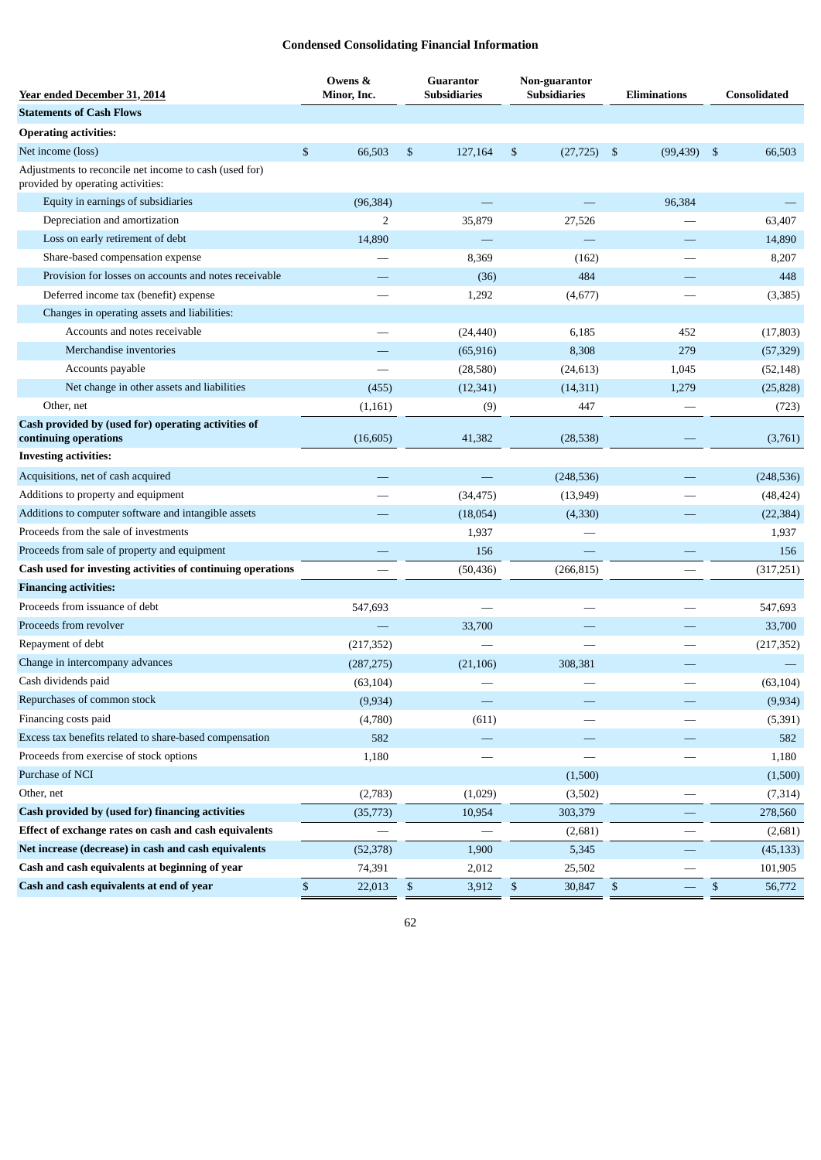| Year ended December 31, 2014                                                                |    | Owens &<br>Minor, Inc. | <b>Guarantor</b><br><b>Subsidiaries</b> |    | Non-guarantor<br><b>Subsidiaries</b> |                | <b>Eliminations</b> | <b>Consolidated</b>       |            |
|---------------------------------------------------------------------------------------------|----|------------------------|-----------------------------------------|----|--------------------------------------|----------------|---------------------|---------------------------|------------|
| <b>Statements of Cash Flows</b>                                                             |    |                        |                                         |    |                                      |                |                     |                           |            |
| <b>Operating activities:</b>                                                                |    |                        |                                         |    |                                      |                |                     |                           |            |
| Net income (loss)                                                                           | \$ | 66,503                 | \$<br>127,164                           | \$ | (27, 725)                            | $\mathfrak{s}$ | (99, 439)           | -\$                       | 66,503     |
| Adjustments to reconcile net income to cash (used for)<br>provided by operating activities: |    |                        |                                         |    |                                      |                |                     |                           |            |
| Equity in earnings of subsidiaries                                                          |    | (96, 384)              |                                         |    |                                      |                | 96,384              |                           |            |
| Depreciation and amortization                                                               |    | 2                      | 35,879                                  |    | 27,526                               |                |                     |                           | 63,407     |
| Loss on early retirement of debt                                                            |    | 14,890                 |                                         |    |                                      |                |                     |                           | 14,890     |
| Share-based compensation expense                                                            |    |                        | 8,369                                   |    | (162)                                |                |                     |                           | 8,207      |
| Provision for losses on accounts and notes receivable                                       |    |                        | (36)                                    |    | 484                                  |                |                     |                           | 448        |
| Deferred income tax (benefit) expense                                                       |    |                        | 1,292                                   |    | (4,677)                              |                |                     |                           | (3, 385)   |
| Changes in operating assets and liabilities:                                                |    |                        |                                         |    |                                      |                |                     |                           |            |
| Accounts and notes receivable                                                               |    |                        | (24, 440)                               |    | 6,185                                |                | 452                 |                           | (17, 803)  |
| Merchandise inventories                                                                     |    |                        | (65, 916)                               |    | 8,308                                |                | 279                 |                           | (57, 329)  |
| Accounts payable                                                                            |    |                        | (28,580)                                |    | (24, 613)                            |                | 1,045               |                           | (52, 148)  |
| Net change in other assets and liabilities                                                  |    | (455)                  | (12, 341)                               |    | (14, 311)                            |                | 1,279               |                           | (25, 828)  |
| Other, net                                                                                  |    | (1, 161)               | (9)                                     |    | 447                                  |                |                     |                           | (723)      |
| Cash provided by (used for) operating activities of<br>continuing operations                |    | (16, 605)              | 41,382                                  |    | (28, 538)                            |                |                     |                           | (3,761)    |
| <b>Investing activities:</b>                                                                |    |                        |                                         |    |                                      |                |                     |                           |            |
| Acquisitions, net of cash acquired                                                          |    |                        |                                         |    | (248, 536)                           |                |                     |                           | (248, 536) |
| Additions to property and equipment                                                         |    |                        | (34, 475)                               |    | (13,949)                             |                |                     |                           | (48, 424)  |
| Additions to computer software and intangible assets                                        |    |                        | (18,054)                                |    | (4,330)                              |                |                     |                           | (22, 384)  |
| Proceeds from the sale of investments                                                       |    |                        | 1,937                                   |    |                                      |                |                     |                           | 1,937      |
| Proceeds from sale of property and equipment                                                |    |                        | 156                                     |    |                                      |                |                     |                           | 156        |
| Cash used for investing activities of continuing operations                                 |    |                        | (50, 436)                               |    | (266, 815)                           |                |                     |                           | (317, 251) |
| <b>Financing activities:</b>                                                                |    |                        |                                         |    |                                      |                |                     |                           |            |
| Proceeds from issuance of debt                                                              |    | 547,693                |                                         |    |                                      |                |                     |                           | 547,693    |
| Proceeds from revolver                                                                      |    |                        | 33,700                                  |    |                                      |                |                     |                           | 33,700     |
| Repayment of debt                                                                           |    | (217, 352)             |                                         |    |                                      |                |                     |                           | (217, 352) |
| Change in intercompany advances                                                             |    | (287, 275)             | (21, 106)                               |    | 308,381                              |                |                     |                           |            |
| Cash dividends paid                                                                         |    | (63, 104)              |                                         |    |                                      |                |                     |                           | (63, 104)  |
| Repurchases of common stock                                                                 |    | (9, 934)               |                                         |    |                                      |                |                     |                           | (9, 934)   |
| Financing costs paid                                                                        |    | (4,780)                | (611)                                   |    |                                      |                |                     |                           | (5, 391)   |
| Excess tax benefits related to share-based compensation                                     |    | 582                    |                                         |    |                                      |                |                     |                           | 582        |
| Proceeds from exercise of stock options                                                     |    | 1,180                  |                                         |    |                                      |                |                     |                           | 1,180      |
| Purchase of NCI                                                                             |    |                        |                                         |    | (1,500)                              |                |                     |                           | (1,500)    |
| Other, net                                                                                  |    | (2,783)                | (1,029)                                 |    | (3,502)                              |                |                     |                           | (7, 314)   |
| Cash provided by (used for) financing activities                                            |    | (35, 773)              | 10,954                                  |    | 303,379                              |                |                     |                           | 278,560    |
| Effect of exchange rates on cash and cash equivalents                                       |    |                        |                                         |    | (2,681)                              |                |                     |                           | (2,681)    |
| Net increase (decrease) in cash and cash equivalents                                        |    | (52, 378)              | 1,900                                   |    | 5,345                                |                |                     |                           | (45, 133)  |
| Cash and cash equivalents at beginning of year                                              |    | 74,391                 | 2,012                                   |    | 25,502                               |                |                     |                           | 101,905    |
| Cash and cash equivalents at end of year                                                    | \$ | 22,013                 | \$<br>3,912                             | \$ | 30,847                               | \$             |                     | $\boldsymbol{\mathsf{S}}$ | 56,772     |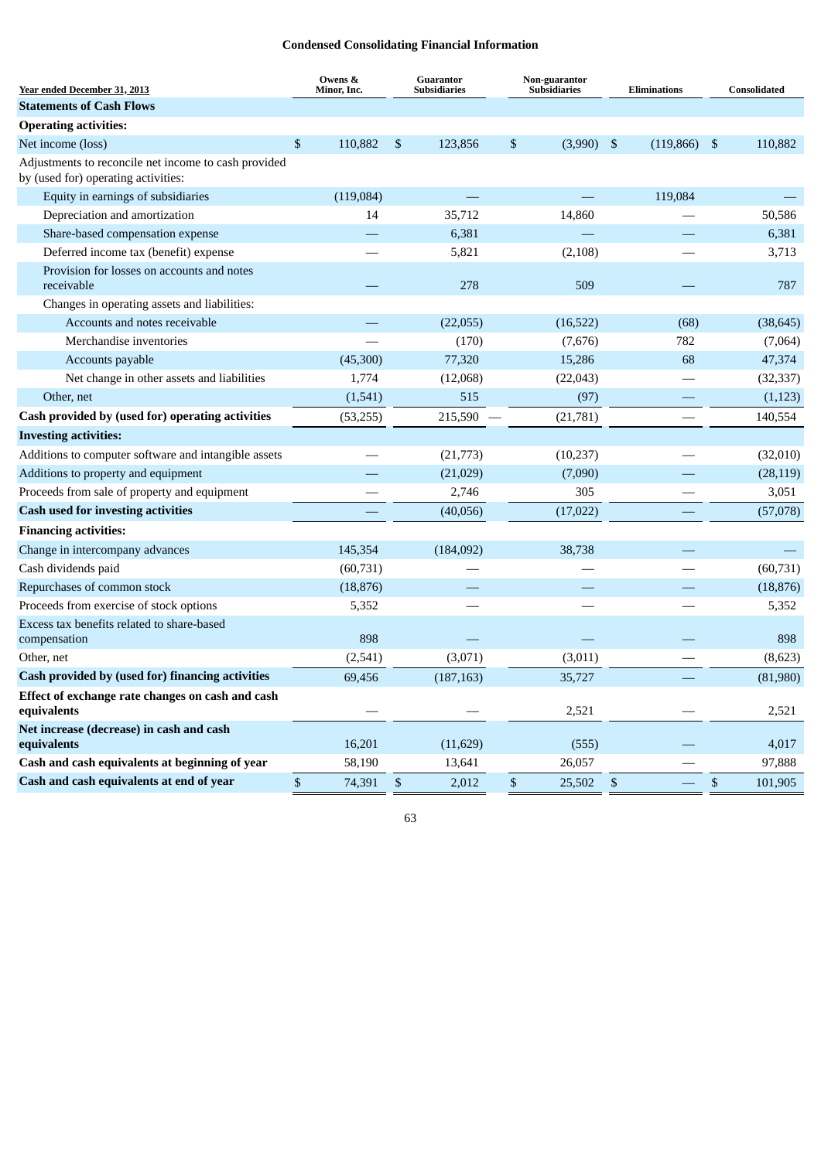| Year ended December 31, 2013                                                                | Owens &<br>Minor, Inc.    |           |              | Guarantor<br><b>Subsidiaries</b> | Non-guarantor<br><b>Subsidiaries</b> |              |            | <b>Eliminations</b> |    | Consolidated |
|---------------------------------------------------------------------------------------------|---------------------------|-----------|--------------|----------------------------------|--------------------------------------|--------------|------------|---------------------|----|--------------|
| <b>Statements of Cash Flows</b>                                                             |                           |           |              |                                  |                                      |              |            |                     |    |              |
| <b>Operating activities:</b>                                                                |                           |           |              |                                  |                                      |              |            |                     |    |              |
| Net income (loss)                                                                           | $\boldsymbol{\mathsf{S}}$ | 110,882   | \$           | 123,856                          | \$                                   | $(3,990)$ \$ |            | $(119,866)$ \$      |    | 110,882      |
| Adjustments to reconcile net income to cash provided<br>by (used for) operating activities: |                           |           |              |                                  |                                      |              |            |                     |    |              |
| Equity in earnings of subsidiaries                                                          |                           | (119,084) |              | $\equiv$                         |                                      | ÷,           |            | 119,084             |    |              |
| Depreciation and amortization                                                               |                           | 14        |              | 35,712                           |                                      | 14,860       |            |                     |    | 50,586       |
| Share-based compensation expense                                                            |                           |           |              | 6,381                            |                                      |              |            |                     |    | 6,381        |
| Deferred income tax (benefit) expense                                                       |                           |           |              | 5,821                            |                                      | (2, 108)     |            |                     |    | 3,713        |
| Provision for losses on accounts and notes<br>receivable                                    |                           |           |              | 278                              |                                      | 509          |            |                     |    | 787          |
| Changes in operating assets and liabilities:                                                |                           |           |              |                                  |                                      |              |            |                     |    |              |
| Accounts and notes receivable                                                               |                           |           |              | (22,055)                         |                                      | (16, 522)    |            | (68)                |    | (38, 645)    |
| Merchandise inventories                                                                     |                           |           |              | (170)                            |                                      | (7,676)      |            | 782                 |    | (7,064)      |
| Accounts payable                                                                            |                           | (45,300)  |              | 77,320                           |                                      | 15,286       |            | 68                  |    | 47,374       |
| Net change in other assets and liabilities                                                  |                           | 1,774     |              | (12,068)                         |                                      | (22, 043)    |            |                     |    | (32, 337)    |
| Other, net                                                                                  |                           | (1, 541)  |              | 515                              |                                      | (97)         |            |                     |    | (1,123)      |
| Cash provided by (used for) operating activities                                            |                           | (53,255)  |              | 215,590                          |                                      | (21,781)     |            |                     |    | 140,554      |
| <b>Investing activities:</b>                                                                |                           |           |              |                                  |                                      |              |            |                     |    |              |
| Additions to computer software and intangible assets                                        |                           |           |              | (21,773)                         |                                      | (10, 237)    |            |                     |    | (32,010)     |
| Additions to property and equipment                                                         |                           |           |              | (21,029)                         |                                      | (7,090)      |            |                     |    | (28, 119)    |
| Proceeds from sale of property and equipment                                                |                           |           |              | 2,746                            |                                      | 305          |            |                     |    | 3,051        |
| <b>Cash used for investing activities</b>                                                   |                           |           |              | (40,056)                         |                                      | (17, 022)    |            |                     |    | (57,078)     |
| <b>Financing activities:</b>                                                                |                           |           |              |                                  |                                      |              |            |                     |    |              |
| Change in intercompany advances                                                             |                           | 145,354   |              | (184,092)                        |                                      | 38,738       |            |                     |    |              |
| Cash dividends paid                                                                         |                           | (60, 731) |              |                                  |                                      |              |            |                     |    | (60, 731)    |
| Repurchases of common stock                                                                 |                           | (18, 876) |              |                                  |                                      |              |            |                     |    | (18, 876)    |
| Proceeds from exercise of stock options                                                     |                           | 5,352     |              |                                  |                                      |              |            |                     |    | 5,352        |
| Excess tax benefits related to share-based<br>compensation                                  |                           | 898       |              |                                  |                                      |              |            |                     |    | 898          |
| Other, net                                                                                  |                           | (2,541)   |              | (3,071)                          |                                      | (3,011)      |            |                     |    | (8,623)      |
| Cash provided by (used for) financing activities                                            |                           | 69,456    |              | (187, 163)                       |                                      | 35,727       |            |                     |    | (81,980)     |
| Effect of exchange rate changes on cash and cash<br>equivalents                             |                           |           |              |                                  |                                      | 2,521        |            |                     |    | 2,521        |
| Net increase (decrease) in cash and cash<br>equivalents                                     |                           | 16,201    |              | (11, 629)                        |                                      | (555)        |            |                     |    | 4,017        |
| Cash and cash equivalents at beginning of year                                              |                           | 58,190    |              | 13,641                           |                                      | 26,057       |            |                     |    | 97,888       |
| Cash and cash equivalents at end of year                                                    | $\mathbb{S}$              | 74,391    | $\mathbb{S}$ | 2,012                            | $\,$                                 | 25,502       | $\sqrt{3}$ |                     | \$ | 101,905      |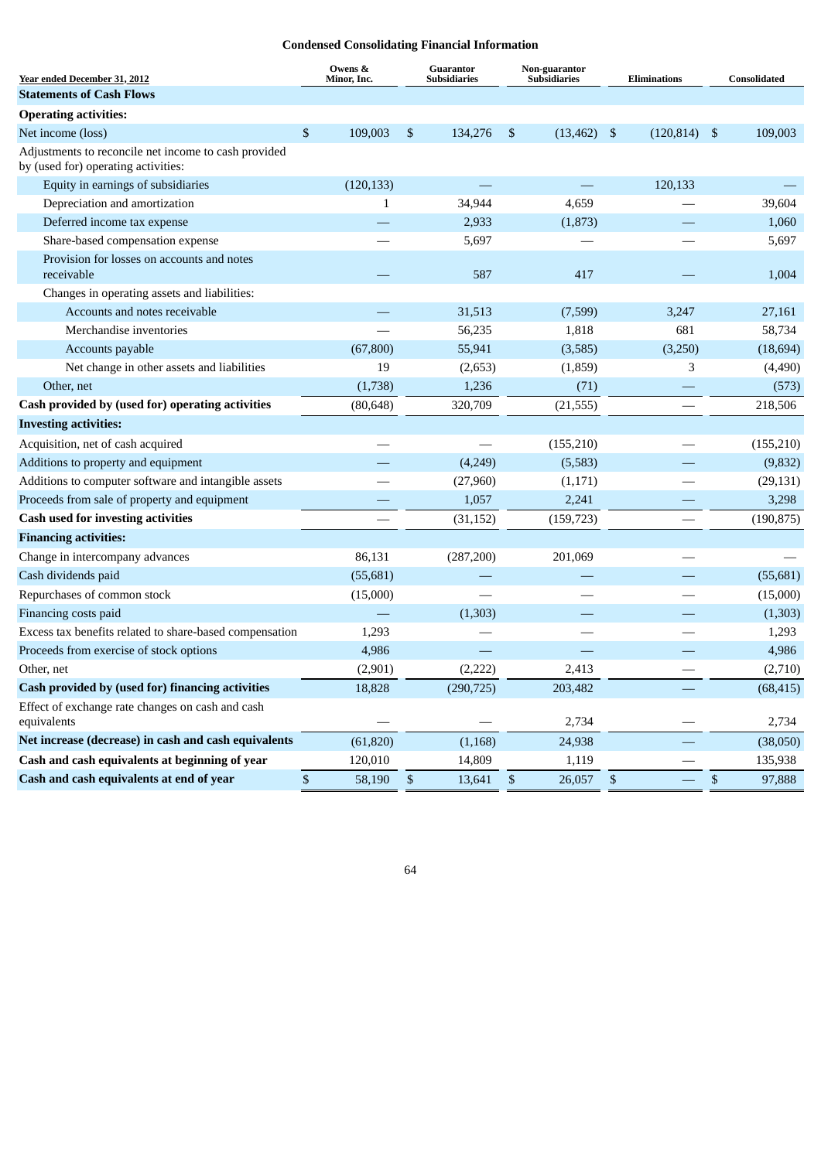| Year ended December 31, 2012                                                                | Owens &<br>Minor, Inc. |            | Guarantor<br><b>Subsidiaries</b> |            | Non-guarantor<br><b>Subsidiaries</b> |            | <b>Eliminations</b> |            |              | Consolidated |
|---------------------------------------------------------------------------------------------|------------------------|------------|----------------------------------|------------|--------------------------------------|------------|---------------------|------------|--------------|--------------|
| <b>Statements of Cash Flows</b>                                                             |                        |            |                                  |            |                                      |            |                     |            |              |              |
| <b>Operating activities:</b>                                                                |                        |            |                                  |            |                                      |            |                     |            |              |              |
| Net income (loss)                                                                           | \$                     | 109,003    | \$                               | 134,276    | \$                                   | (13, 462)  | -\$                 | (120, 814) | \$           | 109,003      |
| Adjustments to reconcile net income to cash provided<br>by (used for) operating activities: |                        |            |                                  |            |                                      |            |                     |            |              |              |
| Equity in earnings of subsidiaries                                                          |                        | (120, 133) |                                  |            |                                      |            |                     | 120,133    |              |              |
| Depreciation and amortization                                                               |                        | 1          |                                  | 34,944     |                                      | 4,659      |                     |            |              | 39,604       |
| Deferred income tax expense                                                                 |                        |            |                                  | 2,933      |                                      | (1,873)    |                     |            |              | 1,060        |
| Share-based compensation expense                                                            |                        |            |                                  | 5,697      |                                      |            |                     |            |              | 5,697        |
| Provision for losses on accounts and notes<br>receivable                                    |                        |            |                                  | 587        |                                      | 417        |                     |            |              | 1,004        |
| Changes in operating assets and liabilities:                                                |                        |            |                                  |            |                                      |            |                     |            |              |              |
| Accounts and notes receivable                                                               |                        |            |                                  | 31,513     |                                      | (7,599)    |                     | 3,247      |              | 27,161       |
| Merchandise inventories                                                                     |                        |            |                                  | 56,235     |                                      | 1,818      |                     | 681        |              | 58,734       |
| Accounts payable                                                                            |                        | (67, 800)  |                                  | 55,941     |                                      | (3,585)    |                     | (3,250)    |              | (18,694)     |
| Net change in other assets and liabilities                                                  |                        | 19         |                                  | (2,653)    |                                      | (1,859)    |                     | 3          |              | (4,490)      |
| Other, net                                                                                  |                        | (1,738)    |                                  | 1,236      |                                      | (71)       |                     |            |              | (573)        |
| Cash provided by (used for) operating activities                                            |                        | (80, 648)  |                                  | 320,709    |                                      | (21, 555)  |                     |            |              | 218,506      |
| <b>Investing activities:</b>                                                                |                        |            |                                  |            |                                      |            |                     |            |              |              |
| Acquisition, net of cash acquired                                                           |                        |            |                                  |            |                                      | (155, 210) |                     |            |              | (155, 210)   |
| Additions to property and equipment                                                         |                        |            |                                  | (4,249)    |                                      | (5,583)    |                     |            |              | (9, 832)     |
| Additions to computer software and intangible assets                                        |                        |            |                                  | (27,960)   |                                      | (1,171)    |                     |            |              | (29, 131)    |
| Proceeds from sale of property and equipment                                                |                        |            |                                  | 1,057      |                                      | 2,241      |                     |            |              | 3,298        |
| <b>Cash used for investing activities</b>                                                   |                        |            |                                  | (31, 152)  |                                      | (159, 723) |                     |            |              | (190, 875)   |
| <b>Financing activities:</b>                                                                |                        |            |                                  |            |                                      |            |                     |            |              |              |
| Change in intercompany advances                                                             |                        | 86,131     |                                  | (287, 200) |                                      | 201,069    |                     |            |              |              |
| Cash dividends paid                                                                         |                        | (55, 681)  |                                  |            |                                      |            |                     |            |              | (55,681)     |
| Repurchases of common stock                                                                 |                        | (15,000)   |                                  |            |                                      |            |                     |            |              | (15,000)     |
| Financing costs paid                                                                        |                        |            |                                  | (1,303)    |                                      |            |                     |            |              | (1,303)      |
| Excess tax benefits related to share-based compensation                                     |                        | 1,293      |                                  |            |                                      |            |                     |            |              | 1,293        |
| Proceeds from exercise of stock options                                                     |                        | 4,986      |                                  |            |                                      |            |                     |            |              | 4,986        |
| Other, net                                                                                  |                        | (2,901)    |                                  | (2,222)    |                                      | 2,413      |                     |            |              | (2,710)      |
| Cash provided by (used for) financing activities                                            |                        | 18,828     |                                  | (290, 725) |                                      | 203,482    |                     |            |              | (68, 415)    |
| Effect of exchange rate changes on cash and cash<br>equivalents                             |                        |            |                                  |            |                                      | 2,734      |                     |            |              | 2,734        |
| Net increase (decrease) in cash and cash equivalents                                        |                        | (61, 820)  |                                  | (1,168)    |                                      | 24,938     |                     |            |              | (38,050)     |
| Cash and cash equivalents at beginning of year                                              |                        | 120,010    |                                  | 14,809     |                                      | 1,119      |                     |            |              | 135,938      |
| Cash and cash equivalents at end of year                                                    | $\mathbb{S}$           | 58,190     | $\$$                             | 13,641     | $\$$                                 | 26,057     | $\mathbb S$         |            | $\mathbb{S}$ | 97,888       |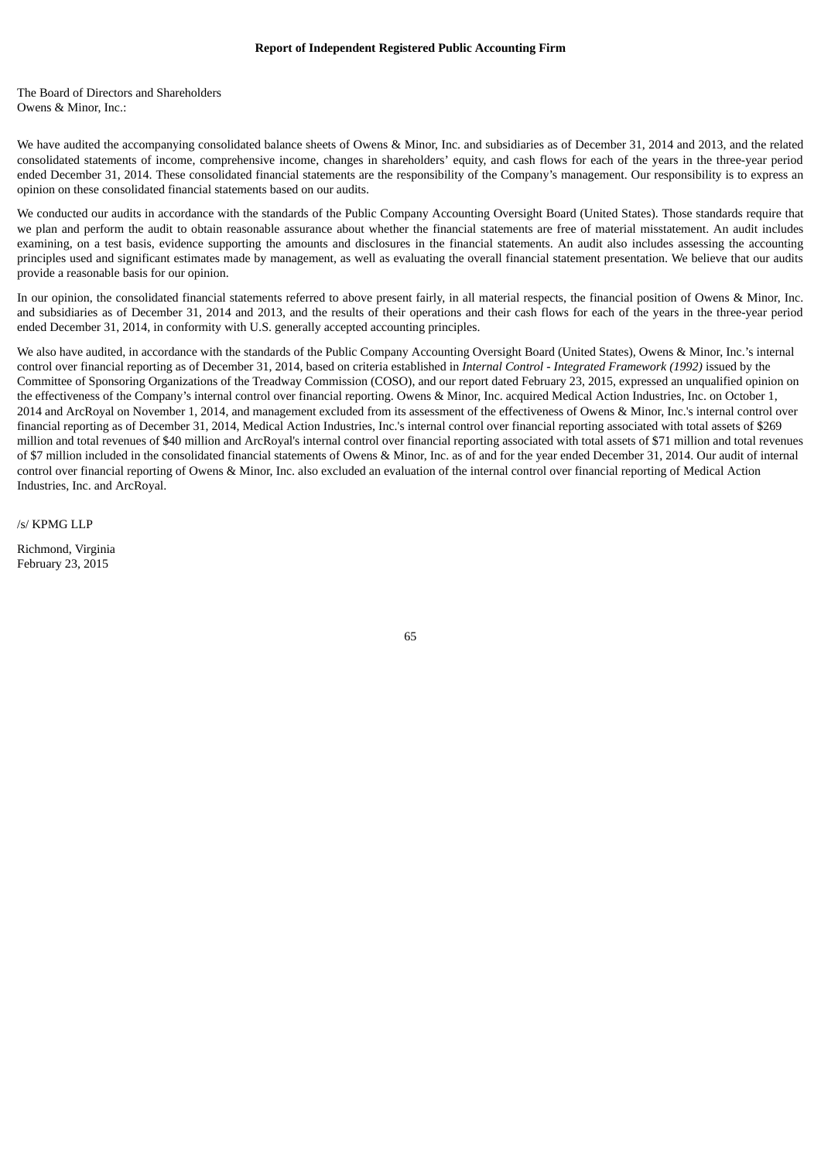The Board of Directors and Shareholders Owens & Minor, Inc.:

We have audited the accompanying consolidated balance sheets of Owens & Minor, Inc. and subsidiaries as of December 31, 2014 and 2013, and the related consolidated statements of income, comprehensive income, changes in shareholders' equity, and cash flows for each of the years in the three‑year period ended December 31, 2014. These consolidated financial statements are the responsibility of the Company's management. Our responsibility is to express an opinion on these consolidated financial statements based on our audits.

We conducted our audits in accordance with the standards of the Public Company Accounting Oversight Board (United States). Those standards require that we plan and perform the audit to obtain reasonable assurance about whether the financial statements are free of material misstatement. An audit includes examining, on a test basis, evidence supporting the amounts and disclosures in the financial statements. An audit also includes assessing the accounting principles used and significant estimates made by management, as well as evaluating the overall financial statement presentation. We believe that our audits provide a reasonable basis for our opinion.

In our opinion, the consolidated financial statements referred to above present fairly, in all material respects, the financial position of Owens & Minor, Inc. and subsidiaries as of December 31, 2014 and 2013, and the results of their operations and their cash flows for each of the years in the three‑year period ended December 31, 2014, in conformity with U.S. generally accepted accounting principles.

We also have audited, in accordance with the standards of the Public Company Accounting Oversight Board (United States), Owens & Minor, Inc.'s internal control over financial reporting as of December 31, 2014, based on criteria established in *Internal Control - Integrated Framework (1992)* issued by the Committee of Sponsoring Organizations of the Treadway Commission (COSO), and our report dated February 23, 2015, expressed an unqualified opinion on the effectiveness of the Company's internal control over financial reporting. Owens & Minor, Inc. acquired Medical Action Industries, Inc. on October 1, 2014 and ArcRoyal on November 1, 2014, and management excluded from its assessment of the effectiveness of Owens & Minor, Inc.'s internal control over financial reporting as of December 31, 2014, Medical Action Industries, Inc.'s internal control over financial reporting associated with total assets of \$269 million and total revenues of \$40 million and ArcRoyal's internal control over financial reporting associated with total assets of \$71 million and total revenues of \$7 million included in the consolidated financial statements of Owens & Minor, Inc. as of and for the year ended December 31, 2014. Our audit of internal control over financial reporting of Owens & Minor, Inc. also excluded an evaluation of the internal control over financial reporting of Medical Action Industries, Inc. and ArcRoyal.

/s/ KPMG LLP

Richmond, Virginia February 23, 2015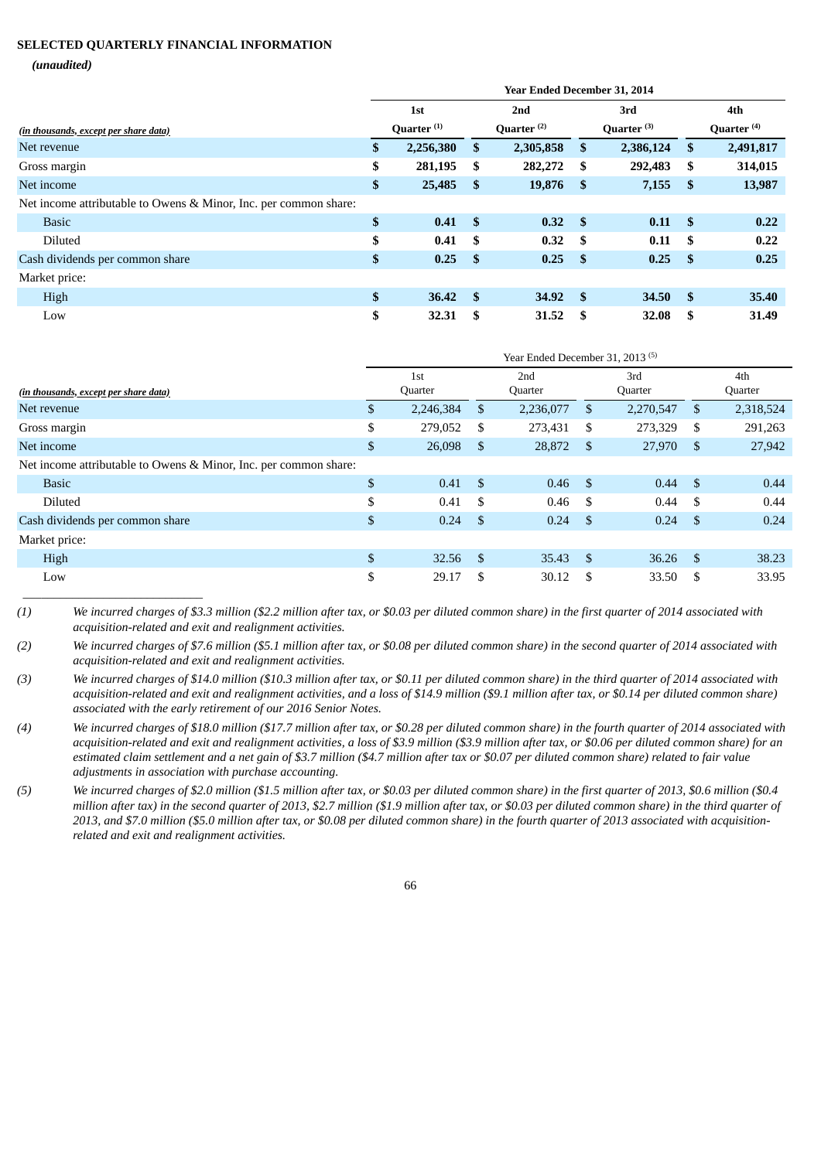## **SELECTED QUARTERLY FINANCIAL INFORMATION**

*(unaudited)*

|                                                                  | Year Ended December 31, 2014 |                        |                        |            |                        |           |                        |           |  |  |
|------------------------------------------------------------------|------------------------------|------------------------|------------------------|------------|------------------------|-----------|------------------------|-----------|--|--|
| (in thousands, except per share data)                            |                              | 1st                    |                        | 2nd        |                        | 3rd       |                        | 4th       |  |  |
|                                                                  |                              | Quarter <sup>(1)</sup> | Quarter <sup>(2)</sup> |            | Quarter <sup>(3)</sup> |           | Quarter <sup>(4)</sup> |           |  |  |
| Net revenue                                                      | \$                           | 2,256,380              | <sup>\$</sup>          | 2,305,858  | \$.                    | 2,386,124 | <sup>\$</sup>          | 2,491,817 |  |  |
| Gross margin                                                     | \$                           | 281,195                | - \$                   | 282,272    | \$                     | 292,483   | \$                     | 314,015   |  |  |
| Net income                                                       | \$                           | 25,485                 | - \$                   | 19,876     | \$                     | 7,155     | -\$                    | 13,987    |  |  |
| Net income attributable to Owens & Minor, Inc. per common share: |                              |                        |                        |            |                        |           |                        |           |  |  |
| <b>Basic</b>                                                     | \$                           | 0.41                   | - \$                   | 0.32 S     |                        | 0.11      | - \$                   | 0.22      |  |  |
| Diluted                                                          | \$                           | 0.41                   | - \$                   | 0.32       | \$                     | 0.11      | - \$                   | 0.22      |  |  |
| Cash dividends per common share                                  | \$                           | 0.25                   | - \$                   | 0.25       | - \$                   | 0.25      | - \$                   | 0.25      |  |  |
| Market price:                                                    |                              |                        |                        |            |                        |           |                        |           |  |  |
| High                                                             | \$                           | 36.42                  | - \$                   | $34.92$ \$ |                        | 34.50     | - \$                   | 35.40     |  |  |
| Low                                                              | \$                           | 32.31                  | \$                     | 31.52      | S                      | 32.08     | - \$                   | 31.49     |  |  |

|                                                                  | Year Ended December 31, 2013 <sup>(5)</sup> |                |      |                |                |           |      |                |
|------------------------------------------------------------------|---------------------------------------------|----------------|------|----------------|----------------|-----------|------|----------------|
| (in thousands, except per share data)                            |                                             | 1st<br>Quarter |      | 2nd<br>Quarter | 3rd<br>Quarter |           |      | 4th<br>Quarter |
| Net revenue                                                      | \$                                          | 2,246,384      | \$   | 2,236,077      | \$.            | 2,270,547 | \$.  | 2,318,524      |
| Gross margin                                                     | \$                                          | 279,052        | \$   | 273,431        | \$             | 273,329   | S.   | 291,263        |
| Net income                                                       | \$                                          | 26,098         | - \$ | 28,872         | <sup>\$</sup>  | 27,970    | \$   | 27,942         |
| Net income attributable to Owens & Minor, Inc. per common share: |                                             |                |      |                |                |           |      |                |
| <b>Basic</b>                                                     | \$                                          | 0.41           | - \$ | $0.46$ \$      |                | 0.44      | - \$ | 0.44           |
| Diluted                                                          | \$                                          | 0.41           | - \$ | 0.46           | - \$           | 0.44      | -S   | 0.44           |
| Cash dividends per common share                                  | \$                                          | 0.24           | -\$  | 0.24           | $^{\circ}$     | 0.24      | -\$  | 0.24           |
| Market price:                                                    |                                             |                |      |                |                |           |      |                |
| High                                                             | \$                                          | 32.56          | - \$ | $35.43$ \$     |                | 36.26     | -\$  | 38.23          |
| Low                                                              | \$                                          | 29.17          | \$   | 30.12          | \$             | 33.50     | \$   | 33.95          |

(1) We incurred charges of \$3.3 million (\$2.2 million after tax, or \$0.03 per diluted common share) in the first quarter of 2014 associated with *acquisition-related and exit and realignment activities.*

(2) We incurred charges of \$7.6 million (\$5.1 million after tax, or \$0.08 per diluted common share) in the second quarter of 2014 associated with *acquisition-related and exit and realignment activities.*

(3) We incurred charges of \$14.0 million (\$10.3 million after tax, or \$0.11 per diluted common share) in the third quarter of 2014 associated with acquisition-related and exit and realignment activities, and a loss of \$14.9 million (\$9.1 million after tax, or \$0.14 per diluted common share) *associated with the early retirement of our 2016 Senior Notes.*

(4) We incurred charges of \$18.0 million (\$17.7 million after tax, or \$0.28 per diluted common share) in the fourth quarter of 2014 associated with acquisition-related and exit and realignment activities, a loss of \$3.9 million (\$3.9 million after tax, or \$0.06 per diluted common share) for an estimated claim settlement and a net gain of \$3.7 million (\$4.7 million after tax or \$0.07 per diluted common share) related to fair value *adjustments in association with purchase accounting.*

(5) We incurred charges of \$2.0 million (\$1.5 million after tax, or \$0.03 per diluted common share) in the first quarter of 2013, \$0.6 million (\$0.4 million after tax) in the second quarter of 2013, \$2.7 million (\$1.9 million after tax, or \$0.03 per diluted common share) in the third quarter of 2013, and \$7.0 million (\$5.0 million after tax, or \$0.08 per diluted common share) in the fourth quarter of 2013 associated with acquisition*related and exit and realignment activities.*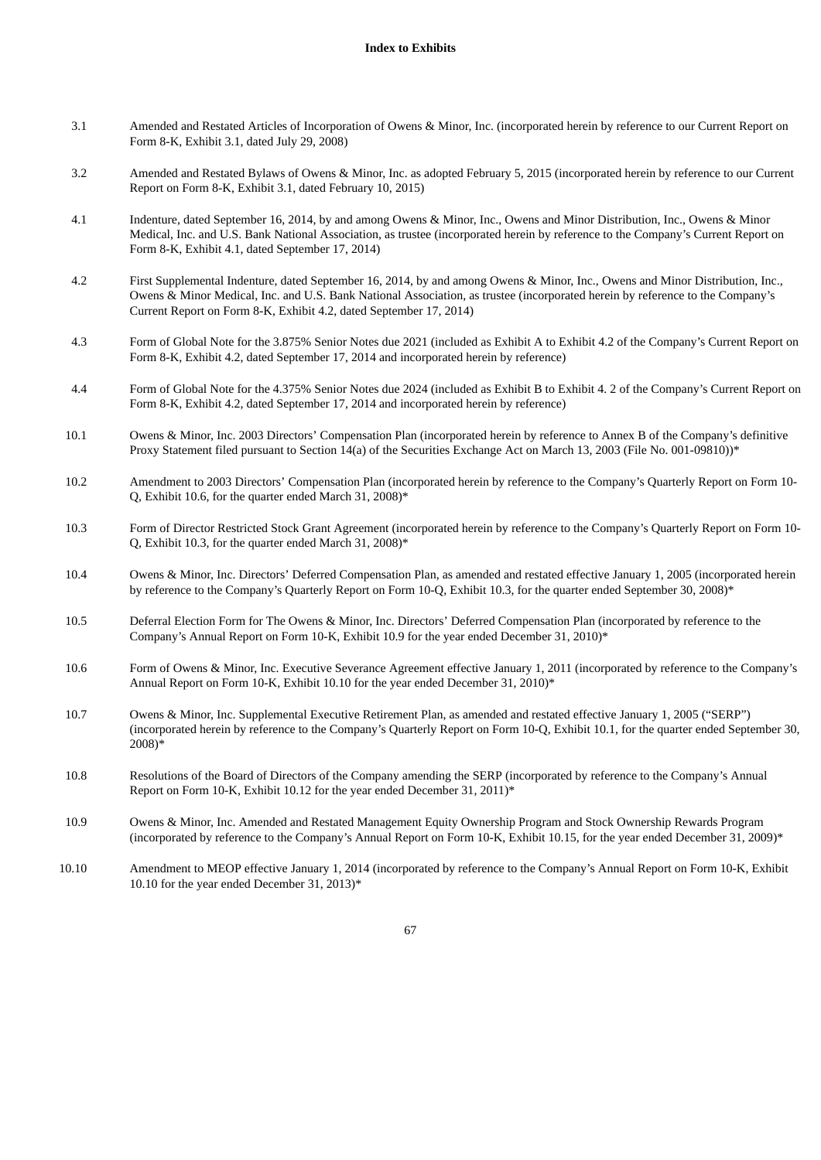- 3.1 Amended and Restated Articles of Incorporation of Owens & Minor, Inc. (incorporated herein by reference to our Current Report on Form 8-K, Exhibit 3.1, dated July 29, 2008)
- 3.2 Amended and Restated Bylaws of Owens & Minor, Inc. as adopted February 5, 2015 (incorporated herein by reference to our Current Report on Form 8-K, Exhibit 3.1, dated February 10, 2015)
- 4.1 Indenture, dated September 16, 2014, by and among Owens & Minor, Inc., Owens and Minor Distribution, Inc., Owens & Minor Medical, Inc. and U.S. Bank National Association, as trustee (incorporated herein by reference to the Company's Current Report on Form 8-K, Exhibit 4.1, dated September 17, 2014)
- 4.2 First Supplemental Indenture, dated September 16, 2014, by and among Owens & Minor, Inc., Owens and Minor Distribution, Inc., Owens & Minor Medical, Inc. and U.S. Bank National Association, as trustee (incorporated herein by reference to the Company's Current Report on Form 8-K, Exhibit 4.2, dated September 17, 2014)
- 4.3 Form of Global Note for the 3.875% Senior Notes due 2021 (included as Exhibit A to Exhibit 4.2 of the Company's Current Report on Form 8-K, Exhibit 4.2, dated September 17, 2014 and incorporated herein by reference)
- 4.4 Form of Global Note for the 4.375% Senior Notes due 2024 (included as Exhibit B to Exhibit 4. 2 of the Company's Current Report on Form 8-K, Exhibit 4.2, dated September 17, 2014 and incorporated herein by reference)
- 10.1 Owens & Minor, Inc. 2003 Directors' Compensation Plan (incorporated herein by reference to Annex B of the Company's definitive Proxy Statement filed pursuant to Section 14(a) of the Securities Exchange Act on March 13, 2003 (File No. 001-09810))\*
- 10.2 Amendment to 2003 Directors' Compensation Plan (incorporated herein by reference to the Company's Quarterly Report on Form 10- Q, Exhibit 10.6, for the quarter ended March 31, 2008)\*
- 10.3 Form of Director Restricted Stock Grant Agreement (incorporated herein by reference to the Company's Quarterly Report on Form 10- Q, Exhibit 10.3, for the quarter ended March 31, 2008)\*
- 10.4 Owens & Minor, Inc. Directors' Deferred Compensation Plan, as amended and restated effective January 1, 2005 (incorporated herein by reference to the Company's Quarterly Report on Form 10-Q, Exhibit 10.3, for the quarter ended September 30, 2008)\*
- 10.5 Deferral Election Form for The Owens & Minor, Inc. Directors' Deferred Compensation Plan (incorporated by reference to the Company's Annual Report on Form 10-K, Exhibit 10.9 for the year ended December 31, 2010)\*
- 10.6 Form of Owens & Minor, Inc. Executive Severance Agreement effective January 1, 2011 (incorporated by reference to the Company's Annual Report on Form 10-K, Exhibit 10.10 for the year ended December 31, 2010)\*
- 10.7 Owens & Minor, Inc. Supplemental Executive Retirement Plan, as amended and restated effective January 1, 2005 ("SERP") (incorporated herein by reference to the Company's Quarterly Report on Form 10-Q, Exhibit 10.1, for the quarter ended September 30, 2008)\*
- 10.8 Resolutions of the Board of Directors of the Company amending the SERP (incorporated by reference to the Company's Annual Report on Form 10-K, Exhibit 10.12 for the year ended December 31, 2011)\*
- 10.9 Owens & Minor, Inc. Amended and Restated Management Equity Ownership Program and Stock Ownership Rewards Program (incorporated by reference to the Company's Annual Report on Form 10-K, Exhibit 10.15, for the year ended December 31, 2009)\*
- 10.10 Amendment to MEOP effective January 1, 2014 (incorporated by reference to the Company's Annual Report on Form 10-K, Exhibit 10.10 for the year ended December 31, 2013)\*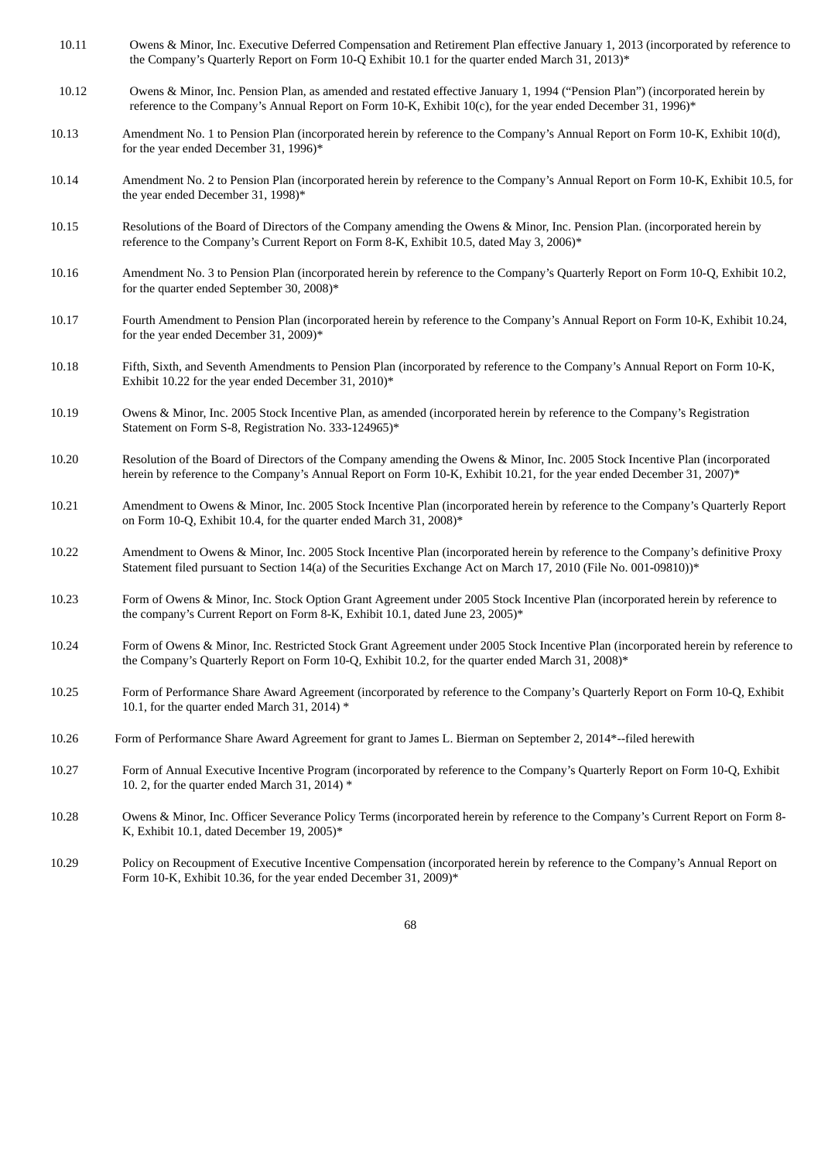- 10.11 Owens & Minor, Inc. Executive Deferred Compensation and Retirement Plan effective January 1, 2013 (incorporated by reference to the Company's Quarterly Report on Form 10-Q Exhibit 10.1 for the quarter ended March 31, 2013)\*
- 10.12 Owens & Minor, Inc. Pension Plan, as amended and restated effective January 1, 1994 ("Pension Plan") (incorporated herein by reference to the Company's Annual Report on Form 10-K, Exhibit 10(c), for the year ended December 31, 1996)\*
- 10.13 Amendment No. 1 to Pension Plan (incorporated herein by reference to the Company's Annual Report on Form 10-K, Exhibit 10(d), for the year ended December 31, 1996)\*
- 10.14 Amendment No. 2 to Pension Plan (incorporated herein by reference to the Company's Annual Report on Form 10-K, Exhibit 10.5, for the year ended December 31, 1998)\*
- 10.15 Resolutions of the Board of Directors of the Company amending the Owens & Minor, Inc. Pension Plan. (incorporated herein by reference to the Company's Current Report on Form 8-K, Exhibit 10.5, dated May 3, 2006)\*
- 10.16 Amendment No. 3 to Pension Plan (incorporated herein by reference to the Company's Quarterly Report on Form 10-Q, Exhibit 10.2, for the quarter ended September 30, 2008)\*
- 10.17 Fourth Amendment to Pension Plan (incorporated herein by reference to the Company's Annual Report on Form 10-K, Exhibit 10.24, for the year ended December 31, 2009)\*
- 10.18 Fifth, Sixth, and Seventh Amendments to Pension Plan (incorporated by reference to the Company's Annual Report on Form 10-K, Exhibit 10.22 for the year ended December 31, 2010)\*
- 10.19 Owens & Minor, Inc. 2005 Stock Incentive Plan, as amended (incorporated herein by reference to the Company's Registration Statement on Form S-8, Registration No. 333-124965)\*
- 10.20 Resolution of the Board of Directors of the Company amending the Owens & Minor, Inc. 2005 Stock Incentive Plan (incorporated herein by reference to the Company's Annual Report on Form 10-K, Exhibit 10.21, for the year ended December 31, 2007)\*
- 10.21 Amendment to Owens & Minor, Inc. 2005 Stock Incentive Plan (incorporated herein by reference to the Company's Quarterly Report on Form 10-Q, Exhibit 10.4, for the quarter ended March 31, 2008)\*
- 10.22 Amendment to Owens & Minor, Inc. 2005 Stock Incentive Plan (incorporated herein by reference to the Company's definitive Proxy Statement filed pursuant to Section 14(a) of the Securities Exchange Act on March 17, 2010 (File No. 001-09810))\*
- 10.23 Form of Owens & Minor, Inc. Stock Option Grant Agreement under 2005 Stock Incentive Plan (incorporated herein by reference to the company's Current Report on Form 8-K, Exhibit 10.1, dated June 23, 2005)\*
- 10.24 Form of Owens & Minor, Inc. Restricted Stock Grant Agreement under 2005 Stock Incentive Plan (incorporated herein by reference to the Company's Quarterly Report on Form 10-Q, Exhibit 10.2, for the quarter ended March 31, 2008)\*
- 10.25 Form of Performance Share Award Agreement (incorporated by reference to the Company's Quarterly Report on Form 10-Q, Exhibit 10.1, for the quarter ended March 31, 2014)  $*$
- 10.26 Form of Performance Share Award Agreement for grant to James L. Bierman on September 2, 2014\*--filed herewith
- 10.27 Form of Annual Executive Incentive Program (incorporated by reference to the Company's Quarterly Report on Form 10-Q, Exhibit 10. 2, for the quarter ended March 31, 2014)  $*$
- 10.28 Owens & Minor, Inc. Officer Severance Policy Terms (incorporated herein by reference to the Company's Current Report on Form 8- K, Exhibit 10.1, dated December 19, 2005)\*
- 10.29 Policy on Recoupment of Executive Incentive Compensation (incorporated herein by reference to the Company's Annual Report on Form 10-K, Exhibit 10.36, for the year ended December 31, 2009)\*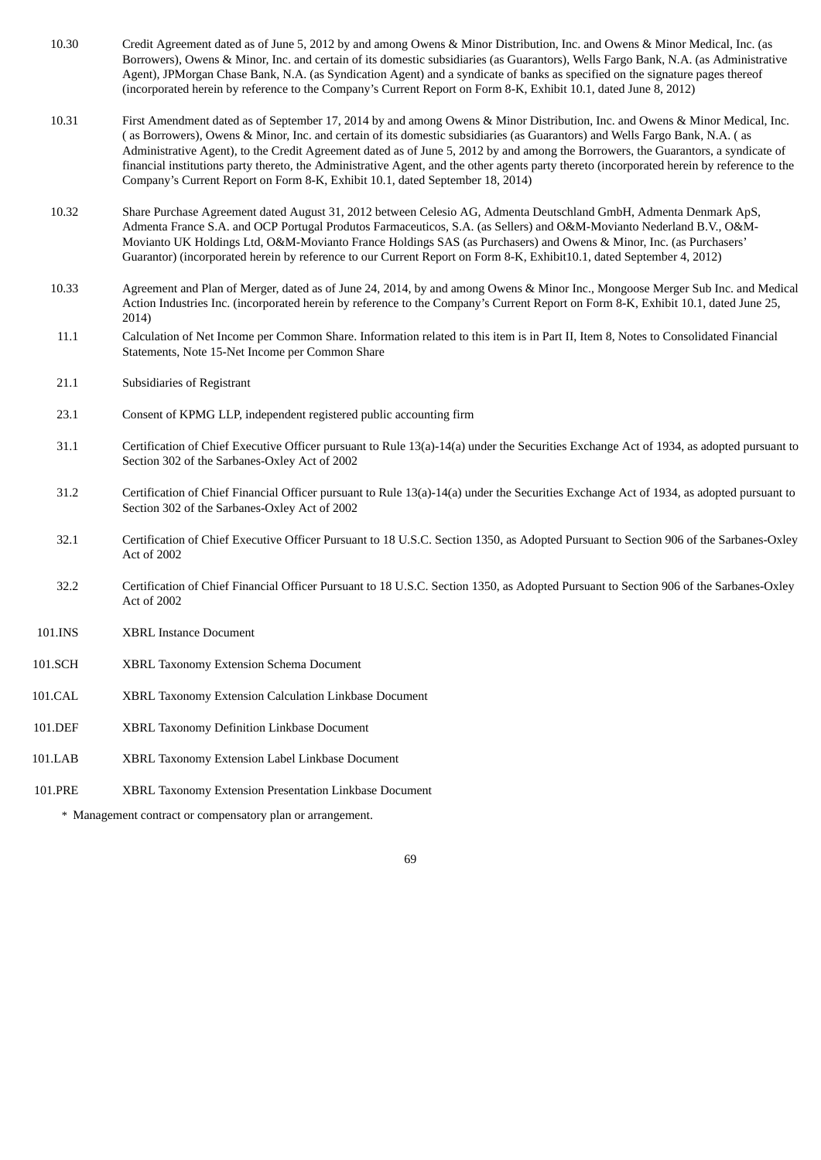- 10.30 Credit Agreement dated as of June 5, 2012 by and among Owens & Minor Distribution, Inc. and Owens & Minor Medical, Inc. (as Borrowers), Owens & Minor, Inc. and certain of its domestic subsidiaries (as Guarantors), Wells Fargo Bank, N.A. (as Administrative Agent), JPMorgan Chase Bank, N.A. (as Syndication Agent) and a syndicate of banks as specified on the signature pages thereof (incorporated herein by reference to the Company's Current Report on Form 8-K, Exhibit 10.1, dated June 8, 2012)
- 10.31 First Amendment dated as of September 17, 2014 by and among Owens & Minor Distribution, Inc. and Owens & Minor Medical, Inc. ( as Borrowers), Owens & Minor, Inc. and certain of its domestic subsidiaries (as Guarantors) and Wells Fargo Bank, N.A. ( as Administrative Agent), to the Credit Agreement dated as of June 5, 2012 by and among the Borrowers, the Guarantors, a syndicate of financial institutions party thereto, the Administrative Agent, and the other agents party thereto (incorporated herein by reference to the Company's Current Report on Form 8-K, Exhibit 10.1, dated September 18, 2014)
- 10.32 Share Purchase Agreement dated August 31, 2012 between Celesio AG, Admenta Deutschland GmbH, Admenta Denmark ApS, Admenta France S.A. and OCP Portugal Produtos Farmaceuticos, S.A. (as Sellers) and O&M-Movianto Nederland B.V., O&M-Movianto UK Holdings Ltd, O&M-Movianto France Holdings SAS (as Purchasers) and Owens & Minor, Inc. (as Purchasers' Guarantor) (incorporated herein by reference to our Current Report on Form 8-K, Exhibit10.1, dated September 4, 2012)
- 10.33 Agreement and Plan of Merger, dated as of June 24, 2014, by and among Owens & Minor Inc., Mongoose Merger Sub Inc. and Medical Action Industries Inc. (incorporated herein by reference to the Company's Current Report on Form 8-K, Exhibit 10.1, dated June 25, 2014)
- 11.1 Calculation of Net Income per Common Share. Information related to this item is in Part II, Item 8, Notes to Consolidated Financial Statements, Note 15-Net Income per Common Share
- 21.1 Subsidiaries of Registrant
- 23.1 Consent of KPMG LLP, independent registered public accounting firm
- 31.1 Certification of Chief Executive Officer pursuant to Rule 13(a)-14(a) under the Securities Exchange Act of 1934, as adopted pursuant to Section 302 of the Sarbanes-Oxley Act of 2002
- 31.2 Certification of Chief Financial Officer pursuant to Rule 13(a)-14(a) under the Securities Exchange Act of 1934, as adopted pursuant to Section 302 of the Sarbanes-Oxley Act of 2002
- 32.1 Certification of Chief Executive Officer Pursuant to 18 U.S.C. Section 1350, as Adopted Pursuant to Section 906 of the Sarbanes-Oxley Act of 2002
- 32.2 Certification of Chief Financial Officer Pursuant to 18 U.S.C. Section 1350, as Adopted Pursuant to Section 906 of the Sarbanes-Oxley Act of 2002
- 101.INS XBRL Instance Document
- 101.SCH XBRL Taxonomy Extension Schema Document
- 101.CAL XBRL Taxonomy Extension Calculation Linkbase Document
- 101.DEF XBRL Taxonomy Definition Linkbase Document
- 101.LAB XBRL Taxonomy Extension Label Linkbase Document
- 101.PRE XBRL Taxonomy Extension Presentation Linkbase Document

\* Management contract or compensatory plan or arrangement.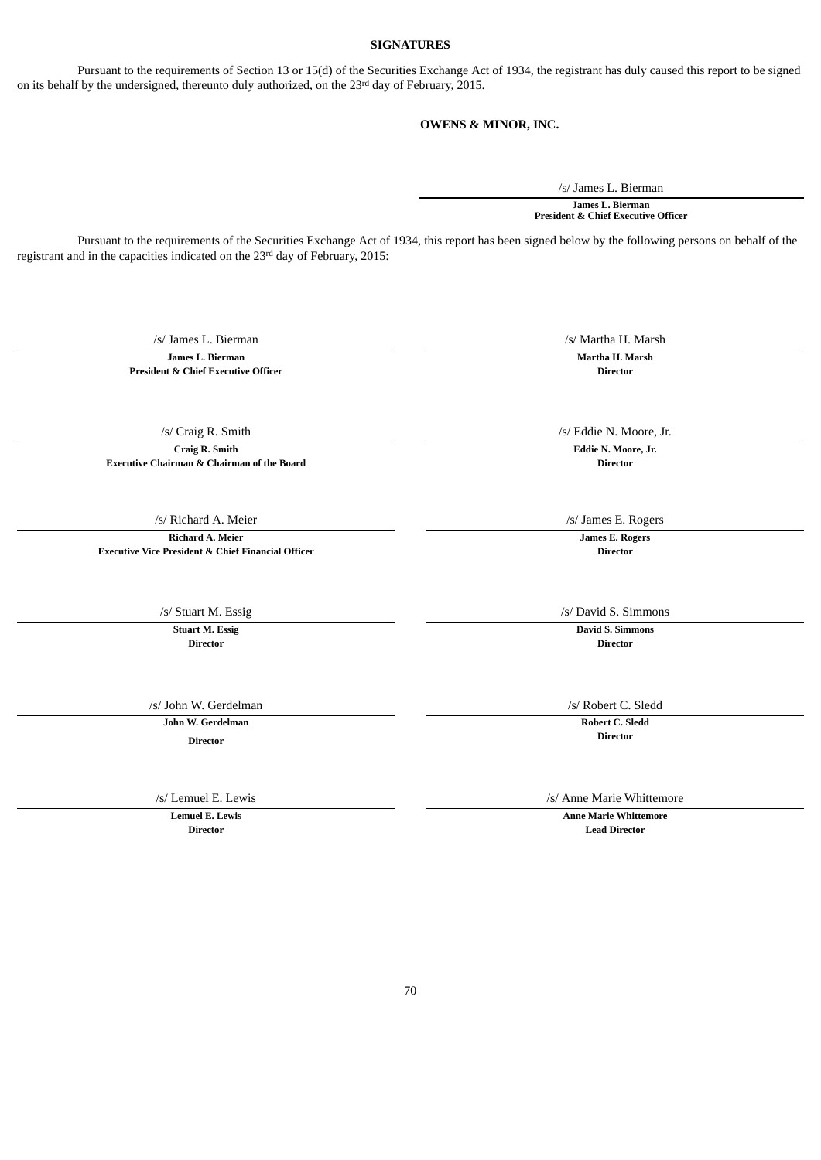### **SIGNATURES**

Pursuant to the requirements of Section 13 or 15(d) of the Securities Exchange Act of 1934, the registrant has duly caused this report to be signed on its behalf by the undersigned, thereunto duly authorized, on the 23<sup>rd</sup> day of February, 2015.

### **OWENS & MINOR, INC.**

/s/ James L. Bierman

**James L. Bierman President & Chief Executive Officer**

Pursuant to the requirements of the Securities Exchange Act of 1934, this report has been signed below by the following persons on behalf of the registrant and in the capacities indicated on the 23<sup>rd</sup> day of February, 2015:

/s/ James L. Bierman /s/ Martha H. Marsh

**President & Chief Executive Officer Director**

/s/ Craig R. Smith /s/ Eddie N. Moore, Jr.

**Craig R. Smith Eddie N. Moore, Jr. Executive Chairman & Chairman of the Board Director**

/s/ Richard A. Meier /s/ James E. Rogers

**Richard A. Meier James E. Rogers Executive Vice President & Chief Financial Officer Director**

/s/ Stuart M. Essig /s/ David S. Simmons

**Stuart M. Essig David S. Simmons Director Director**

/s/ John W. Gerdelman /s/ Robert C. Sledd

**John W. Gerdelman Robert C. Sledd**

**Director Director**

/s/ Lemuel E. Lewis /s/ Anne Marie Whittemore

**Lemuel E. Lewis Anne Marie Whittemore Director Lead Director**

**James L. Bierman Martha H. Marsh**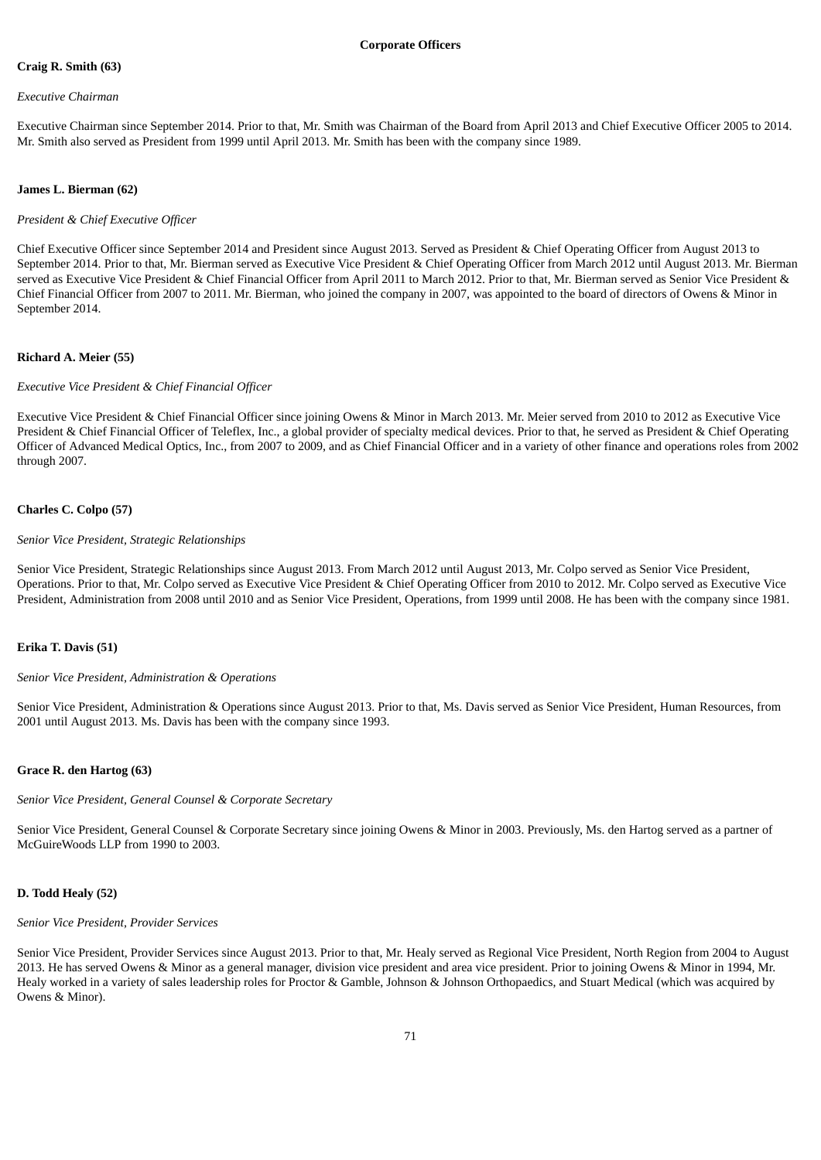### **Craig R. Smith (63)**

## *Executive Chairman*

Executive Chairman since September 2014. Prior to that, Mr. Smith was Chairman of the Board from April 2013 and Chief Executive Officer 2005 to 2014. Mr. Smith also served as President from 1999 until April 2013. Mr. Smith has been with the company since 1989.

### **James L. Bierman (62)**

## *President & Chief Executive Officer*

Chief Executive Officer since September 2014 and President since August 2013. Served as President & Chief Operating Officer from August 2013 to September 2014. Prior to that, Mr. Bierman served as Executive Vice President & Chief Operating Officer from March 2012 until August 2013. Mr. Bierman served as Executive Vice President & Chief Financial Officer from April 2011 to March 2012. Prior to that, Mr. Bierman served as Senior Vice President & Chief Financial Officer from 2007 to 2011. Mr. Bierman, who joined the company in 2007, was appointed to the board of directors of Owens & Minor in September 2014.

#### **Richard A. Meier (55)**

### *Executive Vice President & Chief Financial Officer*

Executive Vice President & Chief Financial Officer since joining Owens & Minor in March 2013. Mr. Meier served from 2010 to 2012 as Executive Vice President & Chief Financial Officer of Teleflex, Inc., a global provider of specialty medical devices. Prior to that, he served as President & Chief Operating Officer of Advanced Medical Optics, Inc., from 2007 to 2009, and as Chief Financial Officer and in a variety of other finance and operations roles from 2002 through 2007.

#### **Charles C. Colpo (57)**

#### *Senior Vice President, Strategic Relationships*

Senior Vice President, Strategic Relationships since August 2013. From March 2012 until August 2013, Mr. Colpo served as Senior Vice President, Operations. Prior to that, Mr. Colpo served as Executive Vice President & Chief Operating Officer from 2010 to 2012. Mr. Colpo served as Executive Vice President, Administration from 2008 until 2010 and as Senior Vice President, Operations, from 1999 until 2008. He has been with the company since 1981.

#### **Erika T. Davis (51)**

#### *Senior Vice President, Administration & Operations*

Senior Vice President, Administration & Operations since August 2013. Prior to that, Ms. Davis served as Senior Vice President, Human Resources, from 2001 until August 2013. Ms. Davis has been with the company since 1993.

### **Grace R. den Hartog (63)**

### *Senior Vice President, General Counsel & Corporate Secretary*

Senior Vice President, General Counsel & Corporate Secretary since joining Owens & Minor in 2003. Previously, Ms. den Hartog served as a partner of McGuireWoods LLP from 1990 to 2003.

### **D. Todd Healy (52)**

#### *Senior Vice President, Provider Services*

Senior Vice President, Provider Services since August 2013. Prior to that, Mr. Healy served as Regional Vice President, North Region from 2004 to August 2013. He has served Owens & Minor as a general manager, division vice president and area vice president. Prior to joining Owens & Minor in 1994, Mr. Healy worked in a variety of sales leadership roles for Proctor & Gamble, Johnson & Johnson Orthopaedics, and Stuart Medical (which was acquired by Owens & Minor).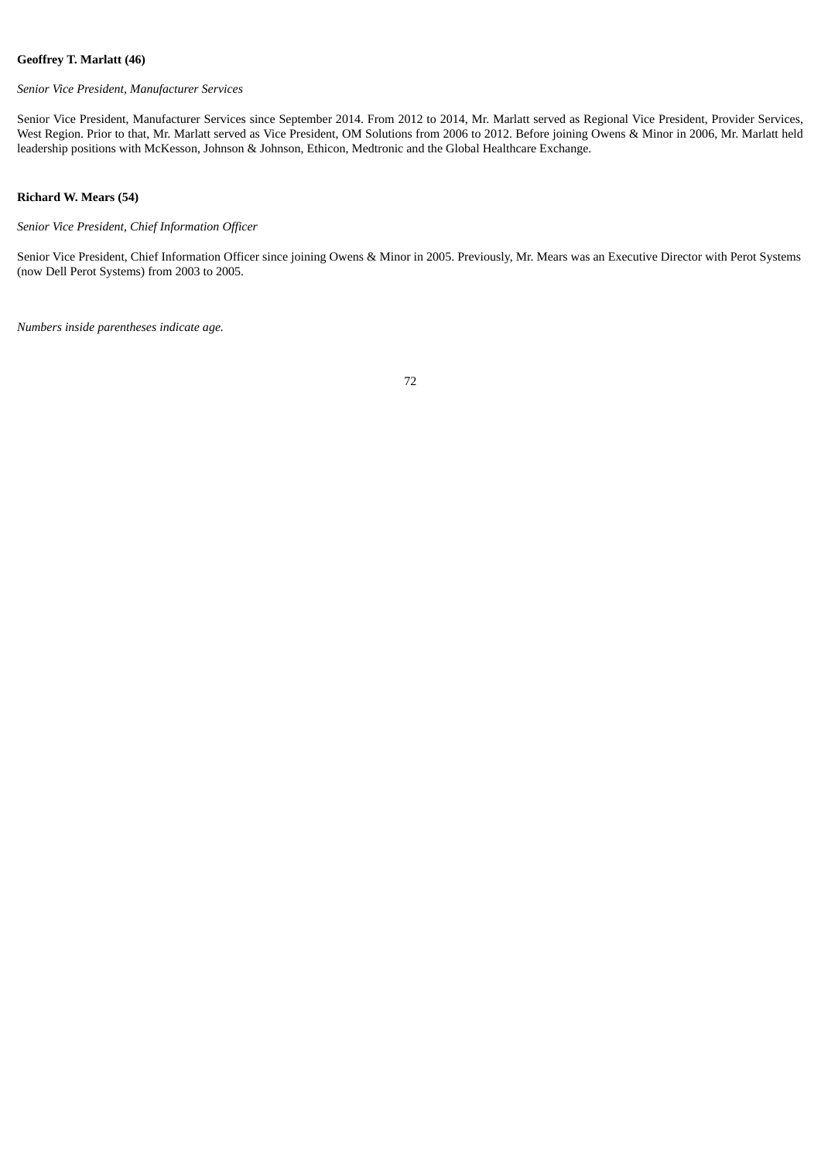### **Geoffrey T. Marlatt (46)**

#### *Senior Vice President, Manufacturer Services*

Senior Vice President, Manufacturer Services since September 2014. From 2012 to 2014, Mr. Marlatt served as Regional Vice President, Provider Services, West Region. Prior to that, Mr. Marlatt served as Vice President, OM Solutions from 2006 to 2012. Before joining Owens & Minor in 2006, Mr. Marlatt held leadership positions with McKesson, Johnson & Johnson, Ethicon, Medtronic and the Global Healthcare Exchange.

### **Richard W. Mears (54)**

*Senior Vice President, Chief Information Officer*

Senior Vice President, Chief Information Officer since joining Owens & Minor in 2005. Previously, Mr. Mears was an Executive Director with Perot Systems (now Dell Perot Systems) from 2003 to 2005.

*Numbers inside parentheses indicate age.*

72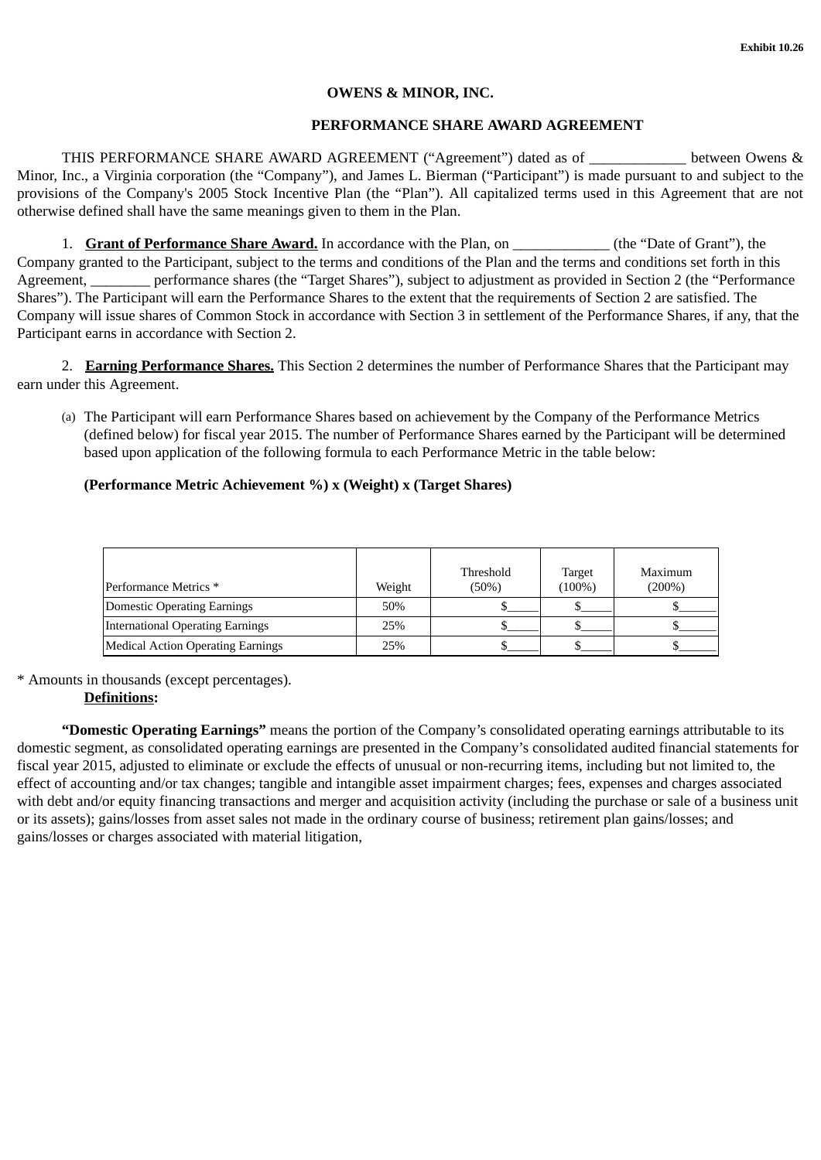# **OWENS & MINOR, INC.**

## **PERFORMANCE SHARE AWARD AGREEMENT**

THIS PERFORMANCE SHARE AWARD AGREEMENT ("Agreement") dated as of \_\_\_\_\_\_\_\_\_\_\_\_\_ between Owens & Minor, Inc., a Virginia corporation (the "Company"), and James L. Bierman ("Participant") is made pursuant to and subject to the provisions of the Company's 2005 Stock Incentive Plan (the "Plan"). All capitalized terms used in this Agreement that are not otherwise defined shall have the same meanings given to them in the Plan.

1. **Grant of Performance Share Award.** In accordance with the Plan, on \_\_\_\_\_\_\_\_\_\_\_\_\_ (the "Date of Grant"), the Company granted to the Participant, subject to the terms and conditions of the Plan and the terms and conditions set forth in this Agreement, entrogeneeries performance shares (the "Target Shares"), subject to adjustment as provided in Section 2 (the "Performance Shares"). The Participant will earn the Performance Shares to the extent that the requirements of Section 2 are satisfied. The Company will issue shares of Common Stock in accordance with Section 3 in settlement of the Performance Shares, if any, that the Participant earns in accordance with Section 2.

2. **Earning Performance Shares.** This Section 2 determines the number of Performance Shares that the Participant may earn under this Agreement.

(a) The Participant will earn Performance Shares based on achievement by the Company of the Performance Metrics (defined below) for fiscal year 2015. The number of Performance Shares earned by the Participant will be determined based upon application of the following formula to each Performance Metric in the table below:

# **(Performance Metric Achievement %) x (Weight) x (Target Shares)**

| Performance Metrics *                   | Weight | Threshold<br>(50%) | Target<br>$(100\%)$ | Maximum<br>$(200\%)$ |
|-----------------------------------------|--------|--------------------|---------------------|----------------------|
| Domestic Operating Earnings             | 50%    |                    |                     |                      |
| <b>International Operating Earnings</b> | 25%    |                    |                     |                      |
| Medical Action Operating Earnings       | 25%    |                    |                     |                      |

\* Amounts in thousands (except percentages).

# **Definitions:**

**"Domestic Operating Earnings"** means the portion of the Company's consolidated operating earnings attributable to its domestic segment, as consolidated operating earnings are presented in the Company's consolidated audited financial statements for fiscal year 2015, adjusted to eliminate or exclude the effects of unusual or non-recurring items, including but not limited to, the effect of accounting and/or tax changes; tangible and intangible asset impairment charges; fees, expenses and charges associated with debt and/or equity financing transactions and merger and acquisition activity (including the purchase or sale of a business unit or its assets); gains/losses from asset sales not made in the ordinary course of business; retirement plan gains/losses; and gains/losses or charges associated with material litigation,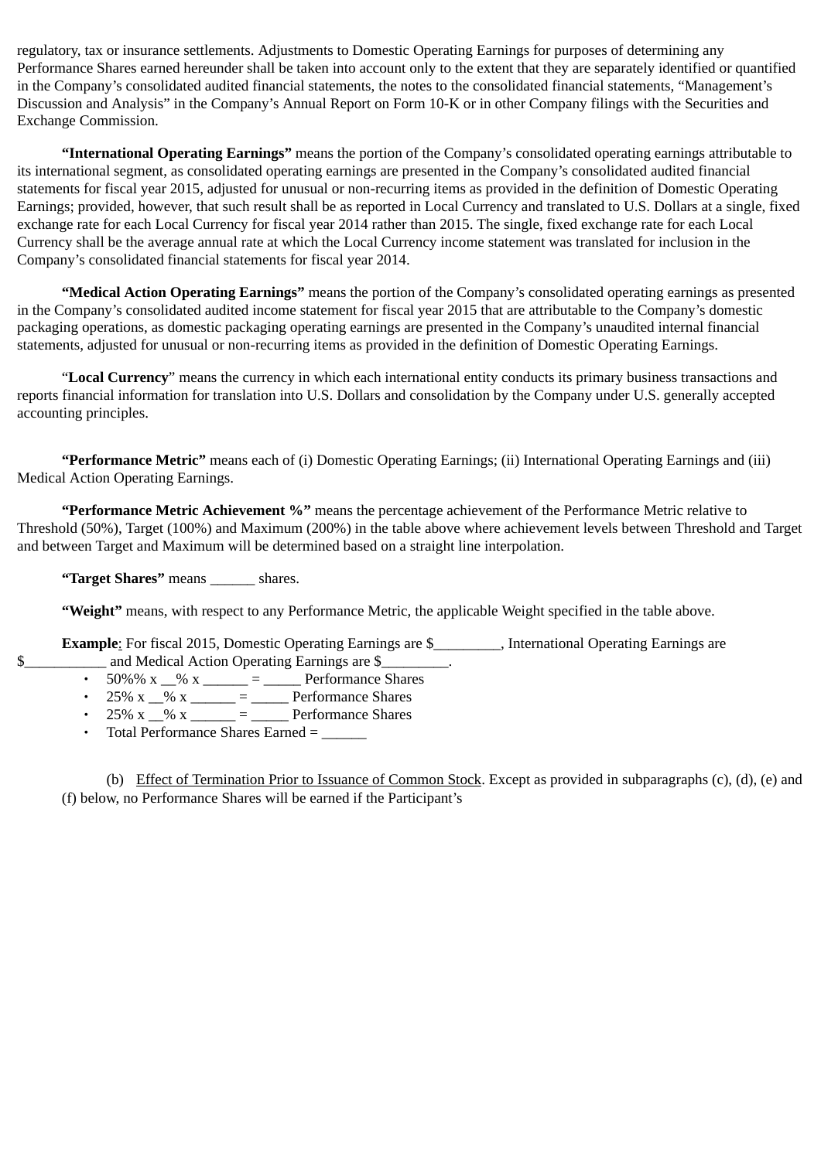regulatory, tax or insurance settlements. Adjustments to Domestic Operating Earnings for purposes of determining any Performance Shares earned hereunder shall be taken into account only to the extent that they are separately identified or quantified in the Company's consolidated audited financial statements, the notes to the consolidated financial statements, "Management's Discussion and Analysis" in the Company's Annual Report on Form 10-K or in other Company filings with the Securities and Exchange Commission.

**"International Operating Earnings"** means the portion of the Company's consolidated operating earnings attributable to its international segment, as consolidated operating earnings are presented in the Company's consolidated audited financial statements for fiscal year 2015, adjusted for unusual or non-recurring items as provided in the definition of Domestic Operating Earnings; provided, however, that such result shall be as reported in Local Currency and translated to U.S. Dollars at a single, fixed exchange rate for each Local Currency for fiscal year 2014 rather than 2015. The single, fixed exchange rate for each Local Currency shall be the average annual rate at which the Local Currency income statement was translated for inclusion in the Company's consolidated financial statements for fiscal year 2014.

**"Medical Action Operating Earnings"** means the portion of the Company's consolidated operating earnings as presented in the Company's consolidated audited income statement for fiscal year 2015 that are attributable to the Company's domestic packaging operations, as domestic packaging operating earnings are presented in the Company's unaudited internal financial statements, adjusted for unusual or non-recurring items as provided in the definition of Domestic Operating Earnings.

"**Local Currency**" means the currency in which each international entity conducts its primary business transactions and reports financial information for translation into U.S. Dollars and consolidation by the Company under U.S. generally accepted accounting principles.

**"Performance Metric"** means each of (i) Domestic Operating Earnings; (ii) International Operating Earnings and (iii) Medical Action Operating Earnings.

**"Performance Metric Achievement %"** means the percentage achievement of the Performance Metric relative to Threshold (50%), Target (100%) and Maximum (200%) in the table above where achievement levels between Threshold and Target and between Target and Maximum will be determined based on a straight line interpolation.

**"Target Shares"** means \_\_\_\_\_\_ shares.

**"Weight"** means, with respect to any Performance Metric, the applicable Weight specified in the table above.

**Example**: For fiscal 2015, Domestic Operating Earnings are \$ The resolutional Operating Earnings are \$ and Medical Action Operating Earnings are \$

- 
- $50\%$  x  $\frac{9}{x}$  x  $\frac{1}{x}$  =  $\frac{1}{x}$  Performance Shares  $25\% x \longrightarrow 25\% x \longrightarrow 25\% x$
- $25\%$  x  $\%$  x  $\qquad$  = Performance Shares
- Total Performance Shares Earned =

(b) Effect of Termination Prior to Issuance of Common Stock. Except as provided in subparagraphs (c), (d), (e) and (f) below, no Performance Shares will be earned if the Participant's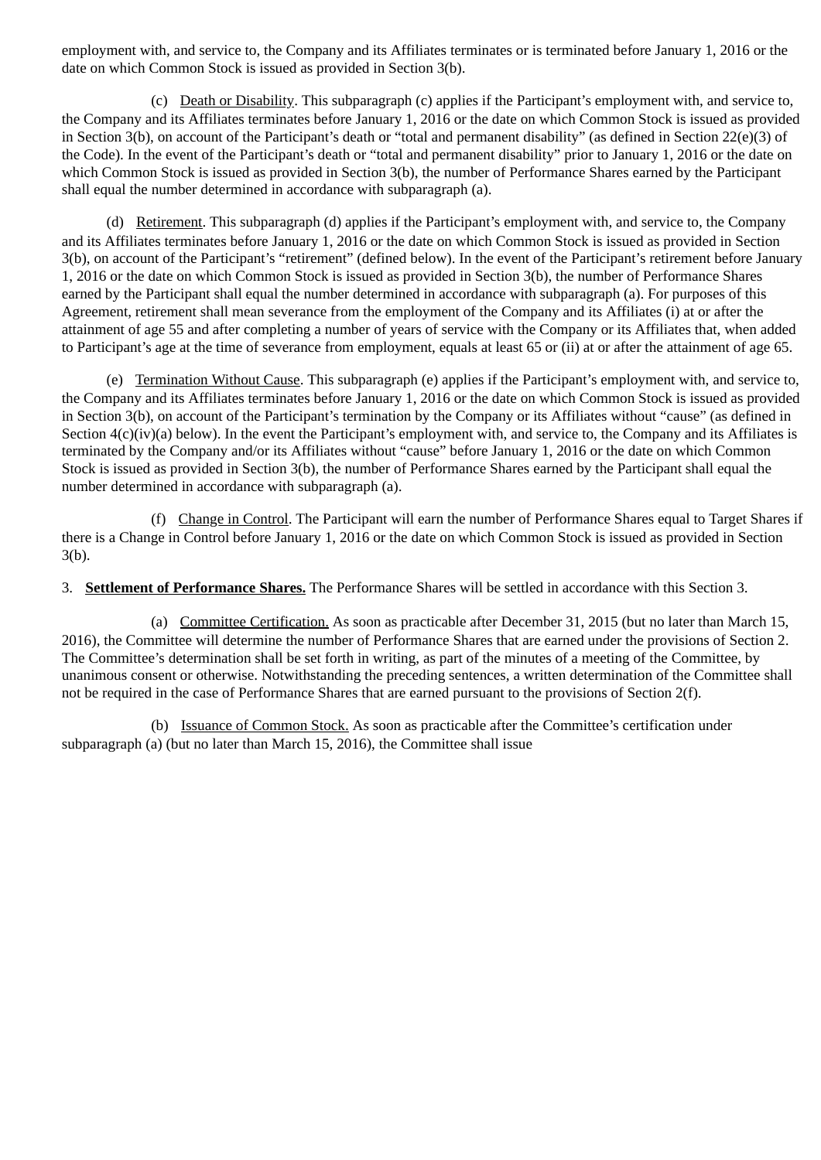employment with, and service to, the Company and its Affiliates terminates or is terminated before January 1, 2016 or the date on which Common Stock is issued as provided in Section 3(b).

(c) Death or Disability. This subparagraph (c) applies if the Participant's employment with, and service to, the Company and its Affiliates terminates before January 1, 2016 or the date on which Common Stock is issued as provided in Section 3(b), on account of the Participant's death or "total and permanent disability" (as defined in Section 22(e)(3) of the Code). In the event of the Participant's death or "total and permanent disability" prior to January 1, 2016 or the date on which Common Stock is issued as provided in Section 3(b), the number of Performance Shares earned by the Participant shall equal the number determined in accordance with subparagraph (a).

(d) Retirement. This subparagraph (d) applies if the Participant's employment with, and service to, the Company and its Affiliates terminates before January 1, 2016 or the date on which Common Stock is issued as provided in Section 3(b), on account of the Participant's "retirement" (defined below). In the event of the Participant's retirement before January 1, 2016 or the date on which Common Stock is issued as provided in Section 3(b), the number of Performance Shares earned by the Participant shall equal the number determined in accordance with subparagraph (a). For purposes of this Agreement, retirement shall mean severance from the employment of the Company and its Affiliates (i) at or after the attainment of age 55 and after completing a number of years of service with the Company or its Affiliates that, when added to Participant's age at the time of severance from employment, equals at least 65 or (ii) at or after the attainment of age 65.

(e) Termination Without Cause. This subparagraph (e) applies if the Participant's employment with, and service to, the Company and its Affiliates terminates before January 1, 2016 or the date on which Common Stock is issued as provided in Section 3(b), on account of the Participant's termination by the Company or its Affiliates without "cause" (as defined in Section  $4(c)(iv)(a)$  below). In the event the Participant's employment with, and service to, the Company and its Affiliates is terminated by the Company and/or its Affiliates without "cause" before January 1, 2016 or the date on which Common Stock is issued as provided in Section 3(b), the number of Performance Shares earned by the Participant shall equal the number determined in accordance with subparagraph (a).

(f) Change in Control. The Participant will earn the number of Performance Shares equal to Target Shares if there is a Change in Control before January 1, 2016 or the date on which Common Stock is issued as provided in Section 3(b).

3. **Settlement of Performance Shares.** The Performance Shares will be settled in accordance with this Section 3.

(a) Committee Certification. As soon as practicable after December 31, 2015 (but no later than March 15, 2016), the Committee will determine the number of Performance Shares that are earned under the provisions of Section 2. The Committee's determination shall be set forth in writing, as part of the minutes of a meeting of the Committee, by unanimous consent or otherwise. Notwithstanding the preceding sentences, a written determination of the Committee shall not be required in the case of Performance Shares that are earned pursuant to the provisions of Section 2(f).

(b) Issuance of Common Stock. As soon as practicable after the Committee's certification under subparagraph (a) (but no later than March 15, 2016), the Committee shall issue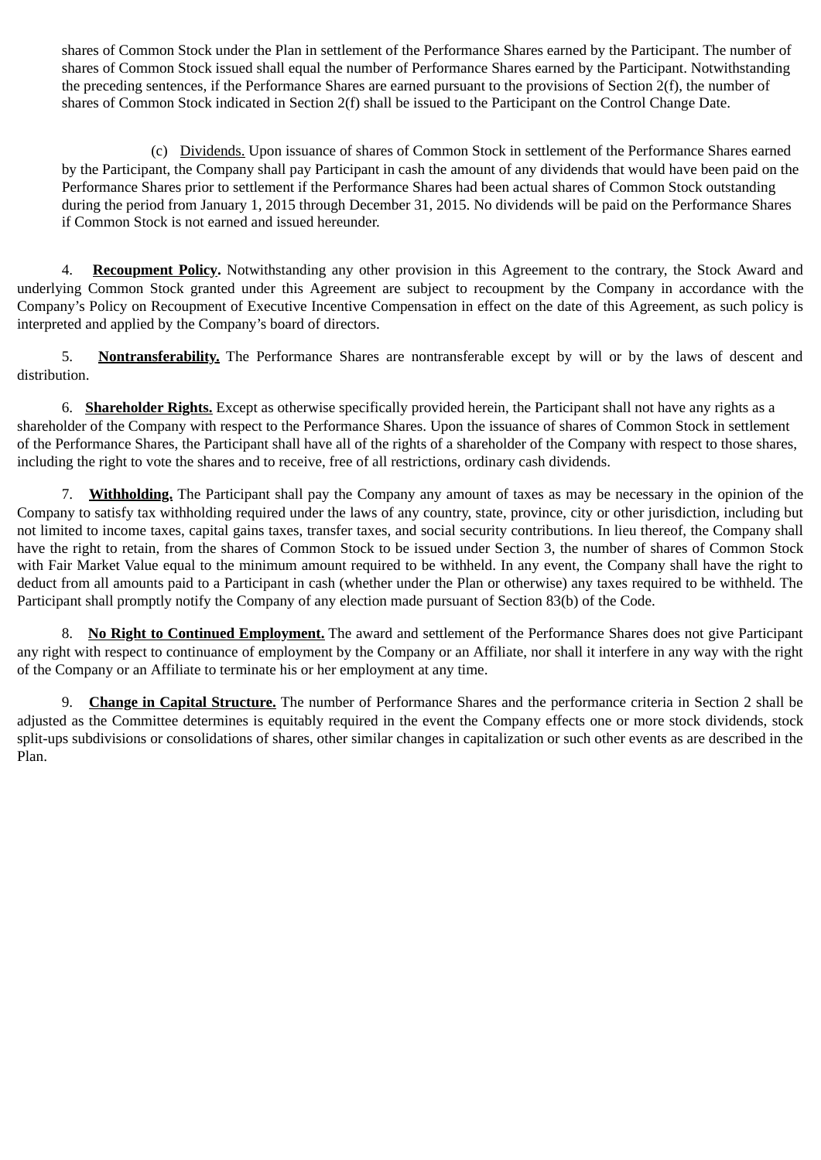shares of Common Stock under the Plan in settlement of the Performance Shares earned by the Participant. The number of shares of Common Stock issued shall equal the number of Performance Shares earned by the Participant. Notwithstanding the preceding sentences, if the Performance Shares are earned pursuant to the provisions of Section 2(f), the number of shares of Common Stock indicated in Section 2(f) shall be issued to the Participant on the Control Change Date.

(c) Dividends. Upon issuance of shares of Common Stock in settlement of the Performance Shares earned by the Participant, the Company shall pay Participant in cash the amount of any dividends that would have been paid on the Performance Shares prior to settlement if the Performance Shares had been actual shares of Common Stock outstanding during the period from January 1, 2015 through December 31, 2015. No dividends will be paid on the Performance Shares if Common Stock is not earned and issued hereunder.

4. **Recoupment Policy.** Notwithstanding any other provision in this Agreement to the contrary, the Stock Award and underlying Common Stock granted under this Agreement are subject to recoupment by the Company in accordance with the Company's Policy on Recoupment of Executive Incentive Compensation in effect on the date of this Agreement, as such policy is interpreted and applied by the Company's board of directors.

5. **Nontransferability.** The Performance Shares are nontransferable except by will or by the laws of descent and distribution.

6. **Shareholder Rights.** Except as otherwise specifically provided herein, the Participant shall not have any rights as a shareholder of the Company with respect to the Performance Shares. Upon the issuance of shares of Common Stock in settlement of the Performance Shares, the Participant shall have all of the rights of a shareholder of the Company with respect to those shares, including the right to vote the shares and to receive, free of all restrictions, ordinary cash dividends.

7. **Withholding.** The Participant shall pay the Company any amount of taxes as may be necessary in the opinion of the Company to satisfy tax withholding required under the laws of any country, state, province, city or other jurisdiction, including but not limited to income taxes, capital gains taxes, transfer taxes, and social security contributions. In lieu thereof, the Company shall have the right to retain, from the shares of Common Stock to be issued under Section 3, the number of shares of Common Stock with Fair Market Value equal to the minimum amount required to be withheld. In any event, the Company shall have the right to deduct from all amounts paid to a Participant in cash (whether under the Plan or otherwise) any taxes required to be withheld. The Participant shall promptly notify the Company of any election made pursuant of Section 83(b) of the Code.

8. **No Right to Continued Employment.** The award and settlement of the Performance Shares does not give Participant any right with respect to continuance of employment by the Company or an Affiliate, nor shall it interfere in any way with the right of the Company or an Affiliate to terminate his or her employment at any time.

9. **Change in Capital Structure.** The number of Performance Shares and the performance criteria in Section 2 shall be adjusted as the Committee determines is equitably required in the event the Company effects one or more stock dividends, stock split-ups subdivisions or consolidations of shares, other similar changes in capitalization or such other events as are described in the Plan.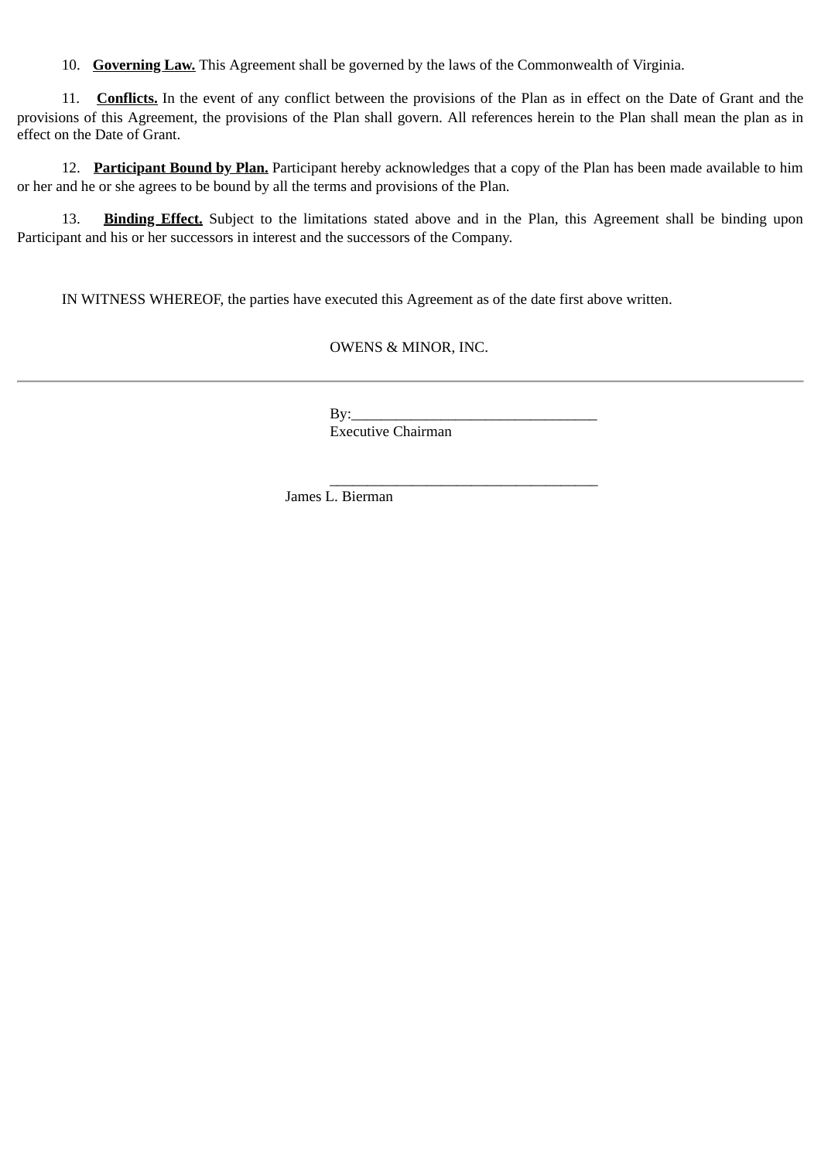10. **Governing Law.** This Agreement shall be governed by the laws of the Commonwealth of Virginia.

11. **Conflicts.** In the event of any conflict between the provisions of the Plan as in effect on the Date of Grant and the provisions of this Agreement, the provisions of the Plan shall govern. All references herein to the Plan shall mean the plan as in effect on the Date of Grant.

12. **Participant Bound by Plan.** Participant hereby acknowledges that a copy of the Plan has been made available to him or her and he or she agrees to be bound by all the terms and provisions of the Plan.

13. **Binding Effect.** Subject to the limitations stated above and in the Plan, this Agreement shall be binding upon Participant and his or her successors in interest and the successors of the Company.

IN WITNESS WHEREOF, the parties have executed this Agreement as of the date first above written.

OWENS & MINOR, INC.

\_\_\_\_\_\_\_\_\_\_\_\_\_\_\_\_\_\_\_\_\_\_\_\_\_\_\_\_\_\_\_\_\_\_\_\_

 $By:$ Executive Chairman

James L. Bierman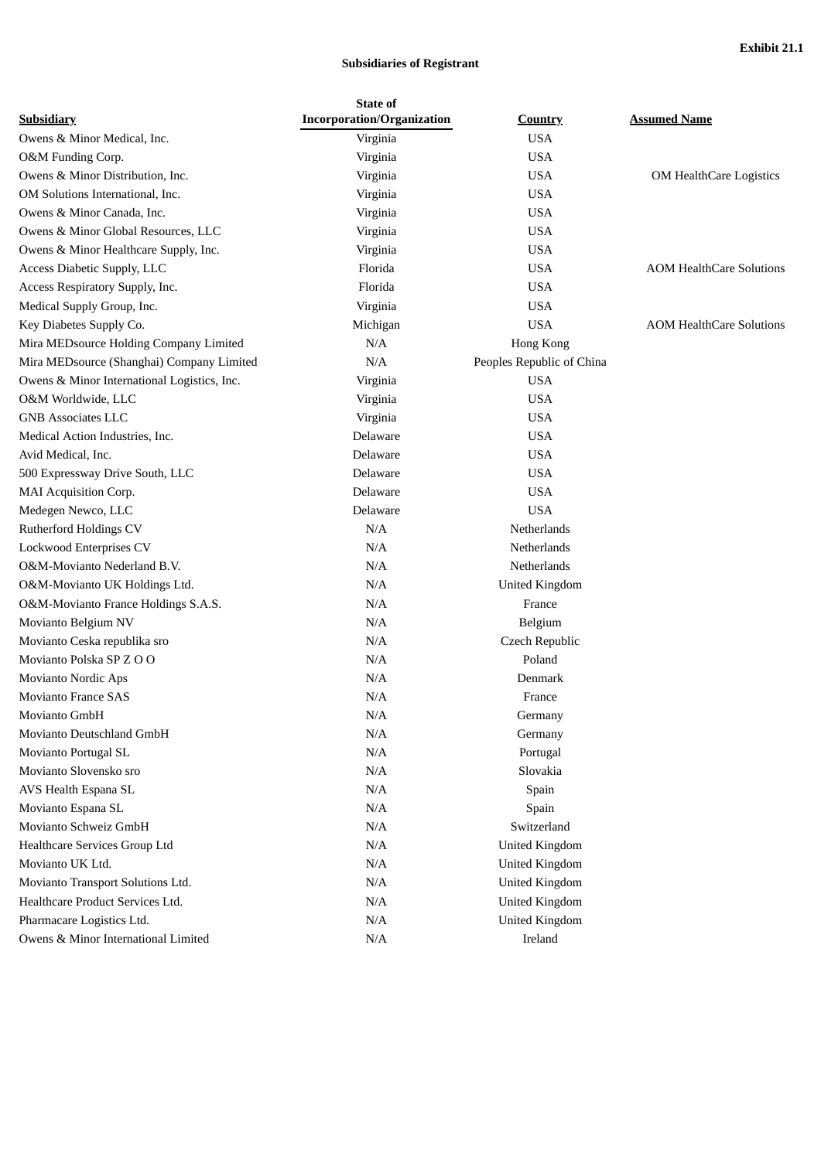# **Subsidiaries of Registrant**

| <b>Subsidiary</b>                           | <b>State of</b><br><b>Incorporation/Organization</b> | <b>Country</b>            | <b>Assumed Name</b>             |
|---------------------------------------------|------------------------------------------------------|---------------------------|---------------------------------|
| Owens & Minor Medical, Inc.                 | Virginia                                             | <b>USA</b>                |                                 |
| O&M Funding Corp.                           | Virginia                                             | <b>USA</b>                |                                 |
| Owens & Minor Distribution, Inc.            | Virginia                                             | <b>USA</b>                | OM HealthCare Logistics         |
| OM Solutions International, Inc.            | Virginia                                             | <b>USA</b>                |                                 |
| Owens & Minor Canada, Inc.                  | Virginia                                             | <b>USA</b>                |                                 |
| Owens & Minor Global Resources, LLC         | Virginia                                             | <b>USA</b>                |                                 |
| Owens & Minor Healthcare Supply, Inc.       | Virginia                                             | <b>USA</b>                |                                 |
| Access Diabetic Supply, LLC                 | Florida                                              | <b>USA</b>                | <b>AOM HealthCare Solutions</b> |
| Access Respiratory Supply, Inc.             | Florida                                              | <b>USA</b>                |                                 |
| Medical Supply Group, Inc.                  | Virginia                                             | <b>USA</b>                |                                 |
| Key Diabetes Supply Co.                     | Michigan                                             | <b>USA</b>                | <b>AOM HealthCare Solutions</b> |
| Mira MEDsource Holding Company Limited      | N/A                                                  | Hong Kong                 |                                 |
| Mira MEDsource (Shanghai) Company Limited   | N/A                                                  | Peoples Republic of China |                                 |
| Owens & Minor International Logistics, Inc. | Virginia                                             | <b>USA</b>                |                                 |
| O&M Worldwide, LLC                          | Virginia                                             | <b>USA</b>                |                                 |
| <b>GNB Associates LLC</b>                   | Virginia                                             | <b>USA</b>                |                                 |
| Medical Action Industries, Inc.             | Delaware                                             | <b>USA</b>                |                                 |
| Avid Medical, Inc.                          | Delaware                                             | <b>USA</b>                |                                 |
| 500 Expressway Drive South, LLC             | Delaware                                             | <b>USA</b>                |                                 |
| MAI Acquisition Corp.                       | Delaware                                             | <b>USA</b>                |                                 |
| Medegen Newco, LLC                          | Delaware                                             | <b>USA</b>                |                                 |
| Rutherford Holdings CV                      | N/A                                                  | Netherlands               |                                 |
| <b>Lockwood Enterprises CV</b>              | N/A                                                  | Netherlands               |                                 |
| O&M-Movianto Nederland B.V.                 | N/A                                                  | Netherlands               |                                 |
| O&M-Movianto UK Holdings Ltd.               | N/A                                                  | <b>United Kingdom</b>     |                                 |
| O&M-Movianto France Holdings S.A.S.         | N/A                                                  | France                    |                                 |
| Movianto Belgium NV                         | N/A                                                  | Belgium                   |                                 |
| Movianto Ceska republika sro                | N/A                                                  | Czech Republic            |                                 |
| Movianto Polska SP Z O O                    | N/A                                                  | Poland                    |                                 |
| Movianto Nordic Aps                         | N/A                                                  | Denmark                   |                                 |
| <b>Movianto France SAS</b>                  | N/A                                                  | France                    |                                 |
| Movianto GmbH                               | N/A                                                  | Germany                   |                                 |
| Movianto Deutschland GmbH                   | N/A                                                  | Germany                   |                                 |
| Movianto Portugal SL                        | N/A                                                  | Portugal                  |                                 |
| Movianto Slovensko sro                      | N/A                                                  | Slovakia                  |                                 |
| AVS Health Espana SL                        | N/A                                                  | Spain                     |                                 |
| Movianto Espana SL                          | N/A                                                  | Spain                     |                                 |
| Movianto Schweiz GmbH                       | N/A                                                  | Switzerland               |                                 |
| Healthcare Services Group Ltd               | N/A                                                  | <b>United Kingdom</b>     |                                 |
| Movianto UK Ltd.                            | N/A                                                  | <b>United Kingdom</b>     |                                 |
| Movianto Transport Solutions Ltd.           | N/A                                                  | <b>United Kingdom</b>     |                                 |
| Healthcare Product Services Ltd.            | N/A                                                  | <b>United Kingdom</b>     |                                 |
| Pharmacare Logistics Ltd.                   | N/A                                                  | <b>United Kingdom</b>     |                                 |
| Owens & Minor International Limited         | N/A                                                  | Ireland                   |                                 |
|                                             |                                                      |                           |                                 |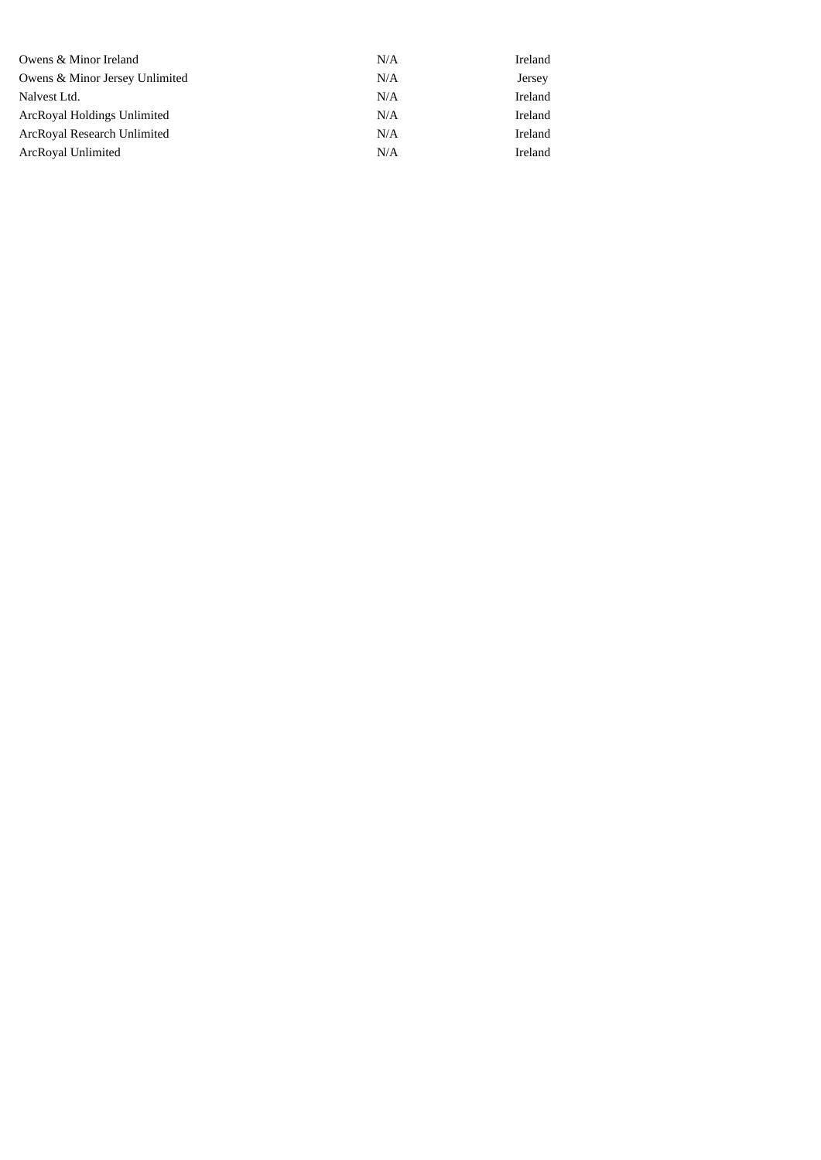| Owens & Minor Ireland          | N/A | Ireland |
|--------------------------------|-----|---------|
| Owens & Minor Jersey Unlimited | N/A | Jersey  |
| Nalvest Ltd.                   | N/A | Ireland |
| ArcRoyal Holdings Unlimited    | N/A | Ireland |
| ArcRoyal Research Unlimited    | N/A | Ireland |
| ArcRoval Unlimited             | N/A | Ireland |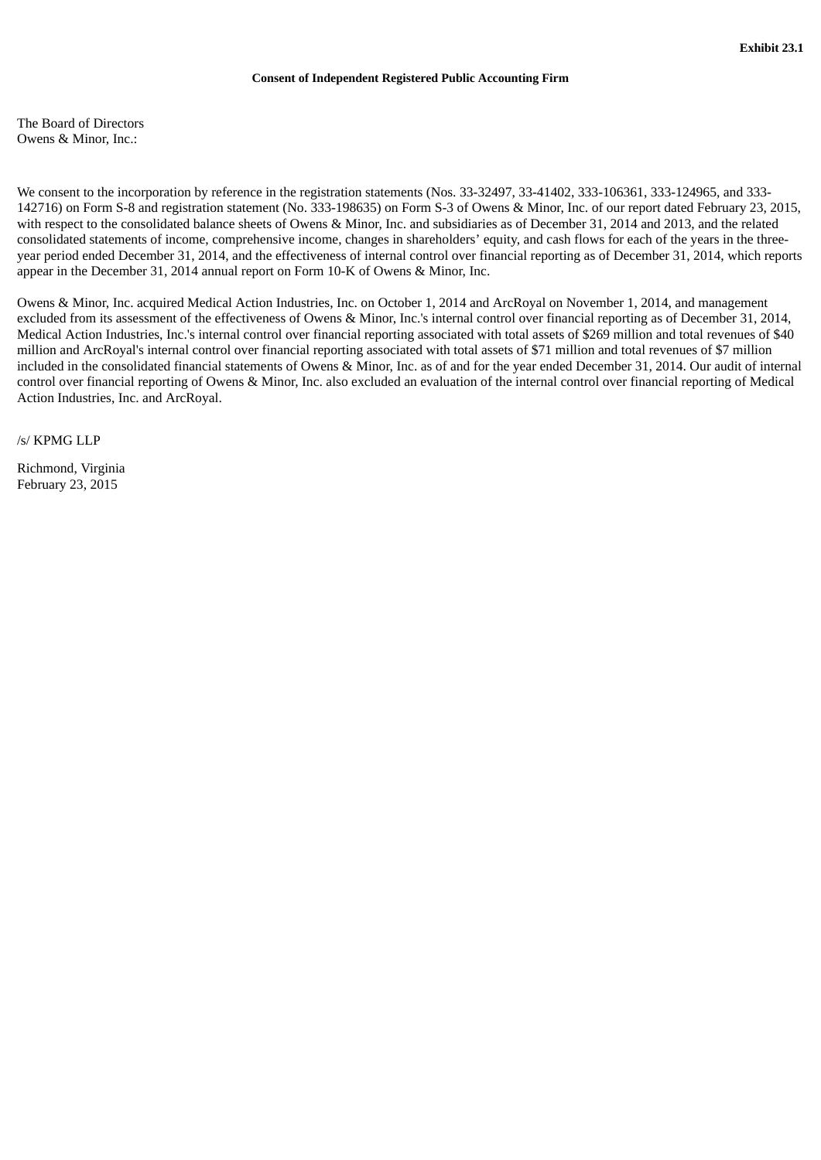### **Consent of Independent Registered Public Accounting Firm**

The Board of Directors Owens & Minor, Inc.:

We consent to the incorporation by reference in the registration statements (Nos. 33-32497, 33-41402, 333-106361, 333-124965, and 333- 142716) on Form S-8 and registration statement (No. 333-198635) on Form S-3 of Owens & Minor, Inc. of our report dated February 23, 2015, with respect to the consolidated balance sheets of Owens & Minor, Inc. and subsidiaries as of December 31, 2014 and 2013, and the related consolidated statements of income, comprehensive income, changes in shareholders' equity, and cash flows for each of the years in the threeyear period ended December 31, 2014, and the effectiveness of internal control over financial reporting as of December 31, 2014, which reports appear in the December 31, 2014 annual report on Form 10-K of Owens & Minor, Inc.

Owens & Minor, Inc. acquired Medical Action Industries, Inc. on October 1, 2014 and ArcRoyal on November 1, 2014, and management excluded from its assessment of the effectiveness of Owens & Minor, Inc.'s internal control over financial reporting as of December 31, 2014, Medical Action Industries, Inc.'s internal control over financial reporting associated with total assets of \$269 million and total revenues of \$40 million and ArcRoyal's internal control over financial reporting associated with total assets of \$71 million and total revenues of \$7 million included in the consolidated financial statements of Owens & Minor, Inc. as of and for the year ended December 31, 2014. Our audit of internal control over financial reporting of Owens & Minor, Inc. also excluded an evaluation of the internal control over financial reporting of Medical Action Industries, Inc. and ArcRoyal.

/s/ KPMG LLP

Richmond, Virginia February 23, 2015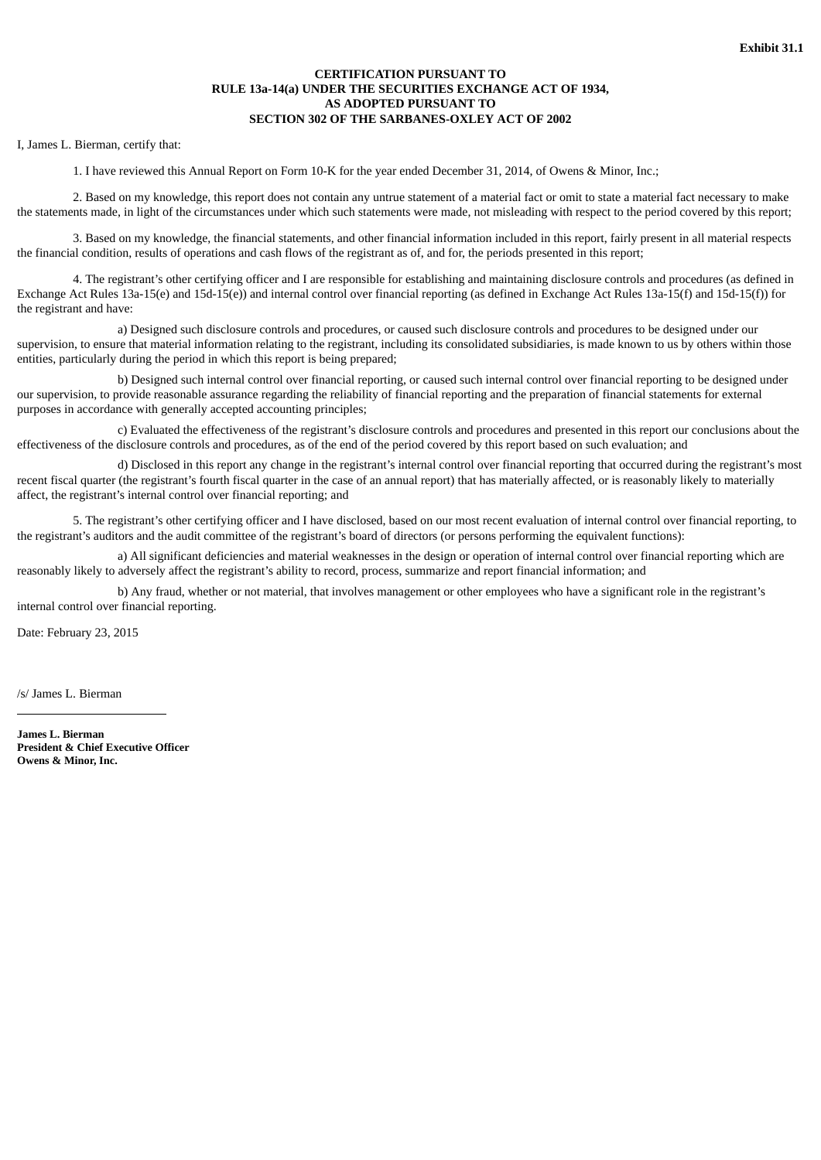## **CERTIFICATION PURSUANT TO RULE 13a-14(a) UNDER THE SECURITIES EXCHANGE ACT OF 1934, AS ADOPTED PURSUANT TO SECTION 302 OF THE SARBANES-OXLEY ACT OF 2002**

I, James L. Bierman, certify that:

1. I have reviewed this Annual Report on Form 10-K for the year ended December 31, 2014, of Owens & Minor, Inc.;

2. Based on my knowledge, this report does not contain any untrue statement of a material fact or omit to state a material fact necessary to make the statements made, in light of the circumstances under which such statements were made, not misleading with respect to the period covered by this report;

3. Based on my knowledge, the financial statements, and other financial information included in this report, fairly present in all material respects the financial condition, results of operations and cash flows of the registrant as of, and for, the periods presented in this report;

4. The registrant's other certifying officer and I are responsible for establishing and maintaining disclosure controls and procedures (as defined in Exchange Act Rules 13a-15(e) and 15d-15(e)) and internal control over financial reporting (as defined in Exchange Act Rules 13a-15(f) and 15d-15(f)) for the registrant and have:

a) Designed such disclosure controls and procedures, or caused such disclosure controls and procedures to be designed under our supervision, to ensure that material information relating to the registrant, including its consolidated subsidiaries, is made known to us by others within those entities, particularly during the period in which this report is being prepared;

b) Designed such internal control over financial reporting, or caused such internal control over financial reporting to be designed under our supervision, to provide reasonable assurance regarding the reliability of financial reporting and the preparation of financial statements for external purposes in accordance with generally accepted accounting principles;

c) Evaluated the effectiveness of the registrant's disclosure controls and procedures and presented in this report our conclusions about the effectiveness of the disclosure controls and procedures, as of the end of the period covered by this report based on such evaluation; and

d) Disclosed in this report any change in the registrant's internal control over financial reporting that occurred during the registrant's most recent fiscal quarter (the registrant's fourth fiscal quarter in the case of an annual report) that has materially affected, or is reasonably likely to materially affect, the registrant's internal control over financial reporting; and

5. The registrant's other certifying officer and I have disclosed, based on our most recent evaluation of internal control over financial reporting, to the registrant's auditors and the audit committee of the registrant's board of directors (or persons performing the equivalent functions):

a) All significant deficiencies and material weaknesses in the design or operation of internal control over financial reporting which are reasonably likely to adversely affect the registrant's ability to record, process, summarize and report financial information; and

b) Any fraud, whether or not material, that involves management or other employees who have a significant role in the registrant's internal control over financial reporting.

Date: February 23, 2015

/s/ James L. Bierman

**James L. Bierman President & Chief Executive Officer Owens & Minor, Inc.**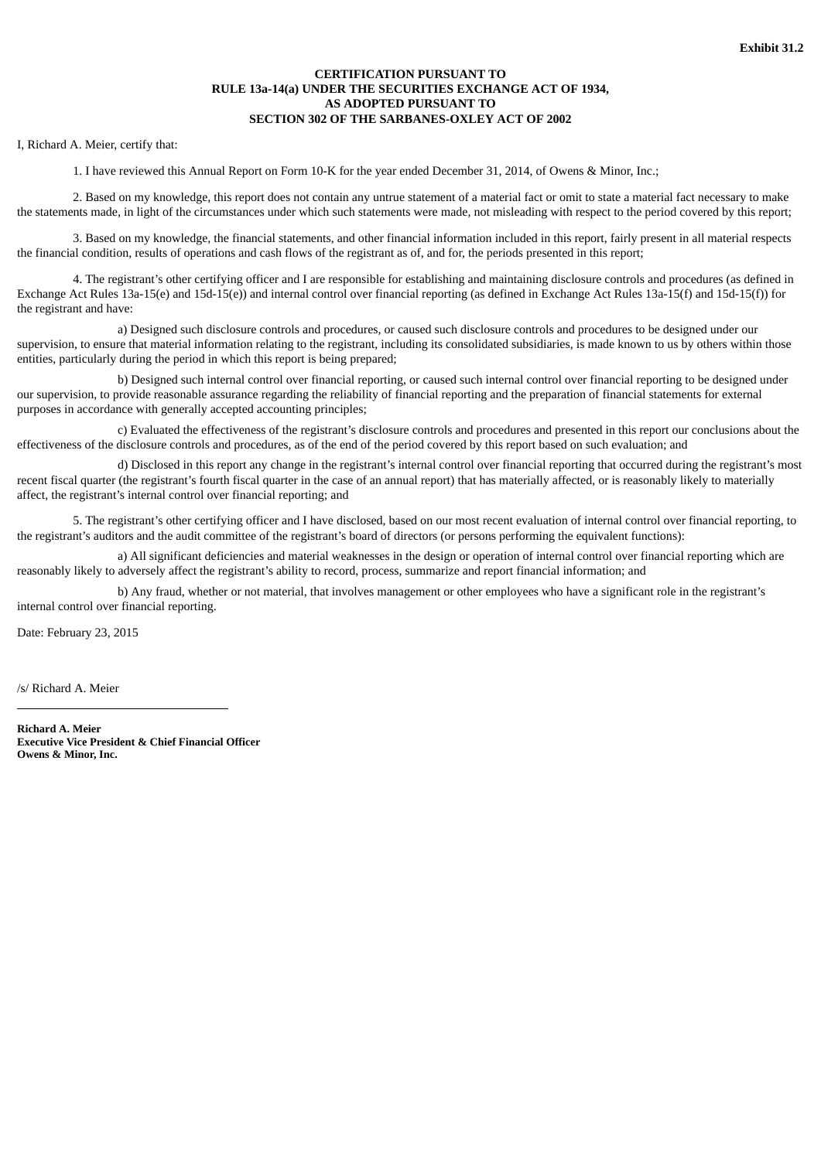## **CERTIFICATION PURSUANT TO RULE 13a-14(a) UNDER THE SECURITIES EXCHANGE ACT OF 1934, AS ADOPTED PURSUANT TO SECTION 302 OF THE SARBANES-OXLEY ACT OF 2002**

I, Richard A. Meier, certify that:

1. I have reviewed this Annual Report on Form 10-K for the year ended December 31, 2014, of Owens & Minor, Inc.;

2. Based on my knowledge, this report does not contain any untrue statement of a material fact or omit to state a material fact necessary to make the statements made, in light of the circumstances under which such statements were made, not misleading with respect to the period covered by this report;

3. Based on my knowledge, the financial statements, and other financial information included in this report, fairly present in all material respects the financial condition, results of operations and cash flows of the registrant as of, and for, the periods presented in this report;

4. The registrant's other certifying officer and I are responsible for establishing and maintaining disclosure controls and procedures (as defined in Exchange Act Rules 13a-15(e) and 15d-15(e)) and internal control over financial reporting (as defined in Exchange Act Rules 13a-15(f) and 15d-15(f)) for the registrant and have:

a) Designed such disclosure controls and procedures, or caused such disclosure controls and procedures to be designed under our supervision, to ensure that material information relating to the registrant, including its consolidated subsidiaries, is made known to us by others within those entities, particularly during the period in which this report is being prepared;

b) Designed such internal control over financial reporting, or caused such internal control over financial reporting to be designed under our supervision, to provide reasonable assurance regarding the reliability of financial reporting and the preparation of financial statements for external purposes in accordance with generally accepted accounting principles;

c) Evaluated the effectiveness of the registrant's disclosure controls and procedures and presented in this report our conclusions about the effectiveness of the disclosure controls and procedures, as of the end of the period covered by this report based on such evaluation; and

d) Disclosed in this report any change in the registrant's internal control over financial reporting that occurred during the registrant's most recent fiscal quarter (the registrant's fourth fiscal quarter in the case of an annual report) that has materially affected, or is reasonably likely to materially affect, the registrant's internal control over financial reporting; and

5. The registrant's other certifying officer and I have disclosed, based on our most recent evaluation of internal control over financial reporting, to the registrant's auditors and the audit committee of the registrant's board of directors (or persons performing the equivalent functions):

a) All significant deficiencies and material weaknesses in the design or operation of internal control over financial reporting which are reasonably likely to adversely affect the registrant's ability to record, process, summarize and report financial information; and

b) Any fraud, whether or not material, that involves management or other employees who have a significant role in the registrant's internal control over financial reporting.

Date: February 23, 2015

/s/ Richard A. Meier

**Richard A. Meier Executive Vice President & Chief Financial Officer Owens & Minor, Inc.**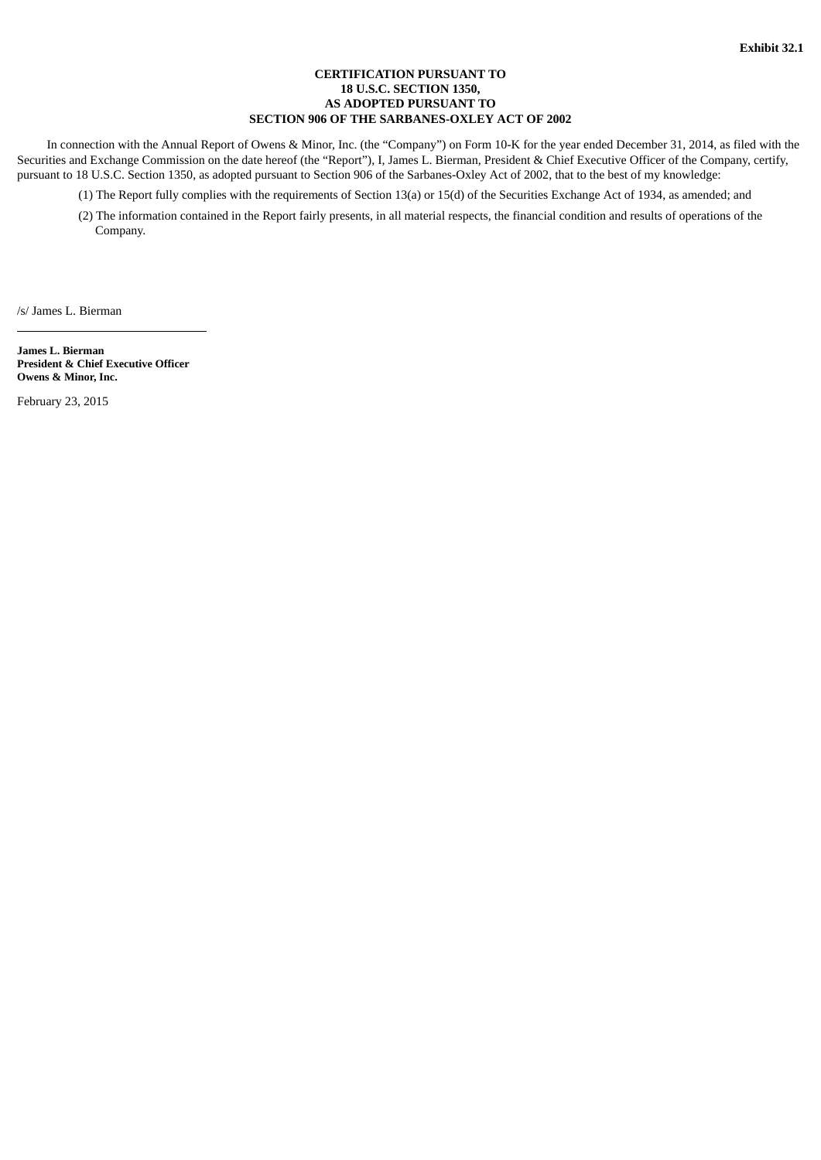## **CERTIFICATION PURSUANT TO 18 U.S.C. SECTION 1350, AS ADOPTED PURSUANT TO SECTION 906 OF THE SARBANES-OXLEY ACT OF 2002**

In connection with the Annual Report of Owens & Minor, Inc. (the "Company") on Form 10-K for the year ended December 31, 2014, as filed with the Securities and Exchange Commission on the date hereof (the "Report"), I, James L. Bierman, President & Chief Executive Officer of the Company, certify, pursuant to 18 U.S.C. Section 1350, as adopted pursuant to Section 906 of the Sarbanes-Oxley Act of 2002, that to the best of my knowledge:

(1) The Report fully complies with the requirements of Section 13(a) or 15(d) of the Securities Exchange Act of 1934, as amended; and

(2) The information contained in the Report fairly presents, in all material respects, the financial condition and results of operations of the Company.

/s/ James L. Bierman

**James L. Bierman President & Chief Executive Officer Owens & Minor, Inc.**

February 23, 2015